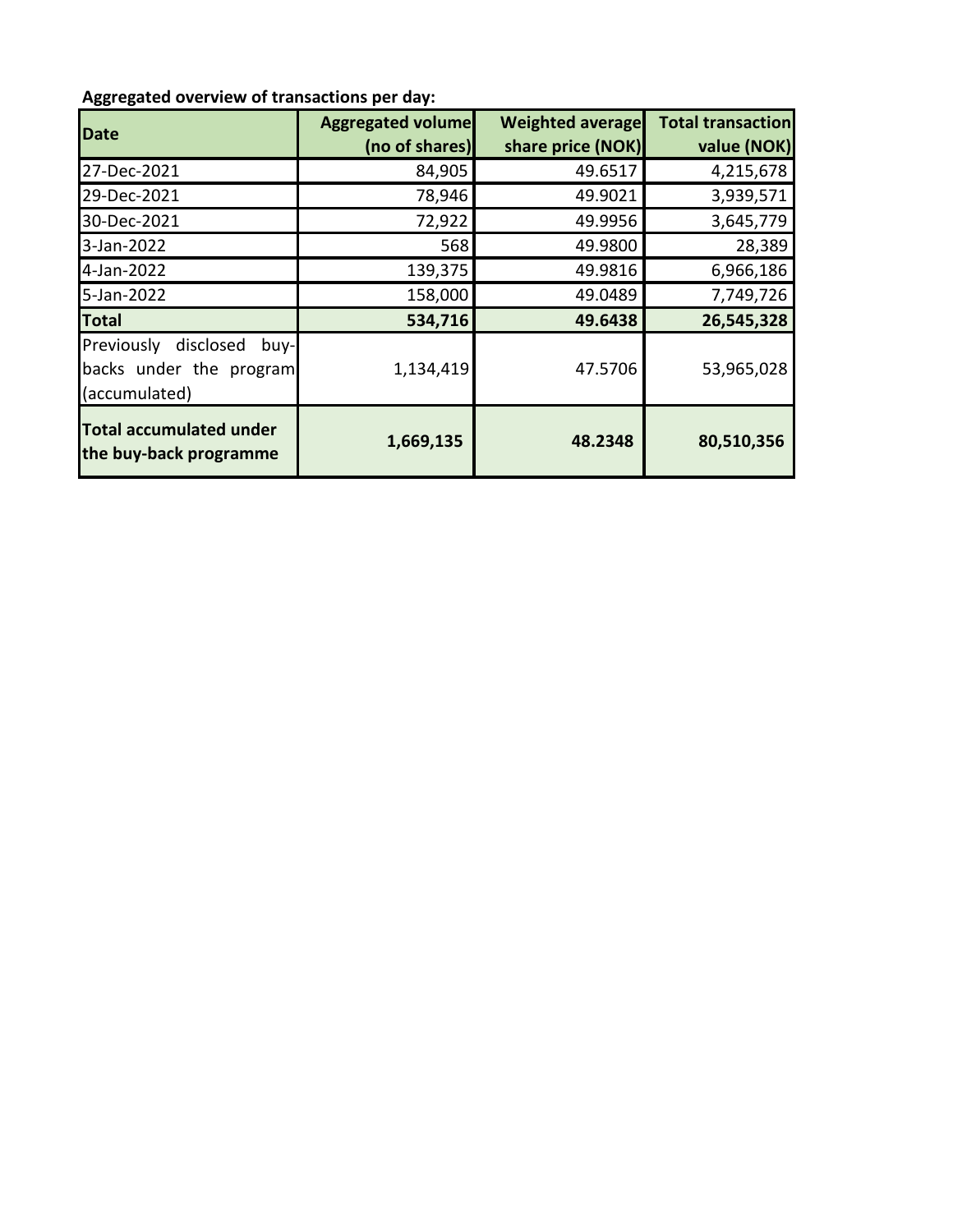## **Aggregated overview of transactions per day:**

| <b>Date</b>                                                                  | <b>Aggregated volume</b><br>(no of shares) | <b>Weighted average</b><br>share price (NOK) | <b>Total transaction</b><br>value (NOK) |
|------------------------------------------------------------------------------|--------------------------------------------|----------------------------------------------|-----------------------------------------|
| 27-Dec-2021                                                                  | 84,905                                     | 49.6517                                      | 4,215,678                               |
| 29-Dec-2021                                                                  | 78,946                                     | 49.9021                                      | 3,939,571                               |
| 30-Dec-2021                                                                  | 72,922                                     | 49.9956                                      | 3,645,779                               |
| 3-Jan-2022                                                                   | 568                                        | 49.9800                                      | 28,389                                  |
| 4-Jan-2022                                                                   | 139,375                                    | 49.9816                                      | 6,966,186                               |
| 5-Jan-2022                                                                   | 158,000                                    | 49.0489                                      | 7,749,726                               |
| <b>Total</b>                                                                 | 534,716                                    | 49.6438                                      | 26,545,328                              |
| Previously<br>disclosed<br>buy-l<br>backs under the program<br>(accumulated) | 1,134,419                                  | 47.5706                                      | 53,965,028                              |
| <b>Total accumulated under</b><br>the buy-back programme                     | 1,669,135                                  | 48.2348                                      | 80,510,356                              |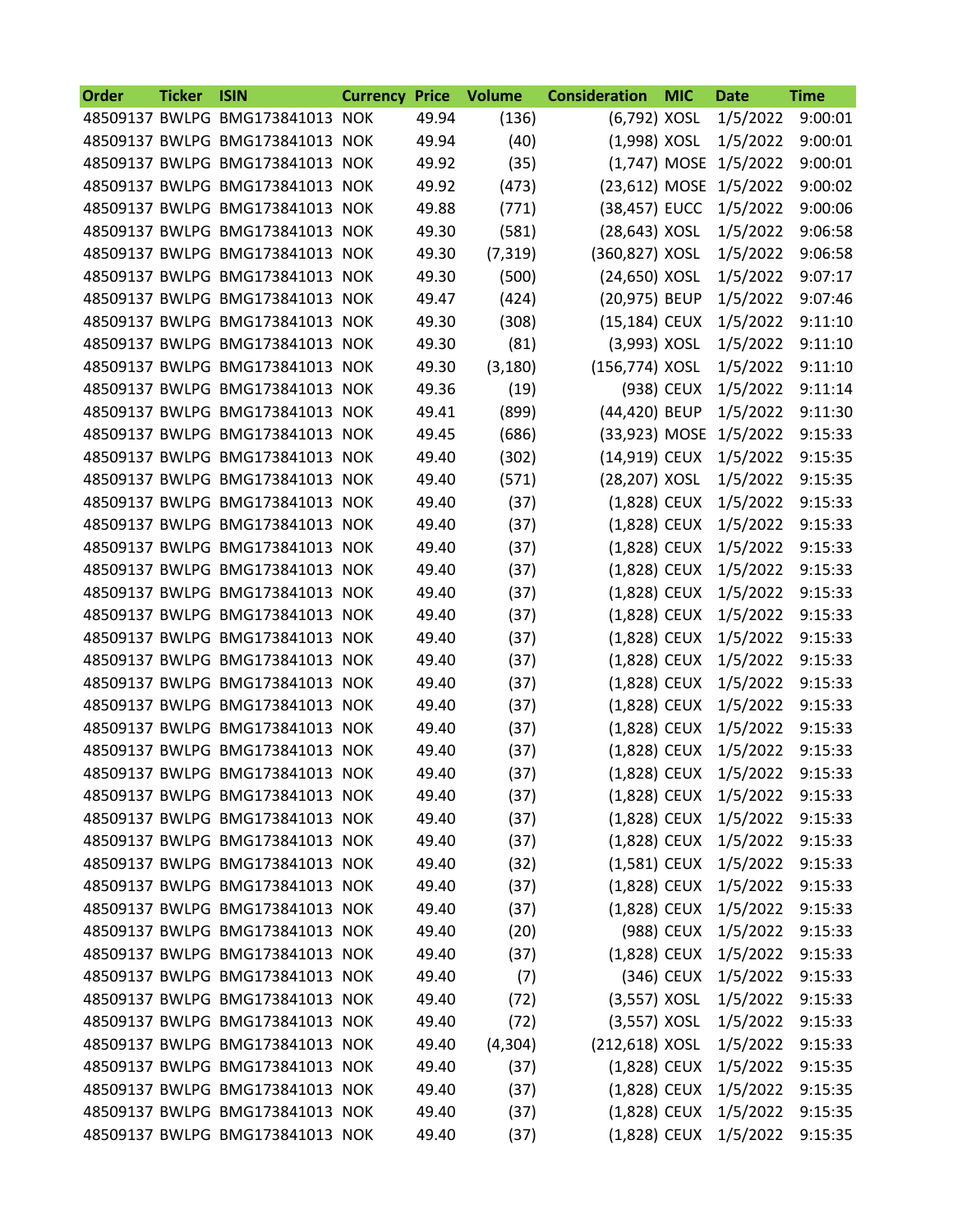| <b>Order</b> | <b>Ticker</b> | <b>ISIN</b>                     | <b>Currency Price</b> |       | <b>Volume</b> | <b>Consideration</b> | <b>MIC</b> | <b>Date</b>           | <b>Time</b> |
|--------------|---------------|---------------------------------|-----------------------|-------|---------------|----------------------|------------|-----------------------|-------------|
|              |               | 48509137 BWLPG BMG173841013 NOK |                       | 49.94 | (136)         | (6,792) XOSL         |            | 1/5/2022              | 9:00:01     |
|              |               | 48509137 BWLPG BMG173841013 NOK |                       | 49.94 | (40)          | (1,998) XOSL         |            | 1/5/2022              | 9:00:01     |
|              |               | 48509137 BWLPG BMG173841013 NOK |                       | 49.92 | (35)          | (1,747) MOSE         |            | 1/5/2022              | 9:00:01     |
|              |               | 48509137 BWLPG BMG173841013 NOK |                       | 49.92 | (473)         | (23,612) MOSE        |            | 1/5/2022              | 9:00:02     |
|              |               | 48509137 BWLPG BMG173841013 NOK |                       | 49.88 | (771)         | (38,457) EUCC        |            | 1/5/2022              | 9:00:06     |
|              |               | 48509137 BWLPG BMG173841013 NOK |                       | 49.30 | (581)         | (28,643) XOSL        |            | 1/5/2022              | 9:06:58     |
|              |               | 48509137 BWLPG BMG173841013 NOK |                       | 49.30 | (7, 319)      | (360,827) XOSL       |            | 1/5/2022              | 9:06:58     |
|              |               | 48509137 BWLPG BMG173841013 NOK |                       | 49.30 | (500)         | (24,650) XOSL        |            | 1/5/2022              | 9:07:17     |
|              |               | 48509137 BWLPG BMG173841013 NOK |                       | 49.47 | (424)         | (20,975) BEUP        |            | 1/5/2022              | 9:07:46     |
|              |               | 48509137 BWLPG BMG173841013 NOK |                       | 49.30 | (308)         | (15,184) CEUX        |            | 1/5/2022              | 9:11:10     |
|              |               | 48509137 BWLPG BMG173841013 NOK |                       | 49.30 | (81)          | (3,993) XOSL         |            | 1/5/2022              | 9:11:10     |
|              |               | 48509137 BWLPG BMG173841013 NOK |                       | 49.30 | (3, 180)      | (156,774) XOSL       |            | 1/5/2022              | 9:11:10     |
|              |               | 48509137 BWLPG BMG173841013 NOK |                       | 49.36 | (19)          |                      | (938) CEUX | 1/5/2022              | 9:11:14     |
|              |               | 48509137 BWLPG BMG173841013 NOK |                       | 49.41 | (899)         | (44,420) BEUP        |            | 1/5/2022              | 9:11:30     |
|              |               | 48509137 BWLPG BMG173841013 NOK |                       | 49.45 | (686)         | (33,923) MOSE        |            | 1/5/2022              | 9:15:33     |
|              |               | 48509137 BWLPG BMG173841013 NOK |                       | 49.40 | (302)         | (14,919) CEUX        |            | 1/5/2022              | 9:15:35     |
|              |               | 48509137 BWLPG BMG173841013 NOK |                       | 49.40 | (571)         | (28,207) XOSL        |            | 1/5/2022              | 9:15:35     |
|              |               | 48509137 BWLPG BMG173841013 NOK |                       | 49.40 | (37)          | (1,828) CEUX         |            | 1/5/2022              | 9:15:33     |
|              |               | 48509137 BWLPG BMG173841013 NOK |                       | 49.40 | (37)          | (1,828) CEUX         |            | 1/5/2022              | 9:15:33     |
|              |               | 48509137 BWLPG BMG173841013 NOK |                       | 49.40 | (37)          | (1,828) CEUX         |            | 1/5/2022              | 9:15:33     |
|              |               | 48509137 BWLPG BMG173841013 NOK |                       | 49.40 | (37)          | (1,828) CEUX         |            | 1/5/2022              | 9:15:33     |
|              |               | 48509137 BWLPG BMG173841013 NOK |                       | 49.40 | (37)          | (1,828) CEUX         |            | 1/5/2022              | 9:15:33     |
|              |               | 48509137 BWLPG BMG173841013 NOK |                       | 49.40 | (37)          | (1,828) CEUX         |            | 1/5/2022              | 9:15:33     |
|              |               | 48509137 BWLPG BMG173841013 NOK |                       | 49.40 | (37)          | (1,828) CEUX         |            | 1/5/2022              | 9:15:33     |
|              |               | 48509137 BWLPG BMG173841013 NOK |                       | 49.40 | (37)          | (1,828) CEUX         |            | 1/5/2022              | 9:15:33     |
|              |               | 48509137 BWLPG BMG173841013 NOK |                       | 49.40 | (37)          | (1,828) CEUX         |            | 1/5/2022              | 9:15:33     |
|              |               | 48509137 BWLPG BMG173841013 NOK |                       | 49.40 | (37)          | (1,828) CEUX         |            | 1/5/2022              | 9:15:33     |
|              |               | 48509137 BWLPG BMG173841013 NOK |                       | 49.40 | (37)          | $(1,828)$ CEUX       |            | 1/5/2022              | 9:15:33     |
|              |               | 48509137 BWLPG BMG173841013 NOK |                       | 49.40 | (37)          | (1,828) CEUX         |            | 1/5/2022              | 9:15:33     |
|              |               | 48509137 BWLPG BMG173841013 NOK |                       | 49.40 | (37)          | (1,828) CEUX         |            | 1/5/2022              | 9:15:33     |
|              |               | 48509137 BWLPG BMG173841013 NOK |                       | 49.40 | (37)          | $(1,828)$ CEUX       |            | 1/5/2022              | 9:15:33     |
|              |               | 48509137 BWLPG BMG173841013 NOK |                       | 49.40 | (37)          | (1,828) CEUX         |            | 1/5/2022              | 9:15:33     |
|              |               | 48509137 BWLPG BMG173841013 NOK |                       | 49.40 | (37)          |                      |            | (1,828) CEUX 1/5/2022 | 9:15:33     |
|              |               | 48509137 BWLPG BMG173841013 NOK |                       | 49.40 | (32)          | $(1,581)$ CEUX       |            | 1/5/2022              | 9:15:33     |
|              |               | 48509137 BWLPG BMG173841013 NOK |                       | 49.40 | (37)          | $(1,828)$ CEUX       |            | 1/5/2022              | 9:15:33     |
|              |               | 48509137 BWLPG BMG173841013 NOK |                       | 49.40 | (37)          | (1,828) CEUX         |            | 1/5/2022              | 9:15:33     |
|              |               | 48509137 BWLPG BMG173841013 NOK |                       | 49.40 | (20)          |                      | (988) CEUX | 1/5/2022              | 9:15:33     |
|              |               | 48509137 BWLPG BMG173841013 NOK |                       | 49.40 | (37)          | (1,828) CEUX         |            | 1/5/2022              | 9:15:33     |
|              |               | 48509137 BWLPG BMG173841013 NOK |                       | 49.40 | (7)           |                      | (346) CEUX | 1/5/2022              | 9:15:33     |
|              |               | 48509137 BWLPG BMG173841013 NOK |                       | 49.40 | (72)          | $(3,557)$ XOSL       |            | 1/5/2022              | 9:15:33     |
|              |               | 48509137 BWLPG BMG173841013 NOK |                       | 49.40 | (72)          | $(3,557)$ XOSL       |            | 1/5/2022              | 9:15:33     |
|              |               | 48509137 BWLPG BMG173841013 NOK |                       | 49.40 | (4, 304)      | (212,618) XOSL       |            | 1/5/2022              | 9:15:33     |
|              |               | 48509137 BWLPG BMG173841013 NOK |                       | 49.40 | (37)          | (1,828) CEUX         |            | 1/5/2022              | 9:15:35     |
|              |               | 48509137 BWLPG BMG173841013 NOK |                       | 49.40 | (37)          | $(1,828)$ CEUX       |            | 1/5/2022              | 9:15:35     |
|              |               | 48509137 BWLPG BMG173841013 NOK |                       | 49.40 | (37)          |                      |            | (1,828) CEUX 1/5/2022 | 9:15:35     |
|              |               | 48509137 BWLPG BMG173841013 NOK |                       | 49.40 | (37)          | (1,828) CEUX         |            | 1/5/2022              | 9:15:35     |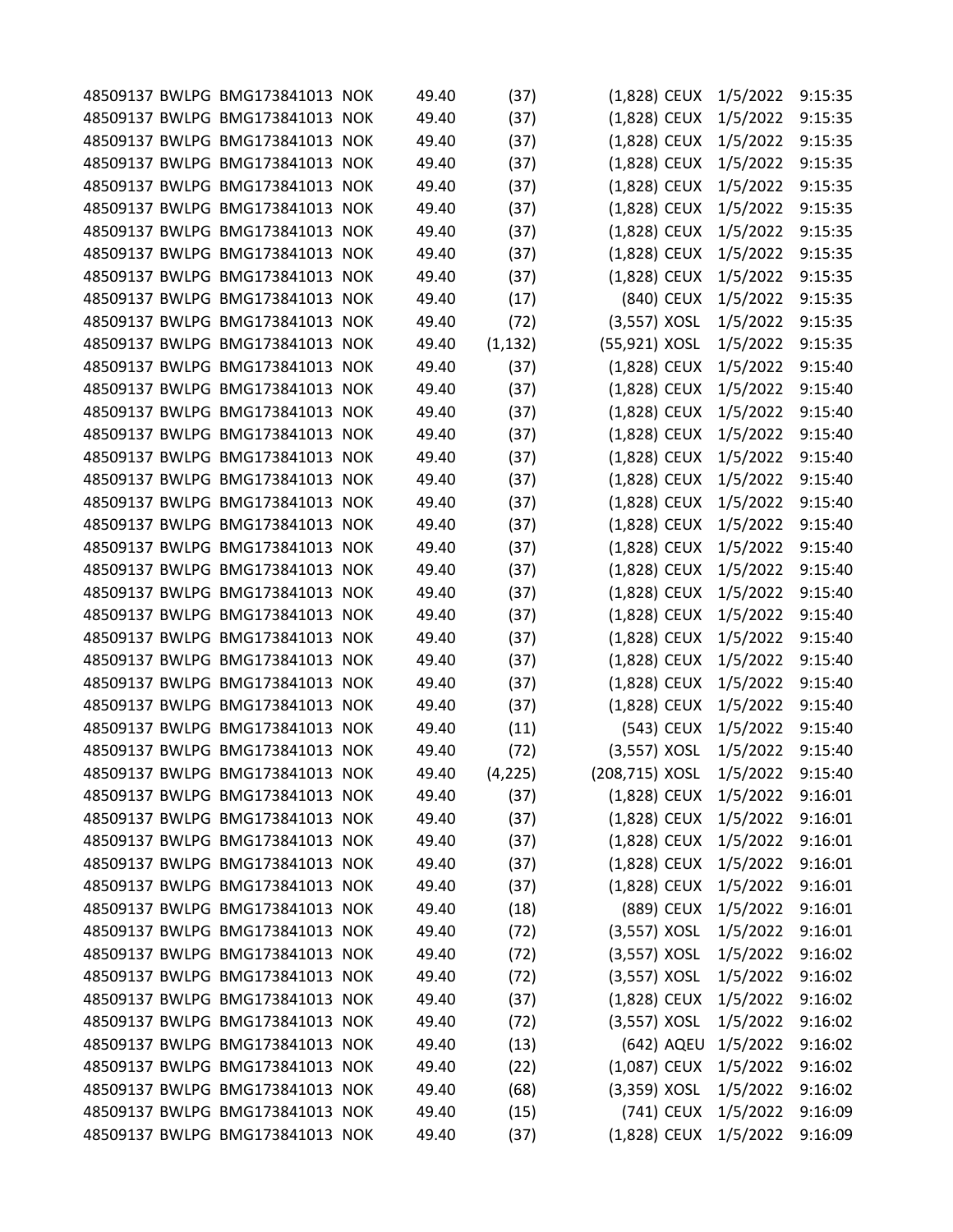|  | 48509137 BWLPG BMG173841013 NOK                                    |                |              |                              |            |                      | 9:15:35 |
|--|--------------------------------------------------------------------|----------------|--------------|------------------------------|------------|----------------------|---------|
|  | 48509137 BWLPG BMG173841013 NOK                                    | 49.40<br>49.40 | (37)<br>(37) | (1,828) CEUX<br>(1,828) CEUX |            | 1/5/2022<br>1/5/2022 | 9:15:35 |
|  | 48509137 BWLPG BMG173841013 NOK                                    | 49.40          | (37)         | (1,828) CEUX                 |            | 1/5/2022             | 9:15:35 |
|  | 48509137 BWLPG BMG173841013 NOK                                    | 49.40          | (37)         | (1,828) CEUX                 |            | 1/5/2022             | 9:15:35 |
|  | 48509137 BWLPG BMG173841013 NOK                                    | 49.40          | (37)         | (1,828) CEUX                 |            | 1/5/2022             | 9:15:35 |
|  | 48509137 BWLPG BMG173841013 NOK                                    | 49.40          | (37)         | (1,828) CEUX                 |            | 1/5/2022             | 9:15:35 |
|  | 48509137 BWLPG BMG173841013 NOK                                    | 49.40          | (37)         | (1,828) CEUX                 |            | 1/5/2022             | 9:15:35 |
|  | 48509137 BWLPG BMG173841013 NOK                                    | 49.40          | (37)         | (1,828) CEUX                 |            | 1/5/2022             | 9:15:35 |
|  | 48509137 BWLPG BMG173841013 NOK                                    | 49.40          | (37)         | (1,828) CEUX                 |            | 1/5/2022             | 9:15:35 |
|  | 48509137 BWLPG BMG173841013 NOK                                    | 49.40          | (17)         |                              | (840) CEUX | 1/5/2022             | 9:15:35 |
|  | 48509137 BWLPG BMG173841013 NOK                                    | 49.40          | (72)         | $(3,557)$ XOSL               |            | 1/5/2022             | 9:15:35 |
|  | 48509137 BWLPG BMG173841013 NOK                                    | 49.40          | (1, 132)     | (55,921) XOSL                |            | 1/5/2022             | 9:15:35 |
|  | 48509137 BWLPG BMG173841013 NOK                                    | 49.40          | (37)         | (1,828) CEUX                 |            | 1/5/2022             | 9:15:40 |
|  | 48509137 BWLPG BMG173841013 NOK                                    | 49.40          |              |                              |            |                      | 9:15:40 |
|  |                                                                    |                | (37)         | $(1,828)$ CEUX               |            | 1/5/2022             | 9:15:40 |
|  | 48509137 BWLPG BMG173841013 NOK                                    | 49.40          | (37)         | (1,828) CEUX                 |            | 1/5/2022             |         |
|  | 48509137 BWLPG BMG173841013 NOK<br>48509137 BWLPG BMG173841013 NOK | 49.40          | (37)         | (1,828) CEUX                 |            | 1/5/2022             | 9:15:40 |
|  |                                                                    | 49.40          | (37)         | $(1,828)$ CEUX               |            | 1/5/2022             | 9:15:40 |
|  | 48509137 BWLPG BMG173841013 NOK                                    | 49.40          | (37)         | (1,828) CEUX                 |            | 1/5/2022             | 9:15:40 |
|  | 48509137 BWLPG BMG173841013 NOK                                    | 49.40          | (37)         | (1,828) CEUX                 |            | 1/5/2022             | 9:15:40 |
|  | 48509137 BWLPG BMG173841013 NOK                                    | 49.40          | (37)         | (1,828) CEUX                 |            | 1/5/2022             | 9:15:40 |
|  | 48509137 BWLPG BMG173841013 NOK                                    | 49.40          | (37)         | (1,828) CEUX                 |            | 1/5/2022             | 9:15:40 |
|  | 48509137 BWLPG BMG173841013 NOK                                    | 49.40          | (37)         | (1,828) CEUX                 |            | 1/5/2022             | 9:15:40 |
|  | 48509137 BWLPG BMG173841013 NOK                                    | 49.40          | (37)         | (1,828) CEUX                 |            | 1/5/2022             | 9:15:40 |
|  | 48509137 BWLPG BMG173841013 NOK                                    | 49.40          | (37)         | $(1,828)$ CEUX               |            | 1/5/2022             | 9:15:40 |
|  | 48509137 BWLPG BMG173841013 NOK                                    | 49.40          | (37)         | (1,828) CEUX                 |            | 1/5/2022             | 9:15:40 |
|  | 48509137 BWLPG BMG173841013 NOK                                    | 49.40          | (37)         | (1,828) CEUX                 |            | 1/5/2022             | 9:15:40 |
|  | 48509137 BWLPG BMG173841013 NOK                                    | 49.40          | (37)         | $(1,828)$ CEUX               |            | 1/5/2022             | 9:15:40 |
|  | 48509137 BWLPG BMG173841013 NOK                                    | 49.40          | (37)         | (1,828) CEUX                 |            | 1/5/2022             | 9:15:40 |
|  | 48509137 BWLPG BMG173841013 NOK                                    | 49.40          | (11)         |                              | (543) CEUX | 1/5/2022             | 9:15:40 |
|  | 48509137 BWLPG BMG173841013 NOK                                    | 49.40          | (72)         | $(3,557)$ XOSL               |            | 1/5/2022             | 9:15:40 |
|  | 48509137 BWLPG BMG173841013 NOK                                    | 49.40          | (4, 225)     | (208,715) XOSL               |            | 1/5/2022             | 9:15:40 |
|  | 48509137 BWLPG BMG173841013 NOK                                    | 49.40          | (37)         | (1,828) CEUX                 |            | 1/5/2022             | 9:16:01 |
|  | 48509137 BWLPG BMG173841013 NOK                                    | 49.40          | (37)         | (1,828) CEUX                 |            | 1/5/2022             | 9:16:01 |
|  | 48509137 BWLPG BMG173841013 NOK                                    | 49.40          | (37)         | (1,828) CEUX                 |            | 1/5/2022             | 9:16:01 |
|  | 48509137 BWLPG BMG173841013 NOK                                    | 49.40          | (37)         | $(1,828)$ CEUX               |            | 1/5/2022             | 9:16:01 |
|  | 48509137 BWLPG BMG173841013 NOK                                    | 49.40          | (37)         | $(1,828)$ CEUX               |            | 1/5/2022             | 9:16:01 |
|  | 48509137 BWLPG BMG173841013 NOK                                    | 49.40          | (18)         |                              | (889) CEUX | 1/5/2022             | 9:16:01 |
|  | 48509137 BWLPG BMG173841013 NOK                                    | 49.40          | (72)         | $(3,557)$ XOSL               |            | 1/5/2022             | 9:16:01 |
|  | 48509137 BWLPG BMG173841013 NOK                                    | 49.40          | (72)         | $(3,557)$ XOSL               |            | 1/5/2022             | 9:16:02 |
|  | 48509137 BWLPG BMG173841013 NOK                                    | 49.40          | (72)         | $(3,557)$ XOSL               |            | 1/5/2022             | 9:16:02 |
|  | 48509137 BWLPG BMG173841013 NOK                                    | 49.40          | (37)         | $(1,828)$ CEUX               |            | 1/5/2022             | 9:16:02 |
|  | 48509137 BWLPG BMG173841013 NOK                                    | 49.40          | (72)         | $(3,557)$ XOSL               |            | 1/5/2022             | 9:16:02 |
|  | 48509137 BWLPG BMG173841013 NOK                                    | 49.40          | (13)         |                              |            | (642) AQEU 1/5/2022  | 9:16:02 |
|  | 48509137 BWLPG BMG173841013 NOK                                    | 49.40          | (22)         | $(1,087)$ CEUX               |            | 1/5/2022             | 9:16:02 |
|  | 48509137 BWLPG BMG173841013 NOK                                    | 49.40          | (68)         | $(3,359)$ XOSL               |            | 1/5/2022             | 9:16:02 |
|  | 48509137 BWLPG BMG173841013 NOK                                    | 49.40          | (15)         |                              | (741) CEUX | 1/5/2022             | 9:16:09 |
|  | 48509137 BWLPG BMG173841013 NOK                                    | 49.40          | (37)         | (1,828) CEUX                 |            | 1/5/2022             | 9:16:09 |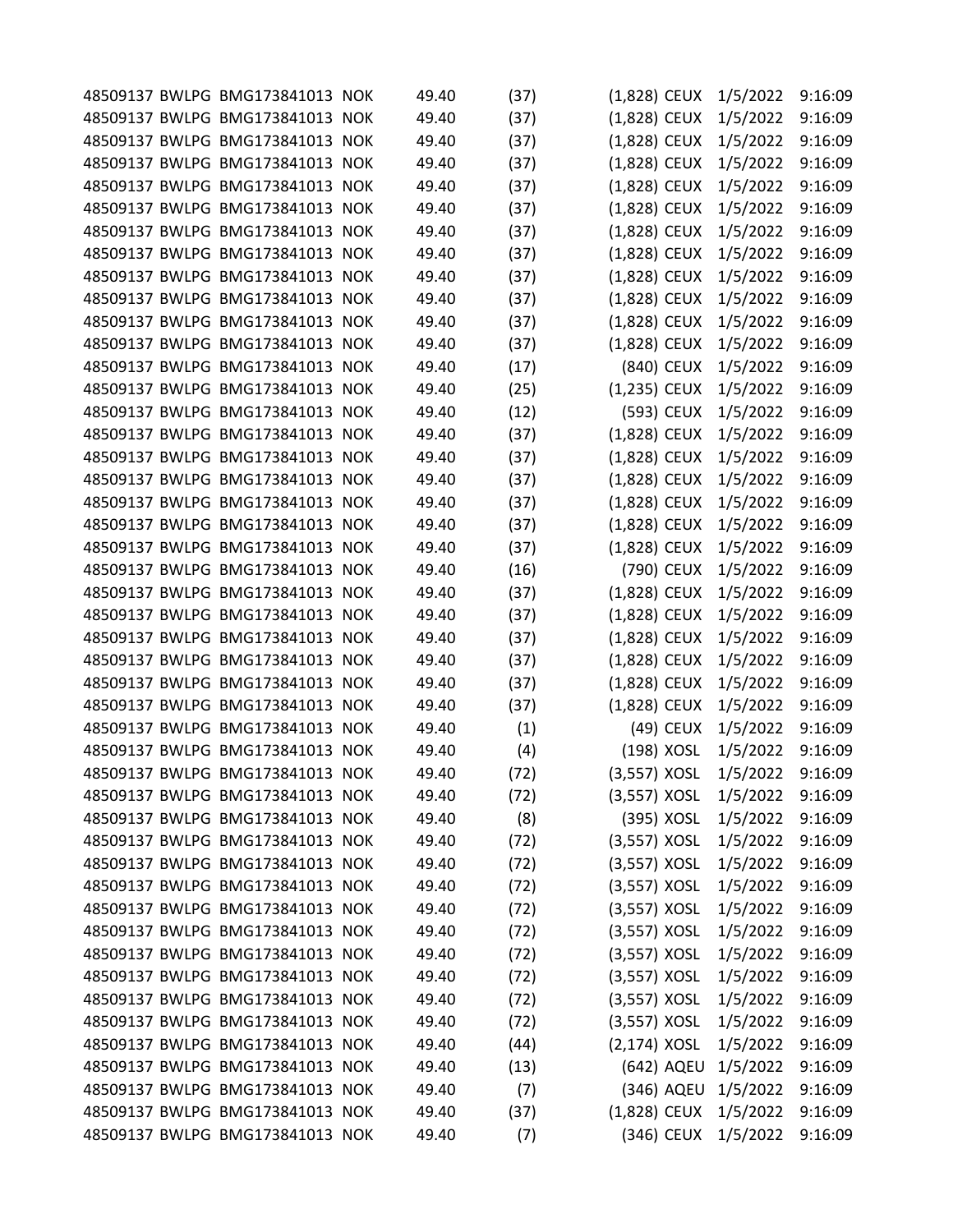|  | 48509137 BWLPG BMG173841013 NOK | 49.40 | (37) | (1,828) CEUX   |            | 1/5/2022 | 9:16:09 |
|--|---------------------------------|-------|------|----------------|------------|----------|---------|
|  | 48509137 BWLPG BMG173841013 NOK | 49.40 | (37) | $(1,828)$ CEUX |            | 1/5/2022 | 9:16:09 |
|  | 48509137 BWLPG BMG173841013 NOK | 49.40 | (37) | (1,828) CEUX   |            | 1/5/2022 | 9:16:09 |
|  | 48509137 BWLPG BMG173841013 NOK | 49.40 | (37) | (1,828) CEUX   |            | 1/5/2022 | 9:16:09 |
|  | 48509137 BWLPG BMG173841013 NOK | 49.40 | (37) | (1,828) CEUX   |            | 1/5/2022 | 9:16:09 |
|  | 48509137 BWLPG BMG173841013 NOK | 49.40 | (37) | (1,828) CEUX   |            | 1/5/2022 | 9:16:09 |
|  | 48509137 BWLPG BMG173841013 NOK | 49.40 | (37) | (1,828) CEUX   |            | 1/5/2022 | 9:16:09 |
|  | 48509137 BWLPG BMG173841013 NOK | 49.40 | (37) | (1,828) CEUX   |            | 1/5/2022 | 9:16:09 |
|  | 48509137 BWLPG BMG173841013 NOK | 49.40 | (37) | (1,828) CEUX   |            | 1/5/2022 | 9:16:09 |
|  | 48509137 BWLPG BMG173841013 NOK | 49.40 | (37) | (1,828) CEUX   |            | 1/5/2022 | 9:16:09 |
|  | 48509137 BWLPG BMG173841013 NOK | 49.40 | (37) | (1,828) CEUX   |            | 1/5/2022 | 9:16:09 |
|  | 48509137 BWLPG BMG173841013 NOK | 49.40 | (37) | (1,828) CEUX   |            | 1/5/2022 | 9:16:09 |
|  | 48509137 BWLPG BMG173841013 NOK | 49.40 | (17) |                | (840) CEUX | 1/5/2022 | 9:16:09 |
|  | 48509137 BWLPG BMG173841013 NOK | 49.40 | (25) | $(1,235)$ CEUX |            | 1/5/2022 | 9:16:09 |
|  | 48509137 BWLPG BMG173841013 NOK | 49.40 | (12) |                | (593) CEUX | 1/5/2022 | 9:16:09 |
|  | 48509137 BWLPG BMG173841013 NOK | 49.40 | (37) | (1,828) CEUX   |            | 1/5/2022 | 9:16:09 |
|  | 48509137 BWLPG BMG173841013 NOK | 49.40 | (37) | (1,828) CEUX   |            | 1/5/2022 | 9:16:09 |
|  | 48509137 BWLPG BMG173841013 NOK | 49.40 | (37) | (1,828) CEUX   |            | 1/5/2022 | 9:16:09 |
|  | 48509137 BWLPG BMG173841013 NOK | 49.40 | (37) | (1,828) CEUX   |            | 1/5/2022 | 9:16:09 |
|  | 48509137 BWLPG BMG173841013 NOK | 49.40 | (37) | (1,828) CEUX   |            | 1/5/2022 | 9:16:09 |
|  | 48509137 BWLPG BMG173841013 NOK | 49.40 | (37) | (1,828) CEUX   |            | 1/5/2022 | 9:16:09 |
|  | 48509137 BWLPG BMG173841013 NOK | 49.40 | (16) |                | (790) CEUX | 1/5/2022 | 9:16:09 |
|  | 48509137 BWLPG BMG173841013 NOK | 49.40 | (37) | (1,828) CEUX   |            | 1/5/2022 | 9:16:09 |
|  | 48509137 BWLPG BMG173841013 NOK | 49.40 | (37) | $(1,828)$ CEUX |            | 1/5/2022 | 9:16:09 |
|  | 48509137 BWLPG BMG173841013 NOK | 49.40 | (37) | (1,828) CEUX   |            | 1/5/2022 | 9:16:09 |
|  | 48509137 BWLPG BMG173841013 NOK | 49.40 | (37) | (1,828) CEUX   |            | 1/5/2022 | 9:16:09 |
|  | 48509137 BWLPG BMG173841013 NOK | 49.40 | (37) | $(1,828)$ CEUX |            | 1/5/2022 | 9:16:09 |
|  | 48509137 BWLPG BMG173841013 NOK | 49.40 | (37) | $(1,828)$ CEUX |            | 1/5/2022 | 9:16:09 |
|  | 48509137 BWLPG BMG173841013 NOK | 49.40 | (1)  |                | (49) CEUX  | 1/5/2022 | 9:16:09 |
|  | 48509137 BWLPG BMG173841013 NOK | 49.40 | (4)  |                | (198) XOSL | 1/5/2022 | 9:16:09 |
|  | 48509137 BWLPG BMG173841013 NOK | 49.40 | (72) | $(3,557)$ XOSL |            | 1/5/2022 | 9:16:09 |
|  | 48509137 BWLPG BMG173841013 NOK | 49.40 | (72) | $(3,557)$ XOSL |            | 1/5/2022 | 9:16:09 |
|  | 48509137 BWLPG BMG173841013 NOK | 49.40 | (8)  |                | (395) XOSL | 1/5/2022 | 9:16:09 |
|  | 48509137 BWLPG BMG173841013 NOK | 49.40 | (72) | (3,557) XOSL   |            | 1/5/2022 | 9:16:09 |
|  | 48509137 BWLPG BMG173841013 NOK | 49.40 | (72) | $(3,557)$ XOSL |            | 1/5/2022 | 9:16:09 |
|  | 48509137 BWLPG BMG173841013 NOK | 49.40 | (72) | $(3,557)$ XOSL |            | 1/5/2022 | 9:16:09 |
|  | 48509137 BWLPG BMG173841013 NOK | 49.40 | (72) | (3,557) XOSL   |            | 1/5/2022 | 9:16:09 |
|  | 48509137 BWLPG BMG173841013 NOK | 49.40 | (72) | $(3,557)$ XOSL |            | 1/5/2022 | 9:16:09 |
|  | 48509137 BWLPG BMG173841013 NOK | 49.40 | (72) | $(3,557)$ XOSL |            | 1/5/2022 | 9:16:09 |
|  | 48509137 BWLPG BMG173841013 NOK | 49.40 | (72) | $(3,557)$ XOSL |            | 1/5/2022 | 9:16:09 |
|  | 48509137 BWLPG BMG173841013 NOK | 49.40 | (72) | $(3,557)$ XOSL |            | 1/5/2022 | 9:16:09 |
|  | 48509137 BWLPG BMG173841013 NOK | 49.40 | (72) | $(3,557)$ XOSL |            | 1/5/2022 | 9:16:09 |
|  | 48509137 BWLPG BMG173841013 NOK | 49.40 | (44) | $(2,174)$ XOSL |            | 1/5/2022 | 9:16:09 |
|  | 48509137 BWLPG BMG173841013 NOK | 49.40 | (13) |                | (642) AQEU | 1/5/2022 | 9:16:09 |
|  | 48509137 BWLPG BMG173841013 NOK | 49.40 | (7)  |                | (346) AQEU | 1/5/2022 | 9:16:09 |
|  | 48509137 BWLPG BMG173841013 NOK | 49.40 | (37) | (1,828) CEUX   |            | 1/5/2022 | 9:16:09 |
|  | 48509137 BWLPG BMG173841013 NOK | 49.40 | (7)  |                | (346) CEUX | 1/5/2022 | 9:16:09 |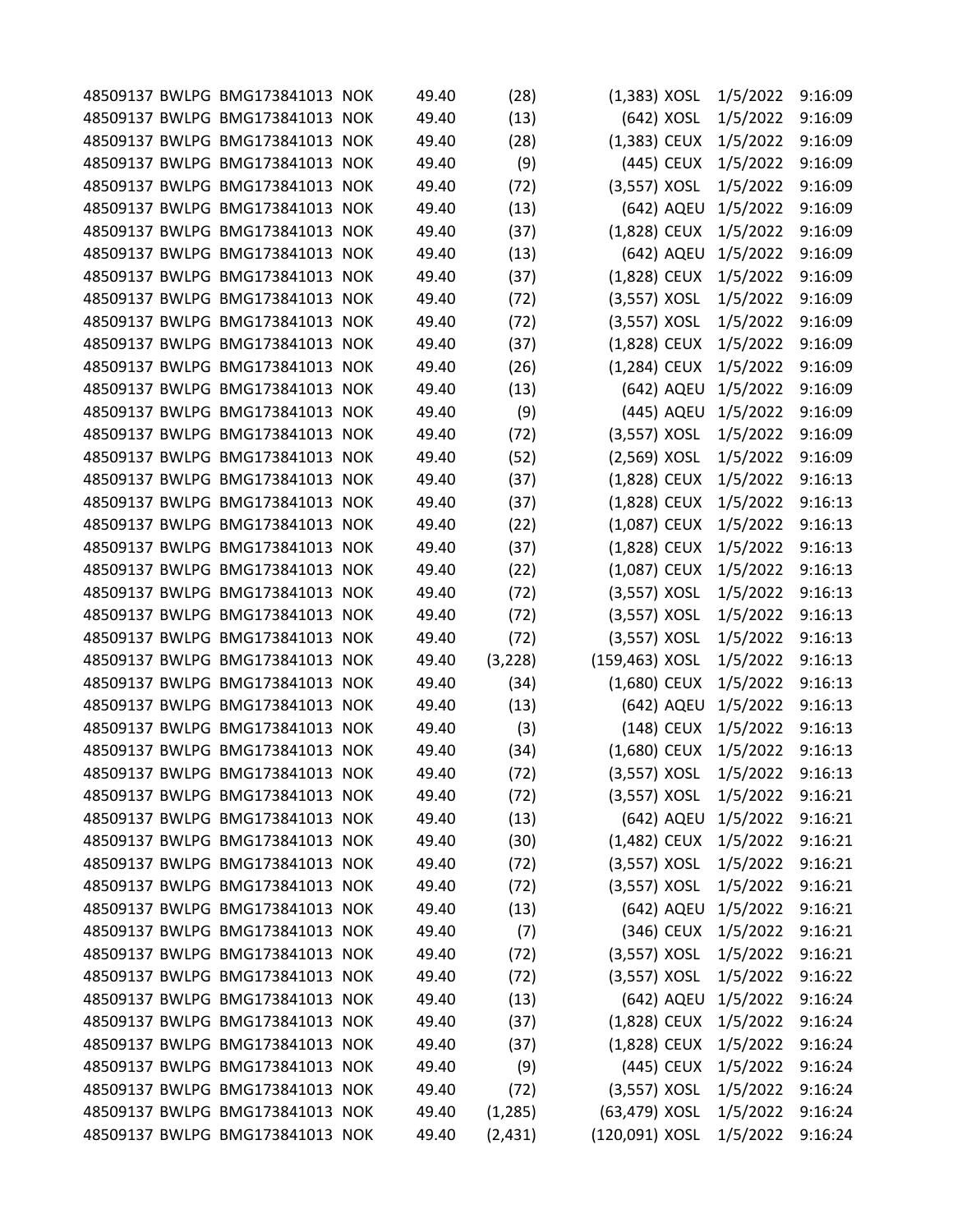|  | 48509137 BWLPG BMG173841013 NOK | 49.40 | (28)     | $(1,383)$ XOSL |            | 1/5/2022            | 9:16:09 |
|--|---------------------------------|-------|----------|----------------|------------|---------------------|---------|
|  | 48509137 BWLPG BMG173841013 NOK | 49.40 | (13)     |                | (642) XOSL | 1/5/2022            | 9:16:09 |
|  | 48509137 BWLPG BMG173841013 NOK | 49.40 | (28)     | $(1,383)$ CEUX |            | 1/5/2022            | 9:16:09 |
|  | 48509137 BWLPG BMG173841013 NOK | 49.40 | (9)      |                | (445) CEUX | 1/5/2022            | 9:16:09 |
|  | 48509137 BWLPG BMG173841013 NOK | 49.40 | (72)     | $(3,557)$ XOSL |            | 1/5/2022            | 9:16:09 |
|  | 48509137 BWLPG BMG173841013 NOK | 49.40 | (13)     |                | (642) AQEU | 1/5/2022            | 9:16:09 |
|  | 48509137 BWLPG BMG173841013 NOK | 49.40 | (37)     | $(1,828)$ CEUX |            | 1/5/2022            | 9:16:09 |
|  | 48509137 BWLPG BMG173841013 NOK | 49.40 | (13)     |                | (642) AQEU | 1/5/2022            | 9:16:09 |
|  | 48509137 BWLPG BMG173841013 NOK | 49.40 | (37)     | (1,828) CEUX   |            | 1/5/2022            | 9:16:09 |
|  | 48509137 BWLPG BMG173841013 NOK | 49.40 | (72)     | $(3,557)$ XOSL |            | 1/5/2022            | 9:16:09 |
|  | 48509137 BWLPG BMG173841013 NOK | 49.40 | (72)     | $(3,557)$ XOSL |            | 1/5/2022            | 9:16:09 |
|  | 48509137 BWLPG BMG173841013 NOK | 49.40 | (37)     | (1,828) CEUX   |            | 1/5/2022            | 9:16:09 |
|  | 48509137 BWLPG BMG173841013 NOK | 49.40 | (26)     | $(1,284)$ CEUX |            | 1/5/2022            | 9:16:09 |
|  | 48509137 BWLPG BMG173841013 NOK | 49.40 | (13)     |                | (642) AQEU | 1/5/2022            | 9:16:09 |
|  | 48509137 BWLPG BMG173841013 NOK | 49.40 | (9)      |                | (445) AQEU | 1/5/2022            | 9:16:09 |
|  | 48509137 BWLPG BMG173841013 NOK | 49.40 | (72)     | (3,557) XOSL   |            | 1/5/2022            | 9:16:09 |
|  | 48509137 BWLPG BMG173841013 NOK | 49.40 | (52)     | $(2,569)$ XOSL |            | 1/5/2022            | 9:16:09 |
|  | 48509137 BWLPG BMG173841013 NOK | 49.40 | (37)     | (1,828) CEUX   |            | 1/5/2022            | 9:16:13 |
|  | 48509137 BWLPG BMG173841013 NOK | 49.40 | (37)     | (1,828) CEUX   |            | 1/5/2022            | 9:16:13 |
|  | 48509137 BWLPG BMG173841013 NOK | 49.40 | (22)     | (1,087) CEUX   |            | 1/5/2022            | 9:16:13 |
|  | 48509137 BWLPG BMG173841013 NOK | 49.40 | (37)     | (1,828) CEUX   |            | 1/5/2022            | 9:16:13 |
|  | 48509137 BWLPG BMG173841013 NOK | 49.40 | (22)     | $(1,087)$ CEUX |            | 1/5/2022            | 9:16:13 |
|  | 48509137 BWLPG BMG173841013 NOK | 49.40 | (72)     | $(3,557)$ XOSL |            | 1/5/2022            | 9:16:13 |
|  | 48509137 BWLPG BMG173841013 NOK | 49.40 | (72)     | $(3,557)$ XOSL |            | 1/5/2022            | 9:16:13 |
|  | 48509137 BWLPG BMG173841013 NOK | 49.40 | (72)     | $(3,557)$ XOSL |            | 1/5/2022            | 9:16:13 |
|  | 48509137 BWLPG BMG173841013 NOK | 49.40 | (3, 228) | (159,463) XOSL |            | 1/5/2022            | 9:16:13 |
|  | 48509137 BWLPG BMG173841013 NOK | 49.40 | (34)     | $(1,680)$ CEUX |            | 1/5/2022            | 9:16:13 |
|  | 48509137 BWLPG BMG173841013 NOK | 49.40 | (13)     |                | (642) AQEU | 1/5/2022            | 9:16:13 |
|  | 48509137 BWLPG BMG173841013 NOK | 49.40 | (3)      |                | (148) CEUX | 1/5/2022            | 9:16:13 |
|  | 48509137 BWLPG BMG173841013 NOK | 49.40 | (34)     | $(1,680)$ CEUX |            | 1/5/2022            | 9:16:13 |
|  | 48509137 BWLPG BMG173841013 NOK | 49.40 | (72)     | $(3,557)$ XOSL |            | 1/5/2022            | 9:16:13 |
|  | 48509137 BWLPG BMG173841013 NOK | 49.40 | (72)     | (3,557) XOSL   |            | 1/5/2022            | 9:16:21 |
|  | 48509137 BWLPG BMG173841013 NOK | 49.40 | (13)     |                | (642) AQEU | 1/5/2022            | 9:16:21 |
|  | 48509137 BWLPG BMG173841013 NOK | 49.40 | (30)     | (1,482) CEUX   |            | 1/5/2022            | 9:16:21 |
|  | 48509137 BWLPG BMG173841013 NOK | 49.40 | (72)     | $(3,557)$ XOSL |            | 1/5/2022            | 9:16:21 |
|  | 48509137 BWLPG BMG173841013 NOK | 49.40 | (72)     | $(3,557)$ XOSL |            | 1/5/2022            | 9:16:21 |
|  | 48509137 BWLPG BMG173841013 NOK | 49.40 | (13)     |                | (642) AQEU | 1/5/2022            | 9:16:21 |
|  | 48509137 BWLPG BMG173841013 NOK | 49.40 | (7)      |                | (346) CEUX | 1/5/2022            | 9:16:21 |
|  | 48509137 BWLPG BMG173841013 NOK | 49.40 | (72)     | $(3,557)$ XOSL |            | 1/5/2022            | 9:16:21 |
|  | 48509137 BWLPG BMG173841013 NOK | 49.40 | (72)     | $(3,557)$ XOSL |            | 1/5/2022            | 9:16:22 |
|  | 48509137 BWLPG BMG173841013 NOK | 49.40 | (13)     |                |            | (642) AQEU 1/5/2022 | 9:16:24 |
|  | 48509137 BWLPG BMG173841013 NOK | 49.40 | (37)     | $(1,828)$ CEUX |            | 1/5/2022            | 9:16:24 |
|  | 48509137 BWLPG BMG173841013 NOK | 49.40 | (37)     | (1,828) CEUX   |            | 1/5/2022            | 9:16:24 |
|  | 48509137 BWLPG BMG173841013 NOK | 49.40 | (9)      |                | (445) CEUX | 1/5/2022            | 9:16:24 |
|  | 48509137 BWLPG BMG173841013 NOK | 49.40 | (72)     | $(3,557)$ XOSL |            | 1/5/2022            | 9:16:24 |
|  | 48509137 BWLPG BMG173841013 NOK | 49.40 | (1, 285) | (63,479) XOSL  |            | 1/5/2022            | 9:16:24 |
|  | 48509137 BWLPG BMG173841013 NOK | 49.40 | (2, 431) | (120,091) XOSL |            | 1/5/2022            | 9:16:24 |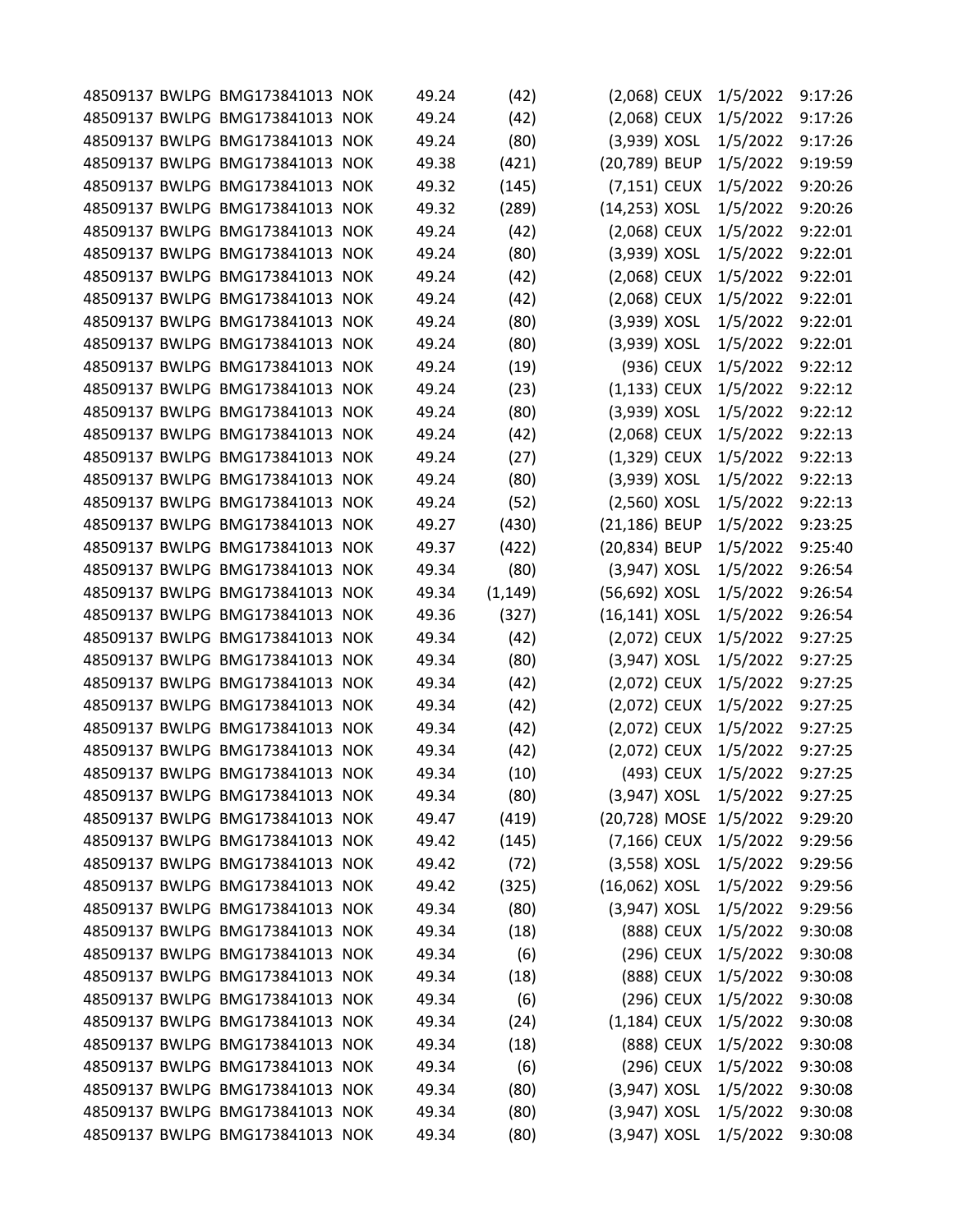|  | 48509137 BWLPG BMG173841013 NOK | 49.24 | (42)     | $(2,068)$ CEUX   |            | 1/5/2022               | 9:17:26 |
|--|---------------------------------|-------|----------|------------------|------------|------------------------|---------|
|  | 48509137 BWLPG BMG173841013 NOK | 49.24 | (42)     | (2,068) CEUX     |            | 1/5/2022               | 9:17:26 |
|  | 48509137 BWLPG BMG173841013 NOK | 49.24 | (80)     | (3,939) XOSL     |            | 1/5/2022               | 9:17:26 |
|  | 48509137 BWLPG BMG173841013 NOK | 49.38 | (421)    | (20,789) BEUP    |            | 1/5/2022               | 9:19:59 |
|  | 48509137 BWLPG BMG173841013 NOK | 49.32 | (145)    | $(7,151)$ CEUX   |            | 1/5/2022               | 9:20:26 |
|  | 48509137 BWLPG BMG173841013 NOK | 49.32 | (289)    | (14,253) XOSL    |            | 1/5/2022               | 9:20:26 |
|  | 48509137 BWLPG BMG173841013 NOK | 49.24 | (42)     | (2,068) CEUX     |            | 1/5/2022               | 9:22:01 |
|  | 48509137 BWLPG BMG173841013 NOK | 49.24 | (80)     | (3,939) XOSL     |            | 1/5/2022               | 9:22:01 |
|  | 48509137 BWLPG BMG173841013 NOK | 49.24 | (42)     | (2,068) CEUX     |            | 1/5/2022               | 9:22:01 |
|  | 48509137 BWLPG BMG173841013 NOK | 49.24 | (42)     | (2,068) CEUX     |            | 1/5/2022               | 9:22:01 |
|  | 48509137 BWLPG BMG173841013 NOK | 49.24 | (80)     | (3,939) XOSL     |            | 1/5/2022               | 9:22:01 |
|  | 48509137 BWLPG BMG173841013 NOK | 49.24 | (80)     | (3,939) XOSL     |            | 1/5/2022               | 9:22:01 |
|  | 48509137 BWLPG BMG173841013 NOK | 49.24 | (19)     |                  | (936) CEUX | 1/5/2022               | 9:22:12 |
|  | 48509137 BWLPG BMG173841013 NOK | 49.24 | (23)     | $(1,133)$ CEUX   |            | 1/5/2022               | 9:22:12 |
|  | 48509137 BWLPG BMG173841013 NOK | 49.24 | (80)     | (3,939) XOSL     |            | 1/5/2022               | 9:22:12 |
|  | 48509137 BWLPG BMG173841013 NOK | 49.24 | (42)     | (2,068) CEUX     |            | 1/5/2022               | 9:22:13 |
|  | 48509137 BWLPG BMG173841013 NOK | 49.24 | (27)     | $(1,329)$ CEUX   |            | 1/5/2022               | 9:22:13 |
|  | 48509137 BWLPG BMG173841013 NOK | 49.24 | (80)     | (3,939) XOSL     |            | 1/5/2022               | 9:22:13 |
|  | 48509137 BWLPG BMG173841013 NOK | 49.24 | (52)     | $(2,560)$ XOSL   |            | 1/5/2022               | 9:22:13 |
|  | 48509137 BWLPG BMG173841013 NOK | 49.27 | (430)    | (21,186) BEUP    |            | 1/5/2022               | 9:23:25 |
|  | 48509137 BWLPG BMG173841013 NOK | 49.37 | (422)    | (20,834) BEUP    |            | 1/5/2022               | 9:25:40 |
|  | 48509137 BWLPG BMG173841013 NOK | 49.34 | (80)     | $(3,947)$ XOSL   |            | 1/5/2022               | 9:26:54 |
|  | 48509137 BWLPG BMG173841013 NOK | 49.34 | (1, 149) | (56,692) XOSL    |            | 1/5/2022               | 9:26:54 |
|  | 48509137 BWLPG BMG173841013 NOK | 49.36 | (327)    | $(16, 141)$ XOSL |            | 1/5/2022               | 9:26:54 |
|  | 48509137 BWLPG BMG173841013 NOK | 49.34 | (42)     | (2,072) CEUX     |            | 1/5/2022               | 9:27:25 |
|  | 48509137 BWLPG BMG173841013 NOK | 49.34 | (80)     | (3,947) XOSL     |            | 1/5/2022               | 9:27:25 |
|  | 48509137 BWLPG BMG173841013 NOK | 49.34 | (42)     | (2,072) CEUX     |            | 1/5/2022               | 9:27:25 |
|  | 48509137 BWLPG BMG173841013 NOK | 49.34 | (42)     | (2,072) CEUX     |            | 1/5/2022               | 9:27:25 |
|  | 48509137 BWLPG BMG173841013 NOK | 49.34 | (42)     | (2,072) CEUX     |            | 1/5/2022               | 9:27:25 |
|  | 48509137 BWLPG BMG173841013 NOK | 49.34 | (42)     | (2,072) CEUX     |            | 1/5/2022               | 9:27:25 |
|  | 48509137 BWLPG BMG173841013 NOK | 49.34 | (10)     |                  | (493) CEUX | 1/5/2022               | 9:27:25 |
|  | 48509137 BWLPG BMG173841013 NOK | 49.34 | (80)     | (3,947) XOSL     |            | 1/5/2022               | 9:27:25 |
|  | 48509137 BWLPG BMG173841013 NOK | 49.47 | (419)    |                  |            | (20,728) MOSE 1/5/2022 | 9:29:20 |
|  | 48509137 BWLPG BMG173841013 NOK | 49.42 | (145)    | (7,166) CEUX     |            | 1/5/2022               | 9:29:56 |
|  | 48509137 BWLPG BMG173841013 NOK | 49.42 | (72)     | $(3,558)$ XOSL   |            | 1/5/2022               | 9:29:56 |
|  | 48509137 BWLPG BMG173841013 NOK | 49.42 | (325)    | (16,062) XOSL    |            | 1/5/2022               | 9:29:56 |
|  | 48509137 BWLPG BMG173841013 NOK | 49.34 | (80)     | $(3,947)$ XOSL   |            | 1/5/2022               | 9:29:56 |
|  | 48509137 BWLPG BMG173841013 NOK | 49.34 | (18)     |                  | (888) CEUX | 1/5/2022               | 9:30:08 |
|  | 48509137 BWLPG BMG173841013 NOK | 49.34 | (6)      |                  | (296) CEUX | 1/5/2022               | 9:30:08 |
|  | 48509137 BWLPG BMG173841013 NOK | 49.34 | (18)     |                  | (888) CEUX | 1/5/2022               | 9:30:08 |
|  | 48509137 BWLPG BMG173841013 NOK | 49.34 | (6)      |                  | (296) CEUX | 1/5/2022               | 9:30:08 |
|  | 48509137 BWLPG BMG173841013 NOK | 49.34 | (24)     | $(1,184)$ CEUX   |            | 1/5/2022               | 9:30:08 |
|  | 48509137 BWLPG BMG173841013 NOK | 49.34 | (18)     |                  | (888) CEUX | 1/5/2022               | 9:30:08 |
|  | 48509137 BWLPG BMG173841013 NOK | 49.34 | (6)      |                  | (296) CEUX | 1/5/2022               | 9:30:08 |
|  | 48509137 BWLPG BMG173841013 NOK | 49.34 | (80)     | $(3,947)$ XOSL   |            | 1/5/2022               | 9:30:08 |
|  | 48509137 BWLPG BMG173841013 NOK | 49.34 | (80)     | $(3,947)$ XOSL   |            | 1/5/2022               | 9:30:08 |
|  | 48509137 BWLPG BMG173841013 NOK | 49.34 | (80)     | (3,947) XOSL     |            | 1/5/2022               | 9:30:08 |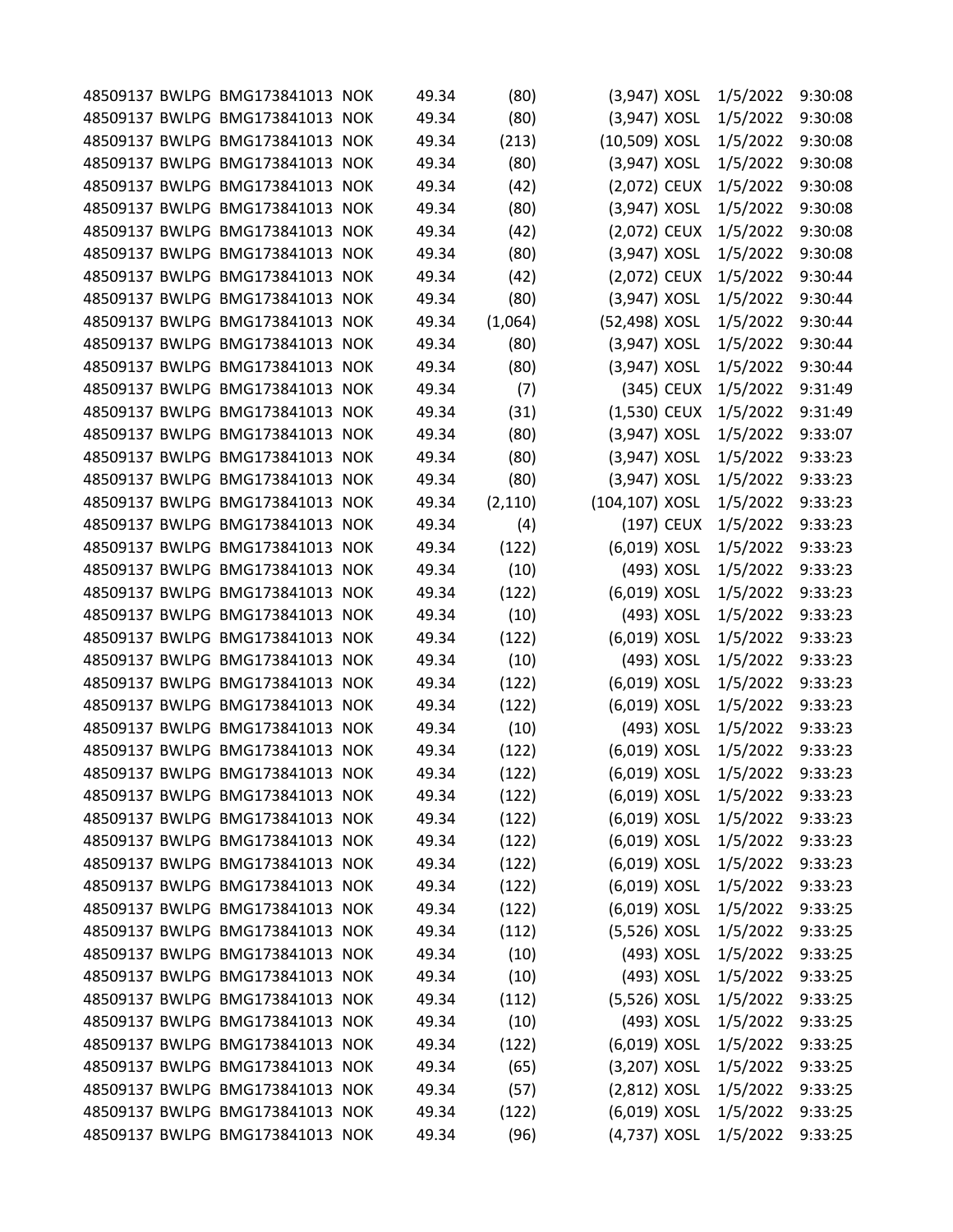|  | 48509137 BWLPG BMG173841013 NOK | 49.34 | (80)     | (3,947) XOSL   |            | 1/5/2022 | 9:30:08 |
|--|---------------------------------|-------|----------|----------------|------------|----------|---------|
|  | 48509137 BWLPG BMG173841013 NOK | 49.34 | (80)     | (3,947) XOSL   |            | 1/5/2022 | 9:30:08 |
|  | 48509137 BWLPG BMG173841013 NOK | 49.34 | (213)    | (10,509) XOSL  |            | 1/5/2022 | 9:30:08 |
|  | 48509137 BWLPG BMG173841013 NOK | 49.34 | (80)     | (3,947) XOSL   |            | 1/5/2022 | 9:30:08 |
|  | 48509137 BWLPG BMG173841013 NOK | 49.34 | (42)     | (2,072) CEUX   |            | 1/5/2022 | 9:30:08 |
|  | 48509137 BWLPG BMG173841013 NOK | 49.34 | (80)     | $(3,947)$ XOSL |            | 1/5/2022 | 9:30:08 |
|  | 48509137 BWLPG BMG173841013 NOK | 49.34 | (42)     | (2,072) CEUX   |            | 1/5/2022 | 9:30:08 |
|  | 48509137 BWLPG BMG173841013 NOK | 49.34 | (80)     | $(3,947)$ XOSL |            | 1/5/2022 | 9:30:08 |
|  | 48509137 BWLPG BMG173841013 NOK | 49.34 | (42)     | (2,072) CEUX   |            | 1/5/2022 | 9:30:44 |
|  | 48509137 BWLPG BMG173841013 NOK | 49.34 | (80)     | (3,947) XOSL   |            | 1/5/2022 | 9:30:44 |
|  | 48509137 BWLPG BMG173841013 NOK | 49.34 | (1,064)  | (52,498) XOSL  |            | 1/5/2022 | 9:30:44 |
|  | 48509137 BWLPG BMG173841013 NOK | 49.34 | (80)     | (3,947) XOSL   |            | 1/5/2022 | 9:30:44 |
|  | 48509137 BWLPG BMG173841013 NOK | 49.34 | (80)     | (3,947) XOSL   |            | 1/5/2022 | 9:30:44 |
|  | 48509137 BWLPG BMG173841013 NOK | 49.34 | (7)      |                | (345) CEUX | 1/5/2022 | 9:31:49 |
|  | 48509137 BWLPG BMG173841013 NOK | 49.34 | (31)     | $(1,530)$ CEUX |            | 1/5/2022 | 9:31:49 |
|  | 48509137 BWLPG BMG173841013 NOK | 49.34 | (80)     | (3,947) XOSL   |            | 1/5/2022 | 9:33:07 |
|  | 48509137 BWLPG BMG173841013 NOK | 49.34 | (80)     | $(3,947)$ XOSL |            | 1/5/2022 | 9:33:23 |
|  | 48509137 BWLPG BMG173841013 NOK | 49.34 | (80)     | (3,947) XOSL   |            | 1/5/2022 | 9:33:23 |
|  | 48509137 BWLPG BMG173841013 NOK | 49.34 | (2, 110) | (104,107) XOSL |            | 1/5/2022 | 9:33:23 |
|  | 48509137 BWLPG BMG173841013 NOK | 49.34 | (4)      |                | (197) CEUX | 1/5/2022 | 9:33:23 |
|  | 48509137 BWLPG BMG173841013 NOK | 49.34 | (122)    | (6,019) XOSL   |            | 1/5/2022 | 9:33:23 |
|  | 48509137 BWLPG BMG173841013 NOK | 49.34 | (10)     |                | (493) XOSL | 1/5/2022 | 9:33:23 |
|  | 48509137 BWLPG BMG173841013 NOK | 49.34 | (122)    | (6,019) XOSL   |            | 1/5/2022 | 9:33:23 |
|  | 48509137 BWLPG BMG173841013 NOK | 49.34 | (10)     |                | (493) XOSL | 1/5/2022 | 9:33:23 |
|  | 48509137 BWLPG BMG173841013 NOK | 49.34 | (122)    | (6,019) XOSL   |            | 1/5/2022 | 9:33:23 |
|  | 48509137 BWLPG BMG173841013 NOK | 49.34 | (10)     |                | (493) XOSL | 1/5/2022 | 9:33:23 |
|  | 48509137 BWLPG BMG173841013 NOK | 49.34 | (122)    | (6,019) XOSL   |            | 1/5/2022 | 9:33:23 |
|  | 48509137 BWLPG BMG173841013 NOK | 49.34 | (122)    | (6,019) XOSL   |            | 1/5/2022 | 9:33:23 |
|  | 48509137 BWLPG BMG173841013 NOK | 49.34 | (10)     |                | (493) XOSL | 1/5/2022 | 9:33:23 |
|  | 48509137 BWLPG BMG173841013 NOK | 49.34 | (122)    | (6,019) XOSL   |            | 1/5/2022 | 9:33:23 |
|  | 48509137 BWLPG BMG173841013 NOK | 49.34 | (122)    | (6,019) XOSL   |            | 1/5/2022 | 9:33:23 |
|  | 48509137 BWLPG BMG173841013 NOK | 49.34 | (122)    | (6,019) XOSL   |            | 1/5/2022 | 9:33:23 |
|  | 48509137 BWLPG BMG173841013 NOK | 49.34 | (122)    | (6,019) XOSL   |            | 1/5/2022 | 9:33:23 |
|  | 48509137 BWLPG BMG173841013 NOK | 49.34 | (122)    | (6,019) XOSL   |            | 1/5/2022 | 9:33:23 |
|  | 48509137 BWLPG BMG173841013 NOK | 49.34 | (122)    | (6,019) XOSL   |            | 1/5/2022 | 9:33:23 |
|  | 48509137 BWLPG BMG173841013 NOK | 49.34 | (122)    | (6,019) XOSL   |            | 1/5/2022 | 9:33:23 |
|  | 48509137 BWLPG BMG173841013 NOK | 49.34 | (122)    | (6,019) XOSL   |            | 1/5/2022 | 9:33:25 |
|  | 48509137 BWLPG BMG173841013 NOK | 49.34 | (112)    | (5,526) XOSL   |            | 1/5/2022 | 9:33:25 |
|  | 48509137 BWLPG BMG173841013 NOK | 49.34 | (10)     |                | (493) XOSL | 1/5/2022 | 9:33:25 |
|  | 48509137 BWLPG BMG173841013 NOK | 49.34 | (10)     |                | (493) XOSL | 1/5/2022 | 9:33:25 |
|  | 48509137 BWLPG BMG173841013 NOK | 49.34 | (112)    | (5,526) XOSL   |            | 1/5/2022 | 9:33:25 |
|  | 48509137 BWLPG BMG173841013 NOK | 49.34 | (10)     |                | (493) XOSL | 1/5/2022 | 9:33:25 |
|  | 48509137 BWLPG BMG173841013 NOK | 49.34 | (122)    | (6,019) XOSL   |            | 1/5/2022 | 9:33:25 |
|  | 48509137 BWLPG BMG173841013 NOK | 49.34 | (65)     | (3,207) XOSL   |            | 1/5/2022 | 9:33:25 |
|  | 48509137 BWLPG BMG173841013 NOK | 49.34 | (57)     | $(2,812)$ XOSL |            | 1/5/2022 | 9:33:25 |
|  | 48509137 BWLPG BMG173841013 NOK | 49.34 | (122)    | (6,019) XOSL   |            | 1/5/2022 | 9:33:25 |
|  | 48509137 BWLPG BMG173841013 NOK | 49.34 | (96)     | (4,737) XOSL   |            | 1/5/2022 | 9:33:25 |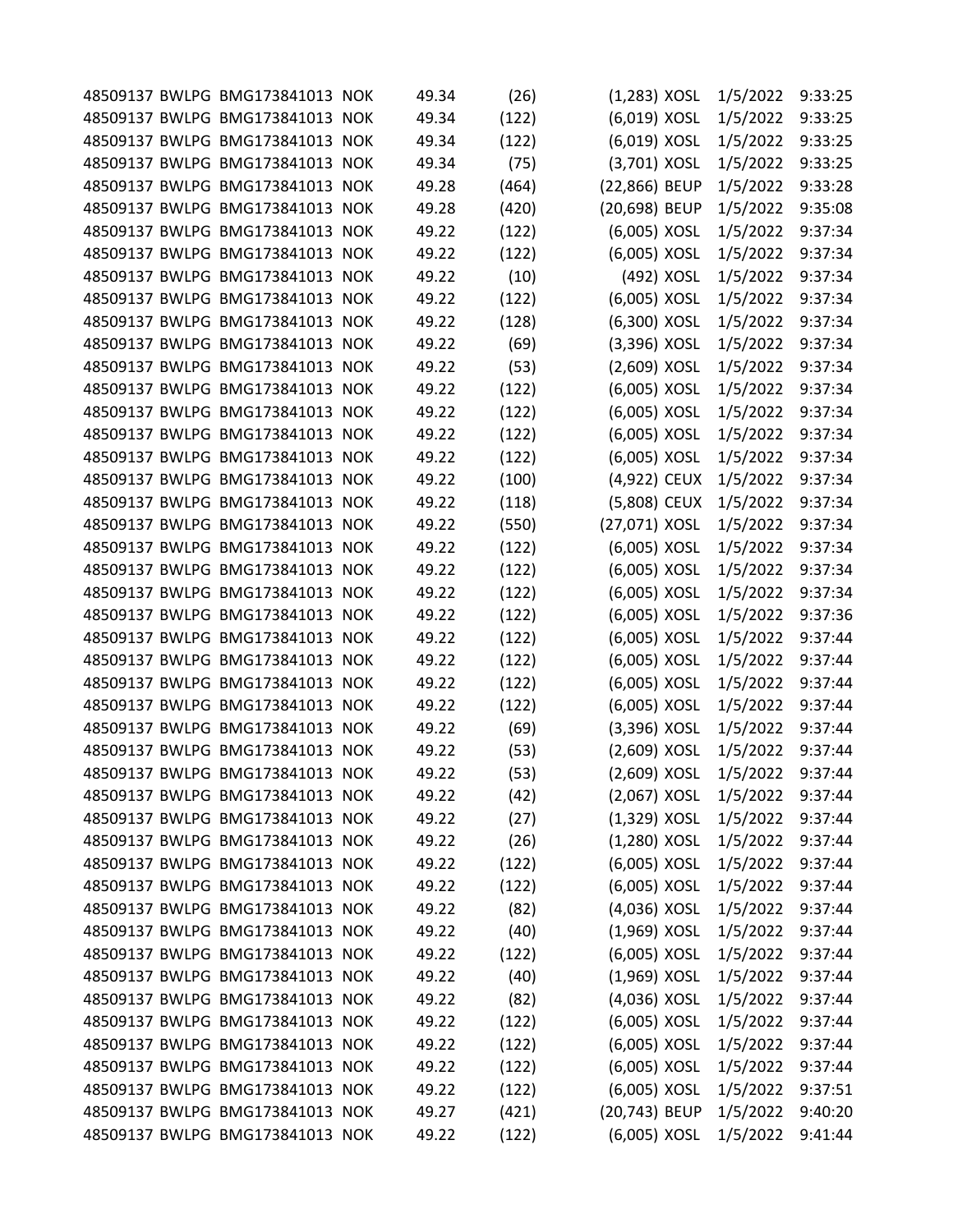|  | 48509137 BWLPG BMG173841013 NOK | 49.34 | (26)  | $(1,283)$ XOSL | 1/5/2022 | 9:33:25 |
|--|---------------------------------|-------|-------|----------------|----------|---------|
|  | 48509137 BWLPG BMG173841013 NOK | 49.34 | (122) | (6,019) XOSL   | 1/5/2022 | 9:33:25 |
|  | 48509137 BWLPG BMG173841013 NOK | 49.34 | (122) | (6,019) XOSL   | 1/5/2022 | 9:33:25 |
|  | 48509137 BWLPG BMG173841013 NOK | 49.34 | (75)  | (3,701) XOSL   | 1/5/2022 | 9:33:25 |
|  | 48509137 BWLPG BMG173841013 NOK | 49.28 | (464) | (22,866) BEUP  | 1/5/2022 | 9:33:28 |
|  | 48509137 BWLPG BMG173841013 NOK | 49.28 | (420) | (20,698) BEUP  | 1/5/2022 | 9:35:08 |
|  | 48509137 BWLPG BMG173841013 NOK | 49.22 | (122) | (6,005) XOSL   | 1/5/2022 | 9:37:34 |
|  | 48509137 BWLPG BMG173841013 NOK | 49.22 | (122) | (6,005) XOSL   | 1/5/2022 | 9:37:34 |
|  | 48509137 BWLPG BMG173841013 NOK | 49.22 | (10)  | (492) XOSL     | 1/5/2022 | 9:37:34 |
|  | 48509137 BWLPG BMG173841013 NOK | 49.22 | (122) | (6,005) XOSL   | 1/5/2022 | 9:37:34 |
|  | 48509137 BWLPG BMG173841013 NOK | 49.22 | (128) | (6,300) XOSL   | 1/5/2022 | 9:37:34 |
|  | 48509137 BWLPG BMG173841013 NOK | 49.22 | (69)  | $(3,396)$ XOSL | 1/5/2022 | 9:37:34 |
|  | 48509137 BWLPG BMG173841013 NOK | 49.22 | (53)  | $(2,609)$ XOSL | 1/5/2022 | 9:37:34 |
|  | 48509137 BWLPG BMG173841013 NOK | 49.22 | (122) | (6,005) XOSL   | 1/5/2022 | 9:37:34 |
|  | 48509137 BWLPG BMG173841013 NOK | 49.22 | (122) | (6,005) XOSL   | 1/5/2022 | 9:37:34 |
|  | 48509137 BWLPG BMG173841013 NOK | 49.22 | (122) | (6,005) XOSL   | 1/5/2022 | 9:37:34 |
|  | 48509137 BWLPG BMG173841013 NOK | 49.22 | (122) | (6,005) XOSL   | 1/5/2022 | 9:37:34 |
|  | 48509137 BWLPG BMG173841013 NOK | 49.22 | (100) | (4,922) CEUX   | 1/5/2022 | 9:37:34 |
|  | 48509137 BWLPG BMG173841013 NOK | 49.22 | (118) | (5,808) CEUX   | 1/5/2022 | 9:37:34 |
|  | 48509137 BWLPG BMG173841013 NOK | 49.22 | (550) | (27,071) XOSL  | 1/5/2022 | 9:37:34 |
|  | 48509137 BWLPG BMG173841013 NOK | 49.22 | (122) | (6,005) XOSL   | 1/5/2022 | 9:37:34 |
|  | 48509137 BWLPG BMG173841013 NOK | 49.22 | (122) | (6,005) XOSL   | 1/5/2022 | 9:37:34 |
|  | 48509137 BWLPG BMG173841013 NOK | 49.22 | (122) | (6,005) XOSL   | 1/5/2022 | 9:37:34 |
|  | 48509137 BWLPG BMG173841013 NOK | 49.22 | (122) | (6,005) XOSL   | 1/5/2022 | 9:37:36 |
|  | 48509137 BWLPG BMG173841013 NOK | 49.22 | (122) | (6,005) XOSL   | 1/5/2022 | 9:37:44 |
|  | 48509137 BWLPG BMG173841013 NOK | 49.22 | (122) | (6,005) XOSL   | 1/5/2022 | 9:37:44 |
|  | 48509137 BWLPG BMG173841013 NOK | 49.22 | (122) | (6,005) XOSL   | 1/5/2022 | 9:37:44 |
|  | 48509137 BWLPG BMG173841013 NOK | 49.22 | (122) | (6,005) XOSL   | 1/5/2022 | 9:37:44 |
|  | 48509137 BWLPG BMG173841013 NOK | 49.22 | (69)  | $(3,396)$ XOSL | 1/5/2022 | 9:37:44 |
|  | 48509137 BWLPG BMG173841013 NOK | 49.22 | (53)  | $(2,609)$ XOSL | 1/5/2022 | 9:37:44 |
|  | 48509137 BWLPG BMG173841013 NOK | 49.22 | (53)  | (2,609) XOSL   | 1/5/2022 | 9:37:44 |
|  | 48509137 BWLPG BMG173841013 NOK | 49.22 | (42)  | $(2,067)$ XOSL | 1/5/2022 | 9:37:44 |
|  | 48509137 BWLPG BMG173841013 NOK | 49.22 | (27)  | $(1,329)$ XOSL | 1/5/2022 | 9:37:44 |
|  | 48509137 BWLPG BMG173841013 NOK | 49.22 | (26)  | $(1,280)$ XOSL | 1/5/2022 | 9:37:44 |
|  | 48509137 BWLPG BMG173841013 NOK | 49.22 | (122) | (6,005) XOSL   | 1/5/2022 | 9:37:44 |
|  | 48509137 BWLPG BMG173841013 NOK | 49.22 | (122) | (6,005) XOSL   | 1/5/2022 | 9:37:44 |
|  | 48509137 BWLPG BMG173841013 NOK | 49.22 | (82)  | (4,036) XOSL   | 1/5/2022 | 9:37:44 |
|  | 48509137 BWLPG BMG173841013 NOK | 49.22 | (40)  | $(1,969)$ XOSL | 1/5/2022 | 9:37:44 |
|  | 48509137 BWLPG BMG173841013 NOK | 49.22 | (122) | (6,005) XOSL   | 1/5/2022 | 9:37:44 |
|  | 48509137 BWLPG BMG173841013 NOK | 49.22 | (40)  | $(1,969)$ XOSL | 1/5/2022 | 9:37:44 |
|  | 48509137 BWLPG BMG173841013 NOK | 49.22 | (82)  | (4,036) XOSL   | 1/5/2022 | 9:37:44 |
|  | 48509137 BWLPG BMG173841013 NOK | 49.22 | (122) | (6,005) XOSL   | 1/5/2022 | 9:37:44 |
|  | 48509137 BWLPG BMG173841013 NOK | 49.22 | (122) | (6,005) XOSL   | 1/5/2022 | 9:37:44 |
|  | 48509137 BWLPG BMG173841013 NOK | 49.22 | (122) | (6,005) XOSL   | 1/5/2022 | 9:37:44 |
|  | 48509137 BWLPG BMG173841013 NOK | 49.22 | (122) | (6,005) XOSL   | 1/5/2022 | 9:37:51 |
|  | 48509137 BWLPG BMG173841013 NOK | 49.27 | (421) | (20,743) BEUP  | 1/5/2022 | 9:40:20 |
|  | 48509137 BWLPG BMG173841013 NOK | 49.22 | (122) | (6,005) XOSL   | 1/5/2022 | 9:41:44 |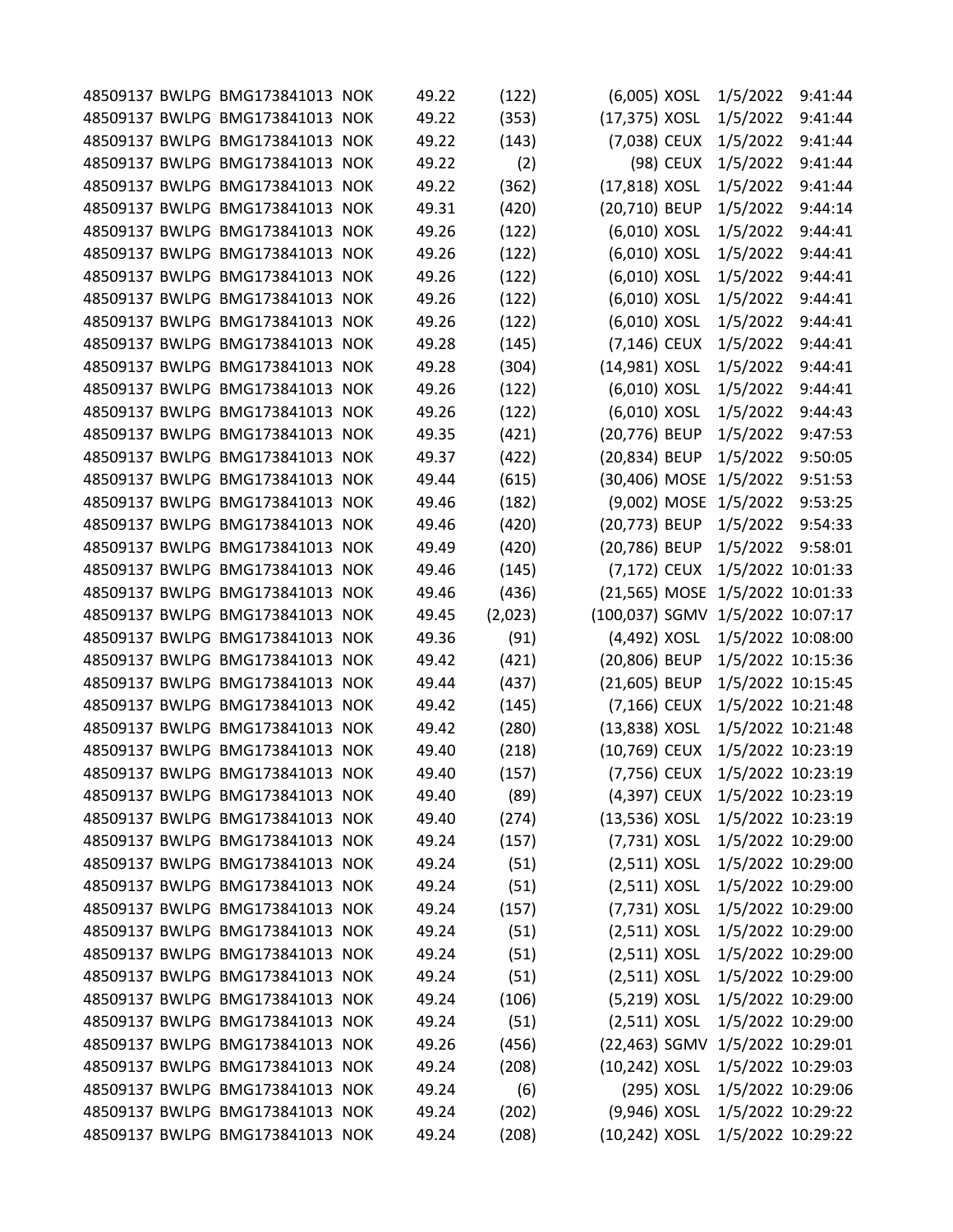|  | 48509137 BWLPG BMG173841013 NOK | 49.22 | (122)   | (6,005) XOSL    |            | 1/5/2022                         | 9:41:44 |
|--|---------------------------------|-------|---------|-----------------|------------|----------------------------------|---------|
|  | 48509137 BWLPG BMG173841013 NOK | 49.22 | (353)   | (17,375) XOSL   |            | 1/5/2022                         | 9:41:44 |
|  | 48509137 BWLPG BMG173841013 NOK | 49.22 | (143)   | (7,038) CEUX    |            | 1/5/2022                         | 9:41:44 |
|  | 48509137 BWLPG BMG173841013 NOK | 49.22 | (2)     |                 | (98) CEUX  | 1/5/2022                         | 9:41:44 |
|  | 48509137 BWLPG BMG173841013 NOK | 49.22 | (362)   | (17,818) XOSL   |            | 1/5/2022                         | 9:41:44 |
|  | 48509137 BWLPG BMG173841013 NOK | 49.31 | (420)   | (20,710) BEUP   |            | 1/5/2022                         | 9:44:14 |
|  | 48509137 BWLPG BMG173841013 NOK | 49.26 | (122)   | (6,010) XOSL    |            | 1/5/2022                         | 9:44:41 |
|  | 48509137 BWLPG BMG173841013 NOK | 49.26 | (122)   | (6,010) XOSL    |            | 1/5/2022                         | 9:44:41 |
|  | 48509137 BWLPG BMG173841013 NOK | 49.26 | (122)   | (6,010) XOSL    |            | 1/5/2022                         | 9:44:41 |
|  | 48509137 BWLPG BMG173841013 NOK | 49.26 | (122)   | (6,010) XOSL    |            | 1/5/2022                         | 9:44:41 |
|  | 48509137 BWLPG BMG173841013 NOK | 49.26 | (122)   | (6,010) XOSL    |            | 1/5/2022                         | 9:44:41 |
|  | 48509137 BWLPG BMG173841013 NOK | 49.28 | (145)   | $(7, 146)$ CEUX |            | 1/5/2022                         | 9:44:41 |
|  | 48509137 BWLPG BMG173841013 NOK | 49.28 | (304)   | (14,981) XOSL   |            | 1/5/2022                         | 9:44:41 |
|  | 48509137 BWLPG BMG173841013 NOK | 49.26 | (122)   | (6,010) XOSL    |            | 1/5/2022                         | 9:44:41 |
|  | 48509137 BWLPG BMG173841013 NOK | 49.26 | (122)   | (6,010) XOSL    |            | 1/5/2022                         | 9:44:43 |
|  | 48509137 BWLPG BMG173841013 NOK | 49.35 | (421)   | (20,776) BEUP   |            | 1/5/2022                         | 9:47:53 |
|  | 48509137 BWLPG BMG173841013 NOK | 49.37 | (422)   | (20,834) BEUP   |            | 1/5/2022                         | 9:50:05 |
|  | 48509137 BWLPG BMG173841013 NOK | 49.44 | (615)   | (30,406) MOSE   |            | 1/5/2022                         | 9:51:53 |
|  | 48509137 BWLPG BMG173841013 NOK | 49.46 | (182)   |                 |            | (9,002) MOSE 1/5/2022            | 9:53:25 |
|  | 48509137 BWLPG BMG173841013 NOK | 49.46 | (420)   | (20,773) BEUP   |            | 1/5/2022                         | 9:54:33 |
|  | 48509137 BWLPG BMG173841013 NOK | 49.49 | (420)   | (20,786) BEUP   |            | 1/5/2022                         | 9:58:01 |
|  | 48509137 BWLPG BMG173841013 NOK | 49.46 | (145)   | (7,172) CEUX    |            | 1/5/2022 10:01:33                |         |
|  | 48509137 BWLPG BMG173841013 NOK | 49.46 | (436)   | (21,565) MOSE   |            | 1/5/2022 10:01:33                |         |
|  | 48509137 BWLPG BMG173841013 NOK | 49.45 | (2,023) |                 |            | (100,037) SGMV 1/5/2022 10:07:17 |         |
|  | 48509137 BWLPG BMG173841013 NOK | 49.36 | (91)    | (4,492) XOSL    |            | 1/5/2022 10:08:00                |         |
|  | 48509137 BWLPG BMG173841013 NOK | 49.42 | (421)   | (20,806) BEUP   |            | 1/5/2022 10:15:36                |         |
|  | 48509137 BWLPG BMG173841013 NOK | 49.44 | (437)   | (21,605) BEUP   |            | 1/5/2022 10:15:45                |         |
|  | 48509137 BWLPG BMG173841013 NOK | 49.42 | (145)   | (7,166) CEUX    |            | 1/5/2022 10:21:48                |         |
|  | 48509137 BWLPG BMG173841013 NOK | 49.42 | (280)   | (13,838) XOSL   |            | 1/5/2022 10:21:48                |         |
|  | 48509137 BWLPG BMG173841013 NOK | 49.40 | (218)   | (10,769) CEUX   |            | 1/5/2022 10:23:19                |         |
|  | 48509137 BWLPG BMG173841013 NOK | 49.40 | (157)   | (7,756) CEUX    |            | 1/5/2022 10:23:19                |         |
|  | 48509137 BWLPG BMG173841013 NOK | 49.40 | (89)    | (4,397) CEUX    |            | 1/5/2022 10:23:19                |         |
|  | 48509137 BWLPG BMG173841013 NOK | 49.40 | (274)   | $(13,536)$ XOSL |            | 1/5/2022 10:23:19                |         |
|  | 48509137 BWLPG BMG173841013 NOK | 49.24 | (157)   | (7,731) XOSL    |            | 1/5/2022 10:29:00                |         |
|  | 48509137 BWLPG BMG173841013 NOK | 49.24 | (51)    | $(2,511)$ XOSL  |            | 1/5/2022 10:29:00                |         |
|  | 48509137 BWLPG BMG173841013 NOK | 49.24 | (51)    | $(2,511)$ XOSL  |            | 1/5/2022 10:29:00                |         |
|  | 48509137 BWLPG BMG173841013 NOK | 49.24 | (157)   | (7,731) XOSL    |            | 1/5/2022 10:29:00                |         |
|  | 48509137 BWLPG BMG173841013 NOK | 49.24 | (51)    | $(2,511)$ XOSL  |            | 1/5/2022 10:29:00                |         |
|  | 48509137 BWLPG BMG173841013 NOK | 49.24 | (51)    | $(2,511)$ XOSL  |            | 1/5/2022 10:29:00                |         |
|  | 48509137 BWLPG BMG173841013 NOK | 49.24 | (51)    | $(2,511)$ XOSL  |            | 1/5/2022 10:29:00                |         |
|  | 48509137 BWLPG BMG173841013 NOK | 49.24 | (106)   | (5,219) XOSL    |            | 1/5/2022 10:29:00                |         |
|  | 48509137 BWLPG BMG173841013 NOK | 49.24 | (51)    | $(2,511)$ XOSL  |            | 1/5/2022 10:29:00                |         |
|  | 48509137 BWLPG BMG173841013 NOK | 49.26 | (456)   |                 |            | (22,463) SGMV 1/5/2022 10:29:01  |         |
|  | 48509137 BWLPG BMG173841013 NOK | 49.24 | (208)   | (10,242) XOSL   |            | 1/5/2022 10:29:03                |         |
|  | 48509137 BWLPG BMG173841013 NOK | 49.24 | (6)     |                 | (295) XOSL | 1/5/2022 10:29:06                |         |
|  | 48509137 BWLPG BMG173841013 NOK | 49.24 | (202)   | (9,946) XOSL    |            | 1/5/2022 10:29:22                |         |
|  | 48509137 BWLPG BMG173841013 NOK | 49.24 | (208)   | (10,242) XOSL   |            | 1/5/2022 10:29:22                |         |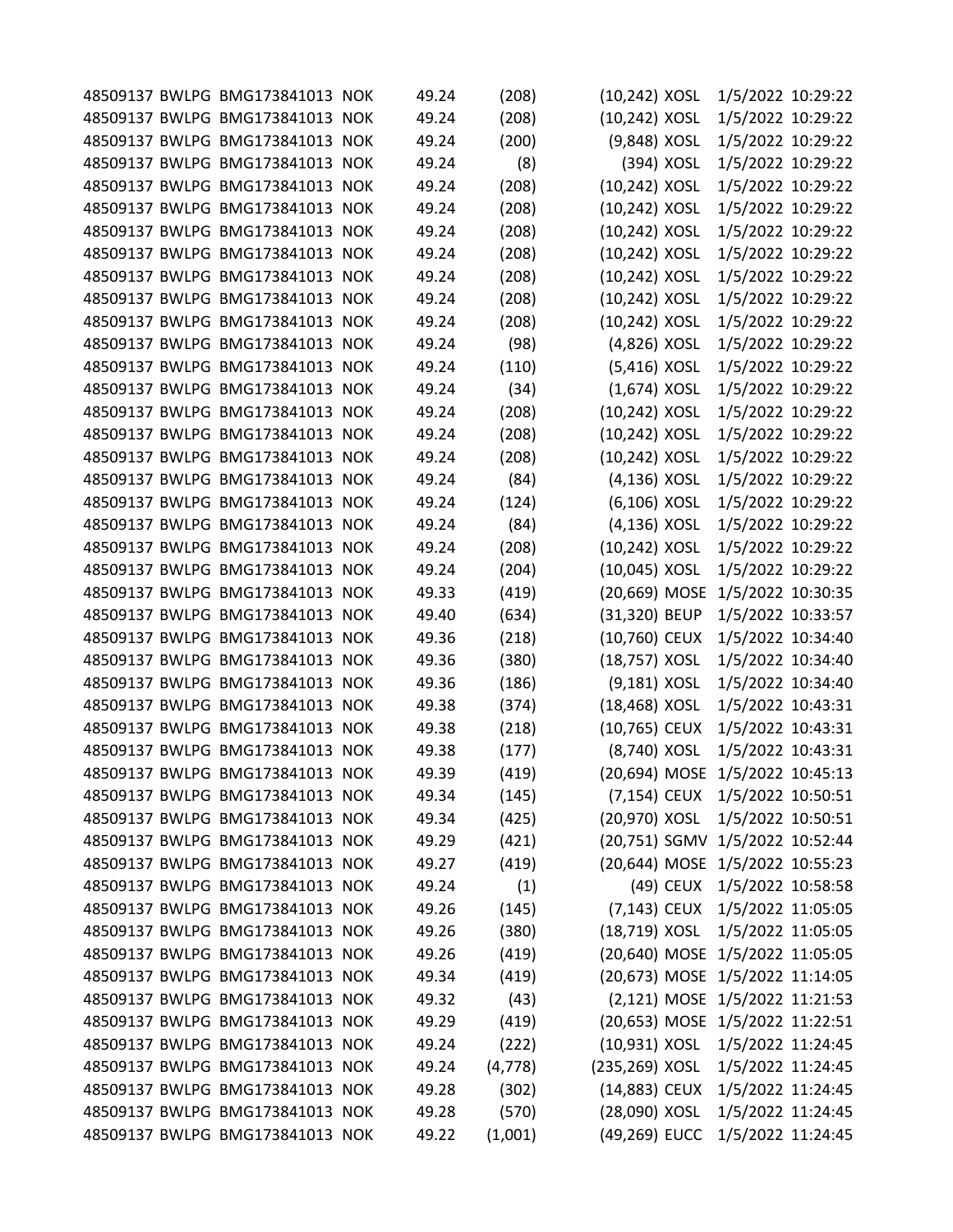|  | 48509137 BWLPG BMG173841013 NOK | 49.24 | (208)    | (10,242) XOSL    |            | 1/5/2022 10:29:22               |  |
|--|---------------------------------|-------|----------|------------------|------------|---------------------------------|--|
|  | 48509137 BWLPG BMG173841013 NOK | 49.24 | (208)    | (10,242) XOSL    |            | 1/5/2022 10:29:22               |  |
|  | 48509137 BWLPG BMG173841013 NOK | 49.24 | (200)    | (9,848) XOSL     |            | 1/5/2022 10:29:22               |  |
|  | 48509137 BWLPG BMG173841013 NOK | 49.24 | (8)      |                  | (394) XOSL | 1/5/2022 10:29:22               |  |
|  | 48509137 BWLPG BMG173841013 NOK | 49.24 | (208)    | (10,242) XOSL    |            | 1/5/2022 10:29:22               |  |
|  | 48509137 BWLPG BMG173841013 NOK | 49.24 | (208)    | (10,242) XOSL    |            | 1/5/2022 10:29:22               |  |
|  | 48509137 BWLPG BMG173841013 NOK | 49.24 | (208)    | (10,242) XOSL    |            | 1/5/2022 10:29:22               |  |
|  | 48509137 BWLPG BMG173841013 NOK | 49.24 | (208)    | (10,242) XOSL    |            | 1/5/2022 10:29:22               |  |
|  | 48509137 BWLPG BMG173841013 NOK | 49.24 | (208)    | (10,242) XOSL    |            | 1/5/2022 10:29:22               |  |
|  | 48509137 BWLPG BMG173841013 NOK | 49.24 | (208)    | $(10, 242)$ XOSL |            | 1/5/2022 10:29:22               |  |
|  | 48509137 BWLPG BMG173841013 NOK | 49.24 | (208)    | (10,242) XOSL    |            | 1/5/2022 10:29:22               |  |
|  | 48509137 BWLPG BMG173841013 NOK | 49.24 | (98)     | (4,826) XOSL     |            | 1/5/2022 10:29:22               |  |
|  | 48509137 BWLPG BMG173841013 NOK | 49.24 | (110)    | (5,416) XOSL     |            | 1/5/2022 10:29:22               |  |
|  | 48509137 BWLPG BMG173841013 NOK | 49.24 | (34)     | $(1,674)$ XOSL   |            | 1/5/2022 10:29:22               |  |
|  | 48509137 BWLPG BMG173841013 NOK | 49.24 | (208)    | (10,242) XOSL    |            | 1/5/2022 10:29:22               |  |
|  | 48509137 BWLPG BMG173841013 NOK | 49.24 | (208)    | (10,242) XOSL    |            | 1/5/2022 10:29:22               |  |
|  | 48509137 BWLPG BMG173841013 NOK | 49.24 | (208)    | $(10, 242)$ XOSL |            | 1/5/2022 10:29:22               |  |
|  | 48509137 BWLPG BMG173841013 NOK | 49.24 | (84)     | (4,136) XOSL     |            | 1/5/2022 10:29:22               |  |
|  | 48509137 BWLPG BMG173841013 NOK | 49.24 | (124)    | $(6, 106)$ XOSL  |            | 1/5/2022 10:29:22               |  |
|  | 48509137 BWLPG BMG173841013 NOK | 49.24 | (84)     | $(4, 136)$ XOSL  |            | 1/5/2022 10:29:22               |  |
|  | 48509137 BWLPG BMG173841013 NOK | 49.24 | (208)    | (10,242) XOSL    |            | 1/5/2022 10:29:22               |  |
|  | 48509137 BWLPG BMG173841013 NOK | 49.24 | (204)    | (10,045) XOSL    |            | 1/5/2022 10:29:22               |  |
|  | 48509137 BWLPG BMG173841013 NOK | 49.33 | (419)    | (20,669) MOSE    |            | 1/5/2022 10:30:35               |  |
|  | 48509137 BWLPG BMG173841013 NOK | 49.40 | (634)    | (31,320) BEUP    |            | 1/5/2022 10:33:57               |  |
|  | 48509137 BWLPG BMG173841013 NOK | 49.36 | (218)    | (10,760) CEUX    |            | 1/5/2022 10:34:40               |  |
|  | 48509137 BWLPG BMG173841013 NOK | 49.36 | (380)    | (18,757) XOSL    |            | 1/5/2022 10:34:40               |  |
|  | 48509137 BWLPG BMG173841013 NOK | 49.36 | (186)    | (9,181) XOSL     |            | 1/5/2022 10:34:40               |  |
|  | 48509137 BWLPG BMG173841013 NOK | 49.38 | (374)    | (18,468) XOSL    |            | 1/5/2022 10:43:31               |  |
|  | 48509137 BWLPG BMG173841013 NOK | 49.38 | (218)    | (10,765) CEUX    |            | 1/5/2022 10:43:31               |  |
|  | 48509137 BWLPG BMG173841013 NOK | 49.38 | (177)    | (8,740) XOSL     |            | 1/5/2022 10:43:31               |  |
|  | 48509137 BWLPG BMG173841013 NOK | 49.39 | (419)    |                  |            | (20,694) MOSE 1/5/2022 10:45:13 |  |
|  | 48509137 BWLPG BMG173841013 NOK | 49.34 | (145)    |                  |            | (7,154) CEUX 1/5/2022 10:50:51  |  |
|  | 48509137 BWLPG BMG173841013 NOK | 49.34 | (425)    | (20,970) XOSL    |            | 1/5/2022 10:50:51               |  |
|  | 48509137 BWLPG BMG173841013 NOK | 49.29 | (421)    |                  |            | (20,751) SGMV 1/5/2022 10:52:44 |  |
|  | 48509137 BWLPG BMG173841013 NOK | 49.27 | (419)    |                  |            | (20,644) MOSE 1/5/2022 10:55:23 |  |
|  | 48509137 BWLPG BMG173841013 NOK | 49.24 | (1)      |                  |            | (49) CEUX 1/5/2022 10:58:58     |  |
|  | 48509137 BWLPG BMG173841013 NOK | 49.26 | (145)    |                  |            | (7,143) CEUX 1/5/2022 11:05:05  |  |
|  | 48509137 BWLPG BMG173841013 NOK | 49.26 | (380)    | (18,719) XOSL    |            | 1/5/2022 11:05:05               |  |
|  | 48509137 BWLPG BMG173841013 NOK | 49.26 | (419)    |                  |            | (20,640) MOSE 1/5/2022 11:05:05 |  |
|  | 48509137 BWLPG BMG173841013 NOK | 49.34 | (419)    |                  |            | (20,673) MOSE 1/5/2022 11:14:05 |  |
|  | 48509137 BWLPG BMG173841013 NOK | 49.32 | (43)     |                  |            | (2,121) MOSE 1/5/2022 11:21:53  |  |
|  | 48509137 BWLPG BMG173841013 NOK | 49.29 | (419)    |                  |            | (20,653) MOSE 1/5/2022 11:22:51 |  |
|  | 48509137 BWLPG BMG173841013 NOK | 49.24 | (222)    | (10,931) XOSL    |            | 1/5/2022 11:24:45               |  |
|  | 48509137 BWLPG BMG173841013 NOK | 49.24 | (4, 778) | (235,269) XOSL   |            | 1/5/2022 11:24:45               |  |
|  | 48509137 BWLPG BMG173841013 NOK | 49.28 | (302)    | (14,883) CEUX    |            | 1/5/2022 11:24:45               |  |
|  | 48509137 BWLPG BMG173841013 NOK | 49.28 | (570)    | (28,090) XOSL    |            | 1/5/2022 11:24:45               |  |
|  | 48509137 BWLPG BMG173841013 NOK | 49.22 | (1,001)  | (49,269) EUCC    |            | 1/5/2022 11:24:45               |  |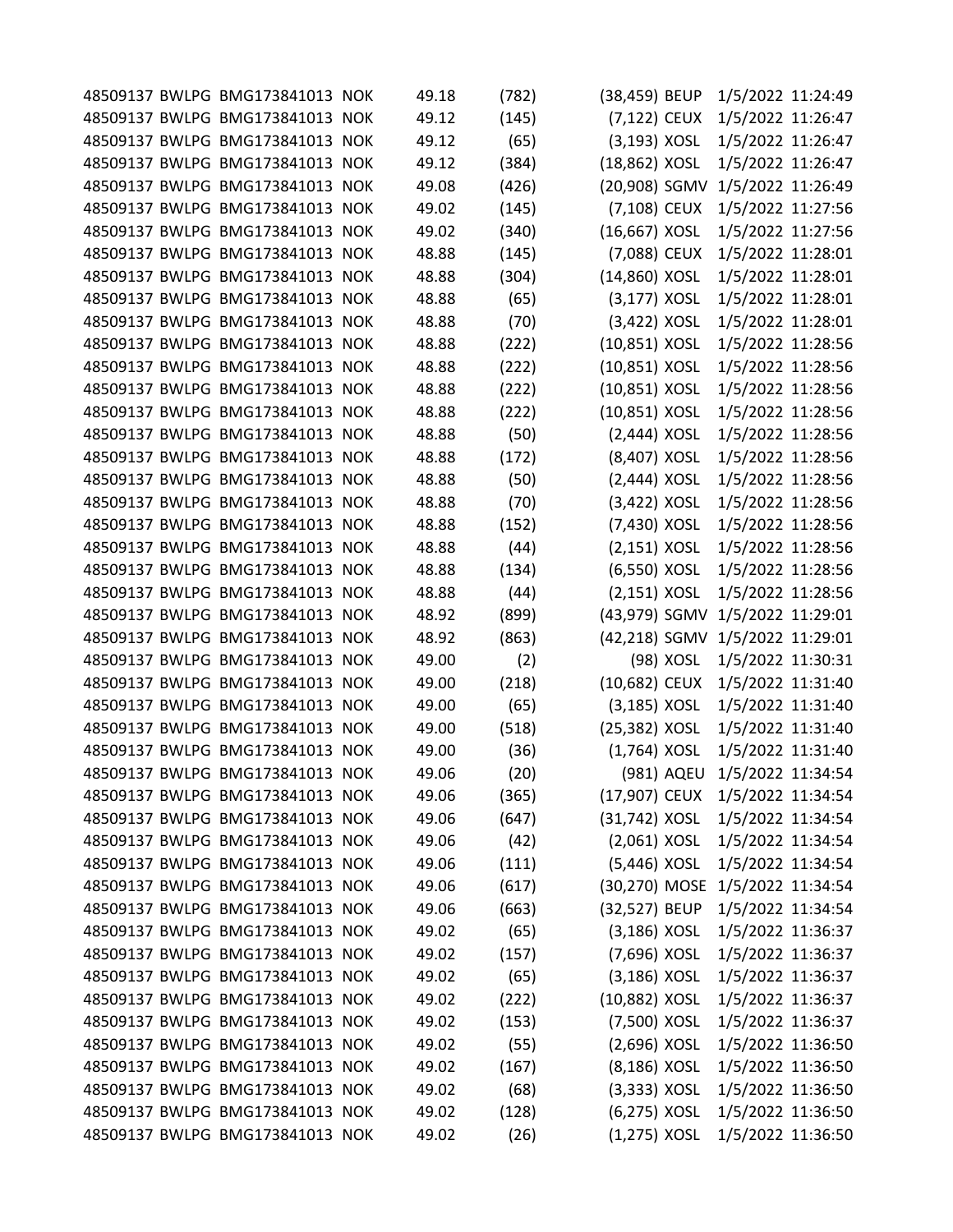|  | 48509137 BWLPG BMG173841013 NOK | 49.18 | (782) | (38,459) BEUP   |            | 1/5/2022 11:24:49               |  |
|--|---------------------------------|-------|-------|-----------------|------------|---------------------------------|--|
|  | 48509137 BWLPG BMG173841013 NOK | 49.12 | (145) | (7,122) CEUX    |            | 1/5/2022 11:26:47               |  |
|  | 48509137 BWLPG BMG173841013 NOK | 49.12 | (65)  | $(3, 193)$ XOSL |            | 1/5/2022 11:26:47               |  |
|  | 48509137 BWLPG BMG173841013 NOK | 49.12 | (384) | (18,862) XOSL   |            | 1/5/2022 11:26:47               |  |
|  | 48509137 BWLPG BMG173841013 NOK | 49.08 | (426) | (20,908) SGMV   |            | 1/5/2022 11:26:49               |  |
|  | 48509137 BWLPG BMG173841013 NOK | 49.02 | (145) | (7,108) CEUX    |            | 1/5/2022 11:27:56               |  |
|  | 48509137 BWLPG BMG173841013 NOK | 49.02 | (340) | (16,667) XOSL   |            | 1/5/2022 11:27:56               |  |
|  | 48509137 BWLPG BMG173841013 NOK | 48.88 | (145) | (7,088) CEUX    |            | 1/5/2022 11:28:01               |  |
|  | 48509137 BWLPG BMG173841013 NOK | 48.88 | (304) | (14,860) XOSL   |            | 1/5/2022 11:28:01               |  |
|  | 48509137 BWLPG BMG173841013 NOK | 48.88 | (65)  | $(3,177)$ XOSL  |            | 1/5/2022 11:28:01               |  |
|  | 48509137 BWLPG BMG173841013 NOK | 48.88 | (70)  | (3,422) XOSL    |            | 1/5/2022 11:28:01               |  |
|  | 48509137 BWLPG BMG173841013 NOK | 48.88 | (222) | (10,851) XOSL   |            | 1/5/2022 11:28:56               |  |
|  | 48509137 BWLPG BMG173841013 NOK | 48.88 | (222) | (10,851) XOSL   |            | 1/5/2022 11:28:56               |  |
|  | 48509137 BWLPG BMG173841013 NOK | 48.88 | (222) | (10,851) XOSL   |            | 1/5/2022 11:28:56               |  |
|  | 48509137 BWLPG BMG173841013 NOK | 48.88 | (222) | (10,851) XOSL   |            | 1/5/2022 11:28:56               |  |
|  | 48509137 BWLPG BMG173841013 NOK | 48.88 | (50)  | $(2,444)$ XOSL  |            | 1/5/2022 11:28:56               |  |
|  | 48509137 BWLPG BMG173841013 NOK | 48.88 | (172) | (8,407) XOSL    |            | 1/5/2022 11:28:56               |  |
|  | 48509137 BWLPG BMG173841013 NOK | 48.88 | (50)  | $(2,444)$ XOSL  |            | 1/5/2022 11:28:56               |  |
|  | 48509137 BWLPG BMG173841013 NOK | 48.88 | (70)  | $(3,422)$ XOSL  |            | 1/5/2022 11:28:56               |  |
|  | 48509137 BWLPG BMG173841013 NOK | 48.88 | (152) | (7,430) XOSL    |            | 1/5/2022 11:28:56               |  |
|  | 48509137 BWLPG BMG173841013 NOK | 48.88 | (44)  | $(2,151)$ XOSL  |            | 1/5/2022 11:28:56               |  |
|  | 48509137 BWLPG BMG173841013 NOK | 48.88 | (134) | (6,550) XOSL    |            | 1/5/2022 11:28:56               |  |
|  | 48509137 BWLPG BMG173841013 NOK | 48.88 | (44)  | $(2,151)$ XOSL  |            | 1/5/2022 11:28:56               |  |
|  | 48509137 BWLPG BMG173841013 NOK | 48.92 | (899) | (43,979) SGMV   |            | 1/5/2022 11:29:01               |  |
|  | 48509137 BWLPG BMG173841013 NOK | 48.92 | (863) | (42,218) SGMV   |            | 1/5/2022 11:29:01               |  |
|  | 48509137 BWLPG BMG173841013 NOK | 49.00 | (2)   |                 | (98) XOSL  | 1/5/2022 11:30:31               |  |
|  | 48509137 BWLPG BMG173841013 NOK | 49.00 | (218) | (10,682) CEUX   |            | 1/5/2022 11:31:40               |  |
|  | 48509137 BWLPG BMG173841013 NOK | 49.00 | (65)  | $(3,185)$ XOSL  |            | 1/5/2022 11:31:40               |  |
|  | 48509137 BWLPG BMG173841013 NOK | 49.00 | (518) | (25,382) XOSL   |            | 1/5/2022 11:31:40               |  |
|  | 48509137 BWLPG BMG173841013 NOK | 49.00 | (36)  | $(1,764)$ XOSL  |            | 1/5/2022 11:31:40               |  |
|  | 48509137 BWLPG BMG173841013 NOK | 49.06 | (20)  |                 | (981) AQEU | 1/5/2022 11:34:54               |  |
|  | 48509137 BWLPG BMG173841013 NOK | 49.06 | (365) | (17,907) CEUX   |            | 1/5/2022 11:34:54               |  |
|  | 48509137 BWLPG BMG173841013 NOK | 49.06 | (647) | (31,742) XOSL   |            | 1/5/2022 11:34:54               |  |
|  | 48509137 BWLPG BMG173841013 NOK | 49.06 | (42)  | $(2,061)$ XOSL  |            | 1/5/2022 11:34:54               |  |
|  | 48509137 BWLPG BMG173841013 NOK | 49.06 | (111) | (5,446) XOSL    |            | 1/5/2022 11:34:54               |  |
|  | 48509137 BWLPG BMG173841013 NOK | 49.06 | (617) |                 |            | (30,270) MOSE 1/5/2022 11:34:54 |  |
|  | 48509137 BWLPG BMG173841013 NOK | 49.06 | (663) | (32,527) BEUP   |            | 1/5/2022 11:34:54               |  |
|  | 48509137 BWLPG BMG173841013 NOK | 49.02 | (65)  | $(3,186)$ XOSL  |            | 1/5/2022 11:36:37               |  |
|  | 48509137 BWLPG BMG173841013 NOK | 49.02 | (157) | (7,696) XOSL    |            | 1/5/2022 11:36:37               |  |
|  | 48509137 BWLPG BMG173841013 NOK | 49.02 | (65)  | $(3,186)$ XOSL  |            | 1/5/2022 11:36:37               |  |
|  | 48509137 BWLPG BMG173841013 NOK | 49.02 | (222) | (10,882) XOSL   |            | 1/5/2022 11:36:37               |  |
|  | 48509137 BWLPG BMG173841013 NOK | 49.02 | (153) | (7,500) XOSL    |            | 1/5/2022 11:36:37               |  |
|  | 48509137 BWLPG BMG173841013 NOK | 49.02 | (55)  | $(2,696)$ XOSL  |            | 1/5/2022 11:36:50               |  |
|  | 48509137 BWLPG BMG173841013 NOK | 49.02 | (167) | (8,186) XOSL    |            | 1/5/2022 11:36:50               |  |
|  | 48509137 BWLPG BMG173841013 NOK | 49.02 | (68)  | $(3,333)$ XOSL  |            | 1/5/2022 11:36:50               |  |
|  | 48509137 BWLPG BMG173841013 NOK | 49.02 | (128) | (6,275) XOSL    |            | 1/5/2022 11:36:50               |  |
|  | 48509137 BWLPG BMG173841013 NOK | 49.02 | (26)  | $(1,275)$ XOSL  |            | 1/5/2022 11:36:50               |  |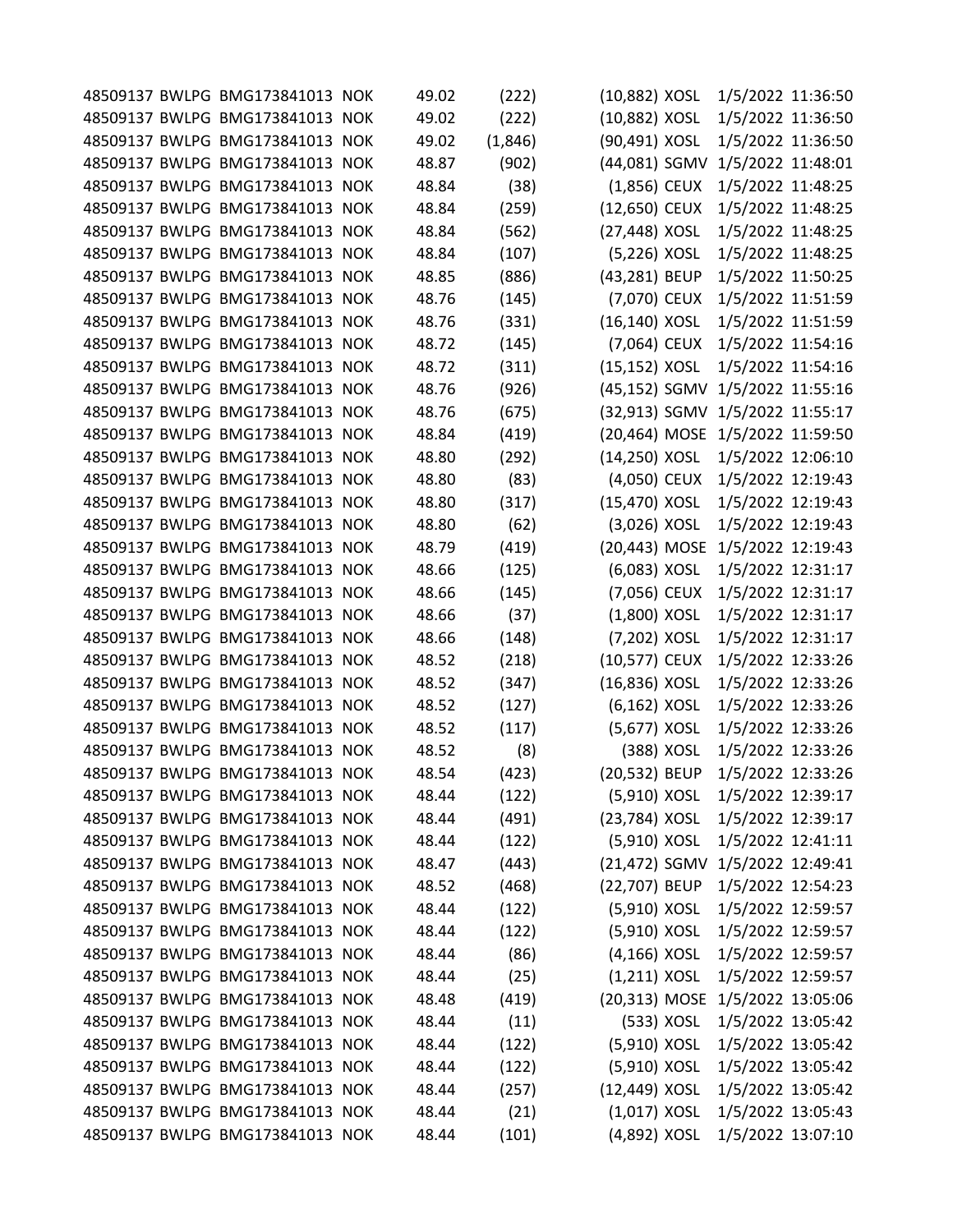|  | 48509137 BWLPG BMG173841013 NOK | 49.02 | (222)   | (10,882) XOSL    |            | 1/5/2022 11:36:50               |  |
|--|---------------------------------|-------|---------|------------------|------------|---------------------------------|--|
|  | 48509137 BWLPG BMG173841013 NOK | 49.02 | (222)   | (10,882) XOSL    |            | 1/5/2022 11:36:50               |  |
|  | 48509137 BWLPG BMG173841013 NOK | 49.02 | (1,846) | (90,491) XOSL    |            | 1/5/2022 11:36:50               |  |
|  | 48509137 BWLPG BMG173841013 NOK | 48.87 | (902)   | (44,081) SGMV    |            | 1/5/2022 11:48:01               |  |
|  | 48509137 BWLPG BMG173841013 NOK | 48.84 | (38)    | $(1,856)$ CEUX   |            | 1/5/2022 11:48:25               |  |
|  | 48509137 BWLPG BMG173841013 NOK | 48.84 | (259)   | (12,650) CEUX    |            | 1/5/2022 11:48:25               |  |
|  | 48509137 BWLPG BMG173841013 NOK | 48.84 | (562)   | (27,448) XOSL    |            | 1/5/2022 11:48:25               |  |
|  | 48509137 BWLPG BMG173841013 NOK | 48.84 | (107)   | (5,226) XOSL     |            | 1/5/2022 11:48:25               |  |
|  | 48509137 BWLPG BMG173841013 NOK | 48.85 | (886)   | (43,281) BEUP    |            | 1/5/2022 11:50:25               |  |
|  | 48509137 BWLPG BMG173841013 NOK | 48.76 | (145)   | (7,070) CEUX     |            | 1/5/2022 11:51:59               |  |
|  | 48509137 BWLPG BMG173841013 NOK | 48.76 | (331)   | (16,140) XOSL    |            | 1/5/2022 11:51:59               |  |
|  | 48509137 BWLPG BMG173841013 NOK | 48.72 | (145)   | (7,064) CEUX     |            | 1/5/2022 11:54:16               |  |
|  | 48509137 BWLPG BMG173841013 NOK | 48.72 | (311)   | (15,152) XOSL    |            | 1/5/2022 11:54:16               |  |
|  | 48509137 BWLPG BMG173841013 NOK | 48.76 | (926)   | (45,152) SGMV    |            | 1/5/2022 11:55:16               |  |
|  | 48509137 BWLPG BMG173841013 NOK | 48.76 | (675)   |                  |            | (32,913) SGMV 1/5/2022 11:55:17 |  |
|  | 48509137 BWLPG BMG173841013 NOK | 48.84 | (419)   | (20,464) MOSE    |            | 1/5/2022 11:59:50               |  |
|  | 48509137 BWLPG BMG173841013 NOK | 48.80 | (292)   | $(14, 250)$ XOSL |            | 1/5/2022 12:06:10               |  |
|  | 48509137 BWLPG BMG173841013 NOK | 48.80 | (83)    | (4,050) CEUX     |            | 1/5/2022 12:19:43               |  |
|  | 48509137 BWLPG BMG173841013 NOK | 48.80 | (317)   | (15,470) XOSL    |            | 1/5/2022 12:19:43               |  |
|  | 48509137 BWLPG BMG173841013 NOK | 48.80 | (62)    | $(3,026)$ XOSL   |            | 1/5/2022 12:19:43               |  |
|  | 48509137 BWLPG BMG173841013 NOK | 48.79 | (419)   | (20,443) MOSE    |            | 1/5/2022 12:19:43               |  |
|  | 48509137 BWLPG BMG173841013 NOK | 48.66 | (125)   | (6,083) XOSL     |            | 1/5/2022 12:31:17               |  |
|  | 48509137 BWLPG BMG173841013 NOK | 48.66 | (145)   | (7,056) CEUX     |            | 1/5/2022 12:31:17               |  |
|  | 48509137 BWLPG BMG173841013 NOK | 48.66 | (37)    | $(1,800)$ XOSL   |            | 1/5/2022 12:31:17               |  |
|  | 48509137 BWLPG BMG173841013 NOK | 48.66 | (148)   | (7,202) XOSL     |            | 1/5/2022 12:31:17               |  |
|  | 48509137 BWLPG BMG173841013 NOK | 48.52 | (218)   | (10,577) CEUX    |            | 1/5/2022 12:33:26               |  |
|  | 48509137 BWLPG BMG173841013 NOK | 48.52 | (347)   | (16,836) XOSL    |            | 1/5/2022 12:33:26               |  |
|  | 48509137 BWLPG BMG173841013 NOK | 48.52 | (127)   | $(6, 162)$ XOSL  |            | 1/5/2022 12:33:26               |  |
|  | 48509137 BWLPG BMG173841013 NOK | 48.52 | (117)   | (5,677) XOSL     |            | 1/5/2022 12:33:26               |  |
|  | 48509137 BWLPG BMG173841013 NOK | 48.52 | (8)     |                  | (388) XOSL | 1/5/2022 12:33:26               |  |
|  | 48509137 BWLPG BMG173841013 NOK | 48.54 | (423)   | (20,532) BEUP    |            | 1/5/2022 12:33:26               |  |
|  | 48509137 BWLPG BMG173841013 NOK | 48.44 | (122)   | (5,910) XOSL     |            | 1/5/2022 12:39:17               |  |
|  | 48509137 BWLPG BMG173841013 NOK | 48.44 | (491)   | (23,784) XOSL    |            | 1/5/2022 12:39:17               |  |
|  | 48509137 BWLPG BMG173841013 NOK | 48.44 | (122)   | (5,910) XOSL     |            | 1/5/2022 12:41:11               |  |
|  | 48509137 BWLPG BMG173841013 NOK | 48.47 | (443)   | (21,472) SGMV    |            | 1/5/2022 12:49:41               |  |
|  | 48509137 BWLPG BMG173841013 NOK | 48.52 | (468)   | (22,707) BEUP    |            | 1/5/2022 12:54:23               |  |
|  | 48509137 BWLPG BMG173841013 NOK | 48.44 | (122)   | (5,910) XOSL     |            | 1/5/2022 12:59:57               |  |
|  | 48509137 BWLPG BMG173841013 NOK | 48.44 | (122)   | (5,910) XOSL     |            | 1/5/2022 12:59:57               |  |
|  | 48509137 BWLPG BMG173841013 NOK | 48.44 | (86)    | $(4, 166)$ XOSL  |            | 1/5/2022 12:59:57               |  |
|  | 48509137 BWLPG BMG173841013 NOK | 48.44 | (25)    | $(1,211)$ XOSL   |            | 1/5/2022 12:59:57               |  |
|  | 48509137 BWLPG BMG173841013 NOK | 48.48 | (419)   |                  |            | (20,313) MOSE 1/5/2022 13:05:06 |  |
|  | 48509137 BWLPG BMG173841013 NOK | 48.44 | (11)    |                  | (533) XOSL | 1/5/2022 13:05:42               |  |
|  | 48509137 BWLPG BMG173841013 NOK | 48.44 | (122)   | (5,910) XOSL     |            | 1/5/2022 13:05:42               |  |
|  | 48509137 BWLPG BMG173841013 NOK | 48.44 | (122)   | (5,910) XOSL     |            | 1/5/2022 13:05:42               |  |
|  | 48509137 BWLPG BMG173841013 NOK | 48.44 | (257)   | (12,449) XOSL    |            | 1/5/2022 13:05:42               |  |
|  | 48509137 BWLPG BMG173841013 NOK | 48.44 | (21)    | $(1,017)$ XOSL   |            | 1/5/2022 13:05:43               |  |
|  | 48509137 BWLPG BMG173841013 NOK | 48.44 | (101)   | (4,892) XOSL     |            | 1/5/2022 13:07:10               |  |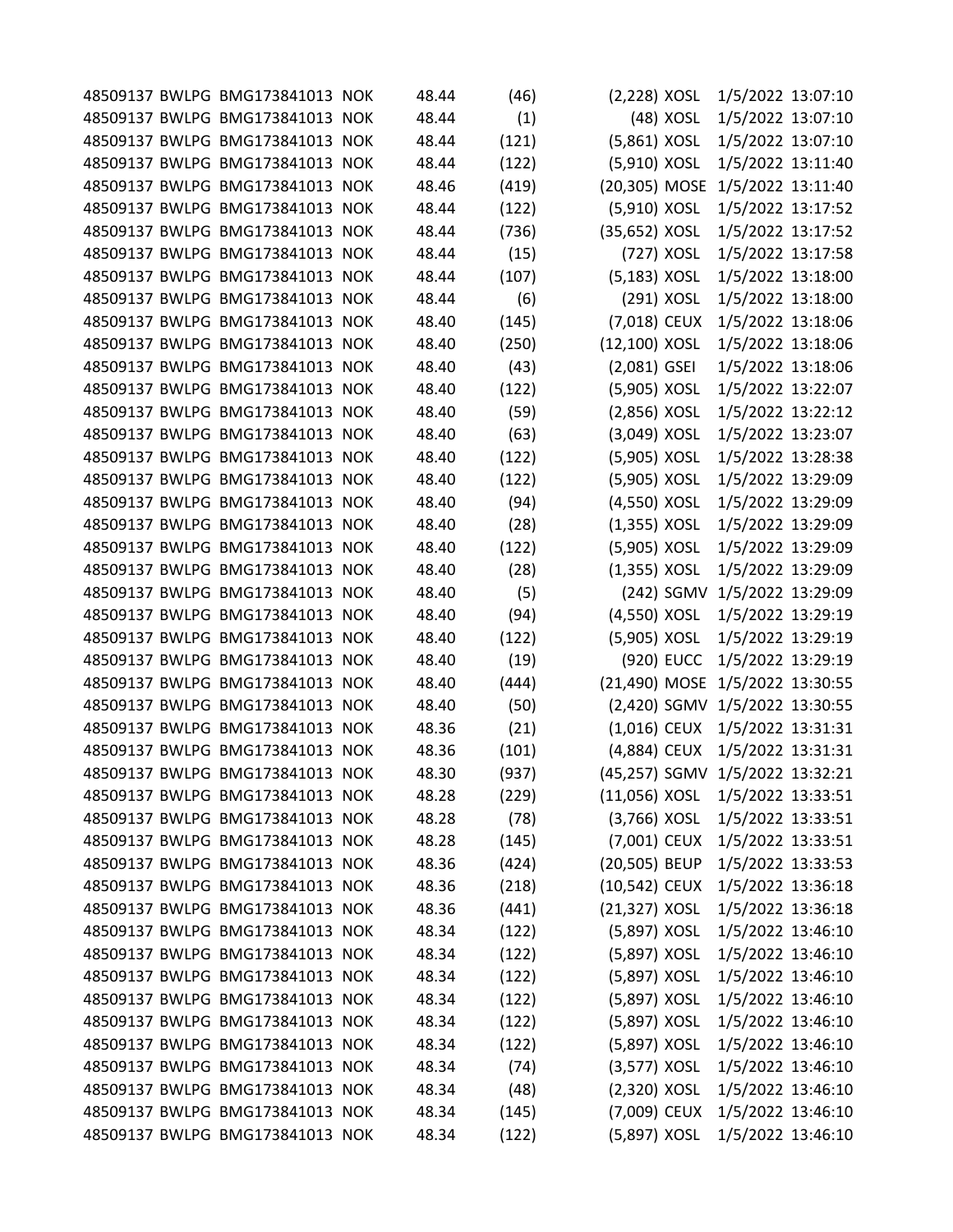|  | 48509137 BWLPG BMG173841013 NOK | 48.44 | (46)  | $(2,228)$ XOSL  |            | 1/5/2022 13:07:10               |  |
|--|---------------------------------|-------|-------|-----------------|------------|---------------------------------|--|
|  | 48509137 BWLPG BMG173841013 NOK | 48.44 | (1)   |                 | (48) XOSL  | 1/5/2022 13:07:10               |  |
|  | 48509137 BWLPG BMG173841013 NOK | 48.44 | (121) | (5,861) XOSL    |            | 1/5/2022 13:07:10               |  |
|  | 48509137 BWLPG BMG173841013 NOK | 48.44 | (122) | (5,910) XOSL    |            | 1/5/2022 13:11:40               |  |
|  | 48509137 BWLPG BMG173841013 NOK | 48.46 | (419) | (20,305) MOSE   |            | 1/5/2022 13:11:40               |  |
|  | 48509137 BWLPG BMG173841013 NOK | 48.44 | (122) | (5,910) XOSL    |            | 1/5/2022 13:17:52               |  |
|  | 48509137 BWLPG BMG173841013 NOK | 48.44 | (736) | (35,652) XOSL   |            | 1/5/2022 13:17:52               |  |
|  | 48509137 BWLPG BMG173841013 NOK | 48.44 | (15)  |                 | (727) XOSL | 1/5/2022 13:17:58               |  |
|  | 48509137 BWLPG BMG173841013 NOK | 48.44 | (107) | $(5,183)$ XOSL  |            | 1/5/2022 13:18:00               |  |
|  | 48509137 BWLPG BMG173841013 NOK | 48.44 | (6)   |                 | (291) XOSL | 1/5/2022 13:18:00               |  |
|  | 48509137 BWLPG BMG173841013 NOK | 48.40 | (145) | (7,018) CEUX    |            | 1/5/2022 13:18:06               |  |
|  | 48509137 BWLPG BMG173841013 NOK | 48.40 | (250) | (12,100) XOSL   |            | 1/5/2022 13:18:06               |  |
|  | 48509137 BWLPG BMG173841013 NOK | 48.40 | (43)  | $(2,081)$ GSEI  |            | 1/5/2022 13:18:06               |  |
|  | 48509137 BWLPG BMG173841013 NOK | 48.40 | (122) | (5,905) XOSL    |            | 1/5/2022 13:22:07               |  |
|  | 48509137 BWLPG BMG173841013 NOK | 48.40 | (59)  | $(2,856)$ XOSL  |            | 1/5/2022 13:22:12               |  |
|  | 48509137 BWLPG BMG173841013 NOK | 48.40 | (63)  | (3,049) XOSL    |            | 1/5/2022 13:23:07               |  |
|  | 48509137 BWLPG BMG173841013 NOK | 48.40 | (122) | (5,905) XOSL    |            | 1/5/2022 13:28:38               |  |
|  | 48509137 BWLPG BMG173841013 NOK | 48.40 | (122) | (5,905) XOSL    |            | 1/5/2022 13:29:09               |  |
|  | 48509137 BWLPG BMG173841013 NOK | 48.40 | (94)  | (4,550) XOSL    |            | 1/5/2022 13:29:09               |  |
|  | 48509137 BWLPG BMG173841013 NOK | 48.40 | (28)  | $(1,355)$ XOSL  |            | 1/5/2022 13:29:09               |  |
|  | 48509137 BWLPG BMG173841013 NOK | 48.40 | (122) | (5,905) XOSL    |            | 1/5/2022 13:29:09               |  |
|  | 48509137 BWLPG BMG173841013 NOK | 48.40 | (28)  | $(1,355)$ XOSL  |            | 1/5/2022 13:29:09               |  |
|  | 48509137 BWLPG BMG173841013 NOK | 48.40 | (5)   |                 | (242) SGMV | 1/5/2022 13:29:09               |  |
|  | 48509137 BWLPG BMG173841013 NOK | 48.40 | (94)  | (4,550) XOSL    |            | 1/5/2022 13:29:19               |  |
|  | 48509137 BWLPG BMG173841013 NOK | 48.40 | (122) | (5,905) XOSL    |            | 1/5/2022 13:29:19               |  |
|  | 48509137 BWLPG BMG173841013 NOK | 48.40 | (19)  |                 | (920) EUCC | 1/5/2022 13:29:19               |  |
|  | 48509137 BWLPG BMG173841013 NOK | 48.40 | (444) |                 |            | (21,490) MOSE 1/5/2022 13:30:55 |  |
|  | 48509137 BWLPG BMG173841013 NOK | 48.40 | (50)  | (2,420) SGMV    |            | 1/5/2022 13:30:55               |  |
|  | 48509137 BWLPG BMG173841013 NOK | 48.36 | (21)  |                 |            | (1,016) CEUX 1/5/2022 13:31:31  |  |
|  | 48509137 BWLPG BMG173841013 NOK | 48.36 | (101) | (4,884) CEUX    |            | 1/5/2022 13:31:31               |  |
|  | 48509137 BWLPG BMG173841013 NOK | 48.30 | (937) |                 |            | (45,257) SGMV 1/5/2022 13:32:21 |  |
|  | 48509137 BWLPG BMG173841013 NOK | 48.28 | (229) | $(11,056)$ XOSL |            | 1/5/2022 13:33:51               |  |
|  | 48509137 BWLPG BMG173841013 NOK | 48.28 | (78)  | $(3,766)$ XOSL  |            | 1/5/2022 13:33:51               |  |
|  | 48509137 BWLPG BMG173841013 NOK | 48.28 | (145) | (7,001) CEUX    |            | 1/5/2022 13:33:51               |  |
|  | 48509137 BWLPG BMG173841013 NOK | 48.36 | (424) | (20,505) BEUP   |            | 1/5/2022 13:33:53               |  |
|  | 48509137 BWLPG BMG173841013 NOK | 48.36 | (218) | (10,542) CEUX   |            | 1/5/2022 13:36:18               |  |
|  | 48509137 BWLPG BMG173841013 NOK | 48.36 | (441) | (21,327) XOSL   |            | 1/5/2022 13:36:18               |  |
|  | 48509137 BWLPG BMG173841013 NOK | 48.34 | (122) | (5,897) XOSL    |            | 1/5/2022 13:46:10               |  |
|  | 48509137 BWLPG BMG173841013 NOK | 48.34 | (122) | (5,897) XOSL    |            | 1/5/2022 13:46:10               |  |
|  | 48509137 BWLPG BMG173841013 NOK | 48.34 | (122) | (5,897) XOSL    |            | 1/5/2022 13:46:10               |  |
|  | 48509137 BWLPG BMG173841013 NOK | 48.34 | (122) | (5,897) XOSL    |            | 1/5/2022 13:46:10               |  |
|  | 48509137 BWLPG BMG173841013 NOK | 48.34 | (122) | (5,897) XOSL    |            | 1/5/2022 13:46:10               |  |
|  | 48509137 BWLPG BMG173841013 NOK | 48.34 | (122) | (5,897) XOSL    |            | 1/5/2022 13:46:10               |  |
|  | 48509137 BWLPG BMG173841013 NOK | 48.34 | (74)  | (3,577) XOSL    |            | 1/5/2022 13:46:10               |  |
|  | 48509137 BWLPG BMG173841013 NOK | 48.34 | (48)  | $(2,320)$ XOSL  |            | 1/5/2022 13:46:10               |  |
|  | 48509137 BWLPG BMG173841013 NOK | 48.34 | (145) | (7,009) CEUX    |            | 1/5/2022 13:46:10               |  |
|  | 48509137 BWLPG BMG173841013 NOK | 48.34 | (122) | (5,897) XOSL    |            | 1/5/2022 13:46:10               |  |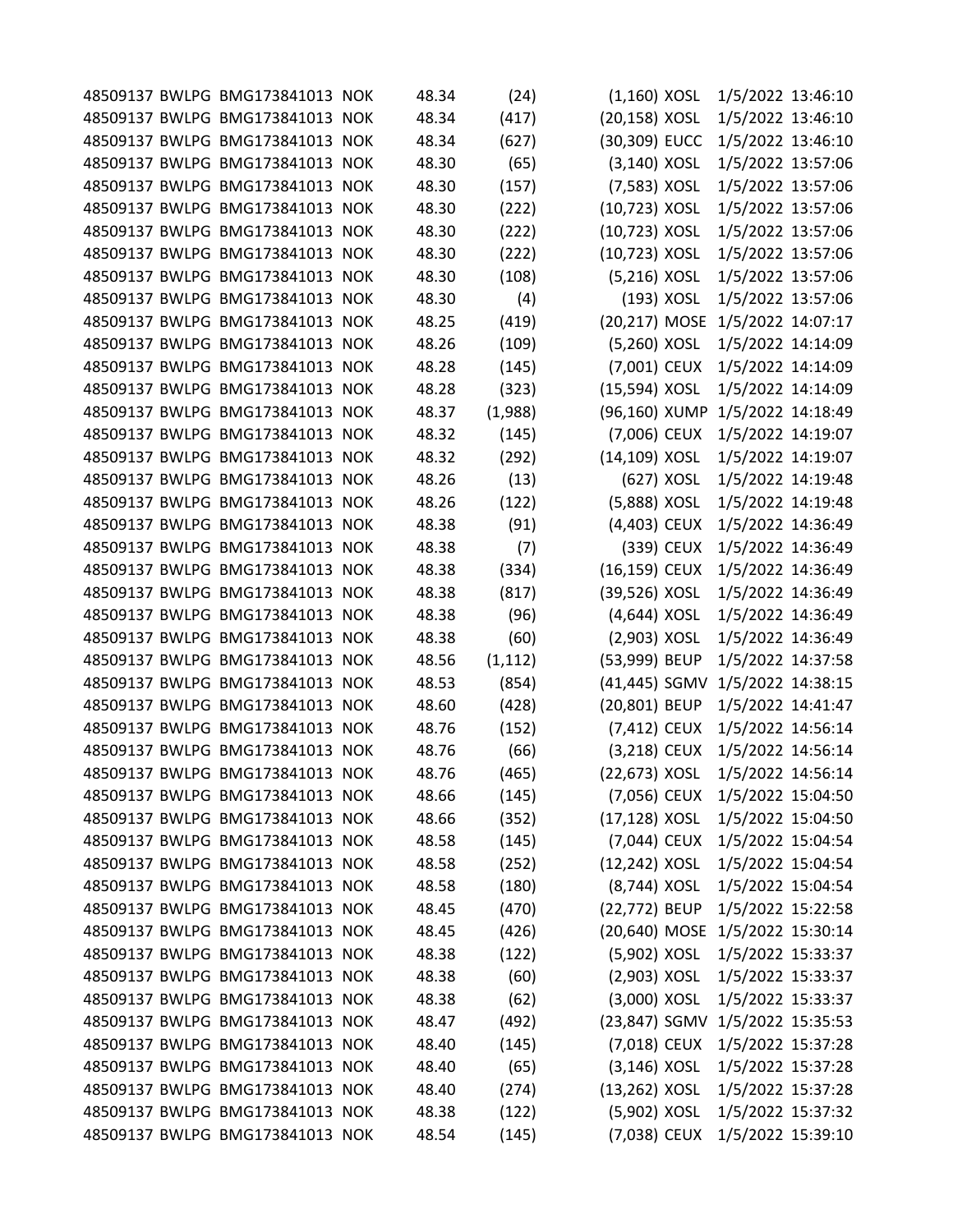|  | 48509137 BWLPG BMG173841013 NOK | 48.34 | (24)     | $(1,160)$ XOSL  |            | 1/5/2022 13:46:10               |  |
|--|---------------------------------|-------|----------|-----------------|------------|---------------------------------|--|
|  | 48509137 BWLPG BMG173841013 NOK | 48.34 | (417)    | (20,158) XOSL   |            | 1/5/2022 13:46:10               |  |
|  | 48509137 BWLPG BMG173841013 NOK | 48.34 | (627)    | (30,309) EUCC   |            | 1/5/2022 13:46:10               |  |
|  | 48509137 BWLPG BMG173841013 NOK | 48.30 | (65)     | $(3,140)$ XOSL  |            | 1/5/2022 13:57:06               |  |
|  | 48509137 BWLPG BMG173841013 NOK | 48.30 | (157)    | (7,583) XOSL    |            | 1/5/2022 13:57:06               |  |
|  | 48509137 BWLPG BMG173841013 NOK | 48.30 | (222)    | (10,723) XOSL   |            | 1/5/2022 13:57:06               |  |
|  | 48509137 BWLPG BMG173841013 NOK | 48.30 | (222)    | (10,723) XOSL   |            | 1/5/2022 13:57:06               |  |
|  | 48509137 BWLPG BMG173841013 NOK | 48.30 | (222)    | (10,723) XOSL   |            | 1/5/2022 13:57:06               |  |
|  | 48509137 BWLPG BMG173841013 NOK | 48.30 | (108)    | (5,216) XOSL    |            | 1/5/2022 13:57:06               |  |
|  | 48509137 BWLPG BMG173841013 NOK | 48.30 | (4)      |                 | (193) XOSL | 1/5/2022 13:57:06               |  |
|  | 48509137 BWLPG BMG173841013 NOK | 48.25 | (419)    | (20,217) MOSE   |            | 1/5/2022 14:07:17               |  |
|  | 48509137 BWLPG BMG173841013 NOK | 48.26 | (109)    | (5,260) XOSL    |            | 1/5/2022 14:14:09               |  |
|  | 48509137 BWLPG BMG173841013 NOK | 48.28 | (145)    | (7,001) CEUX    |            | 1/5/2022 14:14:09               |  |
|  | 48509137 BWLPG BMG173841013 NOK | 48.28 | (323)    | (15,594) XOSL   |            | 1/5/2022 14:14:09               |  |
|  | 48509137 BWLPG BMG173841013 NOK | 48.37 | (1,988)  | (96,160) XUMP   |            | 1/5/2022 14:18:49               |  |
|  | 48509137 BWLPG BMG173841013 NOK | 48.32 | (145)    | (7,006) CEUX    |            | 1/5/2022 14:19:07               |  |
|  | 48509137 BWLPG BMG173841013 NOK | 48.32 | (292)    | (14,109) XOSL   |            | 1/5/2022 14:19:07               |  |
|  | 48509137 BWLPG BMG173841013 NOK | 48.26 | (13)     |                 | (627) XOSL | 1/5/2022 14:19:48               |  |
|  | 48509137 BWLPG BMG173841013 NOK | 48.26 | (122)    | (5,888) XOSL    |            | 1/5/2022 14:19:48               |  |
|  | 48509137 BWLPG BMG173841013 NOK | 48.38 | (91)     | (4,403) CEUX    |            | 1/5/2022 14:36:49               |  |
|  | 48509137 BWLPG BMG173841013 NOK | 48.38 | (7)      |                 | (339) CEUX | 1/5/2022 14:36:49               |  |
|  | 48509137 BWLPG BMG173841013 NOK | 48.38 | (334)    | (16,159) CEUX   |            | 1/5/2022 14:36:49               |  |
|  | 48509137 BWLPG BMG173841013 NOK | 48.38 | (817)    | (39,526) XOSL   |            | 1/5/2022 14:36:49               |  |
|  | 48509137 BWLPG BMG173841013 NOK | 48.38 | (96)     | $(4,644)$ XOSL  |            | 1/5/2022 14:36:49               |  |
|  | 48509137 BWLPG BMG173841013 NOK | 48.38 | (60)     | (2,903) XOSL    |            | 1/5/2022 14:36:49               |  |
|  | 48509137 BWLPG BMG173841013 NOK | 48.56 | (1, 112) | (53,999) BEUP   |            | 1/5/2022 14:37:58               |  |
|  | 48509137 BWLPG BMG173841013 NOK | 48.53 | (854)    | (41,445) SGMV   |            | 1/5/2022 14:38:15               |  |
|  | 48509137 BWLPG BMG173841013 NOK | 48.60 | (428)    | (20,801) BEUP   |            | 1/5/2022 14:41:47               |  |
|  | 48509137 BWLPG BMG173841013 NOK | 48.76 | (152)    | (7,412) CEUX    |            | 1/5/2022 14:56:14               |  |
|  | 48509137 BWLPG BMG173841013 NOK | 48.76 | (66)     | (3,218) CEUX    |            | 1/5/2022 14:56:14               |  |
|  | 48509137 BWLPG BMG173841013 NOK | 48.76 | (465)    | (22,673) XOSL   |            | 1/5/2022 14:56:14               |  |
|  | 48509137 BWLPG BMG173841013 NOK | 48.66 | (145)    | (7,056) CEUX    |            | 1/5/2022 15:04:50               |  |
|  | 48509137 BWLPG BMG173841013 NOK | 48.66 | (352)    | (17,128) XOSL   |            | 1/5/2022 15:04:50               |  |
|  | 48509137 BWLPG BMG173841013 NOK | 48.58 | (145)    | (7,044) CEUX    |            | 1/5/2022 15:04:54               |  |
|  | 48509137 BWLPG BMG173841013 NOK | 48.58 | (252)    | (12,242) XOSL   |            | 1/5/2022 15:04:54               |  |
|  | 48509137 BWLPG BMG173841013 NOK | 48.58 | (180)    | (8,744) XOSL    |            | 1/5/2022 15:04:54               |  |
|  | 48509137 BWLPG BMG173841013 NOK | 48.45 | (470)    | (22,772) BEUP   |            | 1/5/2022 15:22:58               |  |
|  | 48509137 BWLPG BMG173841013 NOK | 48.45 | (426)    |                 |            | (20,640) MOSE 1/5/2022 15:30:14 |  |
|  | 48509137 BWLPG BMG173841013 NOK | 48.38 | (122)    | (5,902) XOSL    |            | 1/5/2022 15:33:37               |  |
|  | 48509137 BWLPG BMG173841013 NOK | 48.38 | (60)     | $(2,903)$ XOSL  |            | 1/5/2022 15:33:37               |  |
|  | 48509137 BWLPG BMG173841013 NOK | 48.38 | (62)     | $(3,000)$ XOSL  |            | 1/5/2022 15:33:37               |  |
|  | 48509137 BWLPG BMG173841013 NOK | 48.47 | (492)    | (23,847) SGMV   |            | 1/5/2022 15:35:53               |  |
|  | 48509137 BWLPG BMG173841013 NOK | 48.40 | (145)    | (7,018) CEUX    |            | 1/5/2022 15:37:28               |  |
|  | 48509137 BWLPG BMG173841013 NOK | 48.40 | (65)     | $(3, 146)$ XOSL |            | 1/5/2022 15:37:28               |  |
|  | 48509137 BWLPG BMG173841013 NOK | 48.40 | (274)    | (13,262) XOSL   |            | 1/5/2022 15:37:28               |  |
|  | 48509137 BWLPG BMG173841013 NOK | 48.38 | (122)    | (5,902) XOSL    |            | 1/5/2022 15:37:32               |  |
|  | 48509137 BWLPG BMG173841013 NOK | 48.54 | (145)    | (7,038) CEUX    |            | 1/5/2022 15:39:10               |  |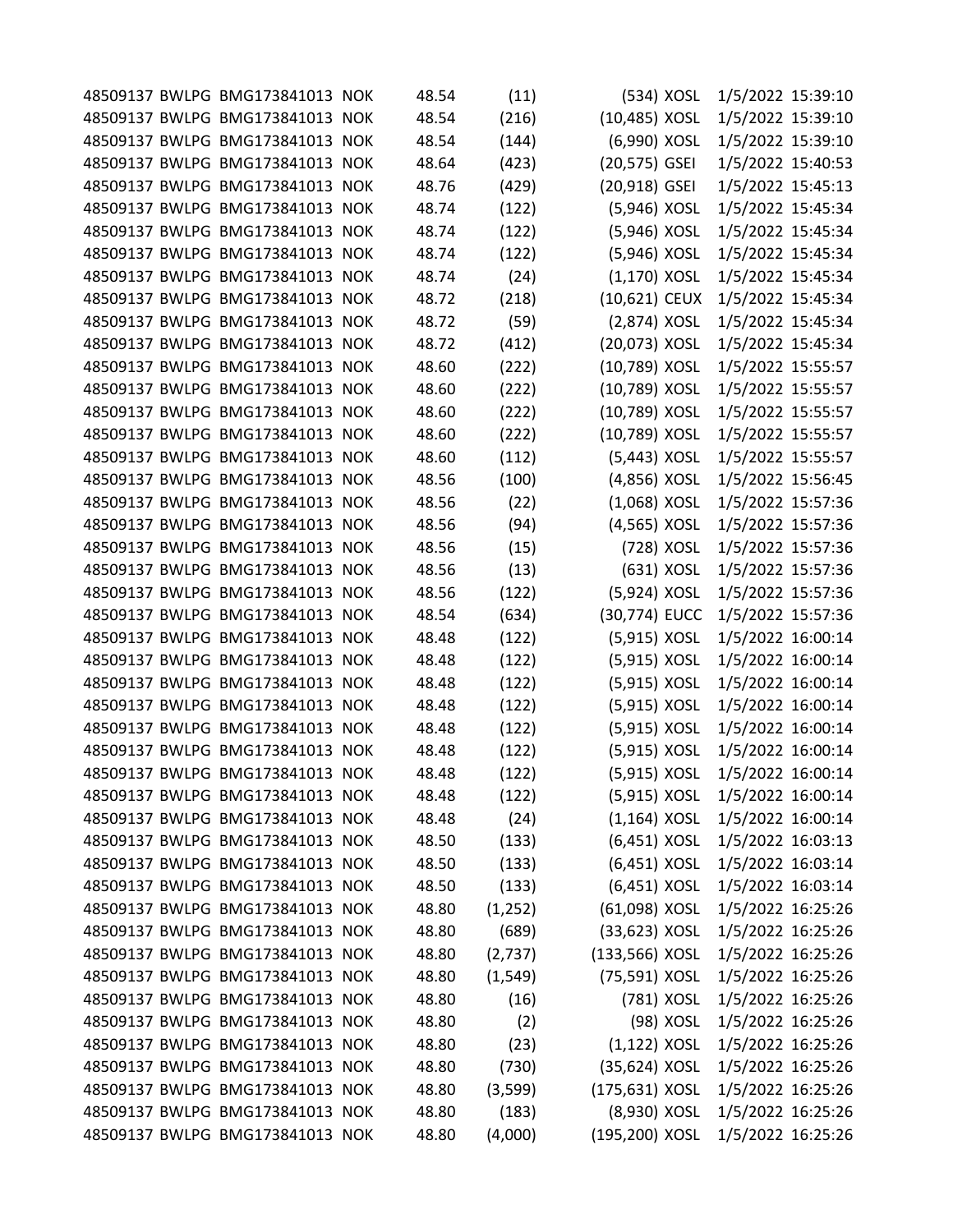|  | 48509137 BWLPG BMG173841013 NOK | 48.54 | (11)     | (534) XOSL      |            | 1/5/2022 15:39:10 |  |
|--|---------------------------------|-------|----------|-----------------|------------|-------------------|--|
|  | 48509137 BWLPG BMG173841013 NOK | 48.54 | (216)    | (10,485) XOSL   |            | 1/5/2022 15:39:10 |  |
|  | 48509137 BWLPG BMG173841013 NOK | 48.54 | (144)    | (6,990) XOSL    |            | 1/5/2022 15:39:10 |  |
|  | 48509137 BWLPG BMG173841013 NOK | 48.64 | (423)    | (20,575) GSEI   |            | 1/5/2022 15:40:53 |  |
|  | 48509137 BWLPG BMG173841013 NOK | 48.76 | (429)    | (20,918) GSEI   |            | 1/5/2022 15:45:13 |  |
|  | 48509137 BWLPG BMG173841013 NOK | 48.74 | (122)    | (5,946) XOSL    |            | 1/5/2022 15:45:34 |  |
|  | 48509137 BWLPG BMG173841013 NOK | 48.74 | (122)    | (5,946) XOSL    |            | 1/5/2022 15:45:34 |  |
|  | 48509137 BWLPG BMG173841013 NOK | 48.74 | (122)    | (5,946) XOSL    |            | 1/5/2022 15:45:34 |  |
|  | 48509137 BWLPG BMG173841013 NOK | 48.74 | (24)     | $(1,170)$ XOSL  |            | 1/5/2022 15:45:34 |  |
|  | 48509137 BWLPG BMG173841013 NOK | 48.72 | (218)    | (10,621) CEUX   |            | 1/5/2022 15:45:34 |  |
|  | 48509137 BWLPG BMG173841013 NOK | 48.72 | (59)     | $(2,874)$ XOSL  |            | 1/5/2022 15:45:34 |  |
|  | 48509137 BWLPG BMG173841013 NOK | 48.72 | (412)    | (20,073) XOSL   |            | 1/5/2022 15:45:34 |  |
|  | 48509137 BWLPG BMG173841013 NOK | 48.60 | (222)    | (10,789) XOSL   |            | 1/5/2022 15:55:57 |  |
|  | 48509137 BWLPG BMG173841013 NOK | 48.60 | (222)    | (10,789) XOSL   |            | 1/5/2022 15:55:57 |  |
|  | 48509137 BWLPG BMG173841013 NOK | 48.60 | (222)    | (10,789) XOSL   |            | 1/5/2022 15:55:57 |  |
|  | 48509137 BWLPG BMG173841013 NOK | 48.60 | (222)    | (10,789) XOSL   |            | 1/5/2022 15:55:57 |  |
|  | 48509137 BWLPG BMG173841013 NOK | 48.60 | (112)    | (5,443) XOSL    |            | 1/5/2022 15:55:57 |  |
|  | 48509137 BWLPG BMG173841013 NOK | 48.56 | (100)    | (4,856) XOSL    |            | 1/5/2022 15:56:45 |  |
|  | 48509137 BWLPG BMG173841013 NOK | 48.56 | (22)     | $(1,068)$ XOSL  |            | 1/5/2022 15:57:36 |  |
|  | 48509137 BWLPG BMG173841013 NOK | 48.56 | (94)     | (4,565) XOSL    |            | 1/5/2022 15:57:36 |  |
|  | 48509137 BWLPG BMG173841013 NOK | 48.56 | (15)     |                 | (728) XOSL | 1/5/2022 15:57:36 |  |
|  | 48509137 BWLPG BMG173841013 NOK | 48.56 | (13)     |                 | (631) XOSL | 1/5/2022 15:57:36 |  |
|  | 48509137 BWLPG BMG173841013 NOK | 48.56 | (122)    | (5,924) XOSL    |            | 1/5/2022 15:57:36 |  |
|  | 48509137 BWLPG BMG173841013 NOK | 48.54 | (634)    | (30,774) EUCC   |            | 1/5/2022 15:57:36 |  |
|  | 48509137 BWLPG BMG173841013 NOK | 48.48 | (122)    | (5,915) XOSL    |            | 1/5/2022 16:00:14 |  |
|  | 48509137 BWLPG BMG173841013 NOK | 48.48 | (122)    | (5,915) XOSL    |            | 1/5/2022 16:00:14 |  |
|  | 48509137 BWLPG BMG173841013 NOK | 48.48 | (122)    | (5,915) XOSL    |            | 1/5/2022 16:00:14 |  |
|  | 48509137 BWLPG BMG173841013 NOK | 48.48 | (122)    | (5,915) XOSL    |            | 1/5/2022 16:00:14 |  |
|  | 48509137 BWLPG BMG173841013 NOK | 48.48 | (122)    | (5,915) XOSL    |            | 1/5/2022 16:00:14 |  |
|  | 48509137 BWLPG BMG173841013 NOK | 48.48 | (122)    | (5,915) XOSL    |            | 1/5/2022 16:00:14 |  |
|  | 48509137 BWLPG BMG173841013 NOK | 48.48 | (122)    | (5,915) XOSL    |            | 1/5/2022 16:00:14 |  |
|  | 48509137 BWLPG BMG173841013 NOK | 48.48 | (122)    | (5,915) XOSL    |            | 1/5/2022 16:00:14 |  |
|  | 48509137 BWLPG BMG173841013 NOK | 48.48 | (24)     | $(1, 164)$ XOSL |            | 1/5/2022 16:00:14 |  |
|  | 48509137 BWLPG BMG173841013 NOK | 48.50 | (133)    | $(6,451)$ XOSL  |            | 1/5/2022 16:03:13 |  |
|  | 48509137 BWLPG BMG173841013 NOK | 48.50 | (133)    | $(6,451)$ XOSL  |            | 1/5/2022 16:03:14 |  |
|  | 48509137 BWLPG BMG173841013 NOK | 48.50 | (133)    | $(6,451)$ XOSL  |            | 1/5/2022 16:03:14 |  |
|  | 48509137 BWLPG BMG173841013 NOK | 48.80 | (1, 252) | (61,098) XOSL   |            | 1/5/2022 16:25:26 |  |
|  | 48509137 BWLPG BMG173841013 NOK | 48.80 | (689)    | (33,623) XOSL   |            | 1/5/2022 16:25:26 |  |
|  | 48509137 BWLPG BMG173841013 NOK | 48.80 | (2,737)  | (133,566) XOSL  |            | 1/5/2022 16:25:26 |  |
|  | 48509137 BWLPG BMG173841013 NOK | 48.80 | (1, 549) | (75,591) XOSL   |            | 1/5/2022 16:25:26 |  |
|  | 48509137 BWLPG BMG173841013 NOK | 48.80 | (16)     |                 | (781) XOSL | 1/5/2022 16:25:26 |  |
|  | 48509137 BWLPG BMG173841013 NOK | 48.80 | (2)      |                 | (98) XOSL  | 1/5/2022 16:25:26 |  |
|  | 48509137 BWLPG BMG173841013 NOK | 48.80 | (23)     | $(1,122)$ XOSL  |            | 1/5/2022 16:25:26 |  |
|  | 48509137 BWLPG BMG173841013 NOK | 48.80 | (730)    | (35,624) XOSL   |            | 1/5/2022 16:25:26 |  |
|  | 48509137 BWLPG BMG173841013 NOK | 48.80 | (3,599)  | (175,631) XOSL  |            | 1/5/2022 16:25:26 |  |
|  | 48509137 BWLPG BMG173841013 NOK | 48.80 | (183)    | (8,930) XOSL    |            | 1/5/2022 16:25:26 |  |
|  | 48509137 BWLPG BMG173841013 NOK | 48.80 | (4,000)  | (195,200) XOSL  |            | 1/5/2022 16:25:26 |  |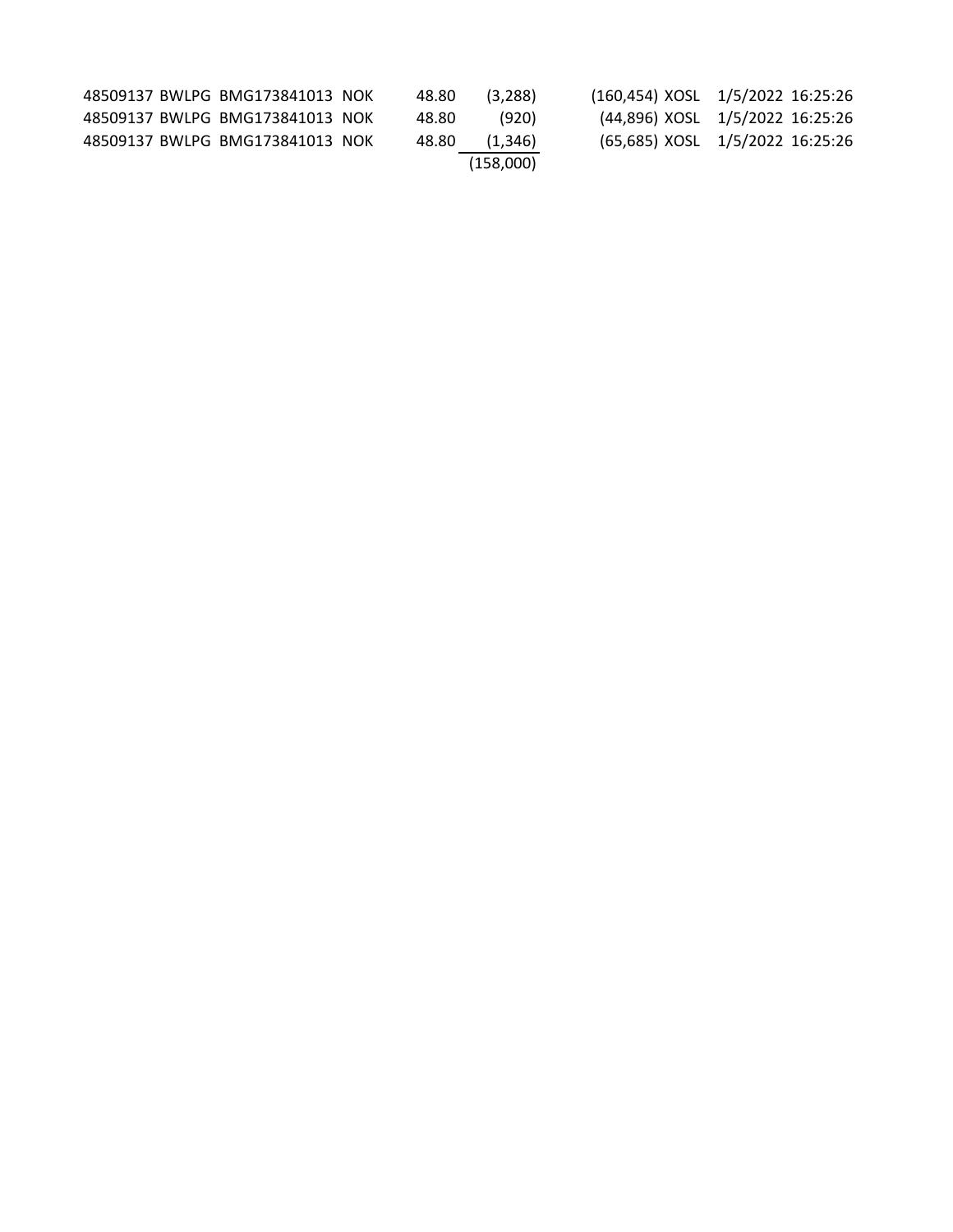|  | 48509137 BWLPG BMG173841013 NOK | 48.80 | (3.288)   | (160,454) XOSL 1/5/2022 16:25:26 |  |
|--|---------------------------------|-------|-----------|----------------------------------|--|
|  | 48509137 BWLPG BMG173841013 NOK | 48.80 | (920)     | (44,896) XOSL 1/5/2022 16:25:26  |  |
|  | 48509137 BWLPG BMG173841013 NOK | 48.80 | (1,346)   | (65,685) XOSL 1/5/2022 16:25:26  |  |
|  |                                 |       | (158.000) |                                  |  |
|  |                                 |       |           |                                  |  |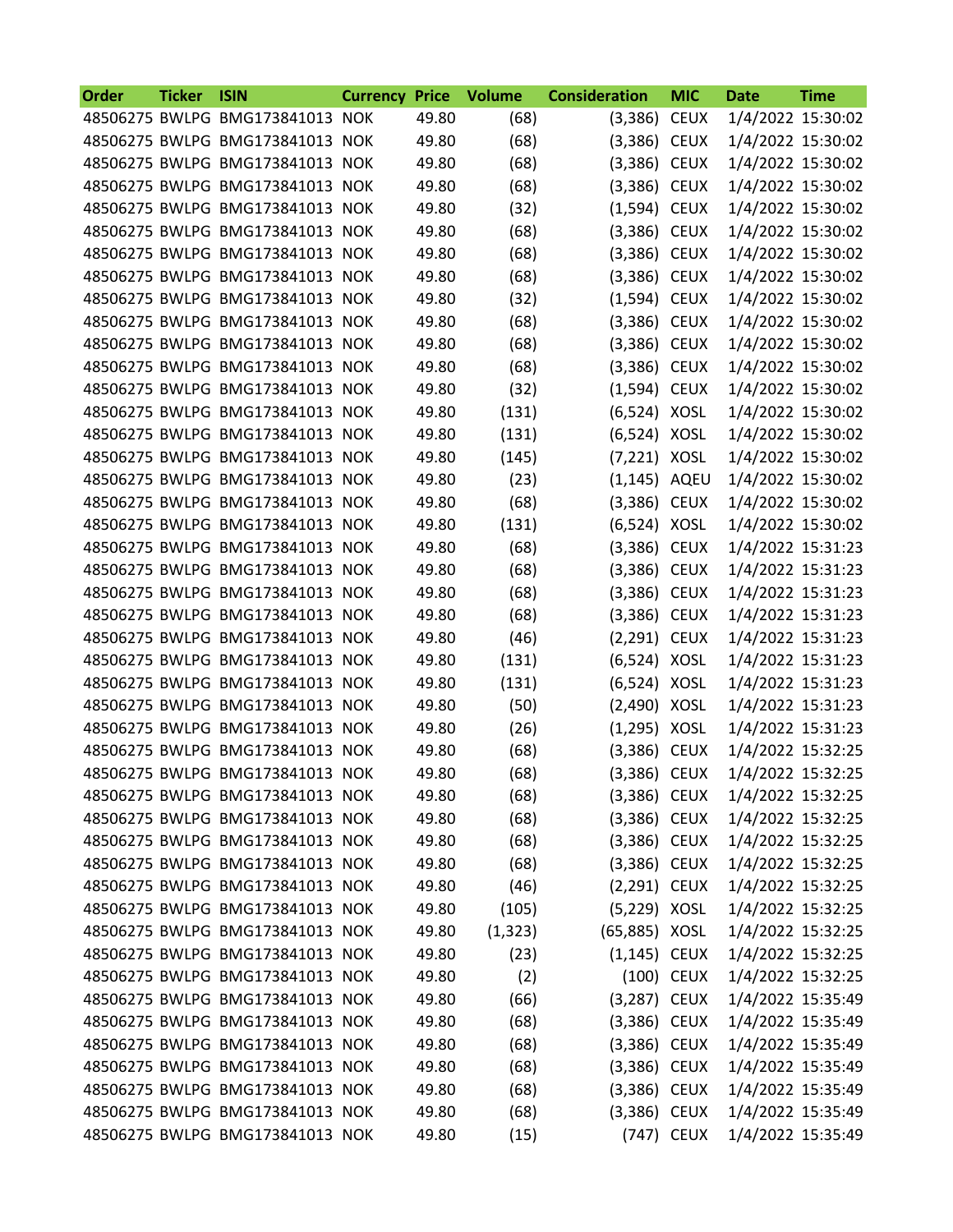| Order | <b>Ticker</b> | <b>ISIN</b>                     | <b>Currency Price</b> |       | <b>Volume</b> | <b>Consideration</b> | <b>MIC</b>  | <b>Date</b>       | <b>Time</b> |
|-------|---------------|---------------------------------|-----------------------|-------|---------------|----------------------|-------------|-------------------|-------------|
|       |               | 48506275 BWLPG BMG173841013 NOK |                       | 49.80 | (68)          | (3,386)              | <b>CEUX</b> | 1/4/2022 15:30:02 |             |
|       |               | 48506275 BWLPG BMG173841013 NOK |                       | 49.80 | (68)          | (3,386) CEUX         |             | 1/4/2022 15:30:02 |             |
|       |               | 48506275 BWLPG BMG173841013 NOK |                       | 49.80 | (68)          | (3,386)              | <b>CEUX</b> | 1/4/2022 15:30:02 |             |
|       |               | 48506275 BWLPG BMG173841013 NOK |                       | 49.80 | (68)          | (3,386) CEUX         |             | 1/4/2022 15:30:02 |             |
|       |               | 48506275 BWLPG BMG173841013 NOK |                       | 49.80 | (32)          | (1,594) CEUX         |             | 1/4/2022 15:30:02 |             |
|       |               | 48506275 BWLPG BMG173841013 NOK |                       | 49.80 | (68)          | (3,386) CEUX         |             | 1/4/2022 15:30:02 |             |
|       |               | 48506275 BWLPG BMG173841013 NOK |                       | 49.80 | (68)          | (3,386) CEUX         |             | 1/4/2022 15:30:02 |             |
|       |               | 48506275 BWLPG BMG173841013 NOK |                       | 49.80 | (68)          | (3,386) CEUX         |             | 1/4/2022 15:30:02 |             |
|       |               | 48506275 BWLPG BMG173841013 NOK |                       | 49.80 | (32)          | (1,594) CEUX         |             | 1/4/2022 15:30:02 |             |
|       |               | 48506275 BWLPG BMG173841013 NOK |                       | 49.80 | (68)          | (3,386) CEUX         |             | 1/4/2022 15:30:02 |             |
|       |               | 48506275 BWLPG BMG173841013 NOK |                       | 49.80 | (68)          | (3,386) CEUX         |             | 1/4/2022 15:30:02 |             |
|       |               | 48506275 BWLPG BMG173841013 NOK |                       | 49.80 | (68)          | (3,386) CEUX         |             | 1/4/2022 15:30:02 |             |
|       |               | 48506275 BWLPG BMG173841013 NOK |                       | 49.80 | (32)          | (1,594) CEUX         |             | 1/4/2022 15:30:02 |             |
|       |               | 48506275 BWLPG BMG173841013 NOK |                       | 49.80 | (131)         | (6,524) XOSL         |             | 1/4/2022 15:30:02 |             |
|       |               | 48506275 BWLPG BMG173841013 NOK |                       | 49.80 | (131)         | (6,524) XOSL         |             | 1/4/2022 15:30:02 |             |
|       |               | 48506275 BWLPG BMG173841013 NOK |                       | 49.80 | (145)         | (7,221) XOSL         |             | 1/4/2022 15:30:02 |             |
|       |               | 48506275 BWLPG BMG173841013 NOK |                       | 49.80 | (23)          | (1,145) AQEU         |             | 1/4/2022 15:30:02 |             |
|       |               | 48506275 BWLPG BMG173841013 NOK |                       | 49.80 | (68)          | (3,386) CEUX         |             | 1/4/2022 15:30:02 |             |
|       |               | 48506275 BWLPG BMG173841013 NOK |                       | 49.80 | (131)         | (6,524) XOSL         |             | 1/4/2022 15:30:02 |             |
|       |               | 48506275 BWLPG BMG173841013 NOK |                       | 49.80 | (68)          | (3,386) CEUX         |             | 1/4/2022 15:31:23 |             |
|       |               | 48506275 BWLPG BMG173841013 NOK |                       | 49.80 | (68)          | (3,386) CEUX         |             | 1/4/2022 15:31:23 |             |
|       |               | 48506275 BWLPG BMG173841013 NOK |                       | 49.80 | (68)          | (3,386)              | <b>CEUX</b> | 1/4/2022 15:31:23 |             |
|       |               | 48506275 BWLPG BMG173841013 NOK |                       | 49.80 | (68)          | (3,386) CEUX         |             | 1/4/2022 15:31:23 |             |
|       |               | 48506275 BWLPG BMG173841013 NOK |                       | 49.80 | (46)          | (2,291) CEUX         |             | 1/4/2022 15:31:23 |             |
|       |               | 48506275 BWLPG BMG173841013 NOK |                       | 49.80 | (131)         | (6,524) XOSL         |             | 1/4/2022 15:31:23 |             |
|       |               | 48506275 BWLPG BMG173841013 NOK |                       | 49.80 | (131)         | (6,524) XOSL         |             | 1/4/2022 15:31:23 |             |
|       |               | 48506275 BWLPG BMG173841013 NOK |                       | 49.80 | (50)          | (2,490) XOSL         |             | 1/4/2022 15:31:23 |             |
|       |               | 48506275 BWLPG BMG173841013 NOK |                       | 49.80 | (26)          | $(1,295)$ XOSL       |             | 1/4/2022 15:31:23 |             |
|       |               | 48506275 BWLPG BMG173841013 NOK |                       | 49.80 | (68)          | (3,386) CEUX         |             | 1/4/2022 15:32:25 |             |
|       |               | 48506275 BWLPG BMG173841013 NOK |                       | 49.80 | (68)          | (3,386) CEUX         |             | 1/4/2022 15:32:25 |             |
|       |               | 48506275 BWLPG BMG173841013 NOK |                       | 49.80 | (68)          | $(3,386)$ CEUX       |             | 1/4/2022 15:32:25 |             |
|       |               | 48506275 BWLPG BMG173841013 NOK |                       | 49.80 | (68)          | $(3,386)$ CEUX       |             | 1/4/2022 15:32:25 |             |
|       |               | 48506275 BWLPG BMG173841013 NOK |                       | 49.80 | (68)          | $(3,386)$ CEUX       |             | 1/4/2022 15:32:25 |             |
|       |               | 48506275 BWLPG BMG173841013 NOK |                       | 49.80 | (68)          | (3,386) CEUX         |             | 1/4/2022 15:32:25 |             |
|       |               | 48506275 BWLPG BMG173841013 NOK |                       | 49.80 | (46)          | $(2,291)$ CEUX       |             | 1/4/2022 15:32:25 |             |
|       |               | 48506275 BWLPG BMG173841013 NOK |                       | 49.80 | (105)         | (5,229) XOSL         |             | 1/4/2022 15:32:25 |             |
|       |               | 48506275 BWLPG BMG173841013 NOK |                       | 49.80 | (1, 323)      | (65,885) XOSL        |             | 1/4/2022 15:32:25 |             |
|       |               | 48506275 BWLPG BMG173841013 NOK |                       | 49.80 | (23)          | $(1,145)$ CEUX       |             | 1/4/2022 15:32:25 |             |
|       |               | 48506275 BWLPG BMG173841013 NOK |                       | 49.80 | (2)           |                      | (100) CEUX  | 1/4/2022 15:32:25 |             |
|       |               | 48506275 BWLPG BMG173841013 NOK |                       | 49.80 | (66)          | $(3,287)$ CEUX       |             | 1/4/2022 15:35:49 |             |
|       |               | 48506275 BWLPG BMG173841013 NOK |                       | 49.80 | (68)          | (3,386) CEUX         |             | 1/4/2022 15:35:49 |             |
|       |               | 48506275 BWLPG BMG173841013 NOK |                       | 49.80 | (68)          | $(3,386)$ CEUX       |             | 1/4/2022 15:35:49 |             |
|       |               | 48506275 BWLPG BMG173841013 NOK |                       | 49.80 | (68)          | $(3,386)$ CEUX       |             | 1/4/2022 15:35:49 |             |
|       |               | 48506275 BWLPG BMG173841013 NOK |                       | 49.80 | (68)          | (3,386) CEUX         |             | 1/4/2022 15:35:49 |             |
|       |               | 48506275 BWLPG BMG173841013 NOK |                       | 49.80 | (68)          | $(3,386)$ CEUX       |             | 1/4/2022 15:35:49 |             |
|       |               | 48506275 BWLPG BMG173841013 NOK |                       | 49.80 | (15)          |                      | (747) CEUX  | 1/4/2022 15:35:49 |             |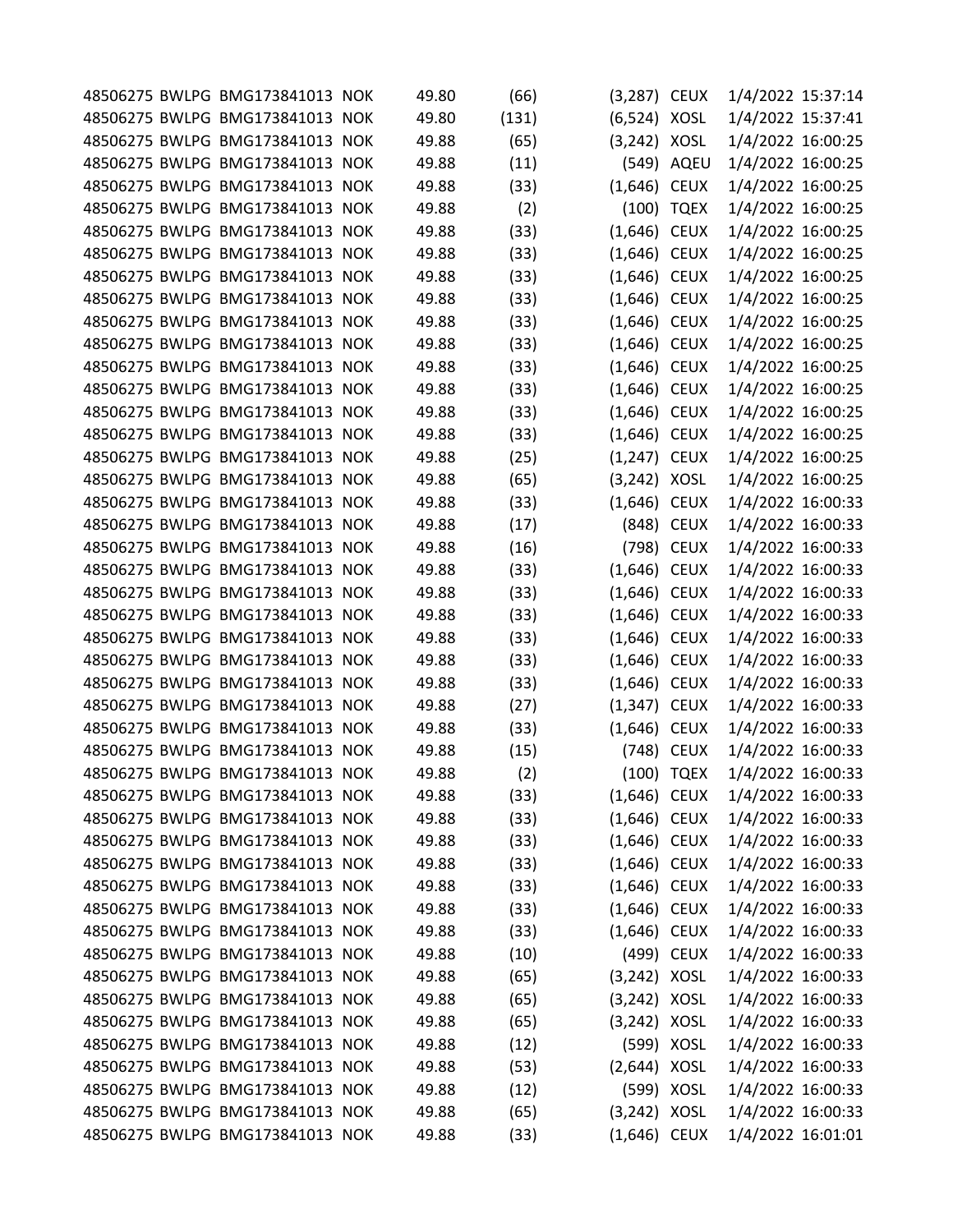|  | 48506275 BWLPG BMG173841013 NOK | 49.80 | (66)  | (3,287) CEUX   |             | 1/4/2022 15:37:14 |  |
|--|---------------------------------|-------|-------|----------------|-------------|-------------------|--|
|  | 48506275 BWLPG BMG173841013 NOK | 49.80 | (131) | (6,524) XOSL   |             | 1/4/2022 15:37:41 |  |
|  | 48506275 BWLPG BMG173841013 NOK | 49.88 | (65)  | $(3,242)$ XOSL |             | 1/4/2022 16:00:25 |  |
|  | 48506275 BWLPG BMG173841013 NOK | 49.88 | (11)  |                | (549) AQEU  | 1/4/2022 16:00:25 |  |
|  | 48506275 BWLPG BMG173841013 NOK | 49.88 | (33)  | $(1,646)$ CEUX |             | 1/4/2022 16:00:25 |  |
|  | 48506275 BWLPG BMG173841013 NOK | 49.88 | (2)   |                | (100) TQEX  | 1/4/2022 16:00:25 |  |
|  | 48506275 BWLPG BMG173841013 NOK | 49.88 | (33)  | $(1,646)$ CEUX |             | 1/4/2022 16:00:25 |  |
|  | 48506275 BWLPG BMG173841013 NOK | 49.88 | (33)  | $(1,646)$ CEUX |             | 1/4/2022 16:00:25 |  |
|  | 48506275 BWLPG BMG173841013 NOK | 49.88 | (33)  | $(1,646)$ CEUX |             | 1/4/2022 16:00:25 |  |
|  | 48506275 BWLPG BMG173841013 NOK | 49.88 | (33)  | $(1,646)$ CEUX |             | 1/4/2022 16:00:25 |  |
|  | 48506275 BWLPG BMG173841013 NOK | 49.88 | (33)  | $(1,646)$ CEUX |             | 1/4/2022 16:00:25 |  |
|  | 48506275 BWLPG BMG173841013 NOK | 49.88 | (33)  | $(1,646)$ CEUX |             | 1/4/2022 16:00:25 |  |
|  | 48506275 BWLPG BMG173841013 NOK | 49.88 | (33)  | $(1,646)$ CEUX |             | 1/4/2022 16:00:25 |  |
|  | 48506275 BWLPG BMG173841013 NOK | 49.88 | (33)  | $(1,646)$ CEUX |             | 1/4/2022 16:00:25 |  |
|  | 48506275 BWLPG BMG173841013 NOK | 49.88 | (33)  | $(1,646)$ CEUX |             | 1/4/2022 16:00:25 |  |
|  | 48506275 BWLPG BMG173841013 NOK | 49.88 | (33)  | (1,646) CEUX   |             | 1/4/2022 16:00:25 |  |
|  | 48506275 BWLPG BMG173841013 NOK | 49.88 | (25)  | (1,247) CEUX   |             | 1/4/2022 16:00:25 |  |
|  | 48506275 BWLPG BMG173841013 NOK | 49.88 | (65)  | (3,242) XOSL   |             | 1/4/2022 16:00:25 |  |
|  | 48506275 BWLPG BMG173841013 NOK | 49.88 | (33)  | $(1,646)$ CEUX |             | 1/4/2022 16:00:33 |  |
|  | 48506275 BWLPG BMG173841013 NOK | 49.88 | (17)  |                | (848) CEUX  | 1/4/2022 16:00:33 |  |
|  | 48506275 BWLPG BMG173841013 NOK | 49.88 | (16)  |                | (798) CEUX  | 1/4/2022 16:00:33 |  |
|  | 48506275 BWLPG BMG173841013 NOK | 49.88 | (33)  | $(1,646)$ CEUX |             | 1/4/2022 16:00:33 |  |
|  | 48506275 BWLPG BMG173841013 NOK | 49.88 | (33)  | $(1,646)$ CEUX |             | 1/4/2022 16:00:33 |  |
|  | 48506275 BWLPG BMG173841013 NOK | 49.88 | (33)  | $(1,646)$ CEUX |             | 1/4/2022 16:00:33 |  |
|  | 48506275 BWLPG BMG173841013 NOK | 49.88 | (33)  | $(1,646)$ CEUX |             | 1/4/2022 16:00:33 |  |
|  | 48506275 BWLPG BMG173841013 NOK | 49.88 | (33)  | $(1,646)$ CEUX |             | 1/4/2022 16:00:33 |  |
|  | 48506275 BWLPG BMG173841013 NOK | 49.88 | (33)  | $(1,646)$ CEUX |             | 1/4/2022 16:00:33 |  |
|  | 48506275 BWLPG BMG173841013 NOK | 49.88 | (27)  | $(1,347)$ CEUX |             | 1/4/2022 16:00:33 |  |
|  | 48506275 BWLPG BMG173841013 NOK | 49.88 | (33)  | $(1,646)$ CEUX |             | 1/4/2022 16:00:33 |  |
|  | 48506275 BWLPG BMG173841013 NOK | 49.88 | (15)  | (748)          | <b>CEUX</b> | 1/4/2022 16:00:33 |  |
|  | 48506275 BWLPG BMG173841013 NOK | 49.88 | (2)   |                | (100) TQEX  | 1/4/2022 16:00:33 |  |
|  | 48506275 BWLPG BMG173841013 NOK | 49.88 | (33)  | $(1,646)$ CEUX |             | 1/4/2022 16:00:33 |  |
|  | 48506275 BWLPG BMG173841013 NOK | 49.88 | (33)  | $(1,646)$ CEUX |             | 1/4/2022 16:00:33 |  |
|  | 48506275 BWLPG BMG173841013 NOK | 49.88 | (33)  | $(1,646)$ CEUX |             | 1/4/2022 16:00:33 |  |
|  | 48506275 BWLPG BMG173841013 NOK | 49.88 | (33)  | $(1,646)$ CEUX |             | 1/4/2022 16:00:33 |  |
|  | 48506275 BWLPG BMG173841013 NOK | 49.88 | (33)  | $(1,646)$ CEUX |             | 1/4/2022 16:00:33 |  |
|  | 48506275 BWLPG BMG173841013 NOK | 49.88 | (33)  | $(1,646)$ CEUX |             | 1/4/2022 16:00:33 |  |
|  | 48506275 BWLPG BMG173841013 NOK | 49.88 | (33)  | $(1,646)$ CEUX |             | 1/4/2022 16:00:33 |  |
|  | 48506275 BWLPG BMG173841013 NOK | 49.88 | (10)  |                | (499) CEUX  | 1/4/2022 16:00:33 |  |
|  | 48506275 BWLPG BMG173841013 NOK | 49.88 | (65)  | $(3,242)$ XOSL |             | 1/4/2022 16:00:33 |  |
|  | 48506275 BWLPG BMG173841013 NOK | 49.88 | (65)  | $(3,242)$ XOSL |             | 1/4/2022 16:00:33 |  |
|  | 48506275 BWLPG BMG173841013 NOK | 49.88 | (65)  | $(3,242)$ XOSL |             | 1/4/2022 16:00:33 |  |
|  | 48506275 BWLPG BMG173841013 NOK | 49.88 | (12)  |                | (599) XOSL  | 1/4/2022 16:00:33 |  |
|  | 48506275 BWLPG BMG173841013 NOK | 49.88 | (53)  | $(2,644)$ XOSL |             | 1/4/2022 16:00:33 |  |
|  | 48506275 BWLPG BMG173841013 NOK | 49.88 | (12)  |                | (599) XOSL  | 1/4/2022 16:00:33 |  |
|  | 48506275 BWLPG BMG173841013 NOK | 49.88 | (65)  | $(3,242)$ XOSL |             | 1/4/2022 16:00:33 |  |
|  | 48506275 BWLPG BMG173841013 NOK | 49.88 | (33)  | $(1,646)$ CEUX |             | 1/4/2022 16:01:01 |  |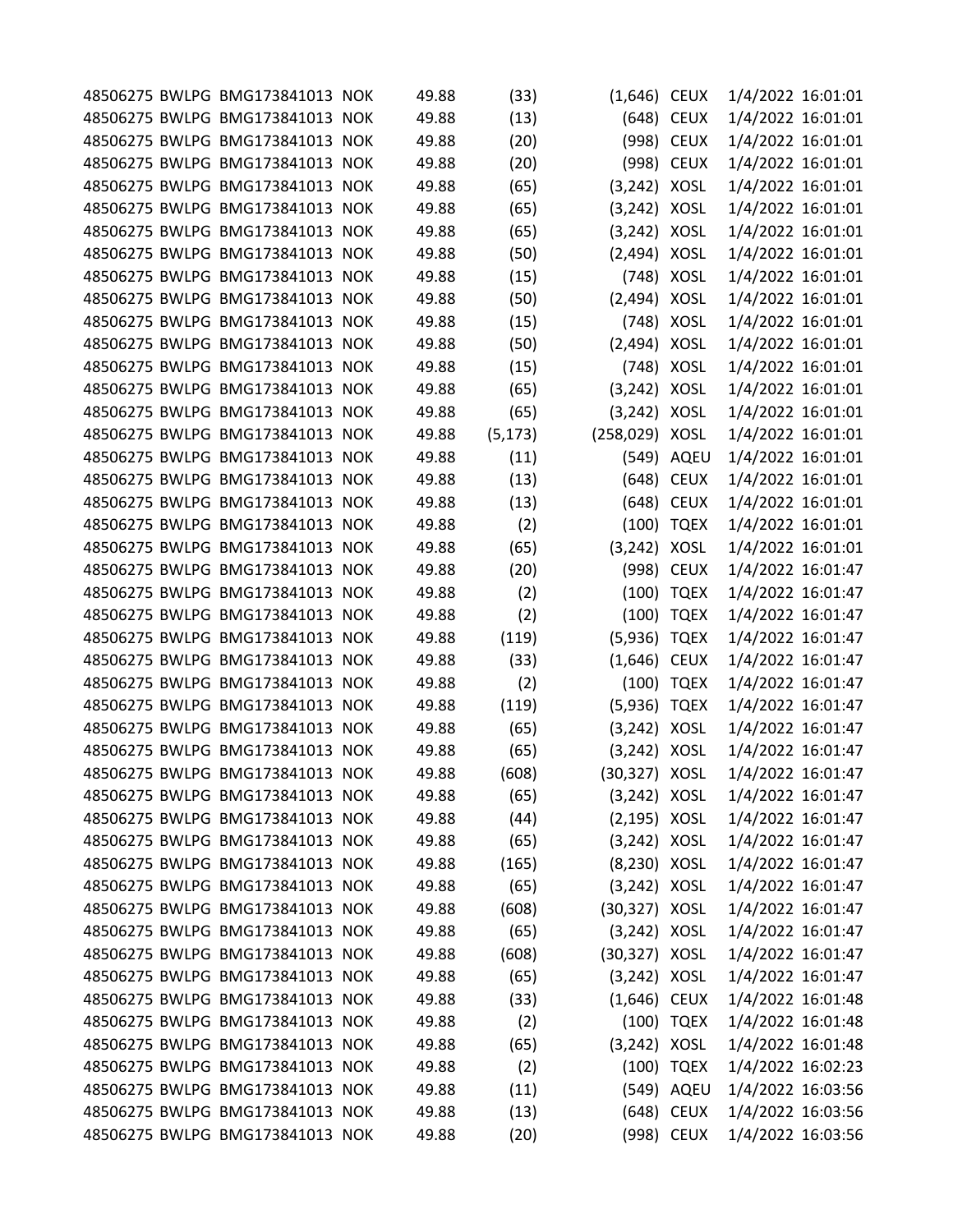|  | 48506275 BWLPG BMG173841013 NOK | 49.88 | (33)     | $(1,646)$ CEUX  |             | 1/4/2022 16:01:01 |  |
|--|---------------------------------|-------|----------|-----------------|-------------|-------------------|--|
|  | 48506275 BWLPG BMG173841013 NOK | 49.88 | (13)     | (648)           | <b>CEUX</b> | 1/4/2022 16:01:01 |  |
|  | 48506275 BWLPG BMG173841013 NOK | 49.88 | (20)     | (998)           | <b>CEUX</b> | 1/4/2022 16:01:01 |  |
|  | 48506275 BWLPG BMG173841013 NOK | 49.88 | (20)     | (998)           | <b>CEUX</b> | 1/4/2022 16:01:01 |  |
|  | 48506275 BWLPG BMG173841013 NOK | 49.88 | (65)     | (3, 242)        | <b>XOSL</b> | 1/4/2022 16:01:01 |  |
|  | 48506275 BWLPG BMG173841013 NOK | 49.88 | (65)     | $(3,242)$ XOSL  |             | 1/4/2022 16:01:01 |  |
|  | 48506275 BWLPG BMG173841013 NOK | 49.88 | (65)     | (3, 242)        | <b>XOSL</b> | 1/4/2022 16:01:01 |  |
|  | 48506275 BWLPG BMG173841013 NOK | 49.88 | (50)     | (2, 494)        | <b>XOSL</b> | 1/4/2022 16:01:01 |  |
|  | 48506275 BWLPG BMG173841013 NOK | 49.88 | (15)     | (748)           | <b>XOSL</b> | 1/4/2022 16:01:01 |  |
|  | 48506275 BWLPG BMG173841013 NOK | 49.88 | (50)     | (2, 494)        | <b>XOSL</b> | 1/4/2022 16:01:01 |  |
|  | 48506275 BWLPG BMG173841013 NOK | 49.88 | (15)     | (748)           | <b>XOSL</b> | 1/4/2022 16:01:01 |  |
|  | 48506275 BWLPG BMG173841013 NOK | 49.88 | (50)     | (2, 494)        | <b>XOSL</b> | 1/4/2022 16:01:01 |  |
|  | 48506275 BWLPG BMG173841013 NOK | 49.88 | (15)     | (748)           | <b>XOSL</b> | 1/4/2022 16:01:01 |  |
|  | 48506275 BWLPG BMG173841013 NOK | 49.88 | (65)     | (3, 242)        | <b>XOSL</b> | 1/4/2022 16:01:01 |  |
|  | 48506275 BWLPG BMG173841013 NOK | 49.88 | (65)     | (3,242)         | <b>XOSL</b> | 1/4/2022 16:01:01 |  |
|  | 48506275 BWLPG BMG173841013 NOK | 49.88 | (5, 173) | (258,029) XOSL  |             | 1/4/2022 16:01:01 |  |
|  | 48506275 BWLPG BMG173841013 NOK | 49.88 | (11)     | (549)           | AQEU        | 1/4/2022 16:01:01 |  |
|  | 48506275 BWLPG BMG173841013 NOK | 49.88 | (13)     | (648)           | <b>CEUX</b> | 1/4/2022 16:01:01 |  |
|  | 48506275 BWLPG BMG173841013 NOK | 49.88 | (13)     | (648)           | <b>CEUX</b> | 1/4/2022 16:01:01 |  |
|  | 48506275 BWLPG BMG173841013 NOK | 49.88 | (2)      | (100)           | <b>TQEX</b> | 1/4/2022 16:01:01 |  |
|  | 48506275 BWLPG BMG173841013 NOK | 49.88 | (65)     | (3, 242)        | <b>XOSL</b> | 1/4/2022 16:01:01 |  |
|  | 48506275 BWLPG BMG173841013 NOK | 49.88 | (20)     | (998)           | <b>CEUX</b> | 1/4/2022 16:01:47 |  |
|  | 48506275 BWLPG BMG173841013 NOK | 49.88 | (2)      | (100)           | <b>TQEX</b> | 1/4/2022 16:01:47 |  |
|  | 48506275 BWLPG BMG173841013 NOK | 49.88 | (2)      | (100)           | <b>TQEX</b> | 1/4/2022 16:01:47 |  |
|  | 48506275 BWLPG BMG173841013 NOK | 49.88 | (119)    | (5,936)         | <b>TQEX</b> | 1/4/2022 16:01:47 |  |
|  | 48506275 BWLPG BMG173841013 NOK | 49.88 | (33)     | (1,646)         | <b>CEUX</b> | 1/4/2022 16:01:47 |  |
|  | 48506275 BWLPG BMG173841013 NOK | 49.88 | (2)      | (100)           | <b>TQEX</b> | 1/4/2022 16:01:47 |  |
|  | 48506275 BWLPG BMG173841013 NOK | 49.88 | (119)    | (5,936)         | <b>TQEX</b> | 1/4/2022 16:01:47 |  |
|  | 48506275 BWLPG BMG173841013 NOK | 49.88 | (65)     | (3, 242)        | XOSL        | 1/4/2022 16:01:47 |  |
|  | 48506275 BWLPG BMG173841013 NOK | 49.88 | (65)     | (3, 242)        | XOSL        | 1/4/2022 16:01:47 |  |
|  | 48506275 BWLPG BMG173841013 NOK | 49.88 | (608)    | (30, 327)       | <b>XOSL</b> | 1/4/2022 16:01:47 |  |
|  | 48506275 BWLPG BMG173841013 NOK | 49.88 | (65)     | $(3,242)$ XOSL  |             | 1/4/2022 16:01:47 |  |
|  | 48506275 BWLPG BMG173841013 NOK | 49.88 | (44)     | $(2, 195)$ XOSL |             | 1/4/2022 16:01:47 |  |
|  | 48506275 BWLPG BMG173841013 NOK | 49.88 | (65)     | $(3,242)$ XOSL  |             | 1/4/2022 16:01:47 |  |
|  | 48506275 BWLPG BMG173841013 NOK | 49.88 | (165)    | (8,230) XOSL    |             | 1/4/2022 16:01:47 |  |
|  | 48506275 BWLPG BMG173841013 NOK | 49.88 | (65)     | $(3,242)$ XOSL  |             | 1/4/2022 16:01:47 |  |
|  | 48506275 BWLPG BMG173841013 NOK | 49.88 | (608)    | (30,327) XOSL   |             | 1/4/2022 16:01:47 |  |
|  | 48506275 BWLPG BMG173841013 NOK | 49.88 | (65)     | $(3,242)$ XOSL  |             | 1/4/2022 16:01:47 |  |
|  | 48506275 BWLPG BMG173841013 NOK | 49.88 | (608)    | (30,327) XOSL   |             | 1/4/2022 16:01:47 |  |
|  | 48506275 BWLPG BMG173841013 NOK | 49.88 | (65)     | $(3,242)$ XOSL  |             | 1/4/2022 16:01:47 |  |
|  | 48506275 BWLPG BMG173841013 NOK | 49.88 | (33)     | $(1,646)$ CEUX  |             | 1/4/2022 16:01:48 |  |
|  | 48506275 BWLPG BMG173841013 NOK | 49.88 | (2)      |                 | (100) TQEX  | 1/4/2022 16:01:48 |  |
|  | 48506275 BWLPG BMG173841013 NOK | 49.88 | (65)     | (3,242) XOSL    |             | 1/4/2022 16:01:48 |  |
|  | 48506275 BWLPG BMG173841013 NOK | 49.88 | (2)      |                 | (100) TQEX  | 1/4/2022 16:02:23 |  |
|  | 48506275 BWLPG BMG173841013 NOK | 49.88 | (11)     |                 | (549) AQEU  | 1/4/2022 16:03:56 |  |
|  | 48506275 BWLPG BMG173841013 NOK | 49.88 | (13)     |                 | (648) CEUX  | 1/4/2022 16:03:56 |  |
|  | 48506275 BWLPG BMG173841013 NOK | 49.88 | (20)     |                 | (998) CEUX  | 1/4/2022 16:03:56 |  |
|  |                                 |       |          |                 |             |                   |  |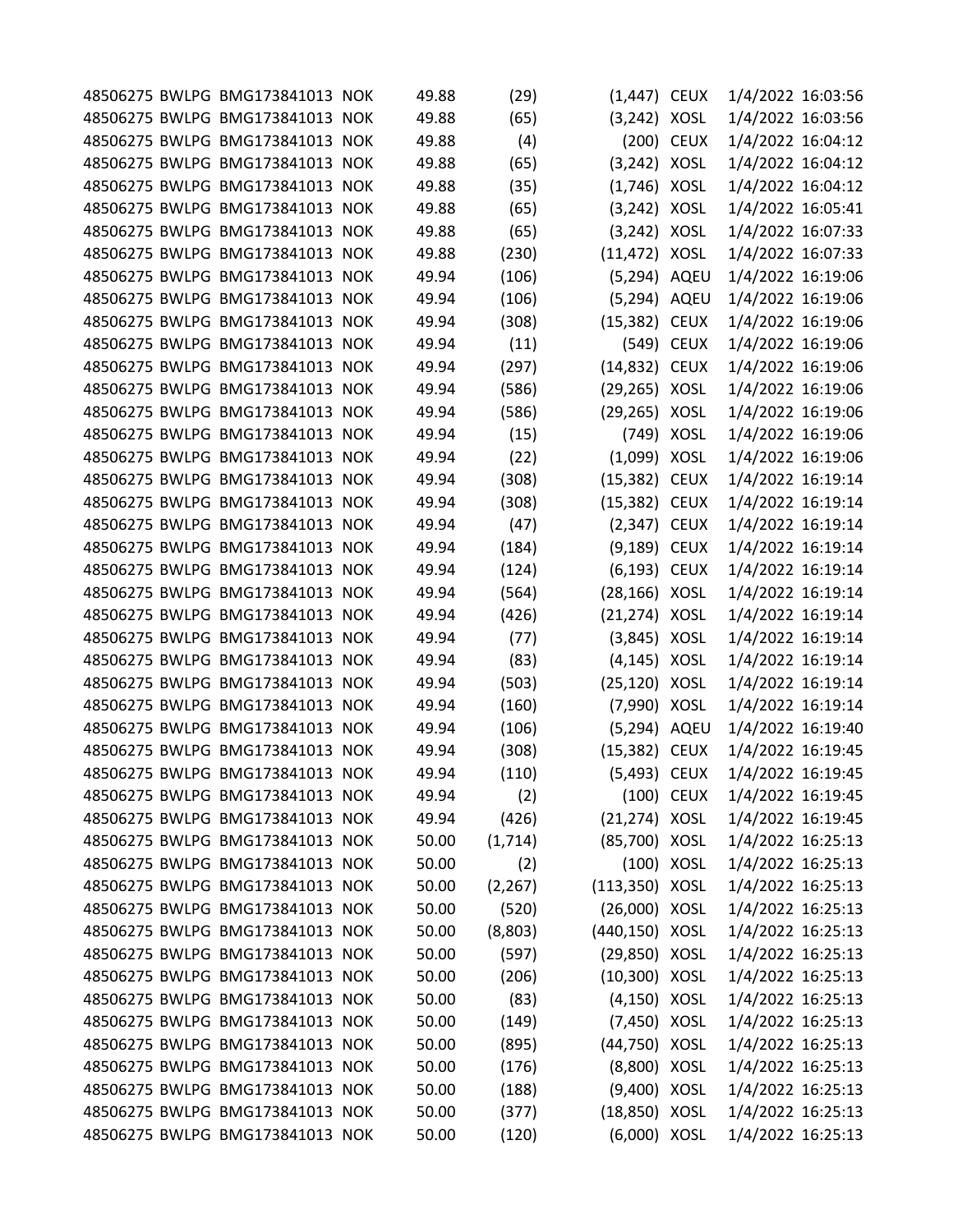|  | 48506275 BWLPG BMG173841013 NOK | 49.88 | (29)     | $(1,447)$ CEUX   |             | 1/4/2022 16:03:56 |  |
|--|---------------------------------|-------|----------|------------------|-------------|-------------------|--|
|  | 48506275 BWLPG BMG173841013 NOK | 49.88 | (65)     | (3,242)          | <b>XOSL</b> | 1/4/2022 16:03:56 |  |
|  | 48506275 BWLPG BMG173841013 NOK | 49.88 | (4)      | (200)            | <b>CEUX</b> | 1/4/2022 16:04:12 |  |
|  | 48506275 BWLPG BMG173841013 NOK | 49.88 | (65)     | (3,242)          | <b>XOSL</b> | 1/4/2022 16:04:12 |  |
|  | 48506275 BWLPG BMG173841013 NOK | 49.88 | (35)     | $(1,746)$ XOSL   |             | 1/4/2022 16:04:12 |  |
|  | 48506275 BWLPG BMG173841013 NOK | 49.88 | (65)     | $(3,242)$ XOSL   |             | 1/4/2022 16:05:41 |  |
|  | 48506275 BWLPG BMG173841013 NOK | 49.88 | (65)     | (3, 242)         | <b>XOSL</b> | 1/4/2022 16:07:33 |  |
|  | 48506275 BWLPG BMG173841013 NOK | 49.88 | (230)    | (11, 472)        | <b>XOSL</b> | 1/4/2022 16:07:33 |  |
|  | 48506275 BWLPG BMG173841013 NOK | 49.94 | (106)    | (5,294) AQEU     |             | 1/4/2022 16:19:06 |  |
|  | 48506275 BWLPG BMG173841013 NOK | 49.94 | (106)    | (5,294) AQEU     |             | 1/4/2022 16:19:06 |  |
|  | 48506275 BWLPG BMG173841013 NOK | 49.94 | (308)    | (15, 382)        | <b>CEUX</b> | 1/4/2022 16:19:06 |  |
|  | 48506275 BWLPG BMG173841013 NOK | 49.94 | (11)     | (549)            | <b>CEUX</b> | 1/4/2022 16:19:06 |  |
|  | 48506275 BWLPG BMG173841013 NOK | 49.94 | (297)    | (14, 832)        | <b>CEUX</b> | 1/4/2022 16:19:06 |  |
|  | 48506275 BWLPG BMG173841013 NOK | 49.94 | (586)    | (29, 265)        | XOSL        | 1/4/2022 16:19:06 |  |
|  | 48506275 BWLPG BMG173841013 NOK | 49.94 | (586)    | (29,265) XOSL    |             | 1/4/2022 16:19:06 |  |
|  | 48506275 BWLPG BMG173841013 NOK | 49.94 | (15)     |                  | (749) XOSL  | 1/4/2022 16:19:06 |  |
|  | 48506275 BWLPG BMG173841013 NOK | 49.94 | (22)     | $(1,099)$ XOSL   |             | 1/4/2022 16:19:06 |  |
|  | 48506275 BWLPG BMG173841013 NOK | 49.94 | (308)    | (15, 382)        | <b>CEUX</b> | 1/4/2022 16:19:14 |  |
|  | 48506275 BWLPG BMG173841013 NOK | 49.94 | (308)    | (15, 382)        | <b>CEUX</b> | 1/4/2022 16:19:14 |  |
|  | 48506275 BWLPG BMG173841013 NOK | 49.94 | (47)     | (2, 347)         | <b>CEUX</b> | 1/4/2022 16:19:14 |  |
|  | 48506275 BWLPG BMG173841013 NOK | 49.94 | (184)    | (9,189) CEUX     |             | 1/4/2022 16:19:14 |  |
|  | 48506275 BWLPG BMG173841013 NOK | 49.94 | (124)    | (6,193) CEUX     |             | 1/4/2022 16:19:14 |  |
|  | 48506275 BWLPG BMG173841013 NOK | 49.94 | (564)    | (28,166) XOSL    |             | 1/4/2022 16:19:14 |  |
|  | 48506275 BWLPG BMG173841013 NOK | 49.94 | (426)    | (21,274) XOSL    |             | 1/4/2022 16:19:14 |  |
|  | 48506275 BWLPG BMG173841013 NOK | 49.94 | (77)     | $(3,845)$ XOSL   |             | 1/4/2022 16:19:14 |  |
|  | 48506275 BWLPG BMG173841013 NOK | 49.94 | (83)     | (4, 145)         | <b>XOSL</b> | 1/4/2022 16:19:14 |  |
|  | 48506275 BWLPG BMG173841013 NOK | 49.94 | (503)    | (25, 120)        | <b>XOSL</b> | 1/4/2022 16:19:14 |  |
|  | 48506275 BWLPG BMG173841013 NOK | 49.94 | (160)    | (7,990) XOSL     |             | 1/4/2022 16:19:14 |  |
|  | 48506275 BWLPG BMG173841013 NOK | 49.94 | (106)    | (5,294) AQEU     |             | 1/4/2022 16:19:40 |  |
|  | 48506275 BWLPG BMG173841013 NOK | 49.94 | (308)    | (15, 382)        | <b>CEUX</b> | 1/4/2022 16:19:45 |  |
|  | 48506275 BWLPG BMG173841013 NOK | 49.94 | (110)    | (5, 493)         | <b>CEUX</b> | 1/4/2022 16:19:45 |  |
|  | 48506275 BWLPG BMG173841013 NOK | 49.94 | (2)      |                  | (100) CEUX  | 1/4/2022 16:19:45 |  |
|  | 48506275 BWLPG BMG173841013 NOK | 49.94 | (426)    | (21,274) XOSL    |             | 1/4/2022 16:19:45 |  |
|  | 48506275 BWLPG BMG173841013 NOK | 50.00 | (1,714)  | (85,700) XOSL    |             | 1/4/2022 16:25:13 |  |
|  | 48506275 BWLPG BMG173841013 NOK | 50.00 | (2)      |                  | (100) XOSL  | 1/4/2022 16:25:13 |  |
|  | 48506275 BWLPG BMG173841013 NOK | 50.00 | (2, 267) | $(113,350)$ XOSL |             | 1/4/2022 16:25:13 |  |
|  | 48506275 BWLPG BMG173841013 NOK | 50.00 | (520)    | (26,000) XOSL    |             | 1/4/2022 16:25:13 |  |
|  | 48506275 BWLPG BMG173841013 NOK | 50.00 | (8,803)  | (440,150) XOSL   |             | 1/4/2022 16:25:13 |  |
|  | 48506275 BWLPG BMG173841013 NOK | 50.00 | (597)    | (29,850) XOSL    |             | 1/4/2022 16:25:13 |  |
|  | 48506275 BWLPG BMG173841013 NOK | 50.00 | (206)    | (10,300) XOSL    |             | 1/4/2022 16:25:13 |  |
|  | 48506275 BWLPG BMG173841013 NOK | 50.00 | (83)     | $(4, 150)$ XOSL  |             | 1/4/2022 16:25:13 |  |
|  | 48506275 BWLPG BMG173841013 NOK | 50.00 | (149)    | (7,450) XOSL     |             | 1/4/2022 16:25:13 |  |
|  | 48506275 BWLPG BMG173841013 NOK | 50.00 | (895)    | (44,750) XOSL    |             | 1/4/2022 16:25:13 |  |
|  | 48506275 BWLPG BMG173841013 NOK | 50.00 | (176)    | (8,800) XOSL     |             | 1/4/2022 16:25:13 |  |
|  | 48506275 BWLPG BMG173841013 NOK | 50.00 | (188)    | (9,400) XOSL     |             | 1/4/2022 16:25:13 |  |
|  | 48506275 BWLPG BMG173841013 NOK | 50.00 | (377)    | (18,850) XOSL    |             | 1/4/2022 16:25:13 |  |
|  | 48506275 BWLPG BMG173841013 NOK | 50.00 | (120)    | (6,000) XOSL     |             | 1/4/2022 16:25:13 |  |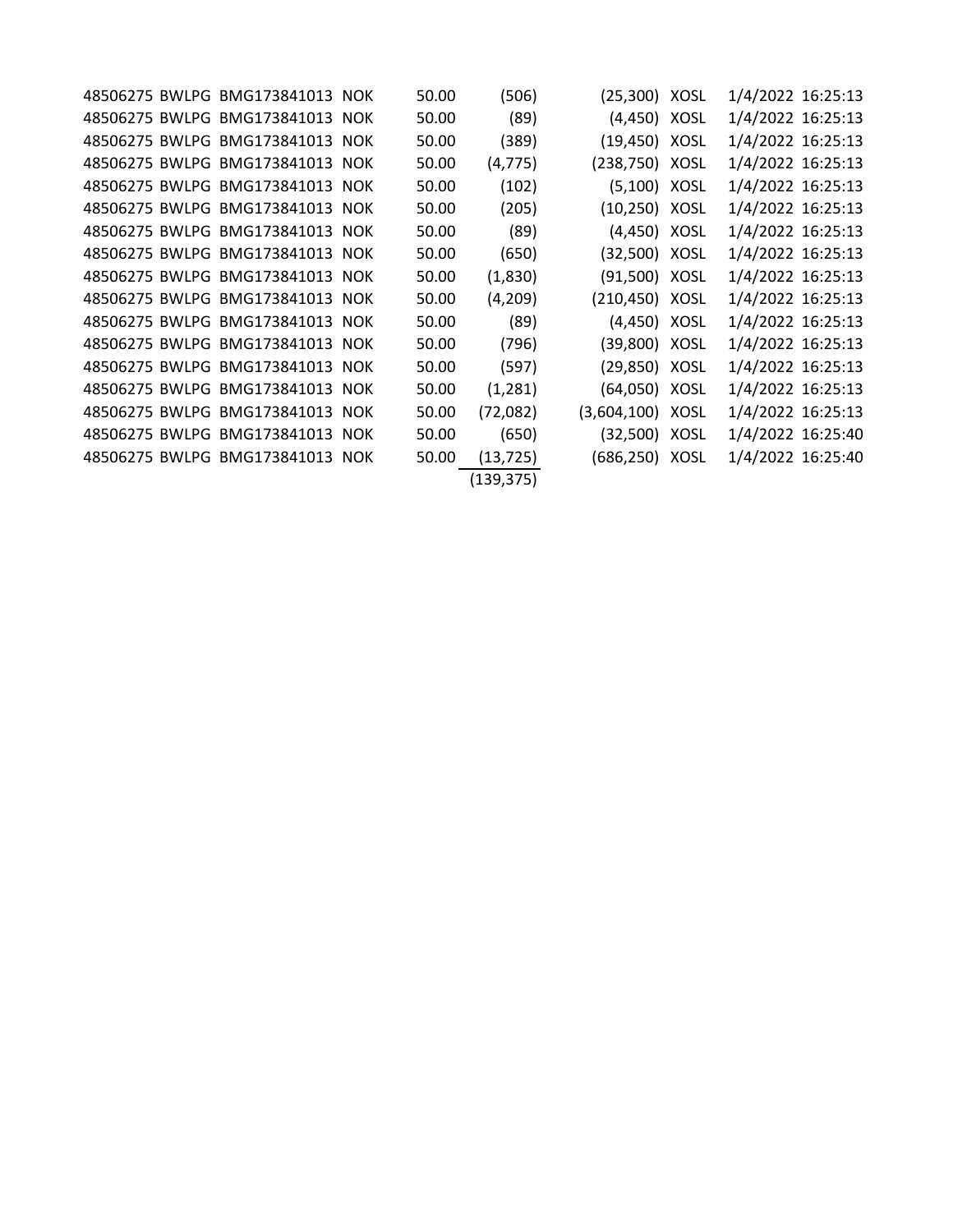|  | 48506275 BWLPG BMG173841013 NOK | 50.00 | (506)      | (25,300) XOSL    | 1/4/2022 16:25:13 |  |
|--|---------------------------------|-------|------------|------------------|-------------------|--|
|  | 48506275 BWLPG BMG173841013 NOK | 50.00 | (89)       | (4,450) XOSL     | 1/4/2022 16:25:13 |  |
|  | 48506275 BWLPG BMG173841013 NOK | 50.00 | (389)      | (19,450) XOSL    | 1/4/2022 16:25:13 |  |
|  | 48506275 BWLPG BMG173841013 NOK | 50.00 | (4, 775)   | (238,750) XOSL   | 1/4/2022 16:25:13 |  |
|  | 48506275 BWLPG BMG173841013 NOK | 50.00 | (102)      | (5,100) XOSL     | 1/4/2022 16:25:13 |  |
|  | 48506275 BWLPG BMG173841013 NOK | 50.00 | (205)      | $(10, 250)$ XOSL | 1/4/2022 16:25:13 |  |
|  | 48506275 BWLPG BMG173841013 NOK | 50.00 | (89)       | (4,450) XOSL     | 1/4/2022 16:25:13 |  |
|  | 48506275 BWLPG BMG173841013 NOK | 50.00 | (650)      | (32,500) XOSL    | 1/4/2022 16:25:13 |  |
|  | 48506275 BWLPG BMG173841013 NOK | 50.00 | (1,830)    | (91,500) XOSL    | 1/4/2022 16:25:13 |  |
|  | 48506275 BWLPG BMG173841013 NOK | 50.00 | (4,209)    | (210,450) XOSL   | 1/4/2022 16:25:13 |  |
|  | 48506275 BWLPG BMG173841013 NOK | 50.00 | (89)       | $(4,450)$ XOSL   | 1/4/2022 16:25:13 |  |
|  | 48506275 BWLPG BMG173841013 NOK | 50.00 | (796)      | (39,800) XOSL    | 1/4/2022 16:25:13 |  |
|  | 48506275 BWLPG BMG173841013 NOK | 50.00 | (597)      | (29,850) XOSL    | 1/4/2022 16:25:13 |  |
|  | 48506275 BWLPG BMG173841013 NOK | 50.00 | (1,281)    | (64,050) XOSL    | 1/4/2022 16:25:13 |  |
|  | 48506275 BWLPG BMG173841013 NOK | 50.00 | (72,082)   | (3,604,100) XOSL | 1/4/2022 16:25:13 |  |
|  | 48506275 BWLPG BMG173841013 NOK | 50.00 | (650)      | (32,500) XOSL    | 1/4/2022 16:25:40 |  |
|  | 48506275 BWLPG BMG173841013 NOK | 50.00 | (13, 725)  | (686,250) XOSL   | 1/4/2022 16:25:40 |  |
|  |                                 |       | (139, 375) |                  |                   |  |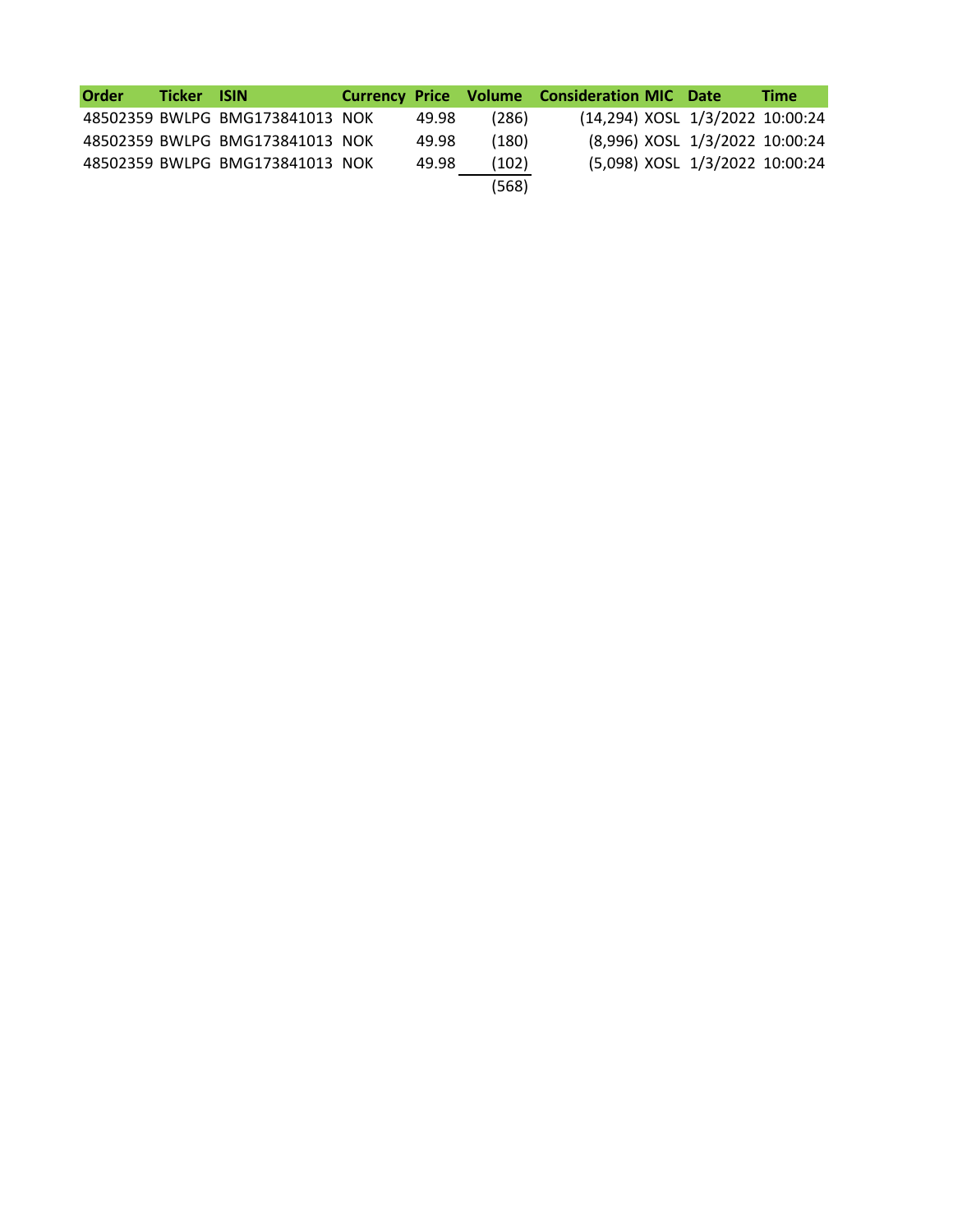| <b>Order</b> | Ticker ISIN |                                 |       |       | <b>Currency Price Volume Consideration MIC Date</b> | <b>Time</b> |
|--------------|-------------|---------------------------------|-------|-------|-----------------------------------------------------|-------------|
|              |             | 48502359 BWLPG BMG173841013 NOK | 49.98 | (286) | (14,294) XOSL 1/3/2022 10:00:24                     |             |
|              |             | 48502359 BWLPG BMG173841013 NOK | 49.98 | (180) | (8,996) XOSL 1/3/2022 10:00:24                      |             |
|              |             | 48502359 BWLPG BMG173841013 NOK | 49.98 | (102) | (5,098) XOSL 1/3/2022 10:00:24                      |             |
|              |             |                                 |       | (568) |                                                     |             |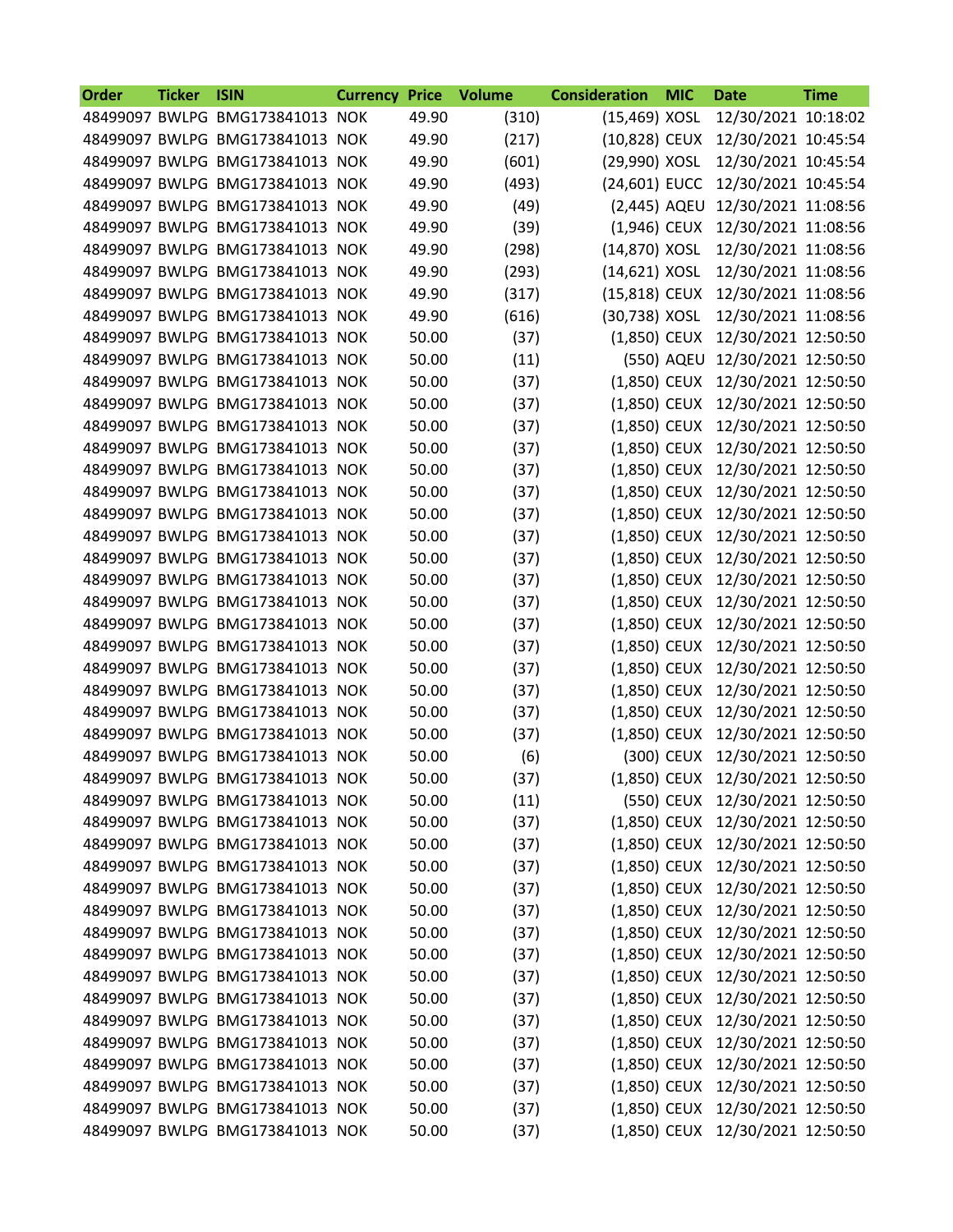| 48499097 BWLPG BMG173841013 NOK<br>49.90<br>(310)<br>(15,469) XOSL<br>12/30/2021 10:18:02<br>49.90<br>(217)<br>(10,828) CEUX<br>12/30/2021 10:45:54<br>48499097 BWLPG BMG173841013 NOK<br>(29,990) XOSL<br>48499097 BWLPG BMG173841013 NOK<br>49.90<br>(601)<br>12/30/2021 10:45:54<br>49.90<br>(24,601) EUCC<br>12/30/2021 10:45:54<br>48499097 BWLPG BMG173841013 NOK<br>(493)<br>49.90<br>(49)<br>48499097 BWLPG BMG173841013 NOK<br>(2,445) AQEU<br>12/30/2021 11:08:56<br>(39)<br>49.90<br>12/30/2021 11:08:56<br>48499097 BWLPG BMG173841013 NOK<br>$(1,946)$ CEUX<br>49.90<br>(298)<br>(14,870) XOSL<br>12/30/2021 11:08:56<br>48499097 BWLPG BMG173841013 NOK<br>49.90<br>(14,621) XOSL<br>12/30/2021 11:08:56<br>48499097 BWLPG BMG173841013 NOK<br>(293)<br>49.90<br>(15,818) CEUX<br>48499097 BWLPG BMG173841013 NOK<br>(317)<br>12/30/2021 11:08:56<br>49.90<br>(616)<br>(30,738) XOSL<br>48499097 BWLPG BMG173841013 NOK<br>12/30/2021 11:08:56<br>50.00<br>(37)<br>12/30/2021 12:50:50<br>48499097 BWLPG BMG173841013 NOK<br>$(1,850)$ CEUX<br>50.00<br>(550) AQEU<br>48499097 BWLPG BMG173841013 NOK<br>(11)<br>12/30/2021 12:50:50<br>48499097 BWLPG BMG173841013 NOK<br>50.00<br>(37)<br>(1,850) CEUX<br>12/30/2021 12:50:50<br>50.00<br>(37)<br>48499097 BWLPG BMG173841013 NOK<br>$(1,850)$ CEUX<br>12/30/2021 12:50:50<br>50.00<br>(37)<br>(1,850) CEUX<br>12/30/2021 12:50:50<br>48499097 BWLPG BMG173841013 NOK<br>50.00<br>(37)<br>12/30/2021 12:50:50<br>48499097 BWLPG BMG173841013 NOK<br>$(1,850)$ CEUX<br>50.00<br>48499097 BWLPG BMG173841013 NOK<br>(37)<br>$(1,850)$ CEUX<br>12/30/2021 12:50:50<br>48499097 BWLPG BMG173841013 NOK<br>50.00<br>(37)<br>(1,850) CEUX<br>12/30/2021 12:50:50<br>50.00<br>(37)<br>48499097 BWLPG BMG173841013 NOK<br>$(1,850)$ CEUX<br>12/30/2021 12:50:50<br>50.00<br>(37)<br>(1,850) CEUX<br>12/30/2021 12:50:50<br>48499097 BWLPG BMG173841013 NOK<br>50.00<br>(37)<br>12/30/2021 12:50:50<br>48499097 BWLPG BMG173841013 NOK<br>$(1,850)$ CEUX<br>50.00<br>48499097 BWLPG BMG173841013 NOK<br>(37)<br>$(1,850)$ CEUX<br>12/30/2021 12:50:50<br>50.00<br>(37)<br>48499097 BWLPG BMG173841013 NOK<br>$(1,850)$ CEUX<br>12/30/2021 12:50:50<br>50.00<br>(37)<br>12/30/2021 12:50:50<br>48499097 BWLPG BMG173841013 NOK<br>$(1,850)$ CEUX<br>50.00<br>(37)<br>(1,850) CEUX<br>12/30/2021 12:50:50<br>48499097 BWLPG BMG173841013 NOK<br>48499097 BWLPG BMG173841013 NOK<br>50.00<br>(37)<br>$(1,850)$ CEUX<br>12/30/2021 12:50:50<br>50.00<br>48499097 BWLPG BMG173841013 NOK<br>(37)<br>$(1,850)$ CEUX<br>12/30/2021 12:50:50<br>48499097 BWLPG BMG173841013 NOK<br>50.00<br>(37)<br>$(1,850)$ CEUX<br>12/30/2021 12:50:50<br>50.00<br>(1,850) CEUX<br>12/30/2021 12:50:50<br>48499097 BWLPG BMG173841013 NOK<br>(37)<br>12/30/2021 12:50:50<br>48499097 BWLPG BMG173841013 NOK<br>50.00<br>(6)<br>(300) CEUX<br>48499097 BWLPG BMG173841013 NOK<br>(1,850) CEUX 12/30/2021 12:50:50<br>50.00<br>(37)<br>48499097 BWLPG BMG173841013 NOK<br>(550) CEUX 12/30/2021 12:50:50<br>50.00<br>(11)<br>(1,850) CEUX 12/30/2021 12:50:50<br>48499097 BWLPG BMG173841013 NOK<br>50.00<br>(37)<br>48499097 BWLPG BMG173841013 NOK<br>(1,850) CEUX 12/30/2021 12:50:50<br>50.00<br>(37)<br>48499097 BWLPG BMG173841013 NOK<br>50.00<br>(37)<br>(1,850) CEUX<br>12/30/2021 12:50:50<br>48499097 BWLPG BMG173841013 NOK<br>12/30/2021 12:50:50<br>50.00<br>(37)<br>(1,850) CEUX<br>48499097 BWLPG BMG173841013 NOK<br>(1,850) CEUX<br>12/30/2021 12:50:50<br>50.00<br>(37)<br>48499097 BWLPG BMG173841013 NOK<br>50.00<br>12/30/2021 12:50:50<br>(37)<br>(1,850) CEUX<br>48499097 BWLPG BMG173841013 NOK<br>12/30/2021 12:50:50<br>50.00<br>(37)<br>$(1,850)$ CEUX<br>12/30/2021 12:50:50<br>48499097 BWLPG BMG173841013 NOK<br>50.00<br>(1,850) CEUX<br>(37)<br>48499097 BWLPG BMG173841013 NOK<br>50.00<br>12/30/2021 12:50:50<br>(37)<br>(1,850) CEUX<br>48499097 BWLPG BMG173841013 NOK<br>50.00<br>(1,850) CEUX<br>12/30/2021 12:50:50<br>(37)<br>48499097 BWLPG BMG173841013 NOK<br>50.00<br>12/30/2021 12:50:50<br>(37)<br>(1,850) CEUX<br>48499097 BWLPG BMG173841013 NOK<br>12/30/2021 12:50:50<br>50.00<br>(37)<br>(1,850) CEUX<br>48499097 BWLPG BMG173841013 NOK<br>(1,850) CEUX<br>12/30/2021 12:50:50<br>50.00<br>(37)<br>(1,850) CEUX 12/30/2021 12:50:50<br>48499097 BWLPG BMG173841013 NOK<br>50.00<br>(37)<br>(1,850) CEUX 12/30/2021 12:50:50<br>48499097 BWLPG BMG173841013 NOK<br>50.00<br>(37) | Order | <b>Ticker</b> | <b>ISIN</b> | <b>Currency</b> | <b>Price</b> | <b>Volume</b> | <b>Consideration</b> | <b>MIC</b> | <b>Date</b> | <b>Time</b> |
|----------------------------------------------------------------------------------------------------------------------------------------------------------------------------------------------------------------------------------------------------------------------------------------------------------------------------------------------------------------------------------------------------------------------------------------------------------------------------------------------------------------------------------------------------------------------------------------------------------------------------------------------------------------------------------------------------------------------------------------------------------------------------------------------------------------------------------------------------------------------------------------------------------------------------------------------------------------------------------------------------------------------------------------------------------------------------------------------------------------------------------------------------------------------------------------------------------------------------------------------------------------------------------------------------------------------------------------------------------------------------------------------------------------------------------------------------------------------------------------------------------------------------------------------------------------------------------------------------------------------------------------------------------------------------------------------------------------------------------------------------------------------------------------------------------------------------------------------------------------------------------------------------------------------------------------------------------------------------------------------------------------------------------------------------------------------------------------------------------------------------------------------------------------------------------------------------------------------------------------------------------------------------------------------------------------------------------------------------------------------------------------------------------------------------------------------------------------------------------------------------------------------------------------------------------------------------------------------------------------------------------------------------------------------------------------------------------------------------------------------------------------------------------------------------------------------------------------------------------------------------------------------------------------------------------------------------------------------------------------------------------------------------------------------------------------------------------------------------------------------------------------------------------------------------------------------------------------------------------------------------------------------------------------------------------------------------------------------------------------------------------------------------------------------------------------------------------------------------------------------------------------------------------------------------------------------------------------------------------------------------------------------------------------------------------------------------------------------------------------------------------------------------------------------------------------------------------------------------------------------------------------------------------------------------------------------------------------------------------------------------------------------------------------------------------------------------------------------------------------------------------------------------------------------------------------------------------------------------------------------------------------------------------------------------------------------------------------------------------------------------------------------------------------------------------------------------------------------|-------|---------------|-------------|-----------------|--------------|---------------|----------------------|------------|-------------|-------------|
|                                                                                                                                                                                                                                                                                                                                                                                                                                                                                                                                                                                                                                                                                                                                                                                                                                                                                                                                                                                                                                                                                                                                                                                                                                                                                                                                                                                                                                                                                                                                                                                                                                                                                                                                                                                                                                                                                                                                                                                                                                                                                                                                                                                                                                                                                                                                                                                                                                                                                                                                                                                                                                                                                                                                                                                                                                                                                                                                                                                                                                                                                                                                                                                                                                                                                                                                                                                                                                                                                                                                                                                                                                                                                                                                                                                                                                                                                                                                                                                                                                                                                                                                                                                                                                                                                                                                                                                                                                                                      |       |               |             |                 |              |               |                      |            |             |             |
|                                                                                                                                                                                                                                                                                                                                                                                                                                                                                                                                                                                                                                                                                                                                                                                                                                                                                                                                                                                                                                                                                                                                                                                                                                                                                                                                                                                                                                                                                                                                                                                                                                                                                                                                                                                                                                                                                                                                                                                                                                                                                                                                                                                                                                                                                                                                                                                                                                                                                                                                                                                                                                                                                                                                                                                                                                                                                                                                                                                                                                                                                                                                                                                                                                                                                                                                                                                                                                                                                                                                                                                                                                                                                                                                                                                                                                                                                                                                                                                                                                                                                                                                                                                                                                                                                                                                                                                                                                                                      |       |               |             |                 |              |               |                      |            |             |             |
|                                                                                                                                                                                                                                                                                                                                                                                                                                                                                                                                                                                                                                                                                                                                                                                                                                                                                                                                                                                                                                                                                                                                                                                                                                                                                                                                                                                                                                                                                                                                                                                                                                                                                                                                                                                                                                                                                                                                                                                                                                                                                                                                                                                                                                                                                                                                                                                                                                                                                                                                                                                                                                                                                                                                                                                                                                                                                                                                                                                                                                                                                                                                                                                                                                                                                                                                                                                                                                                                                                                                                                                                                                                                                                                                                                                                                                                                                                                                                                                                                                                                                                                                                                                                                                                                                                                                                                                                                                                                      |       |               |             |                 |              |               |                      |            |             |             |
|                                                                                                                                                                                                                                                                                                                                                                                                                                                                                                                                                                                                                                                                                                                                                                                                                                                                                                                                                                                                                                                                                                                                                                                                                                                                                                                                                                                                                                                                                                                                                                                                                                                                                                                                                                                                                                                                                                                                                                                                                                                                                                                                                                                                                                                                                                                                                                                                                                                                                                                                                                                                                                                                                                                                                                                                                                                                                                                                                                                                                                                                                                                                                                                                                                                                                                                                                                                                                                                                                                                                                                                                                                                                                                                                                                                                                                                                                                                                                                                                                                                                                                                                                                                                                                                                                                                                                                                                                                                                      |       |               |             |                 |              |               |                      |            |             |             |
|                                                                                                                                                                                                                                                                                                                                                                                                                                                                                                                                                                                                                                                                                                                                                                                                                                                                                                                                                                                                                                                                                                                                                                                                                                                                                                                                                                                                                                                                                                                                                                                                                                                                                                                                                                                                                                                                                                                                                                                                                                                                                                                                                                                                                                                                                                                                                                                                                                                                                                                                                                                                                                                                                                                                                                                                                                                                                                                                                                                                                                                                                                                                                                                                                                                                                                                                                                                                                                                                                                                                                                                                                                                                                                                                                                                                                                                                                                                                                                                                                                                                                                                                                                                                                                                                                                                                                                                                                                                                      |       |               |             |                 |              |               |                      |            |             |             |
|                                                                                                                                                                                                                                                                                                                                                                                                                                                                                                                                                                                                                                                                                                                                                                                                                                                                                                                                                                                                                                                                                                                                                                                                                                                                                                                                                                                                                                                                                                                                                                                                                                                                                                                                                                                                                                                                                                                                                                                                                                                                                                                                                                                                                                                                                                                                                                                                                                                                                                                                                                                                                                                                                                                                                                                                                                                                                                                                                                                                                                                                                                                                                                                                                                                                                                                                                                                                                                                                                                                                                                                                                                                                                                                                                                                                                                                                                                                                                                                                                                                                                                                                                                                                                                                                                                                                                                                                                                                                      |       |               |             |                 |              |               |                      |            |             |             |
|                                                                                                                                                                                                                                                                                                                                                                                                                                                                                                                                                                                                                                                                                                                                                                                                                                                                                                                                                                                                                                                                                                                                                                                                                                                                                                                                                                                                                                                                                                                                                                                                                                                                                                                                                                                                                                                                                                                                                                                                                                                                                                                                                                                                                                                                                                                                                                                                                                                                                                                                                                                                                                                                                                                                                                                                                                                                                                                                                                                                                                                                                                                                                                                                                                                                                                                                                                                                                                                                                                                                                                                                                                                                                                                                                                                                                                                                                                                                                                                                                                                                                                                                                                                                                                                                                                                                                                                                                                                                      |       |               |             |                 |              |               |                      |            |             |             |
|                                                                                                                                                                                                                                                                                                                                                                                                                                                                                                                                                                                                                                                                                                                                                                                                                                                                                                                                                                                                                                                                                                                                                                                                                                                                                                                                                                                                                                                                                                                                                                                                                                                                                                                                                                                                                                                                                                                                                                                                                                                                                                                                                                                                                                                                                                                                                                                                                                                                                                                                                                                                                                                                                                                                                                                                                                                                                                                                                                                                                                                                                                                                                                                                                                                                                                                                                                                                                                                                                                                                                                                                                                                                                                                                                                                                                                                                                                                                                                                                                                                                                                                                                                                                                                                                                                                                                                                                                                                                      |       |               |             |                 |              |               |                      |            |             |             |
|                                                                                                                                                                                                                                                                                                                                                                                                                                                                                                                                                                                                                                                                                                                                                                                                                                                                                                                                                                                                                                                                                                                                                                                                                                                                                                                                                                                                                                                                                                                                                                                                                                                                                                                                                                                                                                                                                                                                                                                                                                                                                                                                                                                                                                                                                                                                                                                                                                                                                                                                                                                                                                                                                                                                                                                                                                                                                                                                                                                                                                                                                                                                                                                                                                                                                                                                                                                                                                                                                                                                                                                                                                                                                                                                                                                                                                                                                                                                                                                                                                                                                                                                                                                                                                                                                                                                                                                                                                                                      |       |               |             |                 |              |               |                      |            |             |             |
|                                                                                                                                                                                                                                                                                                                                                                                                                                                                                                                                                                                                                                                                                                                                                                                                                                                                                                                                                                                                                                                                                                                                                                                                                                                                                                                                                                                                                                                                                                                                                                                                                                                                                                                                                                                                                                                                                                                                                                                                                                                                                                                                                                                                                                                                                                                                                                                                                                                                                                                                                                                                                                                                                                                                                                                                                                                                                                                                                                                                                                                                                                                                                                                                                                                                                                                                                                                                                                                                                                                                                                                                                                                                                                                                                                                                                                                                                                                                                                                                                                                                                                                                                                                                                                                                                                                                                                                                                                                                      |       |               |             |                 |              |               |                      |            |             |             |
|                                                                                                                                                                                                                                                                                                                                                                                                                                                                                                                                                                                                                                                                                                                                                                                                                                                                                                                                                                                                                                                                                                                                                                                                                                                                                                                                                                                                                                                                                                                                                                                                                                                                                                                                                                                                                                                                                                                                                                                                                                                                                                                                                                                                                                                                                                                                                                                                                                                                                                                                                                                                                                                                                                                                                                                                                                                                                                                                                                                                                                                                                                                                                                                                                                                                                                                                                                                                                                                                                                                                                                                                                                                                                                                                                                                                                                                                                                                                                                                                                                                                                                                                                                                                                                                                                                                                                                                                                                                                      |       |               |             |                 |              |               |                      |            |             |             |
|                                                                                                                                                                                                                                                                                                                                                                                                                                                                                                                                                                                                                                                                                                                                                                                                                                                                                                                                                                                                                                                                                                                                                                                                                                                                                                                                                                                                                                                                                                                                                                                                                                                                                                                                                                                                                                                                                                                                                                                                                                                                                                                                                                                                                                                                                                                                                                                                                                                                                                                                                                                                                                                                                                                                                                                                                                                                                                                                                                                                                                                                                                                                                                                                                                                                                                                                                                                                                                                                                                                                                                                                                                                                                                                                                                                                                                                                                                                                                                                                                                                                                                                                                                                                                                                                                                                                                                                                                                                                      |       |               |             |                 |              |               |                      |            |             |             |
|                                                                                                                                                                                                                                                                                                                                                                                                                                                                                                                                                                                                                                                                                                                                                                                                                                                                                                                                                                                                                                                                                                                                                                                                                                                                                                                                                                                                                                                                                                                                                                                                                                                                                                                                                                                                                                                                                                                                                                                                                                                                                                                                                                                                                                                                                                                                                                                                                                                                                                                                                                                                                                                                                                                                                                                                                                                                                                                                                                                                                                                                                                                                                                                                                                                                                                                                                                                                                                                                                                                                                                                                                                                                                                                                                                                                                                                                                                                                                                                                                                                                                                                                                                                                                                                                                                                                                                                                                                                                      |       |               |             |                 |              |               |                      |            |             |             |
|                                                                                                                                                                                                                                                                                                                                                                                                                                                                                                                                                                                                                                                                                                                                                                                                                                                                                                                                                                                                                                                                                                                                                                                                                                                                                                                                                                                                                                                                                                                                                                                                                                                                                                                                                                                                                                                                                                                                                                                                                                                                                                                                                                                                                                                                                                                                                                                                                                                                                                                                                                                                                                                                                                                                                                                                                                                                                                                                                                                                                                                                                                                                                                                                                                                                                                                                                                                                                                                                                                                                                                                                                                                                                                                                                                                                                                                                                                                                                                                                                                                                                                                                                                                                                                                                                                                                                                                                                                                                      |       |               |             |                 |              |               |                      |            |             |             |
|                                                                                                                                                                                                                                                                                                                                                                                                                                                                                                                                                                                                                                                                                                                                                                                                                                                                                                                                                                                                                                                                                                                                                                                                                                                                                                                                                                                                                                                                                                                                                                                                                                                                                                                                                                                                                                                                                                                                                                                                                                                                                                                                                                                                                                                                                                                                                                                                                                                                                                                                                                                                                                                                                                                                                                                                                                                                                                                                                                                                                                                                                                                                                                                                                                                                                                                                                                                                                                                                                                                                                                                                                                                                                                                                                                                                                                                                                                                                                                                                                                                                                                                                                                                                                                                                                                                                                                                                                                                                      |       |               |             |                 |              |               |                      |            |             |             |
|                                                                                                                                                                                                                                                                                                                                                                                                                                                                                                                                                                                                                                                                                                                                                                                                                                                                                                                                                                                                                                                                                                                                                                                                                                                                                                                                                                                                                                                                                                                                                                                                                                                                                                                                                                                                                                                                                                                                                                                                                                                                                                                                                                                                                                                                                                                                                                                                                                                                                                                                                                                                                                                                                                                                                                                                                                                                                                                                                                                                                                                                                                                                                                                                                                                                                                                                                                                                                                                                                                                                                                                                                                                                                                                                                                                                                                                                                                                                                                                                                                                                                                                                                                                                                                                                                                                                                                                                                                                                      |       |               |             |                 |              |               |                      |            |             |             |
|                                                                                                                                                                                                                                                                                                                                                                                                                                                                                                                                                                                                                                                                                                                                                                                                                                                                                                                                                                                                                                                                                                                                                                                                                                                                                                                                                                                                                                                                                                                                                                                                                                                                                                                                                                                                                                                                                                                                                                                                                                                                                                                                                                                                                                                                                                                                                                                                                                                                                                                                                                                                                                                                                                                                                                                                                                                                                                                                                                                                                                                                                                                                                                                                                                                                                                                                                                                                                                                                                                                                                                                                                                                                                                                                                                                                                                                                                                                                                                                                                                                                                                                                                                                                                                                                                                                                                                                                                                                                      |       |               |             |                 |              |               |                      |            |             |             |
|                                                                                                                                                                                                                                                                                                                                                                                                                                                                                                                                                                                                                                                                                                                                                                                                                                                                                                                                                                                                                                                                                                                                                                                                                                                                                                                                                                                                                                                                                                                                                                                                                                                                                                                                                                                                                                                                                                                                                                                                                                                                                                                                                                                                                                                                                                                                                                                                                                                                                                                                                                                                                                                                                                                                                                                                                                                                                                                                                                                                                                                                                                                                                                                                                                                                                                                                                                                                                                                                                                                                                                                                                                                                                                                                                                                                                                                                                                                                                                                                                                                                                                                                                                                                                                                                                                                                                                                                                                                                      |       |               |             |                 |              |               |                      |            |             |             |
|                                                                                                                                                                                                                                                                                                                                                                                                                                                                                                                                                                                                                                                                                                                                                                                                                                                                                                                                                                                                                                                                                                                                                                                                                                                                                                                                                                                                                                                                                                                                                                                                                                                                                                                                                                                                                                                                                                                                                                                                                                                                                                                                                                                                                                                                                                                                                                                                                                                                                                                                                                                                                                                                                                                                                                                                                                                                                                                                                                                                                                                                                                                                                                                                                                                                                                                                                                                                                                                                                                                                                                                                                                                                                                                                                                                                                                                                                                                                                                                                                                                                                                                                                                                                                                                                                                                                                                                                                                                                      |       |               |             |                 |              |               |                      |            |             |             |
|                                                                                                                                                                                                                                                                                                                                                                                                                                                                                                                                                                                                                                                                                                                                                                                                                                                                                                                                                                                                                                                                                                                                                                                                                                                                                                                                                                                                                                                                                                                                                                                                                                                                                                                                                                                                                                                                                                                                                                                                                                                                                                                                                                                                                                                                                                                                                                                                                                                                                                                                                                                                                                                                                                                                                                                                                                                                                                                                                                                                                                                                                                                                                                                                                                                                                                                                                                                                                                                                                                                                                                                                                                                                                                                                                                                                                                                                                                                                                                                                                                                                                                                                                                                                                                                                                                                                                                                                                                                                      |       |               |             |                 |              |               |                      |            |             |             |
|                                                                                                                                                                                                                                                                                                                                                                                                                                                                                                                                                                                                                                                                                                                                                                                                                                                                                                                                                                                                                                                                                                                                                                                                                                                                                                                                                                                                                                                                                                                                                                                                                                                                                                                                                                                                                                                                                                                                                                                                                                                                                                                                                                                                                                                                                                                                                                                                                                                                                                                                                                                                                                                                                                                                                                                                                                                                                                                                                                                                                                                                                                                                                                                                                                                                                                                                                                                                                                                                                                                                                                                                                                                                                                                                                                                                                                                                                                                                                                                                                                                                                                                                                                                                                                                                                                                                                                                                                                                                      |       |               |             |                 |              |               |                      |            |             |             |
|                                                                                                                                                                                                                                                                                                                                                                                                                                                                                                                                                                                                                                                                                                                                                                                                                                                                                                                                                                                                                                                                                                                                                                                                                                                                                                                                                                                                                                                                                                                                                                                                                                                                                                                                                                                                                                                                                                                                                                                                                                                                                                                                                                                                                                                                                                                                                                                                                                                                                                                                                                                                                                                                                                                                                                                                                                                                                                                                                                                                                                                                                                                                                                                                                                                                                                                                                                                                                                                                                                                                                                                                                                                                                                                                                                                                                                                                                                                                                                                                                                                                                                                                                                                                                                                                                                                                                                                                                                                                      |       |               |             |                 |              |               |                      |            |             |             |
|                                                                                                                                                                                                                                                                                                                                                                                                                                                                                                                                                                                                                                                                                                                                                                                                                                                                                                                                                                                                                                                                                                                                                                                                                                                                                                                                                                                                                                                                                                                                                                                                                                                                                                                                                                                                                                                                                                                                                                                                                                                                                                                                                                                                                                                                                                                                                                                                                                                                                                                                                                                                                                                                                                                                                                                                                                                                                                                                                                                                                                                                                                                                                                                                                                                                                                                                                                                                                                                                                                                                                                                                                                                                                                                                                                                                                                                                                                                                                                                                                                                                                                                                                                                                                                                                                                                                                                                                                                                                      |       |               |             |                 |              |               |                      |            |             |             |
|                                                                                                                                                                                                                                                                                                                                                                                                                                                                                                                                                                                                                                                                                                                                                                                                                                                                                                                                                                                                                                                                                                                                                                                                                                                                                                                                                                                                                                                                                                                                                                                                                                                                                                                                                                                                                                                                                                                                                                                                                                                                                                                                                                                                                                                                                                                                                                                                                                                                                                                                                                                                                                                                                                                                                                                                                                                                                                                                                                                                                                                                                                                                                                                                                                                                                                                                                                                                                                                                                                                                                                                                                                                                                                                                                                                                                                                                                                                                                                                                                                                                                                                                                                                                                                                                                                                                                                                                                                                                      |       |               |             |                 |              |               |                      |            |             |             |
|                                                                                                                                                                                                                                                                                                                                                                                                                                                                                                                                                                                                                                                                                                                                                                                                                                                                                                                                                                                                                                                                                                                                                                                                                                                                                                                                                                                                                                                                                                                                                                                                                                                                                                                                                                                                                                                                                                                                                                                                                                                                                                                                                                                                                                                                                                                                                                                                                                                                                                                                                                                                                                                                                                                                                                                                                                                                                                                                                                                                                                                                                                                                                                                                                                                                                                                                                                                                                                                                                                                                                                                                                                                                                                                                                                                                                                                                                                                                                                                                                                                                                                                                                                                                                                                                                                                                                                                                                                                                      |       |               |             |                 |              |               |                      |            |             |             |
|                                                                                                                                                                                                                                                                                                                                                                                                                                                                                                                                                                                                                                                                                                                                                                                                                                                                                                                                                                                                                                                                                                                                                                                                                                                                                                                                                                                                                                                                                                                                                                                                                                                                                                                                                                                                                                                                                                                                                                                                                                                                                                                                                                                                                                                                                                                                                                                                                                                                                                                                                                                                                                                                                                                                                                                                                                                                                                                                                                                                                                                                                                                                                                                                                                                                                                                                                                                                                                                                                                                                                                                                                                                                                                                                                                                                                                                                                                                                                                                                                                                                                                                                                                                                                                                                                                                                                                                                                                                                      |       |               |             |                 |              |               |                      |            |             |             |
|                                                                                                                                                                                                                                                                                                                                                                                                                                                                                                                                                                                                                                                                                                                                                                                                                                                                                                                                                                                                                                                                                                                                                                                                                                                                                                                                                                                                                                                                                                                                                                                                                                                                                                                                                                                                                                                                                                                                                                                                                                                                                                                                                                                                                                                                                                                                                                                                                                                                                                                                                                                                                                                                                                                                                                                                                                                                                                                                                                                                                                                                                                                                                                                                                                                                                                                                                                                                                                                                                                                                                                                                                                                                                                                                                                                                                                                                                                                                                                                                                                                                                                                                                                                                                                                                                                                                                                                                                                                                      |       |               |             |                 |              |               |                      |            |             |             |
|                                                                                                                                                                                                                                                                                                                                                                                                                                                                                                                                                                                                                                                                                                                                                                                                                                                                                                                                                                                                                                                                                                                                                                                                                                                                                                                                                                                                                                                                                                                                                                                                                                                                                                                                                                                                                                                                                                                                                                                                                                                                                                                                                                                                                                                                                                                                                                                                                                                                                                                                                                                                                                                                                                                                                                                                                                                                                                                                                                                                                                                                                                                                                                                                                                                                                                                                                                                                                                                                                                                                                                                                                                                                                                                                                                                                                                                                                                                                                                                                                                                                                                                                                                                                                                                                                                                                                                                                                                                                      |       |               |             |                 |              |               |                      |            |             |             |
|                                                                                                                                                                                                                                                                                                                                                                                                                                                                                                                                                                                                                                                                                                                                                                                                                                                                                                                                                                                                                                                                                                                                                                                                                                                                                                                                                                                                                                                                                                                                                                                                                                                                                                                                                                                                                                                                                                                                                                                                                                                                                                                                                                                                                                                                                                                                                                                                                                                                                                                                                                                                                                                                                                                                                                                                                                                                                                                                                                                                                                                                                                                                                                                                                                                                                                                                                                                                                                                                                                                                                                                                                                                                                                                                                                                                                                                                                                                                                                                                                                                                                                                                                                                                                                                                                                                                                                                                                                                                      |       |               |             |                 |              |               |                      |            |             |             |
|                                                                                                                                                                                                                                                                                                                                                                                                                                                                                                                                                                                                                                                                                                                                                                                                                                                                                                                                                                                                                                                                                                                                                                                                                                                                                                                                                                                                                                                                                                                                                                                                                                                                                                                                                                                                                                                                                                                                                                                                                                                                                                                                                                                                                                                                                                                                                                                                                                                                                                                                                                                                                                                                                                                                                                                                                                                                                                                                                                                                                                                                                                                                                                                                                                                                                                                                                                                                                                                                                                                                                                                                                                                                                                                                                                                                                                                                                                                                                                                                                                                                                                                                                                                                                                                                                                                                                                                                                                                                      |       |               |             |                 |              |               |                      |            |             |             |
|                                                                                                                                                                                                                                                                                                                                                                                                                                                                                                                                                                                                                                                                                                                                                                                                                                                                                                                                                                                                                                                                                                                                                                                                                                                                                                                                                                                                                                                                                                                                                                                                                                                                                                                                                                                                                                                                                                                                                                                                                                                                                                                                                                                                                                                                                                                                                                                                                                                                                                                                                                                                                                                                                                                                                                                                                                                                                                                                                                                                                                                                                                                                                                                                                                                                                                                                                                                                                                                                                                                                                                                                                                                                                                                                                                                                                                                                                                                                                                                                                                                                                                                                                                                                                                                                                                                                                                                                                                                                      |       |               |             |                 |              |               |                      |            |             |             |
|                                                                                                                                                                                                                                                                                                                                                                                                                                                                                                                                                                                                                                                                                                                                                                                                                                                                                                                                                                                                                                                                                                                                                                                                                                                                                                                                                                                                                                                                                                                                                                                                                                                                                                                                                                                                                                                                                                                                                                                                                                                                                                                                                                                                                                                                                                                                                                                                                                                                                                                                                                                                                                                                                                                                                                                                                                                                                                                                                                                                                                                                                                                                                                                                                                                                                                                                                                                                                                                                                                                                                                                                                                                                                                                                                                                                                                                                                                                                                                                                                                                                                                                                                                                                                                                                                                                                                                                                                                                                      |       |               |             |                 |              |               |                      |            |             |             |
|                                                                                                                                                                                                                                                                                                                                                                                                                                                                                                                                                                                                                                                                                                                                                                                                                                                                                                                                                                                                                                                                                                                                                                                                                                                                                                                                                                                                                                                                                                                                                                                                                                                                                                                                                                                                                                                                                                                                                                                                                                                                                                                                                                                                                                                                                                                                                                                                                                                                                                                                                                                                                                                                                                                                                                                                                                                                                                                                                                                                                                                                                                                                                                                                                                                                                                                                                                                                                                                                                                                                                                                                                                                                                                                                                                                                                                                                                                                                                                                                                                                                                                                                                                                                                                                                                                                                                                                                                                                                      |       |               |             |                 |              |               |                      |            |             |             |
|                                                                                                                                                                                                                                                                                                                                                                                                                                                                                                                                                                                                                                                                                                                                                                                                                                                                                                                                                                                                                                                                                                                                                                                                                                                                                                                                                                                                                                                                                                                                                                                                                                                                                                                                                                                                                                                                                                                                                                                                                                                                                                                                                                                                                                                                                                                                                                                                                                                                                                                                                                                                                                                                                                                                                                                                                                                                                                                                                                                                                                                                                                                                                                                                                                                                                                                                                                                                                                                                                                                                                                                                                                                                                                                                                                                                                                                                                                                                                                                                                                                                                                                                                                                                                                                                                                                                                                                                                                                                      |       |               |             |                 |              |               |                      |            |             |             |
|                                                                                                                                                                                                                                                                                                                                                                                                                                                                                                                                                                                                                                                                                                                                                                                                                                                                                                                                                                                                                                                                                                                                                                                                                                                                                                                                                                                                                                                                                                                                                                                                                                                                                                                                                                                                                                                                                                                                                                                                                                                                                                                                                                                                                                                                                                                                                                                                                                                                                                                                                                                                                                                                                                                                                                                                                                                                                                                                                                                                                                                                                                                                                                                                                                                                                                                                                                                                                                                                                                                                                                                                                                                                                                                                                                                                                                                                                                                                                                                                                                                                                                                                                                                                                                                                                                                                                                                                                                                                      |       |               |             |                 |              |               |                      |            |             |             |
|                                                                                                                                                                                                                                                                                                                                                                                                                                                                                                                                                                                                                                                                                                                                                                                                                                                                                                                                                                                                                                                                                                                                                                                                                                                                                                                                                                                                                                                                                                                                                                                                                                                                                                                                                                                                                                                                                                                                                                                                                                                                                                                                                                                                                                                                                                                                                                                                                                                                                                                                                                                                                                                                                                                                                                                                                                                                                                                                                                                                                                                                                                                                                                                                                                                                                                                                                                                                                                                                                                                                                                                                                                                                                                                                                                                                                                                                                                                                                                                                                                                                                                                                                                                                                                                                                                                                                                                                                                                                      |       |               |             |                 |              |               |                      |            |             |             |
|                                                                                                                                                                                                                                                                                                                                                                                                                                                                                                                                                                                                                                                                                                                                                                                                                                                                                                                                                                                                                                                                                                                                                                                                                                                                                                                                                                                                                                                                                                                                                                                                                                                                                                                                                                                                                                                                                                                                                                                                                                                                                                                                                                                                                                                                                                                                                                                                                                                                                                                                                                                                                                                                                                                                                                                                                                                                                                                                                                                                                                                                                                                                                                                                                                                                                                                                                                                                                                                                                                                                                                                                                                                                                                                                                                                                                                                                                                                                                                                                                                                                                                                                                                                                                                                                                                                                                                                                                                                                      |       |               |             |                 |              |               |                      |            |             |             |
|                                                                                                                                                                                                                                                                                                                                                                                                                                                                                                                                                                                                                                                                                                                                                                                                                                                                                                                                                                                                                                                                                                                                                                                                                                                                                                                                                                                                                                                                                                                                                                                                                                                                                                                                                                                                                                                                                                                                                                                                                                                                                                                                                                                                                                                                                                                                                                                                                                                                                                                                                                                                                                                                                                                                                                                                                                                                                                                                                                                                                                                                                                                                                                                                                                                                                                                                                                                                                                                                                                                                                                                                                                                                                                                                                                                                                                                                                                                                                                                                                                                                                                                                                                                                                                                                                                                                                                                                                                                                      |       |               |             |                 |              |               |                      |            |             |             |
|                                                                                                                                                                                                                                                                                                                                                                                                                                                                                                                                                                                                                                                                                                                                                                                                                                                                                                                                                                                                                                                                                                                                                                                                                                                                                                                                                                                                                                                                                                                                                                                                                                                                                                                                                                                                                                                                                                                                                                                                                                                                                                                                                                                                                                                                                                                                                                                                                                                                                                                                                                                                                                                                                                                                                                                                                                                                                                                                                                                                                                                                                                                                                                                                                                                                                                                                                                                                                                                                                                                                                                                                                                                                                                                                                                                                                                                                                                                                                                                                                                                                                                                                                                                                                                                                                                                                                                                                                                                                      |       |               |             |                 |              |               |                      |            |             |             |
|                                                                                                                                                                                                                                                                                                                                                                                                                                                                                                                                                                                                                                                                                                                                                                                                                                                                                                                                                                                                                                                                                                                                                                                                                                                                                                                                                                                                                                                                                                                                                                                                                                                                                                                                                                                                                                                                                                                                                                                                                                                                                                                                                                                                                                                                                                                                                                                                                                                                                                                                                                                                                                                                                                                                                                                                                                                                                                                                                                                                                                                                                                                                                                                                                                                                                                                                                                                                                                                                                                                                                                                                                                                                                                                                                                                                                                                                                                                                                                                                                                                                                                                                                                                                                                                                                                                                                                                                                                                                      |       |               |             |                 |              |               |                      |            |             |             |
|                                                                                                                                                                                                                                                                                                                                                                                                                                                                                                                                                                                                                                                                                                                                                                                                                                                                                                                                                                                                                                                                                                                                                                                                                                                                                                                                                                                                                                                                                                                                                                                                                                                                                                                                                                                                                                                                                                                                                                                                                                                                                                                                                                                                                                                                                                                                                                                                                                                                                                                                                                                                                                                                                                                                                                                                                                                                                                                                                                                                                                                                                                                                                                                                                                                                                                                                                                                                                                                                                                                                                                                                                                                                                                                                                                                                                                                                                                                                                                                                                                                                                                                                                                                                                                                                                                                                                                                                                                                                      |       |               |             |                 |              |               |                      |            |             |             |
|                                                                                                                                                                                                                                                                                                                                                                                                                                                                                                                                                                                                                                                                                                                                                                                                                                                                                                                                                                                                                                                                                                                                                                                                                                                                                                                                                                                                                                                                                                                                                                                                                                                                                                                                                                                                                                                                                                                                                                                                                                                                                                                                                                                                                                                                                                                                                                                                                                                                                                                                                                                                                                                                                                                                                                                                                                                                                                                                                                                                                                                                                                                                                                                                                                                                                                                                                                                                                                                                                                                                                                                                                                                                                                                                                                                                                                                                                                                                                                                                                                                                                                                                                                                                                                                                                                                                                                                                                                                                      |       |               |             |                 |              |               |                      |            |             |             |
|                                                                                                                                                                                                                                                                                                                                                                                                                                                                                                                                                                                                                                                                                                                                                                                                                                                                                                                                                                                                                                                                                                                                                                                                                                                                                                                                                                                                                                                                                                                                                                                                                                                                                                                                                                                                                                                                                                                                                                                                                                                                                                                                                                                                                                                                                                                                                                                                                                                                                                                                                                                                                                                                                                                                                                                                                                                                                                                                                                                                                                                                                                                                                                                                                                                                                                                                                                                                                                                                                                                                                                                                                                                                                                                                                                                                                                                                                                                                                                                                                                                                                                                                                                                                                                                                                                                                                                                                                                                                      |       |               |             |                 |              |               |                      |            |             |             |
|                                                                                                                                                                                                                                                                                                                                                                                                                                                                                                                                                                                                                                                                                                                                                                                                                                                                                                                                                                                                                                                                                                                                                                                                                                                                                                                                                                                                                                                                                                                                                                                                                                                                                                                                                                                                                                                                                                                                                                                                                                                                                                                                                                                                                                                                                                                                                                                                                                                                                                                                                                                                                                                                                                                                                                                                                                                                                                                                                                                                                                                                                                                                                                                                                                                                                                                                                                                                                                                                                                                                                                                                                                                                                                                                                                                                                                                                                                                                                                                                                                                                                                                                                                                                                                                                                                                                                                                                                                                                      |       |               |             |                 |              |               |                      |            |             |             |
|                                                                                                                                                                                                                                                                                                                                                                                                                                                                                                                                                                                                                                                                                                                                                                                                                                                                                                                                                                                                                                                                                                                                                                                                                                                                                                                                                                                                                                                                                                                                                                                                                                                                                                                                                                                                                                                                                                                                                                                                                                                                                                                                                                                                                                                                                                                                                                                                                                                                                                                                                                                                                                                                                                                                                                                                                                                                                                                                                                                                                                                                                                                                                                                                                                                                                                                                                                                                                                                                                                                                                                                                                                                                                                                                                                                                                                                                                                                                                                                                                                                                                                                                                                                                                                                                                                                                                                                                                                                                      |       |               |             |                 |              |               |                      |            |             |             |
|                                                                                                                                                                                                                                                                                                                                                                                                                                                                                                                                                                                                                                                                                                                                                                                                                                                                                                                                                                                                                                                                                                                                                                                                                                                                                                                                                                                                                                                                                                                                                                                                                                                                                                                                                                                                                                                                                                                                                                                                                                                                                                                                                                                                                                                                                                                                                                                                                                                                                                                                                                                                                                                                                                                                                                                                                                                                                                                                                                                                                                                                                                                                                                                                                                                                                                                                                                                                                                                                                                                                                                                                                                                                                                                                                                                                                                                                                                                                                                                                                                                                                                                                                                                                                                                                                                                                                                                                                                                                      |       |               |             |                 |              |               |                      |            |             |             |
|                                                                                                                                                                                                                                                                                                                                                                                                                                                                                                                                                                                                                                                                                                                                                                                                                                                                                                                                                                                                                                                                                                                                                                                                                                                                                                                                                                                                                                                                                                                                                                                                                                                                                                                                                                                                                                                                                                                                                                                                                                                                                                                                                                                                                                                                                                                                                                                                                                                                                                                                                                                                                                                                                                                                                                                                                                                                                                                                                                                                                                                                                                                                                                                                                                                                                                                                                                                                                                                                                                                                                                                                                                                                                                                                                                                                                                                                                                                                                                                                                                                                                                                                                                                                                                                                                                                                                                                                                                                                      |       |               |             |                 |              |               |                      |            |             |             |
|                                                                                                                                                                                                                                                                                                                                                                                                                                                                                                                                                                                                                                                                                                                                                                                                                                                                                                                                                                                                                                                                                                                                                                                                                                                                                                                                                                                                                                                                                                                                                                                                                                                                                                                                                                                                                                                                                                                                                                                                                                                                                                                                                                                                                                                                                                                                                                                                                                                                                                                                                                                                                                                                                                                                                                                                                                                                                                                                                                                                                                                                                                                                                                                                                                                                                                                                                                                                                                                                                                                                                                                                                                                                                                                                                                                                                                                                                                                                                                                                                                                                                                                                                                                                                                                                                                                                                                                                                                                                      |       |               |             |                 |              |               |                      |            |             |             |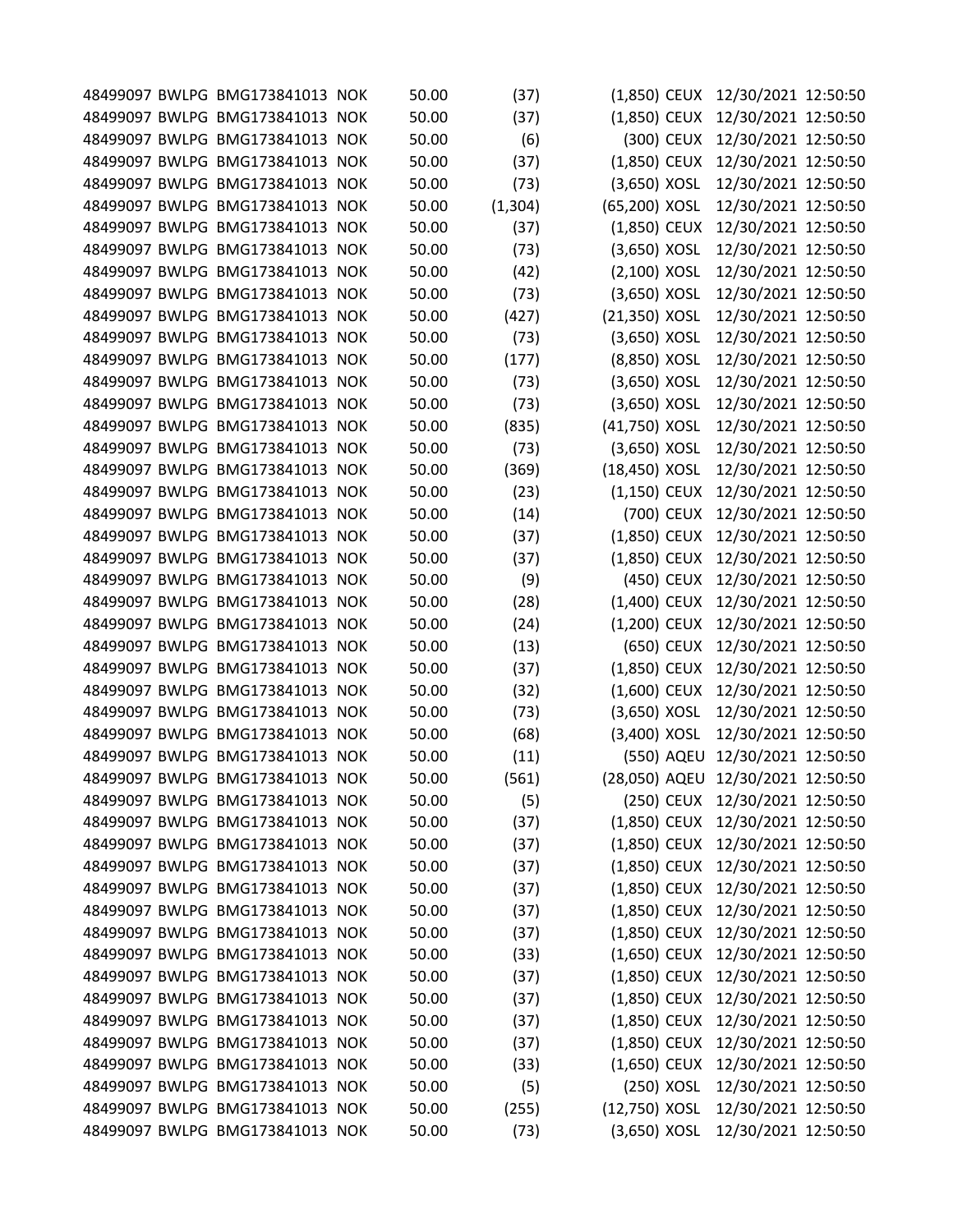|  | 48499097 BWLPG BMG173841013 NOK | 50.00 | (37)     | $(1,850)$ CEUX |            | 12/30/2021 12:50:50               |  |
|--|---------------------------------|-------|----------|----------------|------------|-----------------------------------|--|
|  | 48499097 BWLPG BMG173841013 NOK | 50.00 | (37)     | $(1,850)$ CEUX |            | 12/30/2021 12:50:50               |  |
|  | 48499097 BWLPG BMG173841013 NOK | 50.00 | (6)      | (300) CEUX     |            | 12/30/2021 12:50:50               |  |
|  | 48499097 BWLPG BMG173841013 NOK | 50.00 | (37)     | $(1,850)$ CEUX |            | 12/30/2021 12:50:50               |  |
|  | 48499097 BWLPG BMG173841013 NOK | 50.00 | (73)     | $(3,650)$ XOSL |            | 12/30/2021 12:50:50               |  |
|  | 48499097 BWLPG BMG173841013 NOK | 50.00 | (1, 304) | (65,200) XOSL  |            | 12/30/2021 12:50:50               |  |
|  | 48499097 BWLPG BMG173841013 NOK | 50.00 | (37)     | $(1,850)$ CEUX |            | 12/30/2021 12:50:50               |  |
|  | 48499097 BWLPG BMG173841013 NOK | 50.00 | (73)     | (3,650) XOSL   |            | 12/30/2021 12:50:50               |  |
|  | 48499097 BWLPG BMG173841013 NOK | 50.00 | (42)     | $(2,100)$ XOSL |            | 12/30/2021 12:50:50               |  |
|  | 48499097 BWLPG BMG173841013 NOK | 50.00 | (73)     | (3,650) XOSL   |            | 12/30/2021 12:50:50               |  |
|  | 48499097 BWLPG BMG173841013 NOK | 50.00 | (427)    | (21,350) XOSL  |            | 12/30/2021 12:50:50               |  |
|  | 48499097 BWLPG BMG173841013 NOK | 50.00 | (73)     | (3,650) XOSL   |            | 12/30/2021 12:50:50               |  |
|  | 48499097 BWLPG BMG173841013 NOK | 50.00 | (177)    | (8,850) XOSL   |            | 12/30/2021 12:50:50               |  |
|  | 48499097 BWLPG BMG173841013 NOK | 50.00 | (73)     | (3,650) XOSL   |            | 12/30/2021 12:50:50               |  |
|  | 48499097 BWLPG BMG173841013 NOK | 50.00 | (73)     | (3,650) XOSL   |            | 12/30/2021 12:50:50               |  |
|  | 48499097 BWLPG BMG173841013 NOK | 50.00 | (835)    | (41,750) XOSL  |            | 12/30/2021 12:50:50               |  |
|  | 48499097 BWLPG BMG173841013 NOK | 50.00 | (73)     | (3,650) XOSL   |            | 12/30/2021 12:50:50               |  |
|  | 48499097 BWLPG BMG173841013 NOK | 50.00 | (369)    | (18,450) XOSL  |            | 12/30/2021 12:50:50               |  |
|  | 48499097 BWLPG BMG173841013 NOK | 50.00 | (23)     | $(1,150)$ CEUX |            | 12/30/2021 12:50:50               |  |
|  | 48499097 BWLPG BMG173841013 NOK | 50.00 | (14)     | (700) CEUX     |            | 12/30/2021 12:50:50               |  |
|  | 48499097 BWLPG BMG173841013 NOK | 50.00 | (37)     | $(1,850)$ CEUX |            | 12/30/2021 12:50:50               |  |
|  | 48499097 BWLPG BMG173841013 NOK | 50.00 | (37)     | $(1,850)$ CEUX |            | 12/30/2021 12:50:50               |  |
|  | 48499097 BWLPG BMG173841013 NOK | 50.00 | (9)      | (450) CEUX     |            | 12/30/2021 12:50:50               |  |
|  | 48499097 BWLPG BMG173841013 NOK | 50.00 | (28)     | (1,400) CEUX   |            | 12/30/2021 12:50:50               |  |
|  | 48499097 BWLPG BMG173841013 NOK | 50.00 | (24)     | (1,200) CEUX   |            | 12/30/2021 12:50:50               |  |
|  | 48499097 BWLPG BMG173841013 NOK | 50.00 | (13)     | (650) CEUX     |            | 12/30/2021 12:50:50               |  |
|  | 48499097 BWLPG BMG173841013 NOK | 50.00 | (37)     | $(1,850)$ CEUX |            | 12/30/2021 12:50:50               |  |
|  | 48499097 BWLPG BMG173841013 NOK | 50.00 | (32)     | $(1,600)$ CEUX |            | 12/30/2021 12:50:50               |  |
|  | 48499097 BWLPG BMG173841013 NOK | 50.00 | (73)     | (3,650) XOSL   |            | 12/30/2021 12:50:50               |  |
|  | 48499097 BWLPG BMG173841013 NOK | 50.00 | (68)     | (3,400) XOSL   |            | 12/30/2021 12:50:50               |  |
|  | 48499097 BWLPG BMG173841013 NOK | 50.00 | (11)     |                | (550) AQEU | 12/30/2021 12:50:50               |  |
|  | 48499097 BWLPG BMG173841013 NOK | 50.00 | (561)    |                |            | (28,050) AQEU 12/30/2021 12:50:50 |  |
|  | 48499097 BWLPG BMG173841013 NOK | 50.00 | (5)      |                | (250) CEUX | 12/30/2021 12:50:50               |  |
|  | 48499097 BWLPG BMG173841013 NOK | 50.00 | (37)     |                |            | (1,850) CEUX 12/30/2021 12:50:50  |  |
|  | 48499097 BWLPG BMG173841013 NOK | 50.00 | (37)     | $(1,850)$ CEUX |            | 12/30/2021 12:50:50               |  |
|  | 48499097 BWLPG BMG173841013 NOK | 50.00 | (37)     | $(1,850)$ CEUX |            | 12/30/2021 12:50:50               |  |
|  | 48499097 BWLPG BMG173841013 NOK | 50.00 | (37)     | $(1,850)$ CEUX |            | 12/30/2021 12:50:50               |  |
|  | 48499097 BWLPG BMG173841013 NOK | 50.00 | (37)     | $(1,850)$ CEUX |            | 12/30/2021 12:50:50               |  |
|  | 48499097 BWLPG BMG173841013 NOK | 50.00 | (37)     | $(1,850)$ CEUX |            | 12/30/2021 12:50:50               |  |
|  | 48499097 BWLPG BMG173841013 NOK | 50.00 | (33)     | $(1,650)$ CEUX |            | 12/30/2021 12:50:50               |  |
|  | 48499097 BWLPG BMG173841013 NOK | 50.00 | (37)     | $(1,850)$ CEUX |            | 12/30/2021 12:50:50               |  |
|  | 48499097 BWLPG BMG173841013 NOK | 50.00 | (37)     | $(1,850)$ CEUX |            | 12/30/2021 12:50:50               |  |
|  | 48499097 BWLPG BMG173841013 NOK | 50.00 | (37)     | $(1,850)$ CEUX |            | 12/30/2021 12:50:50               |  |
|  | 48499097 BWLPG BMG173841013 NOK | 50.00 | (37)     | $(1,850)$ CEUX |            | 12/30/2021 12:50:50               |  |
|  | 48499097 BWLPG BMG173841013 NOK | 50.00 | (33)     | $(1,650)$ CEUX |            | 12/30/2021 12:50:50               |  |
|  | 48499097 BWLPG BMG173841013 NOK | 50.00 | (5)      | (250) XOSL     |            | 12/30/2021 12:50:50               |  |
|  | 48499097 BWLPG BMG173841013 NOK | 50.00 | (255)    | (12,750) XOSL  |            | 12/30/2021 12:50:50               |  |
|  | 48499097 BWLPG BMG173841013 NOK | 50.00 | (73)     | $(3,650)$ XOSL |            | 12/30/2021 12:50:50               |  |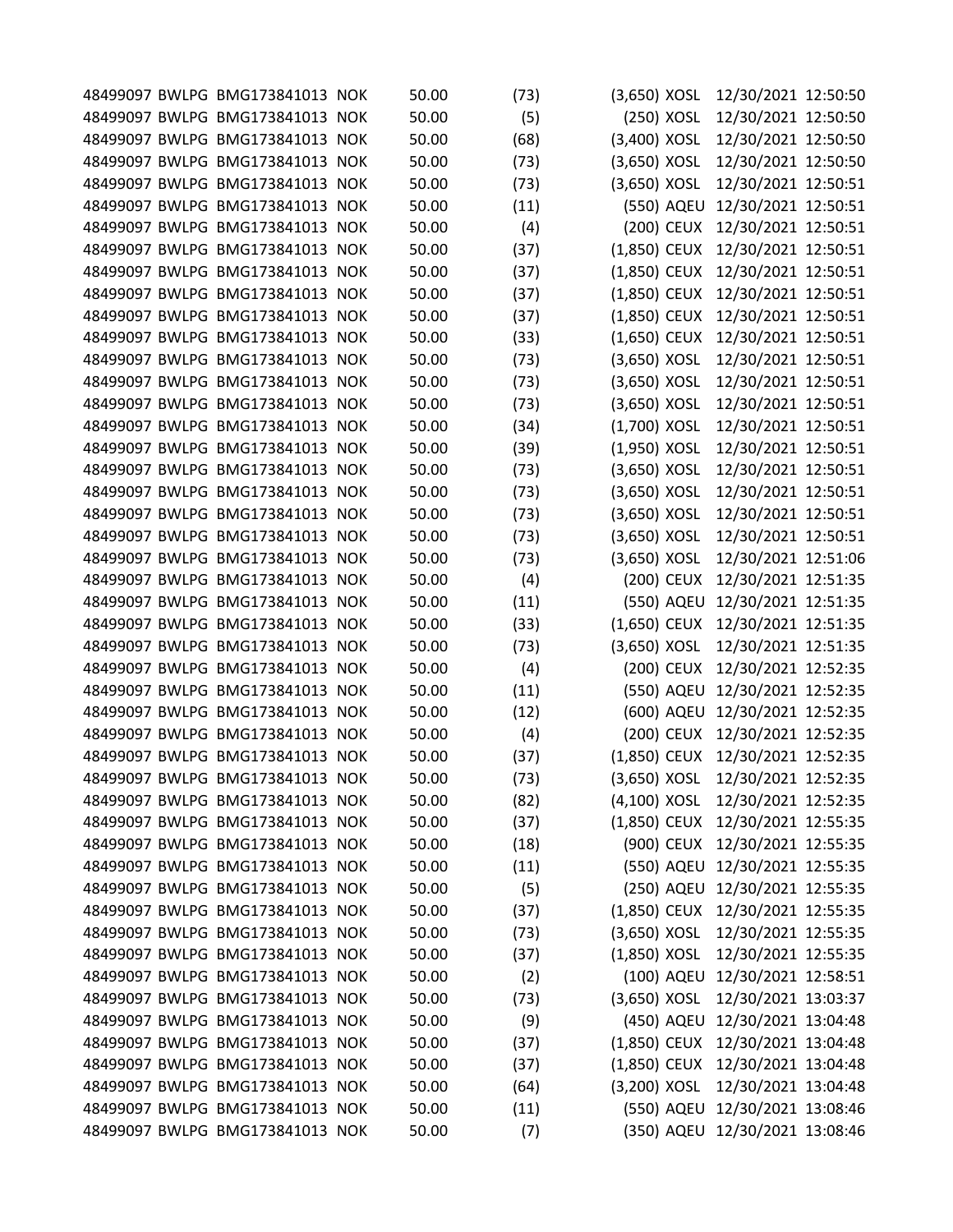|  | 48499097 BWLPG BMG173841013 NOK | 50.00 | (73) | $(3,650)$ XOSL |            | 12/30/2021 12:50:50                        |  |
|--|---------------------------------|-------|------|----------------|------------|--------------------------------------------|--|
|  | 48499097 BWLPG BMG173841013 NOK | 50.00 | (5)  |                | (250) XOSL | 12/30/2021 12:50:50                        |  |
|  | 48499097 BWLPG BMG173841013 NOK | 50.00 | (68) | (3,400) XOSL   |            | 12/30/2021 12:50:50                        |  |
|  | 48499097 BWLPG BMG173841013 NOK | 50.00 | (73) | $(3,650)$ XOSL |            | 12/30/2021 12:50:50                        |  |
|  | 48499097 BWLPG BMG173841013 NOK | 50.00 | (73) | (3,650) XOSL   |            | 12/30/2021 12:50:51                        |  |
|  | 48499097 BWLPG BMG173841013 NOK | 50.00 | (11) |                | (550) AQEU | 12/30/2021 12:50:51                        |  |
|  | 48499097 BWLPG BMG173841013 NOK | 50.00 | (4)  |                | (200) CEUX | 12/30/2021 12:50:51                        |  |
|  | 48499097 BWLPG BMG173841013 NOK | 50.00 | (37) | (1,850) CEUX   |            | 12/30/2021 12:50:51                        |  |
|  | 48499097 BWLPG BMG173841013 NOK | 50.00 | (37) | (1,850) CEUX   |            | 12/30/2021 12:50:51                        |  |
|  | 48499097 BWLPG BMG173841013 NOK | 50.00 | (37) | (1,850) CEUX   |            | 12/30/2021 12:50:51                        |  |
|  | 48499097 BWLPG BMG173841013 NOK | 50.00 | (37) | (1,850) CEUX   |            | 12/30/2021 12:50:51                        |  |
|  | 48499097 BWLPG BMG173841013 NOK | 50.00 | (33) | $(1,650)$ CEUX |            | 12/30/2021 12:50:51                        |  |
|  | 48499097 BWLPG BMG173841013 NOK | 50.00 | (73) | (3,650) XOSL   |            | 12/30/2021 12:50:51                        |  |
|  | 48499097 BWLPG BMG173841013 NOK | 50.00 | (73) | (3,650) XOSL   |            | 12/30/2021 12:50:51                        |  |
|  | 48499097 BWLPG BMG173841013 NOK | 50.00 | (73) | $(3,650)$ XOSL |            | 12/30/2021 12:50:51                        |  |
|  | 48499097 BWLPG BMG173841013 NOK | 50.00 | (34) | (1,700) XOSL   |            | 12/30/2021 12:50:51                        |  |
|  | 48499097 BWLPG BMG173841013 NOK | 50.00 | (39) | $(1,950)$ XOSL |            | 12/30/2021 12:50:51                        |  |
|  | 48499097 BWLPG BMG173841013 NOK | 50.00 | (73) | (3,650) XOSL   |            | 12/30/2021 12:50:51                        |  |
|  |                                 | 50.00 |      |                |            |                                            |  |
|  | 48499097 BWLPG BMG173841013 NOK |       | (73) | (3,650) XOSL   |            | 12/30/2021 12:50:51<br>12/30/2021 12:50:51 |  |
|  | 48499097 BWLPG BMG173841013 NOK | 50.00 | (73) | $(3,650)$ XOSL |            |                                            |  |
|  | 48499097 BWLPG BMG173841013 NOK | 50.00 | (73) | (3,650) XOSL   |            | 12/30/2021 12:50:51                        |  |
|  | 48499097 BWLPG BMG173841013 NOK | 50.00 | (73) | (3,650) XOSL   |            | 12/30/2021 12:51:06                        |  |
|  | 48499097 BWLPG BMG173841013 NOK | 50.00 | (4)  |                | (200) CEUX | 12/30/2021 12:51:35                        |  |
|  | 48499097 BWLPG BMG173841013 NOK | 50.00 | (11) |                | (550) AQEU | 12/30/2021 12:51:35                        |  |
|  | 48499097 BWLPG BMG173841013 NOK | 50.00 | (33) | $(1,650)$ CEUX |            | 12/30/2021 12:51:35                        |  |
|  | 48499097 BWLPG BMG173841013 NOK | 50.00 | (73) | $(3,650)$ XOSL |            | 12/30/2021 12:51:35                        |  |
|  | 48499097 BWLPG BMG173841013 NOK | 50.00 | (4)  |                | (200) CEUX | 12/30/2021 12:52:35                        |  |
|  | 48499097 BWLPG BMG173841013 NOK | 50.00 | (11) |                | (550) AQEU | 12/30/2021 12:52:35                        |  |
|  | 48499097 BWLPG BMG173841013 NOK | 50.00 | (12) |                | (600) AQEU | 12/30/2021 12:52:35                        |  |
|  | 48499097 BWLPG BMG173841013 NOK | 50.00 | (4)  |                | (200) CEUX | 12/30/2021 12:52:35                        |  |
|  | 48499097 BWLPG BMG173841013 NOK | 50.00 | (37) | $(1,850)$ CEUX |            | 12/30/2021 12:52:35                        |  |
|  | 48499097 BWLPG BMG173841013 NOK | 50.00 | (73) | $(3,650)$ XOSL |            | 12/30/2021 12:52:35                        |  |
|  | 48499097 BWLPG BMG173841013 NOK | 50.00 | (82) | (4,100) XOSL   |            | 12/30/2021 12:52:35                        |  |
|  | 48499097 BWLPG BMG173841013 NOK | 50.00 | (37) | (1,850) CEUX   |            | 12/30/2021 12:55:35                        |  |
|  | 48499097 BWLPG BMG173841013 NOK | 50.00 | (18) |                | (900) CEUX | 12/30/2021 12:55:35                        |  |
|  | 48499097 BWLPG BMG173841013 NOK | 50.00 | (11) |                | (550) AQEU | 12/30/2021 12:55:35                        |  |
|  | 48499097 BWLPG BMG173841013 NOK | 50.00 | (5)  |                |            | (250) AQEU 12/30/2021 12:55:35             |  |
|  | 48499097 BWLPG BMG173841013 NOK | 50.00 | (37) | $(1,850)$ CEUX |            | 12/30/2021 12:55:35                        |  |
|  | 48499097 BWLPG BMG173841013 NOK | 50.00 | (73) | $(3,650)$ XOSL |            | 12/30/2021 12:55:35                        |  |
|  | 48499097 BWLPG BMG173841013 NOK | 50.00 | (37) | $(1,850)$ XOSL |            | 12/30/2021 12:55:35                        |  |
|  |                                 |       |      |                |            |                                            |  |
|  | 48499097 BWLPG BMG173841013 NOK | 50.00 | (2)  |                | (100) AQEU | 12/30/2021 12:58:51                        |  |
|  | 48499097 BWLPG BMG173841013 NOK | 50.00 | (73) | $(3,650)$ XOSL |            | 12/30/2021 13:03:37                        |  |
|  | 48499097 BWLPG BMG173841013 NOK | 50.00 | (9)  |                | (450) AQEU | 12/30/2021 13:04:48                        |  |
|  | 48499097 BWLPG BMG173841013 NOK | 50.00 | (37) | (1,850) CEUX   |            | 12/30/2021 13:04:48                        |  |
|  | 48499097 BWLPG BMG173841013 NOK | 50.00 | (37) | $(1,850)$ CEUX |            | 12/30/2021 13:04:48                        |  |
|  | 48499097 BWLPG BMG173841013 NOK | 50.00 | (64) | $(3,200)$ XOSL |            | 12/30/2021 13:04:48                        |  |
|  | 48499097 BWLPG BMG173841013 NOK | 50.00 | (11) |                |            | (550) AQEU 12/30/2021 13:08:46             |  |
|  | 48499097 BWLPG BMG173841013 NOK | 50.00 | (7)  |                |            | (350) AQEU 12/30/2021 13:08:46             |  |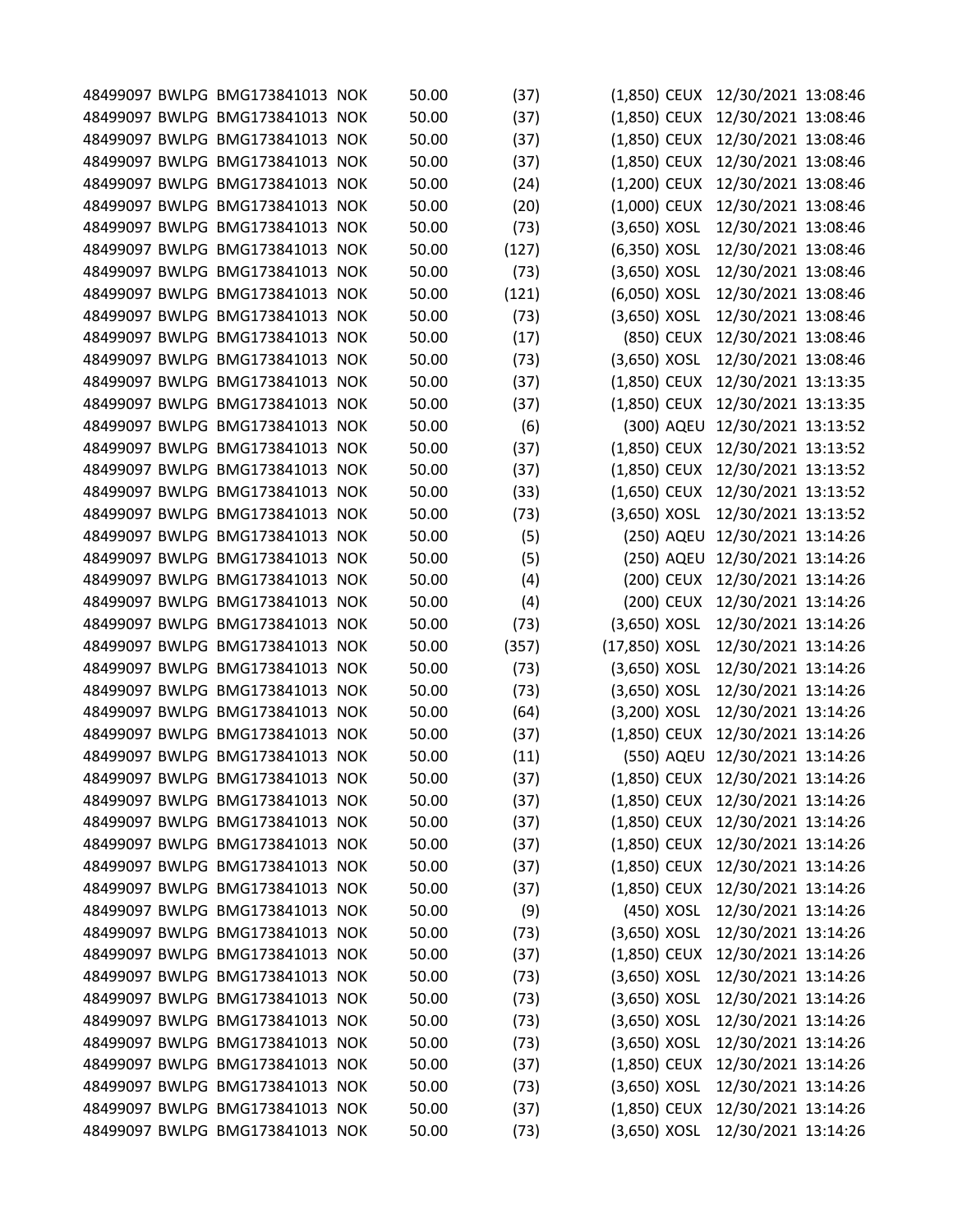|  | 48499097 BWLPG BMG173841013 NOK | 50.00 | (37)  | $(1,850)$ CEUX |            | 12/30/2021 13:08:46              |  |
|--|---------------------------------|-------|-------|----------------|------------|----------------------------------|--|
|  | 48499097 BWLPG BMG173841013 NOK | 50.00 | (37)  | $(1,850)$ CEUX |            | 12/30/2021 13:08:46              |  |
|  | 48499097 BWLPG BMG173841013 NOK | 50.00 | (37)  | (1,850) CEUX   |            | 12/30/2021 13:08:46              |  |
|  | 48499097 BWLPG BMG173841013 NOK | 50.00 | (37)  | (1,850) CEUX   |            | 12/30/2021 13:08:46              |  |
|  | 48499097 BWLPG BMG173841013 NOK | 50.00 | (24)  | (1,200) CEUX   |            | 12/30/2021 13:08:46              |  |
|  | 48499097 BWLPG BMG173841013 NOK | 50.00 | (20)  | (1,000) CEUX   |            | 12/30/2021 13:08:46              |  |
|  | 48499097 BWLPG BMG173841013 NOK | 50.00 | (73)  | (3,650) XOSL   |            | 12/30/2021 13:08:46              |  |
|  | 48499097 BWLPG BMG173841013 NOK | 50.00 | (127) | (6,350) XOSL   |            | 12/30/2021 13:08:46              |  |
|  | 48499097 BWLPG BMG173841013 NOK | 50.00 | (73)  | $(3,650)$ XOSL |            | 12/30/2021 13:08:46              |  |
|  | 48499097 BWLPG BMG173841013 NOK | 50.00 | (121) | (6,050) XOSL   |            | 12/30/2021 13:08:46              |  |
|  | 48499097 BWLPG BMG173841013 NOK | 50.00 | (73)  | (3,650) XOSL   |            | 12/30/2021 13:08:46              |  |
|  | 48499097 BWLPG BMG173841013 NOK | 50.00 | (17)  | (850) CEUX     |            | 12/30/2021 13:08:46              |  |
|  | 48499097 BWLPG BMG173841013 NOK | 50.00 | (73)  | (3,650) XOSL   |            | 12/30/2021 13:08:46              |  |
|  | 48499097 BWLPG BMG173841013 NOK | 50.00 | (37)  | (1,850) CEUX   |            | 12/30/2021 13:13:35              |  |
|  | 48499097 BWLPG BMG173841013 NOK | 50.00 | (37)  | $(1,850)$ CEUX |            | 12/30/2021 13:13:35              |  |
|  | 48499097 BWLPG BMG173841013 NOK | 50.00 | (6)   | (300) AQEU     |            | 12/30/2021 13:13:52              |  |
|  | 48499097 BWLPG BMG173841013 NOK | 50.00 |       |                |            |                                  |  |
|  |                                 |       | (37)  | $(1,850)$ CEUX |            | 12/30/2021 13:13:52              |  |
|  | 48499097 BWLPG BMG173841013 NOK | 50.00 | (37)  | (1,850) CEUX   |            | 12/30/2021 13:13:52              |  |
|  | 48499097 BWLPG BMG173841013 NOK | 50.00 | (33)  | $(1,650)$ CEUX |            | 12/30/2021 13:13:52              |  |
|  | 48499097 BWLPG BMG173841013 NOK | 50.00 | (73)  | $(3,650)$ XOSL |            | 12/30/2021 13:13:52              |  |
|  | 48499097 BWLPG BMG173841013 NOK | 50.00 | (5)   | (250) AQEU     |            | 12/30/2021 13:14:26              |  |
|  | 48499097 BWLPG BMG173841013 NOK | 50.00 | (5)   |                | (250) AQEU | 12/30/2021 13:14:26              |  |
|  | 48499097 BWLPG BMG173841013 NOK | 50.00 | (4)   | (200) CEUX     |            | 12/30/2021 13:14:26              |  |
|  | 48499097 BWLPG BMG173841013 NOK | 50.00 | (4)   | (200) CEUX     |            | 12/30/2021 13:14:26              |  |
|  | 48499097 BWLPG BMG173841013 NOK | 50.00 | (73)  | (3,650) XOSL   |            | 12/30/2021 13:14:26              |  |
|  | 48499097 BWLPG BMG173841013 NOK | 50.00 | (357) | (17,850) XOSL  |            | 12/30/2021 13:14:26              |  |
|  | 48499097 BWLPG BMG173841013 NOK | 50.00 | (73)  | $(3,650)$ XOSL |            | 12/30/2021 13:14:26              |  |
|  | 48499097 BWLPG BMG173841013 NOK | 50.00 | (73)  | (3,650) XOSL   |            | 12/30/2021 13:14:26              |  |
|  | 48499097 BWLPG BMG173841013 NOK | 50.00 | (64)  | (3,200) XOSL   |            | 12/30/2021 13:14:26              |  |
|  | 48499097 BWLPG BMG173841013 NOK | 50.00 | (37)  | (1,850) CEUX   |            | 12/30/2021 13:14:26              |  |
|  | 48499097 BWLPG BMG173841013 NOK | 50.00 | (11)  |                |            | (550) AQEU 12/30/2021 13:14:26   |  |
|  | 48499097 BWLPG BMG173841013 NOK | 50.00 | (37)  |                |            | (1,850) CEUX 12/30/2021 13:14:26 |  |
|  | 48499097 BWLPG BMG173841013 NOK | 50.00 | (37)  | $(1,850)$ CEUX |            | 12/30/2021 13:14:26              |  |
|  | 48499097 BWLPG BMG173841013 NOK | 50.00 | (37)  | (1,850) CEUX   |            | 12/30/2021 13:14:26              |  |
|  | 48499097 BWLPG BMG173841013 NOK | 50.00 | (37)  | $(1,850)$ CEUX |            | 12/30/2021 13:14:26              |  |
|  | 48499097 BWLPG BMG173841013 NOK | 50.00 | (37)  | $(1,850)$ CEUX |            | 12/30/2021 13:14:26              |  |
|  | 48499097 BWLPG BMG173841013 NOK | 50.00 | (37)  | $(1,850)$ CEUX |            | 12/30/2021 13:14:26              |  |
|  | 48499097 BWLPG BMG173841013 NOK | 50.00 | (9)   | (450) XOSL     |            | 12/30/2021 13:14:26              |  |
|  | 48499097 BWLPG BMG173841013 NOK | 50.00 | (73)  | $(3,650)$ XOSL |            | 12/30/2021 13:14:26              |  |
|  | 48499097 BWLPG BMG173841013 NOK | 50.00 | (37)  | (1,850) CEUX   |            | 12/30/2021 13:14:26              |  |
|  | 48499097 BWLPG BMG173841013 NOK | 50.00 | (73)  | (3,650) XOSL   |            | 12/30/2021 13:14:26              |  |
|  | 48499097 BWLPG BMG173841013 NOK | 50.00 |       | $(3,650)$ XOSL |            | 12/30/2021 13:14:26              |  |
|  | 48499097 BWLPG BMG173841013 NOK |       | (73)  |                |            |                                  |  |
|  |                                 | 50.00 | (73)  | $(3,650)$ XOSL |            | 12/30/2021 13:14:26              |  |
|  | 48499097 BWLPG BMG173841013 NOK | 50.00 | (73)  | $(3,650)$ XOSL |            | 12/30/2021 13:14:26              |  |
|  | 48499097 BWLPG BMG173841013 NOK | 50.00 | (37)  | (1,850) CEUX   |            | 12/30/2021 13:14:26              |  |
|  | 48499097 BWLPG BMG173841013 NOK | 50.00 | (73)  | $(3,650)$ XOSL |            | 12/30/2021 13:14:26              |  |
|  | 48499097 BWLPG BMG173841013 NOK | 50.00 | (37)  | $(1,850)$ CEUX |            | 12/30/2021 13:14:26              |  |
|  | 48499097 BWLPG BMG173841013 NOK | 50.00 | (73)  | $(3,650)$ XOSL |            | 12/30/2021 13:14:26              |  |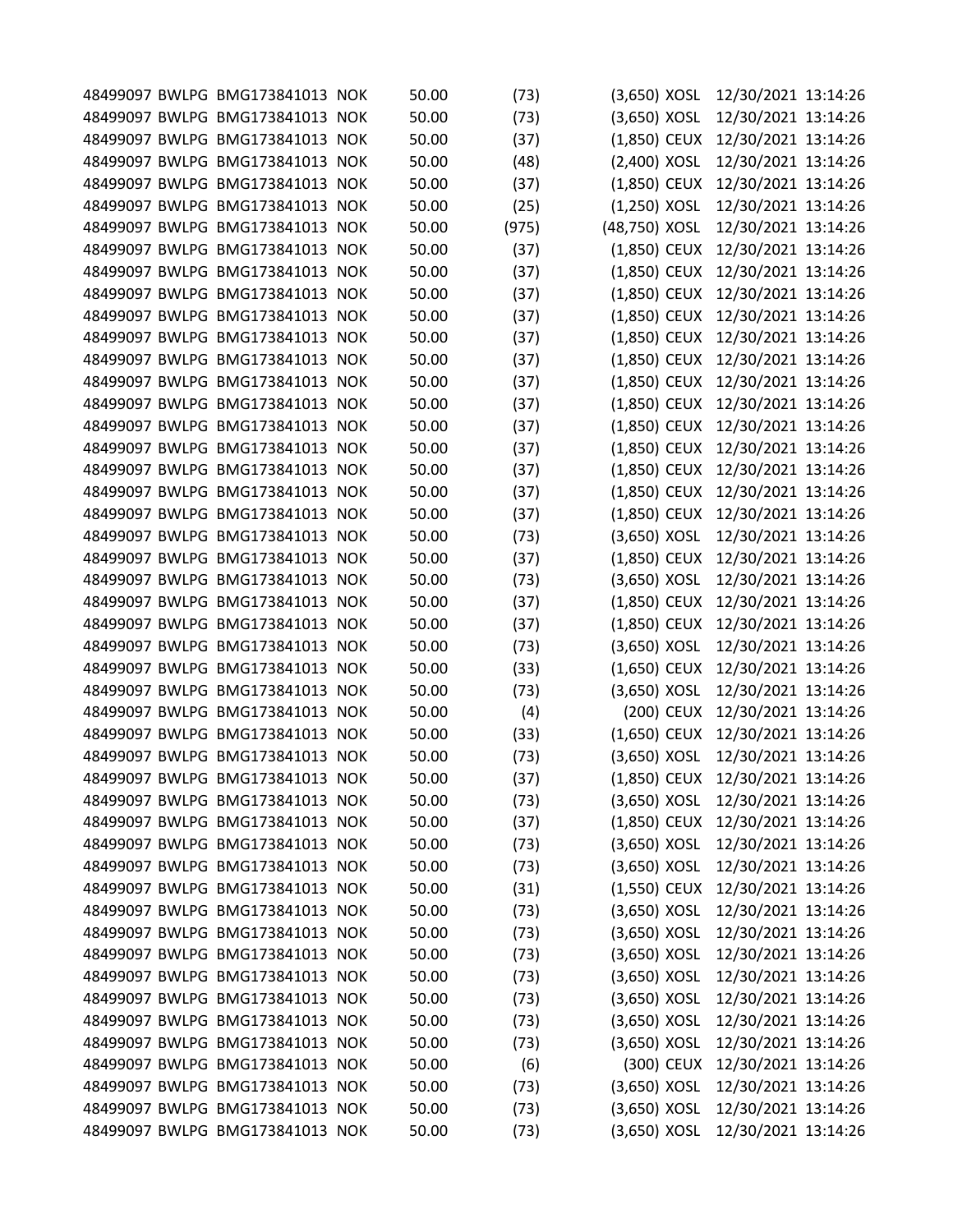|  | 48499097 BWLPG BMG173841013 NOK | 50.00 | (73)  | $(3,650)$ XOSL | 12/30/2021 13:14:26              |  |
|--|---------------------------------|-------|-------|----------------|----------------------------------|--|
|  | 48499097 BWLPG BMG173841013 NOK | 50.00 | (73)  | $(3,650)$ XOSL | 12/30/2021 13:14:26              |  |
|  | 48499097 BWLPG BMG173841013 NOK | 50.00 | (37)  | (1,850) CEUX   | 12/30/2021 13:14:26              |  |
|  | 48499097 BWLPG BMG173841013 NOK | 50.00 | (48)  | (2,400) XOSL   | 12/30/2021 13:14:26              |  |
|  | 48499097 BWLPG BMG173841013 NOK | 50.00 | (37)  | (1,850) CEUX   | 12/30/2021 13:14:26              |  |
|  | 48499097 BWLPG BMG173841013 NOK | 50.00 | (25)  | (1,250) XOSL   | 12/30/2021 13:14:26              |  |
|  | 48499097 BWLPG BMG173841013 NOK | 50.00 | (975) | (48,750) XOSL  | 12/30/2021 13:14:26              |  |
|  | 48499097 BWLPG BMG173841013 NOK | 50.00 | (37)  | (1,850) CEUX   | 12/30/2021 13:14:26              |  |
|  | 48499097 BWLPG BMG173841013 NOK | 50.00 | (37)  | $(1,850)$ CEUX | 12/30/2021 13:14:26              |  |
|  | 48499097 BWLPG BMG173841013 NOK | 50.00 | (37)  | (1,850) CEUX   | 12/30/2021 13:14:26              |  |
|  | 48499097 BWLPG BMG173841013 NOK | 50.00 | (37)  | (1,850) CEUX   | 12/30/2021 13:14:26              |  |
|  | 48499097 BWLPG BMG173841013 NOK | 50.00 | (37)  | $(1,850)$ CEUX | 12/30/2021 13:14:26              |  |
|  | 48499097 BWLPG BMG173841013 NOK | 50.00 | (37)  | (1,850) CEUX   | 12/30/2021 13:14:26              |  |
|  | 48499097 BWLPG BMG173841013 NOK | 50.00 | (37)  | (1,850) CEUX   | 12/30/2021 13:14:26              |  |
|  | 48499097 BWLPG BMG173841013 NOK | 50.00 | (37)  | (1,850) CEUX   | 12/30/2021 13:14:26              |  |
|  | 48499097 BWLPG BMG173841013 NOK | 50.00 | (37)  | (1,850) CEUX   | 12/30/2021 13:14:26              |  |
|  | 48499097 BWLPG BMG173841013 NOK | 50.00 | (37)  | $(1,850)$ CEUX | 12/30/2021 13:14:26              |  |
|  | 48499097 BWLPG BMG173841013 NOK | 50.00 | (37)  | (1,850) CEUX   | 12/30/2021 13:14:26              |  |
|  | 48499097 BWLPG BMG173841013 NOK | 50.00 | (37)  | (1,850) CEUX   | 12/30/2021 13:14:26              |  |
|  | 48499097 BWLPG BMG173841013 NOK | 50.00 | (37)  | (1,850) CEUX   | 12/30/2021 13:14:26              |  |
|  | 48499097 BWLPG BMG173841013 NOK | 50.00 | (73)  | $(3,650)$ XOSL | 12/30/2021 13:14:26              |  |
|  | 48499097 BWLPG BMG173841013 NOK | 50.00 | (37)  | $(1,850)$ CEUX | 12/30/2021 13:14:26              |  |
|  | 48499097 BWLPG BMG173841013 NOK | 50.00 | (73)  | (3,650) XOSL   | 12/30/2021 13:14:26              |  |
|  | 48499097 BWLPG BMG173841013 NOK | 50.00 | (37)  | $(1,850)$ CEUX | 12/30/2021 13:14:26              |  |
|  | 48499097 BWLPG BMG173841013 NOK | 50.00 | (37)  | (1,850) CEUX   | 12/30/2021 13:14:26              |  |
|  | 48499097 BWLPG BMG173841013 NOK | 50.00 | (73)  | (3,650) XOSL   | 12/30/2021 13:14:26              |  |
|  | 48499097 BWLPG BMG173841013 NOK | 50.00 | (33)  | $(1,650)$ CEUX | 12/30/2021 13:14:26              |  |
|  | 48499097 BWLPG BMG173841013 NOK | 50.00 | (73)  | (3,650) XOSL   | 12/30/2021 13:14:26              |  |
|  | 48499097 BWLPG BMG173841013 NOK | 50.00 | (4)   | (200) CEUX     | 12/30/2021 13:14:26              |  |
|  | 48499097 BWLPG BMG173841013 NOK | 50.00 | (33)  | (1,650) CEUX   | 12/30/2021 13:14:26              |  |
|  | 48499097 BWLPG BMG173841013 NOK | 50.00 | (73)  | $(3,650)$ XOSL | 12/30/2021 13:14:26              |  |
|  | 48499097 BWLPG BMG173841013 NOK | 50.00 | (37)  |                | (1,850) CEUX 12/30/2021 13:14:26 |  |
|  | 48499097 BWLPG BMG173841013 NOK | 50.00 | (73)  | $(3,650)$ XOSL | 12/30/2021 13:14:26              |  |
|  | 48499097 BWLPG BMG173841013 NOK | 50.00 | (37)  | (1,850) CEUX   | 12/30/2021 13:14:26              |  |
|  | 48499097 BWLPG BMG173841013 NOK | 50.00 | (73)  | (3,650) XOSL   | 12/30/2021 13:14:26              |  |
|  | 48499097 BWLPG BMG173841013 NOK | 50.00 | (73)  | $(3,650)$ XOSL | 12/30/2021 13:14:26              |  |
|  | 48499097 BWLPG BMG173841013 NOK | 50.00 | (31)  | $(1,550)$ CEUX | 12/30/2021 13:14:26              |  |
|  | 48499097 BWLPG BMG173841013 NOK | 50.00 |       | $(3,650)$ XOSL | 12/30/2021 13:14:26              |  |
|  | 48499097 BWLPG BMG173841013 NOK | 50.00 | (73)  | $(3,650)$ XOSL | 12/30/2021 13:14:26              |  |
|  | 48499097 BWLPG BMG173841013 NOK |       | (73)  | (3,650) XOSL   |                                  |  |
|  |                                 | 50.00 | (73)  |                | 12/30/2021 13:14:26              |  |
|  | 48499097 BWLPG BMG173841013 NOK | 50.00 | (73)  | (3,650) XOSL   | 12/30/2021 13:14:26              |  |
|  | 48499097 BWLPG BMG173841013 NOK | 50.00 | (73)  | $(3,650)$ XOSL | 12/30/2021 13:14:26              |  |
|  | 48499097 BWLPG BMG173841013 NOK | 50.00 | (73)  | $(3,650)$ XOSL | 12/30/2021 13:14:26              |  |
|  | 48499097 BWLPG BMG173841013 NOK | 50.00 | (73)  | $(3,650)$ XOSL | 12/30/2021 13:14:26              |  |
|  | 48499097 BWLPG BMG173841013 NOK | 50.00 | (6)   | (300) CEUX     | 12/30/2021 13:14:26              |  |
|  | 48499097 BWLPG BMG173841013 NOK | 50.00 | (73)  | $(3,650)$ XOSL | 12/30/2021 13:14:26              |  |
|  | 48499097 BWLPG BMG173841013 NOK | 50.00 | (73)  | $(3,650)$ XOSL | 12/30/2021 13:14:26              |  |
|  | 48499097 BWLPG BMG173841013 NOK | 50.00 | (73)  | $(3,650)$ XOSL | 12/30/2021 13:14:26              |  |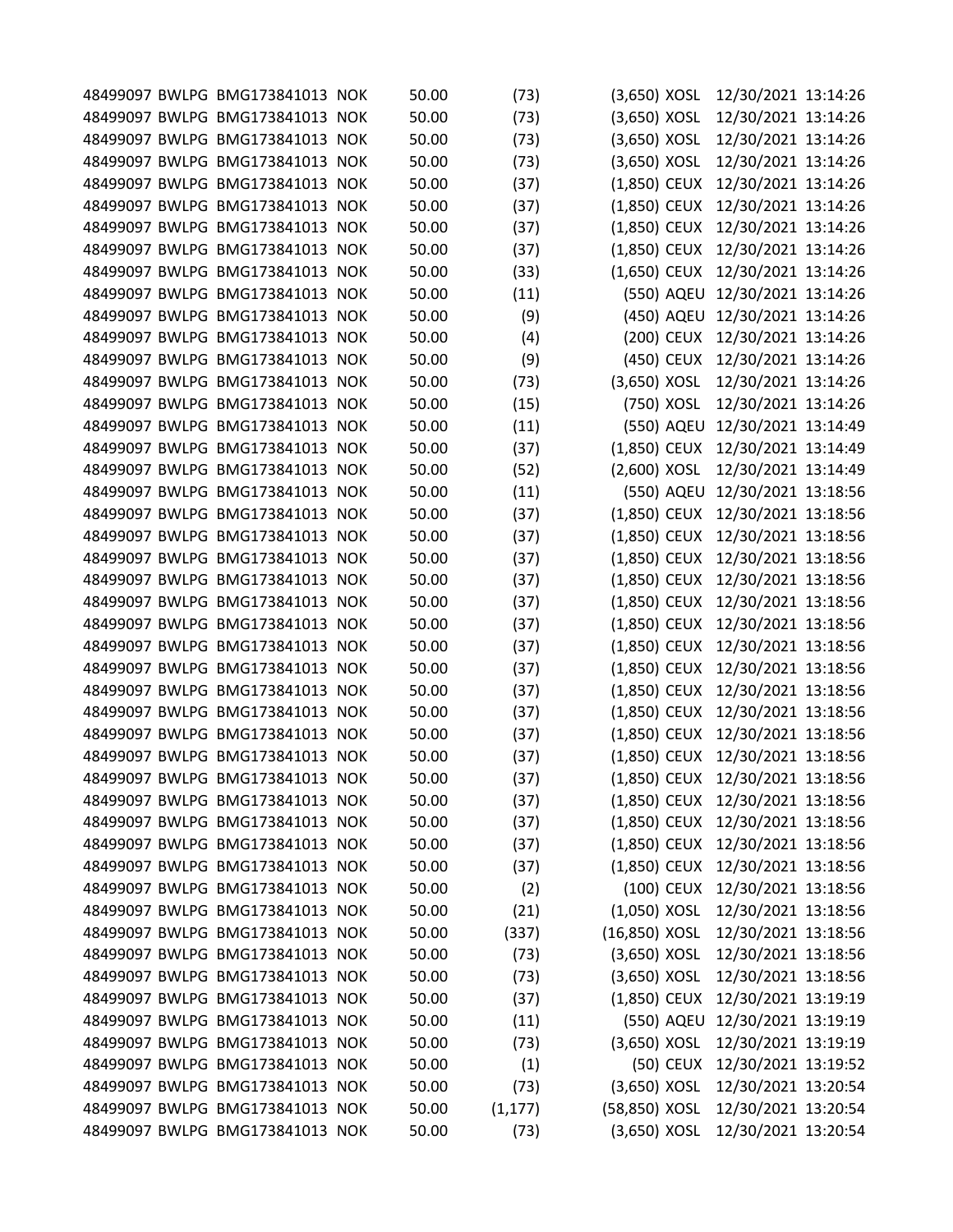|  | 50.00                                                                                                                                                                                                                                                                                                                                                                                                                                                                                                                                                                                                                                                                                                                                                                                                                                                                                                                                                                                                                                                                                                                                                                                                                                                                                                                                                                                                                                                                                                                                                                                                                                                                                                                                        | (73)                                                                                                                                                                                                                                   |                                                                                                                                                                                                                           | 12/30/2021 13:14:26                                                                                                                                                                                                                                                                                                                                                                                                                                                                                                                                                                                                                                                                                                                             |                                                                                                                                                                                                                                                                                                                                                                                                                                                                                                                                                                                                                                                                                                    |
|--|----------------------------------------------------------------------------------------------------------------------------------------------------------------------------------------------------------------------------------------------------------------------------------------------------------------------------------------------------------------------------------------------------------------------------------------------------------------------------------------------------------------------------------------------------------------------------------------------------------------------------------------------------------------------------------------------------------------------------------------------------------------------------------------------------------------------------------------------------------------------------------------------------------------------------------------------------------------------------------------------------------------------------------------------------------------------------------------------------------------------------------------------------------------------------------------------------------------------------------------------------------------------------------------------------------------------------------------------------------------------------------------------------------------------------------------------------------------------------------------------------------------------------------------------------------------------------------------------------------------------------------------------------------------------------------------------------------------------------------------------|----------------------------------------------------------------------------------------------------------------------------------------------------------------------------------------------------------------------------------------|---------------------------------------------------------------------------------------------------------------------------------------------------------------------------------------------------------------------------|-------------------------------------------------------------------------------------------------------------------------------------------------------------------------------------------------------------------------------------------------------------------------------------------------------------------------------------------------------------------------------------------------------------------------------------------------------------------------------------------------------------------------------------------------------------------------------------------------------------------------------------------------------------------------------------------------------------------------------------------------|----------------------------------------------------------------------------------------------------------------------------------------------------------------------------------------------------------------------------------------------------------------------------------------------------------------------------------------------------------------------------------------------------------------------------------------------------------------------------------------------------------------------------------------------------------------------------------------------------------------------------------------------------------------------------------------------------|
|  | 50.00                                                                                                                                                                                                                                                                                                                                                                                                                                                                                                                                                                                                                                                                                                                                                                                                                                                                                                                                                                                                                                                                                                                                                                                                                                                                                                                                                                                                                                                                                                                                                                                                                                                                                                                                        | (73)                                                                                                                                                                                                                                   |                                                                                                                                                                                                                           | 12/30/2021 13:14:26                                                                                                                                                                                                                                                                                                                                                                                                                                                                                                                                                                                                                                                                                                                             |                                                                                                                                                                                                                                                                                                                                                                                                                                                                                                                                                                                                                                                                                                    |
|  | 50.00                                                                                                                                                                                                                                                                                                                                                                                                                                                                                                                                                                                                                                                                                                                                                                                                                                                                                                                                                                                                                                                                                                                                                                                                                                                                                                                                                                                                                                                                                                                                                                                                                                                                                                                                        | (73)                                                                                                                                                                                                                                   |                                                                                                                                                                                                                           | 12/30/2021 13:14:26                                                                                                                                                                                                                                                                                                                                                                                                                                                                                                                                                                                                                                                                                                                             |                                                                                                                                                                                                                                                                                                                                                                                                                                                                                                                                                                                                                                                                                                    |
|  | 50.00                                                                                                                                                                                                                                                                                                                                                                                                                                                                                                                                                                                                                                                                                                                                                                                                                                                                                                                                                                                                                                                                                                                                                                                                                                                                                                                                                                                                                                                                                                                                                                                                                                                                                                                                        | (73)                                                                                                                                                                                                                                   |                                                                                                                                                                                                                           | 12/30/2021 13:14:26                                                                                                                                                                                                                                                                                                                                                                                                                                                                                                                                                                                                                                                                                                                             |                                                                                                                                                                                                                                                                                                                                                                                                                                                                                                                                                                                                                                                                                                    |
|  | 50.00                                                                                                                                                                                                                                                                                                                                                                                                                                                                                                                                                                                                                                                                                                                                                                                                                                                                                                                                                                                                                                                                                                                                                                                                                                                                                                                                                                                                                                                                                                                                                                                                                                                                                                                                        | (37)                                                                                                                                                                                                                                   |                                                                                                                                                                                                                           | 12/30/2021 13:14:26                                                                                                                                                                                                                                                                                                                                                                                                                                                                                                                                                                                                                                                                                                                             |                                                                                                                                                                                                                                                                                                                                                                                                                                                                                                                                                                                                                                                                                                    |
|  | 50.00                                                                                                                                                                                                                                                                                                                                                                                                                                                                                                                                                                                                                                                                                                                                                                                                                                                                                                                                                                                                                                                                                                                                                                                                                                                                                                                                                                                                                                                                                                                                                                                                                                                                                                                                        | (37)                                                                                                                                                                                                                                   |                                                                                                                                                                                                                           | 12/30/2021 13:14:26                                                                                                                                                                                                                                                                                                                                                                                                                                                                                                                                                                                                                                                                                                                             |                                                                                                                                                                                                                                                                                                                                                                                                                                                                                                                                                                                                                                                                                                    |
|  | 50.00                                                                                                                                                                                                                                                                                                                                                                                                                                                                                                                                                                                                                                                                                                                                                                                                                                                                                                                                                                                                                                                                                                                                                                                                                                                                                                                                                                                                                                                                                                                                                                                                                                                                                                                                        | (37)                                                                                                                                                                                                                                   |                                                                                                                                                                                                                           | 12/30/2021 13:14:26                                                                                                                                                                                                                                                                                                                                                                                                                                                                                                                                                                                                                                                                                                                             |                                                                                                                                                                                                                                                                                                                                                                                                                                                                                                                                                                                                                                                                                                    |
|  | 50.00                                                                                                                                                                                                                                                                                                                                                                                                                                                                                                                                                                                                                                                                                                                                                                                                                                                                                                                                                                                                                                                                                                                                                                                                                                                                                                                                                                                                                                                                                                                                                                                                                                                                                                                                        |                                                                                                                                                                                                                                        |                                                                                                                                                                                                                           | 12/30/2021 13:14:26                                                                                                                                                                                                                                                                                                                                                                                                                                                                                                                                                                                                                                                                                                                             |                                                                                                                                                                                                                                                                                                                                                                                                                                                                                                                                                                                                                                                                                                    |
|  | 50.00                                                                                                                                                                                                                                                                                                                                                                                                                                                                                                                                                                                                                                                                                                                                                                                                                                                                                                                                                                                                                                                                                                                                                                                                                                                                                                                                                                                                                                                                                                                                                                                                                                                                                                                                        |                                                                                                                                                                                                                                        |                                                                                                                                                                                                                           | 12/30/2021 13:14:26                                                                                                                                                                                                                                                                                                                                                                                                                                                                                                                                                                                                                                                                                                                             |                                                                                                                                                                                                                                                                                                                                                                                                                                                                                                                                                                                                                                                                                                    |
|  | 50.00                                                                                                                                                                                                                                                                                                                                                                                                                                                                                                                                                                                                                                                                                                                                                                                                                                                                                                                                                                                                                                                                                                                                                                                                                                                                                                                                                                                                                                                                                                                                                                                                                                                                                                                                        |                                                                                                                                                                                                                                        |                                                                                                                                                                                                                           |                                                                                                                                                                                                                                                                                                                                                                                                                                                                                                                                                                                                                                                                                                                                                 |                                                                                                                                                                                                                                                                                                                                                                                                                                                                                                                                                                                                                                                                                                    |
|  |                                                                                                                                                                                                                                                                                                                                                                                                                                                                                                                                                                                                                                                                                                                                                                                                                                                                                                                                                                                                                                                                                                                                                                                                                                                                                                                                                                                                                                                                                                                                                                                                                                                                                                                                              |                                                                                                                                                                                                                                        |                                                                                                                                                                                                                           |                                                                                                                                                                                                                                                                                                                                                                                                                                                                                                                                                                                                                                                                                                                                                 |                                                                                                                                                                                                                                                                                                                                                                                                                                                                                                                                                                                                                                                                                                    |
|  |                                                                                                                                                                                                                                                                                                                                                                                                                                                                                                                                                                                                                                                                                                                                                                                                                                                                                                                                                                                                                                                                                                                                                                                                                                                                                                                                                                                                                                                                                                                                                                                                                                                                                                                                              |                                                                                                                                                                                                                                        |                                                                                                                                                                                                                           |                                                                                                                                                                                                                                                                                                                                                                                                                                                                                                                                                                                                                                                                                                                                                 |                                                                                                                                                                                                                                                                                                                                                                                                                                                                                                                                                                                                                                                                                                    |
|  |                                                                                                                                                                                                                                                                                                                                                                                                                                                                                                                                                                                                                                                                                                                                                                                                                                                                                                                                                                                                                                                                                                                                                                                                                                                                                                                                                                                                                                                                                                                                                                                                                                                                                                                                              |                                                                                                                                                                                                                                        |                                                                                                                                                                                                                           |                                                                                                                                                                                                                                                                                                                                                                                                                                                                                                                                                                                                                                                                                                                                                 |                                                                                                                                                                                                                                                                                                                                                                                                                                                                                                                                                                                                                                                                                                    |
|  |                                                                                                                                                                                                                                                                                                                                                                                                                                                                                                                                                                                                                                                                                                                                                                                                                                                                                                                                                                                                                                                                                                                                                                                                                                                                                                                                                                                                                                                                                                                                                                                                                                                                                                                                              |                                                                                                                                                                                                                                        |                                                                                                                                                                                                                           |                                                                                                                                                                                                                                                                                                                                                                                                                                                                                                                                                                                                                                                                                                                                                 |                                                                                                                                                                                                                                                                                                                                                                                                                                                                                                                                                                                                                                                                                                    |
|  |                                                                                                                                                                                                                                                                                                                                                                                                                                                                                                                                                                                                                                                                                                                                                                                                                                                                                                                                                                                                                                                                                                                                                                                                                                                                                                                                                                                                                                                                                                                                                                                                                                                                                                                                              |                                                                                                                                                                                                                                        |                                                                                                                                                                                                                           |                                                                                                                                                                                                                                                                                                                                                                                                                                                                                                                                                                                                                                                                                                                                                 |                                                                                                                                                                                                                                                                                                                                                                                                                                                                                                                                                                                                                                                                                                    |
|  |                                                                                                                                                                                                                                                                                                                                                                                                                                                                                                                                                                                                                                                                                                                                                                                                                                                                                                                                                                                                                                                                                                                                                                                                                                                                                                                                                                                                                                                                                                                                                                                                                                                                                                                                              |                                                                                                                                                                                                                                        |                                                                                                                                                                                                                           |                                                                                                                                                                                                                                                                                                                                                                                                                                                                                                                                                                                                                                                                                                                                                 |                                                                                                                                                                                                                                                                                                                                                                                                                                                                                                                                                                                                                                                                                                    |
|  |                                                                                                                                                                                                                                                                                                                                                                                                                                                                                                                                                                                                                                                                                                                                                                                                                                                                                                                                                                                                                                                                                                                                                                                                                                                                                                                                                                                                                                                                                                                                                                                                                                                                                                                                              |                                                                                                                                                                                                                                        |                                                                                                                                                                                                                           |                                                                                                                                                                                                                                                                                                                                                                                                                                                                                                                                                                                                                                                                                                                                                 |                                                                                                                                                                                                                                                                                                                                                                                                                                                                                                                                                                                                                                                                                                    |
|  |                                                                                                                                                                                                                                                                                                                                                                                                                                                                                                                                                                                                                                                                                                                                                                                                                                                                                                                                                                                                                                                                                                                                                                                                                                                                                                                                                                                                                                                                                                                                                                                                                                                                                                                                              |                                                                                                                                                                                                                                        |                                                                                                                                                                                                                           |                                                                                                                                                                                                                                                                                                                                                                                                                                                                                                                                                                                                                                                                                                                                                 |                                                                                                                                                                                                                                                                                                                                                                                                                                                                                                                                                                                                                                                                                                    |
|  |                                                                                                                                                                                                                                                                                                                                                                                                                                                                                                                                                                                                                                                                                                                                                                                                                                                                                                                                                                                                                                                                                                                                                                                                                                                                                                                                                                                                                                                                                                                                                                                                                                                                                                                                              |                                                                                                                                                                                                                                        |                                                                                                                                                                                                                           |                                                                                                                                                                                                                                                                                                                                                                                                                                                                                                                                                                                                                                                                                                                                                 |                                                                                                                                                                                                                                                                                                                                                                                                                                                                                                                                                                                                                                                                                                    |
|  |                                                                                                                                                                                                                                                                                                                                                                                                                                                                                                                                                                                                                                                                                                                                                                                                                                                                                                                                                                                                                                                                                                                                                                                                                                                                                                                                                                                                                                                                                                                                                                                                                                                                                                                                              |                                                                                                                                                                                                                                        |                                                                                                                                                                                                                           |                                                                                                                                                                                                                                                                                                                                                                                                                                                                                                                                                                                                                                                                                                                                                 |                                                                                                                                                                                                                                                                                                                                                                                                                                                                                                                                                                                                                                                                                                    |
|  |                                                                                                                                                                                                                                                                                                                                                                                                                                                                                                                                                                                                                                                                                                                                                                                                                                                                                                                                                                                                                                                                                                                                                                                                                                                                                                                                                                                                                                                                                                                                                                                                                                                                                                                                              |                                                                                                                                                                                                                                        |                                                                                                                                                                                                                           |                                                                                                                                                                                                                                                                                                                                                                                                                                                                                                                                                                                                                                                                                                                                                 |                                                                                                                                                                                                                                                                                                                                                                                                                                                                                                                                                                                                                                                                                                    |
|  |                                                                                                                                                                                                                                                                                                                                                                                                                                                                                                                                                                                                                                                                                                                                                                                                                                                                                                                                                                                                                                                                                                                                                                                                                                                                                                                                                                                                                                                                                                                                                                                                                                                                                                                                              |                                                                                                                                                                                                                                        |                                                                                                                                                                                                                           |                                                                                                                                                                                                                                                                                                                                                                                                                                                                                                                                                                                                                                                                                                                                                 |                                                                                                                                                                                                                                                                                                                                                                                                                                                                                                                                                                                                                                                                                                    |
|  |                                                                                                                                                                                                                                                                                                                                                                                                                                                                                                                                                                                                                                                                                                                                                                                                                                                                                                                                                                                                                                                                                                                                                                                                                                                                                                                                                                                                                                                                                                                                                                                                                                                                                                                                              |                                                                                                                                                                                                                                        |                                                                                                                                                                                                                           |                                                                                                                                                                                                                                                                                                                                                                                                                                                                                                                                                                                                                                                                                                                                                 |                                                                                                                                                                                                                                                                                                                                                                                                                                                                                                                                                                                                                                                                                                    |
|  |                                                                                                                                                                                                                                                                                                                                                                                                                                                                                                                                                                                                                                                                                                                                                                                                                                                                                                                                                                                                                                                                                                                                                                                                                                                                                                                                                                                                                                                                                                                                                                                                                                                                                                                                              |                                                                                                                                                                                                                                        |                                                                                                                                                                                                                           |                                                                                                                                                                                                                                                                                                                                                                                                                                                                                                                                                                                                                                                                                                                                                 |                                                                                                                                                                                                                                                                                                                                                                                                                                                                                                                                                                                                                                                                                                    |
|  |                                                                                                                                                                                                                                                                                                                                                                                                                                                                                                                                                                                                                                                                                                                                                                                                                                                                                                                                                                                                                                                                                                                                                                                                                                                                                                                                                                                                                                                                                                                                                                                                                                                                                                                                              |                                                                                                                                                                                                                                        |                                                                                                                                                                                                                           |                                                                                                                                                                                                                                                                                                                                                                                                                                                                                                                                                                                                                                                                                                                                                 |                                                                                                                                                                                                                                                                                                                                                                                                                                                                                                                                                                                                                                                                                                    |
|  |                                                                                                                                                                                                                                                                                                                                                                                                                                                                                                                                                                                                                                                                                                                                                                                                                                                                                                                                                                                                                                                                                                                                                                                                                                                                                                                                                                                                                                                                                                                                                                                                                                                                                                                                              |                                                                                                                                                                                                                                        |                                                                                                                                                                                                                           |                                                                                                                                                                                                                                                                                                                                                                                                                                                                                                                                                                                                                                                                                                                                                 |                                                                                                                                                                                                                                                                                                                                                                                                                                                                                                                                                                                                                                                                                                    |
|  |                                                                                                                                                                                                                                                                                                                                                                                                                                                                                                                                                                                                                                                                                                                                                                                                                                                                                                                                                                                                                                                                                                                                                                                                                                                                                                                                                                                                                                                                                                                                                                                                                                                                                                                                              |                                                                                                                                                                                                                                        |                                                                                                                                                                                                                           |                                                                                                                                                                                                                                                                                                                                                                                                                                                                                                                                                                                                                                                                                                                                                 |                                                                                                                                                                                                                                                                                                                                                                                                                                                                                                                                                                                                                                                                                                    |
|  |                                                                                                                                                                                                                                                                                                                                                                                                                                                                                                                                                                                                                                                                                                                                                                                                                                                                                                                                                                                                                                                                                                                                                                                                                                                                                                                                                                                                                                                                                                                                                                                                                                                                                                                                              |                                                                                                                                                                                                                                        |                                                                                                                                                                                                                           |                                                                                                                                                                                                                                                                                                                                                                                                                                                                                                                                                                                                                                                                                                                                                 |                                                                                                                                                                                                                                                                                                                                                                                                                                                                                                                                                                                                                                                                                                    |
|  |                                                                                                                                                                                                                                                                                                                                                                                                                                                                                                                                                                                                                                                                                                                                                                                                                                                                                                                                                                                                                                                                                                                                                                                                                                                                                                                                                                                                                                                                                                                                                                                                                                                                                                                                              |                                                                                                                                                                                                                                        |                                                                                                                                                                                                                           |                                                                                                                                                                                                                                                                                                                                                                                                                                                                                                                                                                                                                                                                                                                                                 |                                                                                                                                                                                                                                                                                                                                                                                                                                                                                                                                                                                                                                                                                                    |
|  |                                                                                                                                                                                                                                                                                                                                                                                                                                                                                                                                                                                                                                                                                                                                                                                                                                                                                                                                                                                                                                                                                                                                                                                                                                                                                                                                                                                                                                                                                                                                                                                                                                                                                                                                              |                                                                                                                                                                                                                                        |                                                                                                                                                                                                                           |                                                                                                                                                                                                                                                                                                                                                                                                                                                                                                                                                                                                                                                                                                                                                 |                                                                                                                                                                                                                                                                                                                                                                                                                                                                                                                                                                                                                                                                                                    |
|  |                                                                                                                                                                                                                                                                                                                                                                                                                                                                                                                                                                                                                                                                                                                                                                                                                                                                                                                                                                                                                                                                                                                                                                                                                                                                                                                                                                                                                                                                                                                                                                                                                                                                                                                                              |                                                                                                                                                                                                                                        |                                                                                                                                                                                                                           |                                                                                                                                                                                                                                                                                                                                                                                                                                                                                                                                                                                                                                                                                                                                                 |                                                                                                                                                                                                                                                                                                                                                                                                                                                                                                                                                                                                                                                                                                    |
|  |                                                                                                                                                                                                                                                                                                                                                                                                                                                                                                                                                                                                                                                                                                                                                                                                                                                                                                                                                                                                                                                                                                                                                                                                                                                                                                                                                                                                                                                                                                                                                                                                                                                                                                                                              |                                                                                                                                                                                                                                        |                                                                                                                                                                                                                           |                                                                                                                                                                                                                                                                                                                                                                                                                                                                                                                                                                                                                                                                                                                                                 |                                                                                                                                                                                                                                                                                                                                                                                                                                                                                                                                                                                                                                                                                                    |
|  |                                                                                                                                                                                                                                                                                                                                                                                                                                                                                                                                                                                                                                                                                                                                                                                                                                                                                                                                                                                                                                                                                                                                                                                                                                                                                                                                                                                                                                                                                                                                                                                                                                                                                                                                              |                                                                                                                                                                                                                                        |                                                                                                                                                                                                                           |                                                                                                                                                                                                                                                                                                                                                                                                                                                                                                                                                                                                                                                                                                                                                 |                                                                                                                                                                                                                                                                                                                                                                                                                                                                                                                                                                                                                                                                                                    |
|  |                                                                                                                                                                                                                                                                                                                                                                                                                                                                                                                                                                                                                                                                                                                                                                                                                                                                                                                                                                                                                                                                                                                                                                                                                                                                                                                                                                                                                                                                                                                                                                                                                                                                                                                                              |                                                                                                                                                                                                                                        |                                                                                                                                                                                                                           |                                                                                                                                                                                                                                                                                                                                                                                                                                                                                                                                                                                                                                                                                                                                                 |                                                                                                                                                                                                                                                                                                                                                                                                                                                                                                                                                                                                                                                                                                    |
|  |                                                                                                                                                                                                                                                                                                                                                                                                                                                                                                                                                                                                                                                                                                                                                                                                                                                                                                                                                                                                                                                                                                                                                                                                                                                                                                                                                                                                                                                                                                                                                                                                                                                                                                                                              |                                                                                                                                                                                                                                        |                                                                                                                                                                                                                           |                                                                                                                                                                                                                                                                                                                                                                                                                                                                                                                                                                                                                                                                                                                                                 |                                                                                                                                                                                                                                                                                                                                                                                                                                                                                                                                                                                                                                                                                                    |
|  |                                                                                                                                                                                                                                                                                                                                                                                                                                                                                                                                                                                                                                                                                                                                                                                                                                                                                                                                                                                                                                                                                                                                                                                                                                                                                                                                                                                                                                                                                                                                                                                                                                                                                                                                              |                                                                                                                                                                                                                                        |                                                                                                                                                                                                                           |                                                                                                                                                                                                                                                                                                                                                                                                                                                                                                                                                                                                                                                                                                                                                 |                                                                                                                                                                                                                                                                                                                                                                                                                                                                                                                                                                                                                                                                                                    |
|  |                                                                                                                                                                                                                                                                                                                                                                                                                                                                                                                                                                                                                                                                                                                                                                                                                                                                                                                                                                                                                                                                                                                                                                                                                                                                                                                                                                                                                                                                                                                                                                                                                                                                                                                                              | (37)                                                                                                                                                                                                                                   |                                                                                                                                                                                                                           |                                                                                                                                                                                                                                                                                                                                                                                                                                                                                                                                                                                                                                                                                                                                                 |                                                                                                                                                                                                                                                                                                                                                                                                                                                                                                                                                                                                                                                                                                    |
|  | 50.00                                                                                                                                                                                                                                                                                                                                                                                                                                                                                                                                                                                                                                                                                                                                                                                                                                                                                                                                                                                                                                                                                                                                                                                                                                                                                                                                                                                                                                                                                                                                                                                                                                                                                                                                        | (2)                                                                                                                                                                                                                                    |                                                                                                                                                                                                                           | 12/30/2021 13:18:56                                                                                                                                                                                                                                                                                                                                                                                                                                                                                                                                                                                                                                                                                                                             |                                                                                                                                                                                                                                                                                                                                                                                                                                                                                                                                                                                                                                                                                                    |
|  | 50.00                                                                                                                                                                                                                                                                                                                                                                                                                                                                                                                                                                                                                                                                                                                                                                                                                                                                                                                                                                                                                                                                                                                                                                                                                                                                                                                                                                                                                                                                                                                                                                                                                                                                                                                                        | (21)                                                                                                                                                                                                                                   |                                                                                                                                                                                                                           | 12/30/2021 13:18:56                                                                                                                                                                                                                                                                                                                                                                                                                                                                                                                                                                                                                                                                                                                             |                                                                                                                                                                                                                                                                                                                                                                                                                                                                                                                                                                                                                                                                                                    |
|  | 50.00                                                                                                                                                                                                                                                                                                                                                                                                                                                                                                                                                                                                                                                                                                                                                                                                                                                                                                                                                                                                                                                                                                                                                                                                                                                                                                                                                                                                                                                                                                                                                                                                                                                                                                                                        | (337)                                                                                                                                                                                                                                  |                                                                                                                                                                                                                           | 12/30/2021 13:18:56                                                                                                                                                                                                                                                                                                                                                                                                                                                                                                                                                                                                                                                                                                                             |                                                                                                                                                                                                                                                                                                                                                                                                                                                                                                                                                                                                                                                                                                    |
|  | 50.00                                                                                                                                                                                                                                                                                                                                                                                                                                                                                                                                                                                                                                                                                                                                                                                                                                                                                                                                                                                                                                                                                                                                                                                                                                                                                                                                                                                                                                                                                                                                                                                                                                                                                                                                        | (73)                                                                                                                                                                                                                                   |                                                                                                                                                                                                                           | 12/30/2021 13:18:56                                                                                                                                                                                                                                                                                                                                                                                                                                                                                                                                                                                                                                                                                                                             |                                                                                                                                                                                                                                                                                                                                                                                                                                                                                                                                                                                                                                                                                                    |
|  | 50.00                                                                                                                                                                                                                                                                                                                                                                                                                                                                                                                                                                                                                                                                                                                                                                                                                                                                                                                                                                                                                                                                                                                                                                                                                                                                                                                                                                                                                                                                                                                                                                                                                                                                                                                                        | (73)                                                                                                                                                                                                                                   |                                                                                                                                                                                                                           | 12/30/2021 13:18:56                                                                                                                                                                                                                                                                                                                                                                                                                                                                                                                                                                                                                                                                                                                             |                                                                                                                                                                                                                                                                                                                                                                                                                                                                                                                                                                                                                                                                                                    |
|  | 50.00                                                                                                                                                                                                                                                                                                                                                                                                                                                                                                                                                                                                                                                                                                                                                                                                                                                                                                                                                                                                                                                                                                                                                                                                                                                                                                                                                                                                                                                                                                                                                                                                                                                                                                                                        | (37)                                                                                                                                                                                                                                   |                                                                                                                                                                                                                           | 12/30/2021 13:19:19                                                                                                                                                                                                                                                                                                                                                                                                                                                                                                                                                                                                                                                                                                                             |                                                                                                                                                                                                                                                                                                                                                                                                                                                                                                                                                                                                                                                                                                    |
|  | 50.00                                                                                                                                                                                                                                                                                                                                                                                                                                                                                                                                                                                                                                                                                                                                                                                                                                                                                                                                                                                                                                                                                                                                                                                                                                                                                                                                                                                                                                                                                                                                                                                                                                                                                                                                        | (11)                                                                                                                                                                                                                                   |                                                                                                                                                                                                                           | 12/30/2021 13:19:19                                                                                                                                                                                                                                                                                                                                                                                                                                                                                                                                                                                                                                                                                                                             |                                                                                                                                                                                                                                                                                                                                                                                                                                                                                                                                                                                                                                                                                                    |
|  | 50.00                                                                                                                                                                                                                                                                                                                                                                                                                                                                                                                                                                                                                                                                                                                                                                                                                                                                                                                                                                                                                                                                                                                                                                                                                                                                                                                                                                                                                                                                                                                                                                                                                                                                                                                                        | (73)                                                                                                                                                                                                                                   |                                                                                                                                                                                                                           | 12/30/2021 13:19:19                                                                                                                                                                                                                                                                                                                                                                                                                                                                                                                                                                                                                                                                                                                             |                                                                                                                                                                                                                                                                                                                                                                                                                                                                                                                                                                                                                                                                                                    |
|  | 50.00                                                                                                                                                                                                                                                                                                                                                                                                                                                                                                                                                                                                                                                                                                                                                                                                                                                                                                                                                                                                                                                                                                                                                                                                                                                                                                                                                                                                                                                                                                                                                                                                                                                                                                                                        | (1)                                                                                                                                                                                                                                    |                                                                                                                                                                                                                           | 12/30/2021 13:19:52                                                                                                                                                                                                                                                                                                                                                                                                                                                                                                                                                                                                                                                                                                                             |                                                                                                                                                                                                                                                                                                                                                                                                                                                                                                                                                                                                                                                                                                    |
|  | 50.00                                                                                                                                                                                                                                                                                                                                                                                                                                                                                                                                                                                                                                                                                                                                                                                                                                                                                                                                                                                                                                                                                                                                                                                                                                                                                                                                                                                                                                                                                                                                                                                                                                                                                                                                        | (73)                                                                                                                                                                                                                                   |                                                                                                                                                                                                                           | 12/30/2021 13:20:54                                                                                                                                                                                                                                                                                                                                                                                                                                                                                                                                                                                                                                                                                                                             |                                                                                                                                                                                                                                                                                                                                                                                                                                                                                                                                                                                                                                                                                                    |
|  | 50.00                                                                                                                                                                                                                                                                                                                                                                                                                                                                                                                                                                                                                                                                                                                                                                                                                                                                                                                                                                                                                                                                                                                                                                                                                                                                                                                                                                                                                                                                                                                                                                                                                                                                                                                                        | (1, 177)                                                                                                                                                                                                                               |                                                                                                                                                                                                                           | 12/30/2021 13:20:54                                                                                                                                                                                                                                                                                                                                                                                                                                                                                                                                                                                                                                                                                                                             |                                                                                                                                                                                                                                                                                                                                                                                                                                                                                                                                                                                                                                                                                                    |
|  | 50.00                                                                                                                                                                                                                                                                                                                                                                                                                                                                                                                                                                                                                                                                                                                                                                                                                                                                                                                                                                                                                                                                                                                                                                                                                                                                                                                                                                                                                                                                                                                                                                                                                                                                                                                                        | (73)                                                                                                                                                                                                                                   |                                                                                                                                                                                                                           | 12/30/2021 13:20:54                                                                                                                                                                                                                                                                                                                                                                                                                                                                                                                                                                                                                                                                                                                             |                                                                                                                                                                                                                                                                                                                                                                                                                                                                                                                                                                                                                                                                                                    |
|  | 48499097 BWLPG BMG173841013 NOK<br>48499097 BWLPG BMG173841013 NOK<br>48499097 BWLPG BMG173841013 NOK<br>48499097 BWLPG BMG173841013 NOK<br>48499097 BWLPG BMG173841013 NOK<br>48499097 BWLPG BMG173841013 NOK<br>48499097 BWLPG BMG173841013 NOK<br>48499097 BWLPG BMG173841013 NOK<br>48499097 BWLPG BMG173841013 NOK<br>48499097 BWLPG BMG173841013 NOK<br>48499097 BWLPG BMG173841013 NOK<br>48499097 BWLPG BMG173841013 NOK<br>48499097 BWLPG BMG173841013 NOK<br>48499097 BWLPG BMG173841013 NOK<br>48499097 BWLPG BMG173841013 NOK<br>48499097 BWLPG BMG173841013 NOK<br>48499097 BWLPG BMG173841013 NOK<br>48499097 BWLPG BMG173841013 NOK<br>48499097 BWLPG BMG173841013 NOK<br>48499097 BWLPG BMG173841013 NOK<br>48499097 BWLPG BMG173841013 NOK<br>48499097 BWLPG BMG173841013 NOK<br>48499097 BWLPG BMG173841013 NOK<br>48499097 BWLPG BMG173841013 NOK<br>48499097 BWLPG BMG173841013 NOK<br>48499097 BWLPG BMG173841013 NOK<br>48499097 BWLPG BMG173841013 NOK<br>48499097 BWLPG BMG173841013 NOK<br>48499097 BWLPG BMG173841013 NOK<br>48499097 BWLPG BMG173841013 NOK<br>48499097 BWLPG BMG173841013 NOK<br>48499097 BWLPG BMG173841013 NOK<br>48499097 BWLPG BMG173841013 NOK<br>48499097 BWLPG BMG173841013 NOK<br>48499097 BWLPG BMG173841013 NOK<br>48499097 BWLPG BMG173841013 NOK<br>48499097 BWLPG BMG173841013 NOK<br>48499097 BWLPG BMG173841013 NOK<br>48499097 BWLPG BMG173841013 NOK<br>48499097 BWLPG BMG173841013 NOK<br>48499097 BWLPG BMG173841013 NOK<br>48499097 BWLPG BMG173841013 NOK<br>48499097 BWLPG BMG173841013 NOK<br>48499097 BWLPG BMG173841013 NOK<br>48499097 BWLPG BMG173841013 NOK<br>48499097 BWLPG BMG173841013 NOK<br>48499097 BWLPG BMG173841013 NOK<br>48499097 BWLPG BMG173841013 NOK | 50.00<br>50.00<br>50.00<br>50.00<br>50.00<br>50.00<br>50.00<br>50.00<br>50.00<br>50.00<br>50.00<br>50.00<br>50.00<br>50.00<br>50.00<br>50.00<br>50.00<br>50.00<br>50.00<br>50.00<br>50.00<br>50.00<br>50.00<br>50.00<br>50.00<br>50.00 | (37)<br>(33)<br>(11)<br>(9)<br>(4)<br>(9)<br>(73)<br>(15)<br>(11)<br>(37)<br>(52)<br>(11)<br>(37)<br>(37)<br>(37)<br>(37)<br>(37)<br>(37)<br>(37)<br>(37)<br>(37)<br>(37)<br>(37)<br>(37)<br>(37)<br>(37)<br>(37)<br>(37) | $(3,650)$ XOSL<br>(3,650) XOSL<br>(3,650) XOSL<br>(3,650) XOSL<br>$(1,850)$ CEUX<br>(1,850) CEUX<br>$(1,850)$ CEUX<br>(1,850) CEUX<br>$(1,650)$ CEUX<br>(450) AQEU<br>(200) CEUX<br>(450) CEUX<br>(3,650) XOSL<br>(750) XOSL<br>(550) AQEU<br>$(1,850)$ CEUX<br>(2,600) XOSL<br>(550) AQEU<br>$(1,850)$ CEUX<br>(1,850) CEUX<br>$(1,850)$ CEUX<br>(1,850) CEUX<br>$(1,850)$ CEUX<br>(1,850) CEUX<br>(1,850) CEUX<br>$(1,850)$ CEUX<br>(1,850) CEUX<br>$(1,850)$ CEUX<br>(1,850) CEUX<br>(1,850) CEUX<br>$(1,850)$ CEUX<br>(1,850) CEUX<br>$(1,850)$ CEUX<br>(100) CEUX<br>$(1,050)$ XOSL<br>(16,850) XOSL<br>(3,650) XOSL<br>$(3,650)$ XOSL<br>$(1,850)$ CEUX<br>(3,650) XOSL<br>(50) CEUX<br>$(3,650)$ XOSL<br>(58,850) XOSL<br>$(3,650)$ XOSL | 12/30/2021 13:14:26<br>(550) AQEU<br>12/30/2021 13:14:26<br>12/30/2021 13:14:26<br>12/30/2021 13:14:26<br>12/30/2021 13:14:26<br>12/30/2021 13:14:26<br>12/30/2021 13:14:49<br>12/30/2021 13:14:49<br>12/30/2021 13:14:49<br>12/30/2021 13:18:56<br>12/30/2021 13:18:56<br>12/30/2021 13:18:56<br>12/30/2021 13:18:56<br>12/30/2021 13:18:56<br>12/30/2021 13:18:56<br>12/30/2021 13:18:56<br>12/30/2021 13:18:56<br>12/30/2021 13:18:56<br>12/30/2021 13:18:56<br>12/30/2021 13:18:56<br>12/30/2021 13:18:56<br>12/30/2021 13:18:56<br>(1,850) CEUX 12/30/2021 13:18:56<br>12/30/2021 13:18:56<br>12/30/2021 13:18:56<br>(1,850) CEUX<br>12/30/2021 13:18:56<br>12/30/2021 13:18:56<br>(550) AQEU |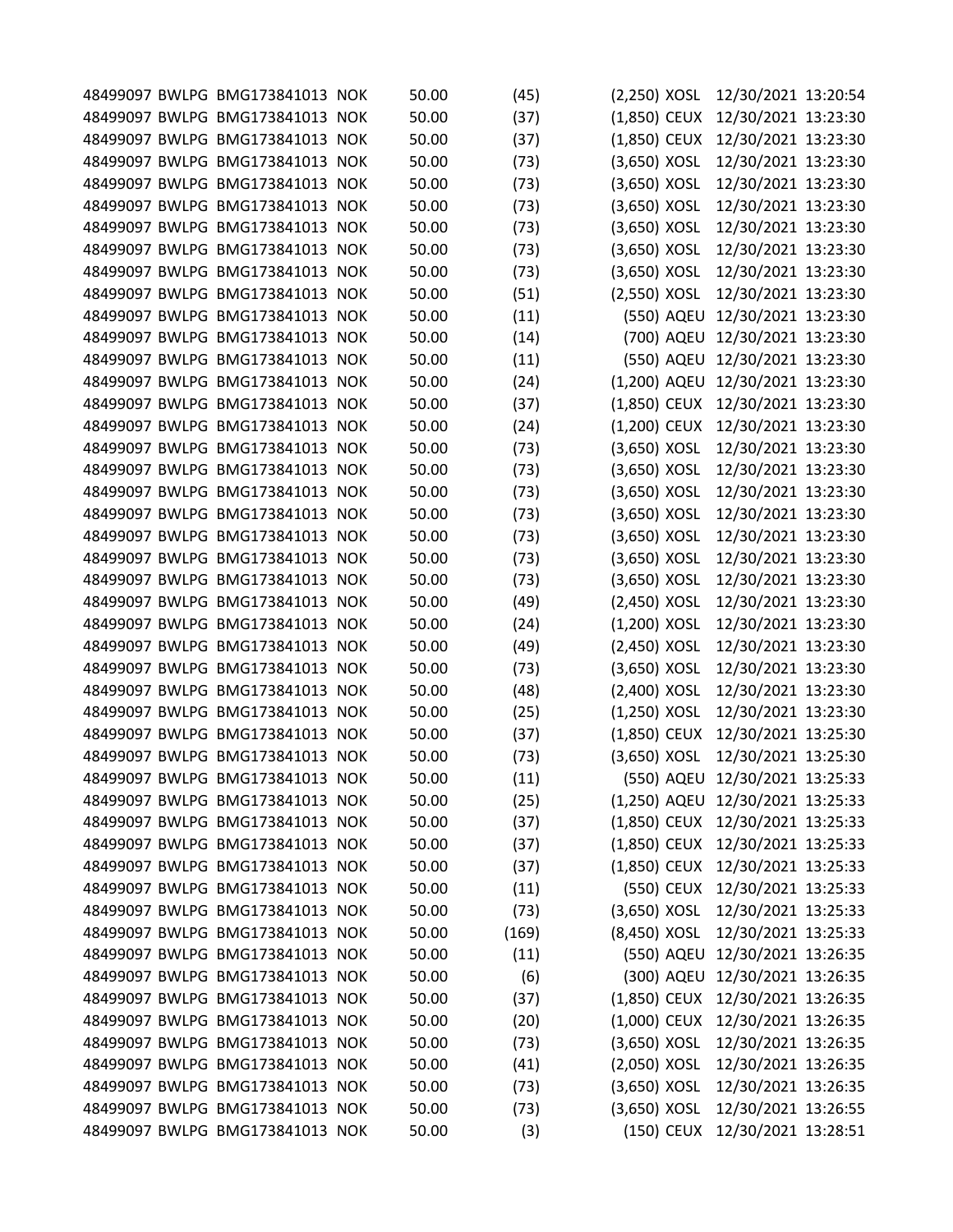|  | 48499097 BWLPG BMG173841013 NOK | 50.00 | (45)  | $(2,250)$ XOSL |            | 12/30/2021 13:20:54              |  |
|--|---------------------------------|-------|-------|----------------|------------|----------------------------------|--|
|  | 48499097 BWLPG BMG173841013 NOK | 50.00 | (37)  | $(1,850)$ CEUX |            | 12/30/2021 13:23:30              |  |
|  | 48499097 BWLPG BMG173841013 NOK | 50.00 | (37)  | (1,850) CEUX   |            | 12/30/2021 13:23:30              |  |
|  | 48499097 BWLPG BMG173841013 NOK | 50.00 | (73)  | (3,650) XOSL   |            | 12/30/2021 13:23:30              |  |
|  | 48499097 BWLPG BMG173841013 NOK | 50.00 | (73)  | $(3,650)$ XOSL |            | 12/30/2021 13:23:30              |  |
|  | 48499097 BWLPG BMG173841013 NOK | 50.00 | (73)  | $(3,650)$ XOSL |            | 12/30/2021 13:23:30              |  |
|  | 48499097 BWLPG BMG173841013 NOK | 50.00 | (73)  | $(3,650)$ XOSL |            | 12/30/2021 13:23:30              |  |
|  | 48499097 BWLPG BMG173841013 NOK | 50.00 | (73)  | (3,650) XOSL   |            | 12/30/2021 13:23:30              |  |
|  | 48499097 BWLPG BMG173841013 NOK | 50.00 | (73)  | $(3,650)$ XOSL |            | 12/30/2021 13:23:30              |  |
|  | 48499097 BWLPG BMG173841013 NOK | 50.00 | (51)  | (2,550) XOSL   |            | 12/30/2021 13:23:30              |  |
|  | 48499097 BWLPG BMG173841013 NOK | 50.00 | (11)  |                | (550) AQEU | 12/30/2021 13:23:30              |  |
|  | 48499097 BWLPG BMG173841013 NOK | 50.00 | (14)  |                | (700) AQEU | 12/30/2021 13:23:30              |  |
|  | 48499097 BWLPG BMG173841013 NOK | 50.00 | (11)  |                | (550) AQEU | 12/30/2021 13:23:30              |  |
|  | 48499097 BWLPG BMG173841013 NOK | 50.00 | (24)  | (1,200) AQEU   |            | 12/30/2021 13:23:30              |  |
|  | 48499097 BWLPG BMG173841013 NOK | 50.00 | (37)  | (1,850) CEUX   |            | 12/30/2021 13:23:30              |  |
|  | 48499097 BWLPG BMG173841013 NOK | 50.00 | (24)  | (1,200) CEUX   |            | 12/30/2021 13:23:30              |  |
|  | 48499097 BWLPG BMG173841013 NOK | 50.00 | (73)  | $(3,650)$ XOSL |            | 12/30/2021 13:23:30              |  |
|  | 48499097 BWLPG BMG173841013 NOK | 50.00 | (73)  | (3,650) XOSL   |            | 12/30/2021 13:23:30              |  |
|  | 48499097 BWLPG BMG173841013 NOK | 50.00 | (73)  | (3,650) XOSL   |            | 12/30/2021 13:23:30              |  |
|  |                                 |       |       |                |            |                                  |  |
|  | 48499097 BWLPG BMG173841013 NOK | 50.00 | (73)  | $(3,650)$ XOSL |            | 12/30/2021 13:23:30              |  |
|  | 48499097 BWLPG BMG173841013 NOK | 50.00 | (73)  | $(3,650)$ XOSL |            | 12/30/2021 13:23:30              |  |
|  | 48499097 BWLPG BMG173841013 NOK | 50.00 | (73)  | $(3,650)$ XOSL |            | 12/30/2021 13:23:30              |  |
|  | 48499097 BWLPG BMG173841013 NOK | 50.00 | (73)  | (3,650) XOSL   |            | 12/30/2021 13:23:30              |  |
|  | 48499097 BWLPG BMG173841013 NOK | 50.00 | (49)  | (2,450) XOSL   |            | 12/30/2021 13:23:30              |  |
|  | 48499097 BWLPG BMG173841013 NOK | 50.00 | (24)  | $(1,200)$ XOSL |            | 12/30/2021 13:23:30              |  |
|  | 48499097 BWLPG BMG173841013 NOK | 50.00 | (49)  | (2,450) XOSL   |            | 12/30/2021 13:23:30              |  |
|  | 48499097 BWLPG BMG173841013 NOK | 50.00 | (73)  | $(3,650)$ XOSL |            | 12/30/2021 13:23:30              |  |
|  | 48499097 BWLPG BMG173841013 NOK | 50.00 | (48)  | (2,400) XOSL   |            | 12/30/2021 13:23:30              |  |
|  | 48499097 BWLPG BMG173841013 NOK | 50.00 | (25)  | $(1,250)$ XOSL |            | 12/30/2021 13:23:30              |  |
|  | 48499097 BWLPG BMG173841013 NOK | 50.00 | (37)  | (1,850) CEUX   |            | 12/30/2021 13:25:30              |  |
|  | 48499097 BWLPG BMG173841013 NOK | 50.00 | (73)  | $(3,650)$ XOSL |            | 12/30/2021 13:25:30              |  |
|  | 48499097 BWLPG BMG173841013 NOK | 50.00 | (11)  |                |            | (550) AQEU 12/30/2021 13:25:33   |  |
|  | 48499097 BWLPG BMG173841013 NOK | 50.00 | (25)  |                |            | (1,250) AQEU 12/30/2021 13:25:33 |  |
|  | 48499097 BWLPG BMG173841013 NOK | 50.00 | (37)  | (1,850) CEUX   |            | 12/30/2021 13:25:33              |  |
|  | 48499097 BWLPG BMG173841013 NOK | 50.00 | (37)  | $(1,850)$ CEUX |            | 12/30/2021 13:25:33              |  |
|  | 48499097 BWLPG BMG173841013 NOK | 50.00 | (37)  | $(1,850)$ CEUX |            | 12/30/2021 13:25:33              |  |
|  | 48499097 BWLPG BMG173841013 NOK | 50.00 | (11)  |                | (550) CEUX | 12/30/2021 13:25:33              |  |
|  | 48499097 BWLPG BMG173841013 NOK | 50.00 | (73)  | $(3,650)$ XOSL |            | 12/30/2021 13:25:33              |  |
|  | 48499097 BWLPG BMG173841013 NOK | 50.00 | (169) | (8,450) XOSL   |            | 12/30/2021 13:25:33              |  |
|  | 48499097 BWLPG BMG173841013 NOK | 50.00 | (11)  |                | (550) AQEU | 12/30/2021 13:26:35              |  |
|  | 48499097 BWLPG BMG173841013 NOK | 50.00 | (6)   |                | (300) AQEU | 12/30/2021 13:26:35              |  |
|  | 48499097 BWLPG BMG173841013 NOK | 50.00 |       |                |            |                                  |  |
|  |                                 |       | (37)  | $(1,850)$ CEUX |            | 12/30/2021 13:26:35              |  |
|  | 48499097 BWLPG BMG173841013 NOK | 50.00 | (20)  | $(1,000)$ CEUX |            | 12/30/2021 13:26:35              |  |
|  | 48499097 BWLPG BMG173841013 NOK | 50.00 | (73)  | $(3,650)$ XOSL |            | 12/30/2021 13:26:35              |  |
|  | 48499097 BWLPG BMG173841013 NOK | 50.00 | (41)  | $(2,050)$ XOSL |            | 12/30/2021 13:26:35              |  |
|  | 48499097 BWLPG BMG173841013 NOK | 50.00 | (73)  | $(3,650)$ XOSL |            | 12/30/2021 13:26:35              |  |
|  | 48499097 BWLPG BMG173841013 NOK | 50.00 | (73)  | $(3,650)$ XOSL |            | 12/30/2021 13:26:55              |  |
|  | 48499097 BWLPG BMG173841013 NOK | 50.00 | (3)   |                |            | (150) CEUX 12/30/2021 13:28:51   |  |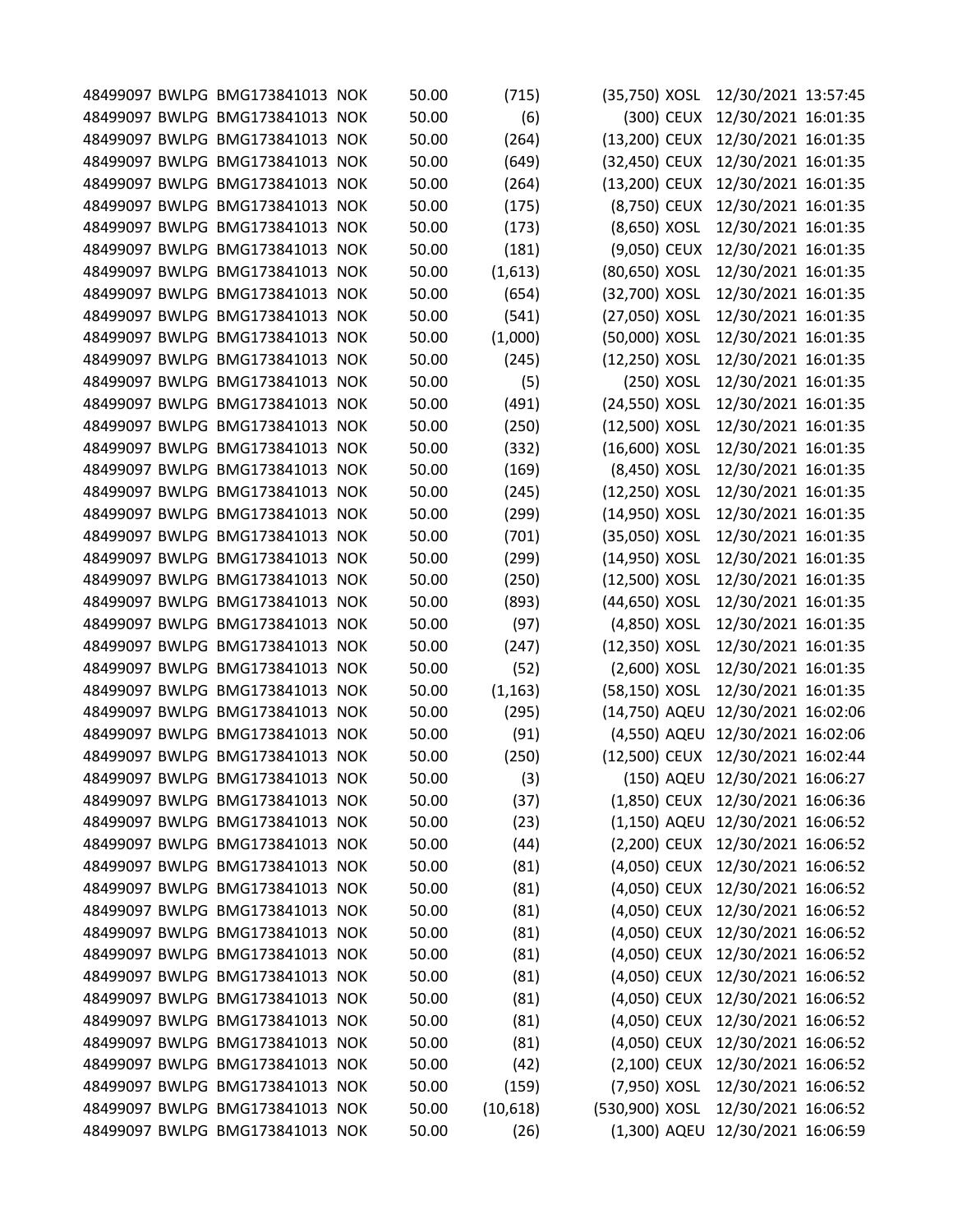|  | 48499097 BWLPG BMG173841013 NOK | 50.00 | (715)    | (35,750) XOSL  |            | 12/30/2021 13:57:45              |  |
|--|---------------------------------|-------|----------|----------------|------------|----------------------------------|--|
|  | 48499097 BWLPG BMG173841013 NOK | 50.00 | (6)      |                | (300) CEUX | 12/30/2021 16:01:35              |  |
|  | 48499097 BWLPG BMG173841013 NOK | 50.00 | (264)    | (13,200) CEUX  |            | 12/30/2021 16:01:35              |  |
|  | 48499097 BWLPG BMG173841013 NOK | 50.00 | (649)    | (32,450) CEUX  |            | 12/30/2021 16:01:35              |  |
|  | 48499097 BWLPG BMG173841013 NOK | 50.00 | (264)    | (13,200) CEUX  |            | 12/30/2021 16:01:35              |  |
|  | 48499097 BWLPG BMG173841013 NOK | 50.00 | (175)    | (8,750) CEUX   |            | 12/30/2021 16:01:35              |  |
|  | 48499097 BWLPG BMG173841013 NOK | 50.00 | (173)    | (8,650) XOSL   |            | 12/30/2021 16:01:35              |  |
|  | 48499097 BWLPG BMG173841013 NOK | 50.00 | (181)    | (9,050) CEUX   |            | 12/30/2021 16:01:35              |  |
|  | 48499097 BWLPG BMG173841013 NOK | 50.00 | (1,613)  | (80,650) XOSL  |            | 12/30/2021 16:01:35              |  |
|  | 48499097 BWLPG BMG173841013 NOK | 50.00 | (654)    | (32,700) XOSL  |            | 12/30/2021 16:01:35              |  |
|  | 48499097 BWLPG BMG173841013 NOK | 50.00 | (541)    | (27,050) XOSL  |            | 12/30/2021 16:01:35              |  |
|  | 48499097 BWLPG BMG173841013 NOK | 50.00 | (1,000)  | (50,000) XOSL  |            | 12/30/2021 16:01:35              |  |
|  | 48499097 BWLPG BMG173841013 NOK | 50.00 | (245)    | (12,250) XOSL  |            | 12/30/2021 16:01:35              |  |
|  | 48499097 BWLPG BMG173841013 NOK | 50.00 | (5)      | (250) XOSL     |            | 12/30/2021 16:01:35              |  |
|  | 48499097 BWLPG BMG173841013 NOK | 50.00 | (491)    | (24,550) XOSL  |            | 12/30/2021 16:01:35              |  |
|  | 48499097 BWLPG BMG173841013 NOK | 50.00 | (250)    | (12,500) XOSL  |            | 12/30/2021 16:01:35              |  |
|  | 48499097 BWLPG BMG173841013 NOK | 50.00 | (332)    | (16,600) XOSL  |            | 12/30/2021 16:01:35              |  |
|  | 48499097 BWLPG BMG173841013 NOK | 50.00 | (169)    | (8,450) XOSL   |            | 12/30/2021 16:01:35              |  |
|  | 48499097 BWLPG BMG173841013 NOK | 50.00 | (245)    | (12,250) XOSL  |            | 12/30/2021 16:01:35              |  |
|  | 48499097 BWLPG BMG173841013 NOK | 50.00 | (299)    | (14,950) XOSL  |            | 12/30/2021 16:01:35              |  |
|  | 48499097 BWLPG BMG173841013 NOK | 50.00 | (701)    | (35,050) XOSL  |            | 12/30/2021 16:01:35              |  |
|  | 48499097 BWLPG BMG173841013 NOK | 50.00 | (299)    | (14,950) XOSL  |            | 12/30/2021 16:01:35              |  |
|  | 48499097 BWLPG BMG173841013 NOK | 50.00 | (250)    | (12,500) XOSL  |            | 12/30/2021 16:01:35              |  |
|  | 48499097 BWLPG BMG173841013 NOK | 50.00 | (893)    | (44,650) XOSL  |            | 12/30/2021 16:01:35              |  |
|  | 48499097 BWLPG BMG173841013 NOK | 50.00 | (97)     | (4,850) XOSL   |            | 12/30/2021 16:01:35              |  |
|  | 48499097 BWLPG BMG173841013 NOK | 50.00 | (247)    | (12,350) XOSL  |            | 12/30/2021 16:01:35              |  |
|  | 48499097 BWLPG BMG173841013 NOK | 50.00 | (52)     | $(2,600)$ XOSL |            | 12/30/2021 16:01:35              |  |
|  | 48499097 BWLPG BMG173841013 NOK | 50.00 | (1, 163) | (58,150) XOSL  |            | 12/30/2021 16:01:35              |  |
|  | 48499097 BWLPG BMG173841013 NOK | 50.00 | (295)    | (14,750) AQEU  |            | 12/30/2021 16:02:06              |  |
|  | 48499097 BWLPG BMG173841013 NOK | 50.00 | (91)     | (4,550) AQEU   |            | 12/30/2021 16:02:06              |  |
|  | 48499097 BWLPG BMG173841013 NOK | 50.00 | (250)    | (12,500) CEUX  |            | 12/30/2021 16:02:44              |  |
|  | 48499097 BWLPG BMG173841013 NOK | 50.00 | (3)      |                |            | (150) AQEU 12/30/2021 16:06:27   |  |
|  | 48499097 BWLPG BMG173841013 NOK | 50.00 | (37)     | $(1,850)$ CEUX |            | 12/30/2021 16:06:36              |  |
|  | 48499097 BWLPG BMG173841013 NOK | 50.00 | (23)     |                |            | (1,150) AQEU 12/30/2021 16:06:52 |  |
|  | 48499097 BWLPG BMG173841013 NOK | 50.00 | (44)     | (2,200) CEUX   |            | 12/30/2021 16:06:52              |  |
|  | 48499097 BWLPG BMG173841013 NOK | 50.00 | (81)     | (4,050) CEUX   |            | 12/30/2021 16:06:52              |  |
|  | 48499097 BWLPG BMG173841013 NOK | 50.00 | (81)     | (4,050) CEUX   |            | 12/30/2021 16:06:52              |  |
|  | 48499097 BWLPG BMG173841013 NOK | 50.00 | (81)     | (4,050) CEUX   |            | 12/30/2021 16:06:52              |  |
|  | 48499097 BWLPG BMG173841013 NOK | 50.00 | (81)     | (4,050) CEUX   |            | 12/30/2021 16:06:52              |  |
|  | 48499097 BWLPG BMG173841013 NOK | 50.00 | (81)     | (4,050) CEUX   |            | 12/30/2021 16:06:52              |  |
|  | 48499097 BWLPG BMG173841013 NOK | 50.00 | (81)     | (4,050) CEUX   |            | 12/30/2021 16:06:52              |  |
|  | 48499097 BWLPG BMG173841013 NOK | 50.00 | (81)     | (4,050) CEUX   |            | 12/30/2021 16:06:52              |  |
|  | 48499097 BWLPG BMG173841013 NOK | 50.00 | (81)     | (4,050) CEUX   |            | 12/30/2021 16:06:52              |  |
|  | 48499097 BWLPG BMG173841013 NOK | 50.00 | (81)     | (4,050) CEUX   |            | 12/30/2021 16:06:52              |  |
|  | 48499097 BWLPG BMG173841013 NOK | 50.00 | (42)     | (2,100) CEUX   |            | 12/30/2021 16:06:52              |  |
|  | 48499097 BWLPG BMG173841013 NOK | 50.00 | (159)    | (7,950) XOSL   |            | 12/30/2021 16:06:52              |  |
|  | 48499097 BWLPG BMG173841013 NOK | 50.00 | (10,618) | (530,900) XOSL |            | 12/30/2021 16:06:52              |  |
|  | 48499097 BWLPG BMG173841013 NOK | 50.00 | (26)     |                |            | (1,300) AQEU 12/30/2021 16:06:59 |  |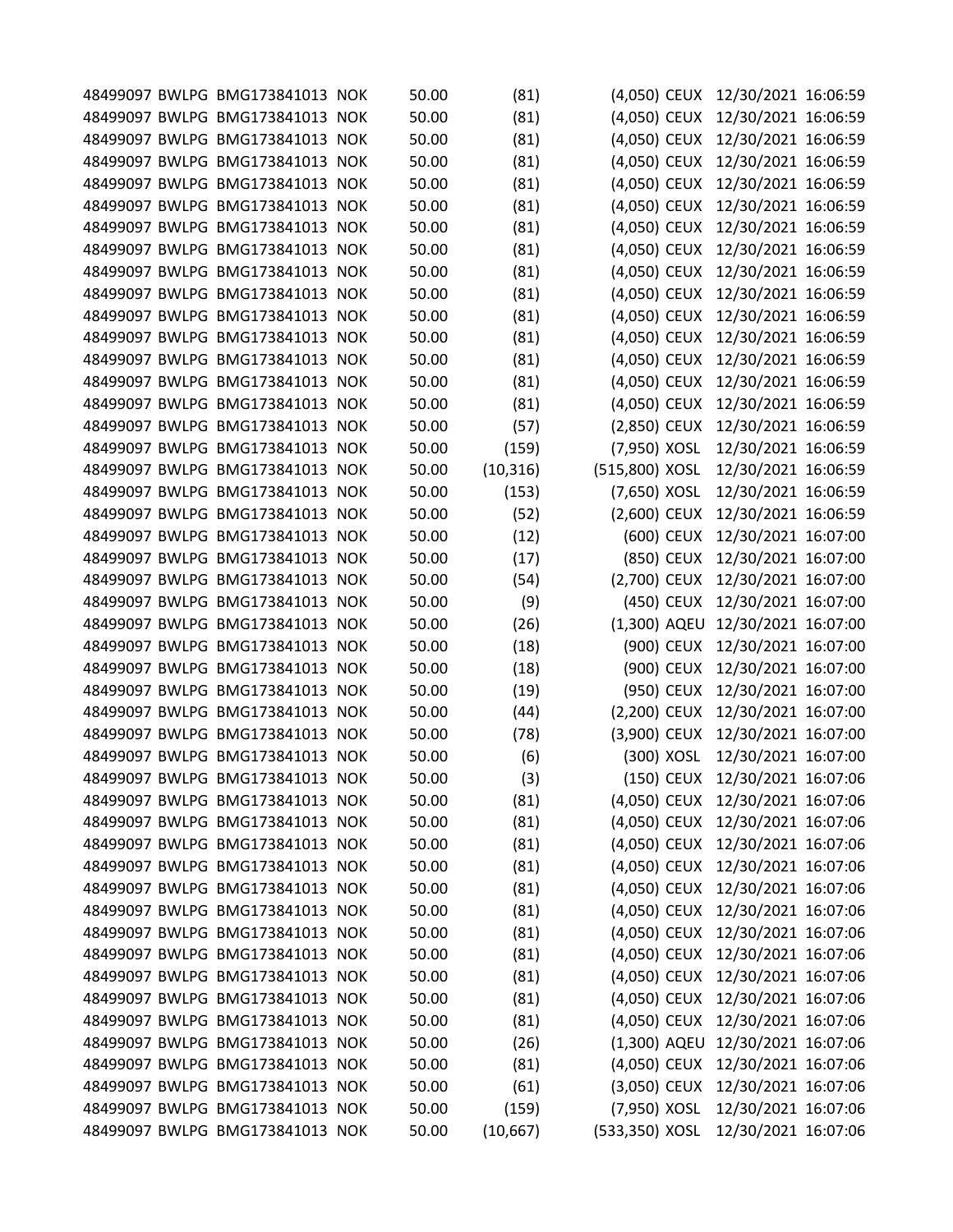|  | 48499097 BWLPG BMG173841013 NOK | 50.00 | (81)      | (4,050) CEUX   | 12/30/2021 16:06:59              |  |
|--|---------------------------------|-------|-----------|----------------|----------------------------------|--|
|  | 48499097 BWLPG BMG173841013 NOK | 50.00 | (81)      | (4,050) CEUX   | 12/30/2021 16:06:59              |  |
|  | 48499097 BWLPG BMG173841013 NOK | 50.00 | (81)      | (4,050) CEUX   | 12/30/2021 16:06:59              |  |
|  | 48499097 BWLPG BMG173841013 NOK | 50.00 | (81)      | (4,050) CEUX   | 12/30/2021 16:06:59              |  |
|  | 48499097 BWLPG BMG173841013 NOK | 50.00 | (81)      | (4,050) CEUX   | 12/30/2021 16:06:59              |  |
|  | 48499097 BWLPG BMG173841013 NOK | 50.00 | (81)      | (4,050) CEUX   | 12/30/2021 16:06:59              |  |
|  | 48499097 BWLPG BMG173841013 NOK | 50.00 | (81)      | (4,050) CEUX   | 12/30/2021 16:06:59              |  |
|  | 48499097 BWLPG BMG173841013 NOK | 50.00 | (81)      | (4,050) CEUX   | 12/30/2021 16:06:59              |  |
|  | 48499097 BWLPG BMG173841013 NOK | 50.00 | (81)      | (4,050) CEUX   | 12/30/2021 16:06:59              |  |
|  | 48499097 BWLPG BMG173841013 NOK | 50.00 | (81)      | (4,050) CEUX   | 12/30/2021 16:06:59              |  |
|  | 48499097 BWLPG BMG173841013 NOK | 50.00 | (81)      | (4,050) CEUX   | 12/30/2021 16:06:59              |  |
|  | 48499097 BWLPG BMG173841013 NOK | 50.00 | (81)      | (4,050) CEUX   | 12/30/2021 16:06:59              |  |
|  | 48499097 BWLPG BMG173841013 NOK | 50.00 | (81)      | (4,050) CEUX   | 12/30/2021 16:06:59              |  |
|  | 48499097 BWLPG BMG173841013 NOK | 50.00 | (81)      | (4,050) CEUX   | 12/30/2021 16:06:59              |  |
|  | 48499097 BWLPG BMG173841013 NOK | 50.00 | (81)      | (4,050) CEUX   | 12/30/2021 16:06:59              |  |
|  | 48499097 BWLPG BMG173841013 NOK | 50.00 | (57)      | (2,850) CEUX   | 12/30/2021 16:06:59              |  |
|  | 48499097 BWLPG BMG173841013 NOK | 50.00 | (159)     | (7,950) XOSL   | 12/30/2021 16:06:59              |  |
|  | 48499097 BWLPG BMG173841013 NOK | 50.00 | (10, 316) | (515,800) XOSL | 12/30/2021 16:06:59              |  |
|  | 48499097 BWLPG BMG173841013 NOK | 50.00 | (153)     | (7,650) XOSL   | 12/30/2021 16:06:59              |  |
|  | 48499097 BWLPG BMG173841013 NOK | 50.00 |           |                |                                  |  |
|  |                                 |       | (52)      | (2,600) CEUX   | 12/30/2021 16:06:59              |  |
|  | 48499097 BWLPG BMG173841013 NOK | 50.00 | (12)      | (600) CEUX     | 12/30/2021 16:07:00              |  |
|  | 48499097 BWLPG BMG173841013 NOK | 50.00 | (17)      | (850) CEUX     | 12/30/2021 16:07:00              |  |
|  | 48499097 BWLPG BMG173841013 NOK | 50.00 | (54)      | (2,700) CEUX   | 12/30/2021 16:07:00              |  |
|  | 48499097 BWLPG BMG173841013 NOK | 50.00 | (9)       | (450) CEUX     | 12/30/2021 16:07:00              |  |
|  | 48499097 BWLPG BMG173841013 NOK | 50.00 | (26)      | (1,300) AQEU   | 12/30/2021 16:07:00              |  |
|  | 48499097 BWLPG BMG173841013 NOK | 50.00 | (18)      | (900) CEUX     | 12/30/2021 16:07:00              |  |
|  | 48499097 BWLPG BMG173841013 NOK | 50.00 | (18)      | (900) CEUX     | 12/30/2021 16:07:00              |  |
|  | 48499097 BWLPG BMG173841013 NOK | 50.00 | (19)      | (950) CEUX     | 12/30/2021 16:07:00              |  |
|  | 48499097 BWLPG BMG173841013 NOK | 50.00 | (44)      | (2,200) CEUX   | 12/30/2021 16:07:00              |  |
|  | 48499097 BWLPG BMG173841013 NOK | 50.00 | (78)      | (3,900) CEUX   | 12/30/2021 16:07:00              |  |
|  | 48499097 BWLPG BMG173841013 NOK | 50.00 | (6)       | (300) XOSL     | 12/30/2021 16:07:00              |  |
|  | 48499097 BWLPG BMG173841013 NOK | 50.00 | (3)       |                | (150) CEUX 12/30/2021 16:07:06   |  |
|  | 48499097 BWLPG BMG173841013 NOK | 50.00 | (81)      | (4,050) CEUX   | 12/30/2021 16:07:06              |  |
|  | 48499097 BWLPG BMG173841013 NOK | 50.00 | (81)      |                | (4,050) CEUX 12/30/2021 16:07:06 |  |
|  | 48499097 BWLPG BMG173841013 NOK | 50.00 | (81)      | (4,050) CEUX   | 12/30/2021 16:07:06              |  |
|  | 48499097 BWLPG BMG173841013 NOK | 50.00 | (81)      | (4,050) CEUX   | 12/30/2021 16:07:06              |  |
|  | 48499097 BWLPG BMG173841013 NOK | 50.00 | (81)      | (4,050) CEUX   | 12/30/2021 16:07:06              |  |
|  | 48499097 BWLPG BMG173841013 NOK | 50.00 | (81)      | (4,050) CEUX   | 12/30/2021 16:07:06              |  |
|  | 48499097 BWLPG BMG173841013 NOK | 50.00 | (81)      | (4,050) CEUX   | 12/30/2021 16:07:06              |  |
|  | 48499097 BWLPG BMG173841013 NOK | 50.00 | (81)      | (4,050) CEUX   | 12/30/2021 16:07:06              |  |
|  | 48499097 BWLPG BMG173841013 NOK | 50.00 | (81)      | (4,050) CEUX   | 12/30/2021 16:07:06              |  |
|  | 48499097 BWLPG BMG173841013 NOK | 50.00 | (81)      | (4,050) CEUX   | 12/30/2021 16:07:06              |  |
|  | 48499097 BWLPG BMG173841013 NOK | 50.00 | (81)      | (4,050) CEUX   | 12/30/2021 16:07:06              |  |
|  | 48499097 BWLPG BMG173841013 NOK | 50.00 | (26)      |                | (1,300) AQEU 12/30/2021 16:07:06 |  |
|  | 48499097 BWLPG BMG173841013 NOK | 50.00 | (81)      | (4,050) CEUX   | 12/30/2021 16:07:06              |  |
|  | 48499097 BWLPG BMG173841013 NOK | 50.00 | (61)      | (3,050) CEUX   | 12/30/2021 16:07:06              |  |
|  | 48499097 BWLPG BMG173841013 NOK |       |           | (7,950) XOSL   | 12/30/2021 16:07:06              |  |
|  |                                 | 50.00 | (159)     |                |                                  |  |
|  | 48499097 BWLPG BMG173841013 NOK | 50.00 | (10, 667) | (533,350) XOSL | 12/30/2021 16:07:06              |  |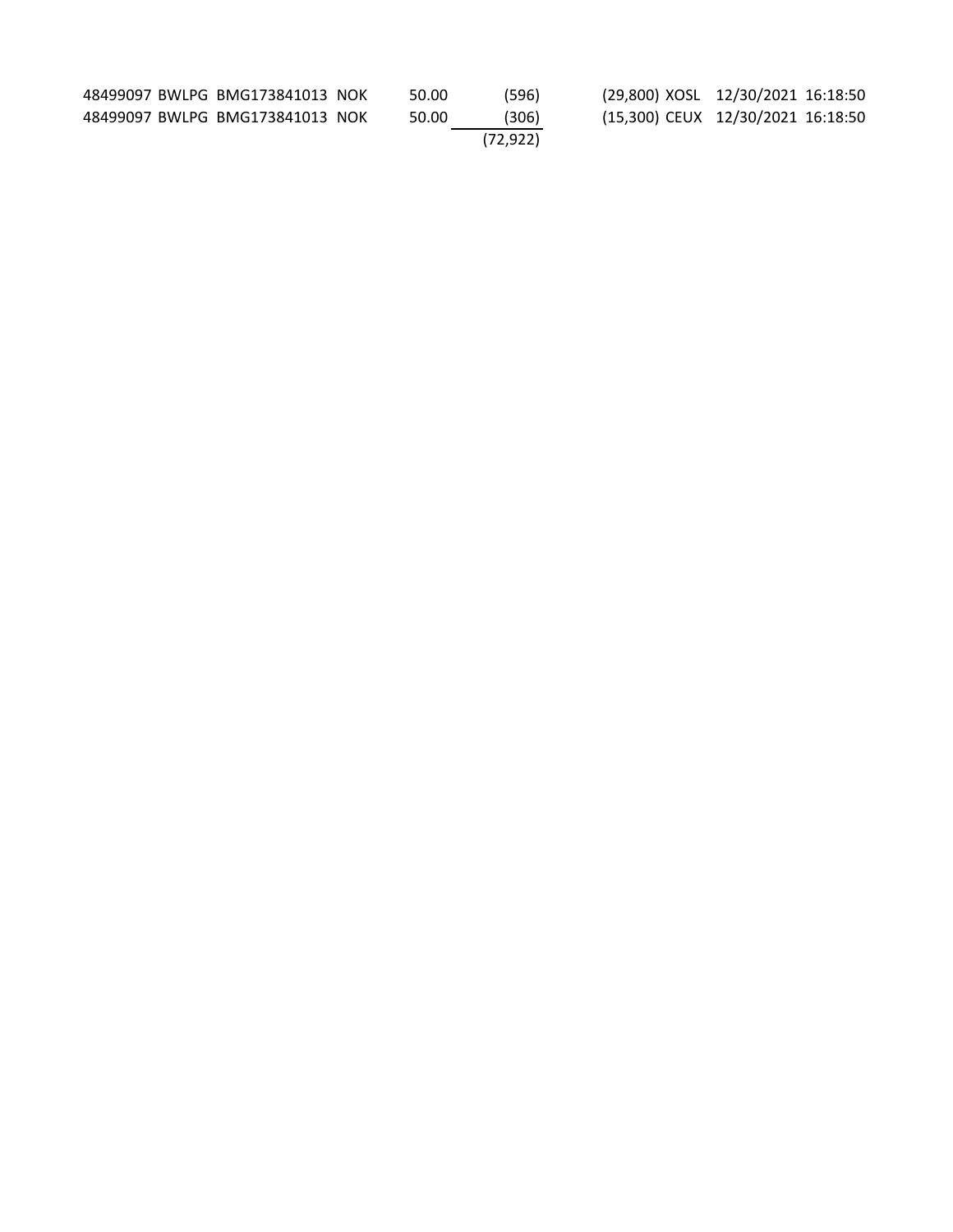| 48499097 BWLPG BMG173841013 NOK | 50.00 | (596)    | (29,800) XOSL 12/30/2021 16:18:50 |
|---------------------------------|-------|----------|-----------------------------------|
| 48499097 BWLPG BMG173841013 NOK | 50.00 | (306)    | (15,300) CEUX 12/30/2021 16:18:50 |
|                                 |       | (72.922) |                                   |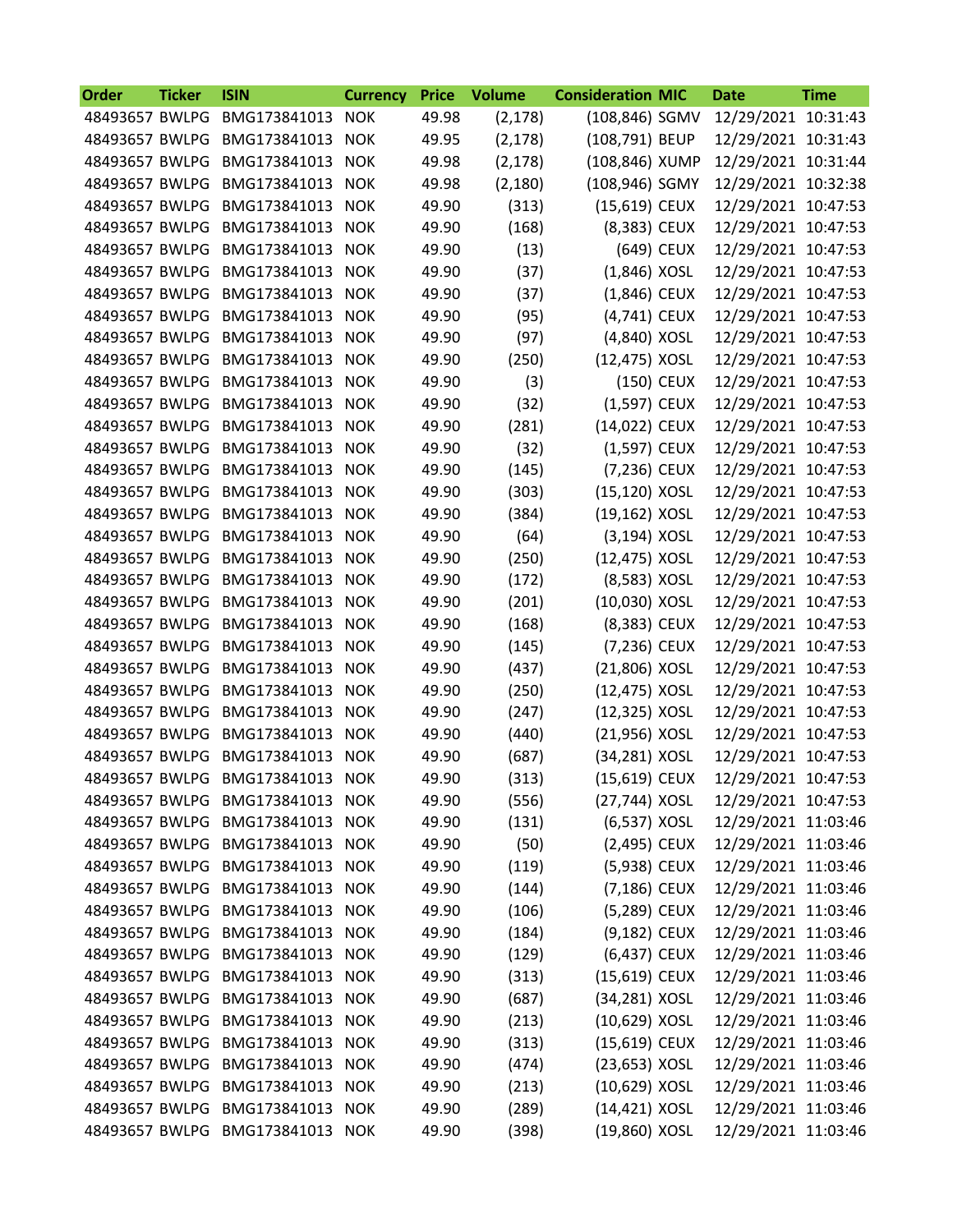| <b>Order</b>   | <b>Ticker</b> | <b>ISIN</b>                     | <b>Currency</b> | <b>Price</b> | <b>Volume</b> | <b>Consideration MIC</b> |            | <b>Date</b>         | <b>Time</b> |
|----------------|---------------|---------------------------------|-----------------|--------------|---------------|--------------------------|------------|---------------------|-------------|
| 48493657 BWLPG |               | BMG173841013                    | <b>NOK</b>      | 49.98        | (2, 178)      | (108,846) SGMV           |            | 12/29/2021 10:31:43 |             |
| 48493657 BWLPG |               | BMG173841013                    | <b>NOK</b>      | 49.95        | (2, 178)      | (108,791) BEUP           |            | 12/29/2021 10:31:43 |             |
| 48493657 BWLPG |               | BMG173841013                    | <b>NOK</b>      | 49.98        | (2, 178)      | (108,846) XUMP           |            | 12/29/2021 10:31:44 |             |
| 48493657 BWLPG |               | BMG173841013                    | <b>NOK</b>      | 49.98        | (2, 180)      | (108,946) SGMY           |            | 12/29/2021 10:32:38 |             |
| 48493657 BWLPG |               | BMG173841013                    | <b>NOK</b>      | 49.90        | (313)         | (15,619) CEUX            |            | 12/29/2021 10:47:53 |             |
| 48493657 BWLPG |               | BMG173841013                    | <b>NOK</b>      | 49.90        | (168)         | (8,383) CEUX             |            | 12/29/2021 10:47:53 |             |
| 48493657 BWLPG |               | BMG173841013                    | <b>NOK</b>      | 49.90        | (13)          |                          | (649) CEUX | 12/29/2021 10:47:53 |             |
| 48493657 BWLPG |               | BMG173841013                    | <b>NOK</b>      | 49.90        | (37)          | $(1,846)$ XOSL           |            | 12/29/2021 10:47:53 |             |
| 48493657 BWLPG |               | BMG173841013                    | <b>NOK</b>      | 49.90        | (37)          | (1,846) CEUX             |            | 12/29/2021 10:47:53 |             |
| 48493657 BWLPG |               | BMG173841013                    | <b>NOK</b>      | 49.90        | (95)          | (4,741) CEUX             |            | 12/29/2021 10:47:53 |             |
| 48493657 BWLPG |               | BMG173841013                    | <b>NOK</b>      | 49.90        | (97)          | (4,840) XOSL             |            | 12/29/2021 10:47:53 |             |
| 48493657 BWLPG |               | BMG173841013                    | <b>NOK</b>      | 49.90        | (250)         | (12,475) XOSL            |            | 12/29/2021 10:47:53 |             |
| 48493657 BWLPG |               | BMG173841013                    | <b>NOK</b>      | 49.90        | (3)           |                          | (150) CEUX | 12/29/2021 10:47:53 |             |
| 48493657 BWLPG |               | BMG173841013                    | <b>NOK</b>      | 49.90        | (32)          | (1,597) CEUX             |            | 12/29/2021 10:47:53 |             |
| 48493657 BWLPG |               | BMG173841013                    | <b>NOK</b>      | 49.90        | (281)         | (14,022) CEUX            |            | 12/29/2021 10:47:53 |             |
| 48493657 BWLPG |               | BMG173841013                    | <b>NOK</b>      | 49.90        | (32)          | (1,597) CEUX             |            | 12/29/2021 10:47:53 |             |
| 48493657 BWLPG |               | BMG173841013                    | <b>NOK</b>      | 49.90        | (145)         | (7,236) CEUX             |            | 12/29/2021 10:47:53 |             |
| 48493657 BWLPG |               | BMG173841013                    |                 | 49.90        |               | (15,120) XOSL            |            |                     |             |
|                |               |                                 | <b>NOK</b>      |              | (303)         |                          |            | 12/29/2021 10:47:53 |             |
| 48493657 BWLPG |               | BMG173841013                    | <b>NOK</b>      | 49.90        | (384)         | (19,162) XOSL            |            | 12/29/2021 10:47:53 |             |
| 48493657 BWLPG |               | BMG173841013                    | <b>NOK</b>      | 49.90        | (64)          | (3,194) XOSL             |            | 12/29/2021 10:47:53 |             |
| 48493657 BWLPG |               | BMG173841013                    | <b>NOK</b>      | 49.90        | (250)         | (12,475) XOSL            |            | 12/29/2021 10:47:53 |             |
| 48493657 BWLPG |               | BMG173841013                    | <b>NOK</b>      | 49.90        | (172)         | (8,583) XOSL             |            | 12/29/2021 10:47:53 |             |
| 48493657 BWLPG |               | BMG173841013                    | <b>NOK</b>      | 49.90        | (201)         | (10,030) XOSL            |            | 12/29/2021 10:47:53 |             |
| 48493657 BWLPG |               | BMG173841013                    | <b>NOK</b>      | 49.90        | (168)         | (8,383) CEUX             |            | 12/29/2021 10:47:53 |             |
| 48493657 BWLPG |               | BMG173841013                    | <b>NOK</b>      | 49.90        | (145)         | (7,236) CEUX             |            | 12/29/2021 10:47:53 |             |
| 48493657 BWLPG |               | BMG173841013                    | <b>NOK</b>      | 49.90        | (437)         | (21,806) XOSL            |            | 12/29/2021 10:47:53 |             |
| 48493657 BWLPG |               | BMG173841013                    | <b>NOK</b>      | 49.90        | (250)         | (12,475) XOSL            |            | 12/29/2021 10:47:53 |             |
| 48493657 BWLPG |               | BMG173841013                    | <b>NOK</b>      | 49.90        | (247)         | (12,325) XOSL            |            | 12/29/2021 10:47:53 |             |
| 48493657 BWLPG |               | BMG173841013                    | <b>NOK</b>      | 49.90        | (440)         | (21,956) XOSL            |            | 12/29/2021 10:47:53 |             |
|                |               | 48493657 BWLPG BMG173841013 NOK |                 | 49.90        | (687)         | (34,281) XOSL            |            | 12/29/2021 10:47:53 |             |
|                |               | 48493657 BWLPG BMG173841013     | <b>NOK</b>      | 49.90        | (313)         | (15,619) CEUX            |            | 12/29/2021 10:47:53 |             |
|                |               | 48493657 BWLPG BMG173841013 NOK |                 | 49.90        | (556)         | (27,744) XOSL            |            | 12/29/2021 10:47:53 |             |
|                |               | 48493657 BWLPG BMG173841013     | <b>NOK</b>      | 49.90        | (131)         | (6,537) XOSL             |            | 12/29/2021 11:03:46 |             |
|                |               | 48493657 BWLPG BMG173841013 NOK |                 | 49.90        | (50)          | (2,495) CEUX             |            | 12/29/2021 11:03:46 |             |
| 48493657 BWLPG |               | BMG173841013                    | <b>NOK</b>      | 49.90        | (119)         | (5,938) CEUX             |            | 12/29/2021 11:03:46 |             |
|                |               | 48493657 BWLPG BMG173841013     | <b>NOK</b>      | 49.90        | (144)         | (7,186) CEUX             |            | 12/29/2021 11:03:46 |             |
|                |               | 48493657 BWLPG BMG173841013 NOK |                 | 49.90        | (106)         | (5,289) CEUX             |            | 12/29/2021 11:03:46 |             |
|                |               | 48493657 BWLPG BMG173841013     | <b>NOK</b>      | 49.90        | (184)         | (9,182) CEUX             |            | 12/29/2021 11:03:46 |             |
|                |               | 48493657 BWLPG BMG173841013 NOK |                 | 49.90        | (129)         | (6,437) CEUX             |            | 12/29/2021 11:03:46 |             |
| 48493657 BWLPG |               | BMG173841013                    | <b>NOK</b>      | 49.90        | (313)         | (15,619) CEUX            |            | 12/29/2021 11:03:46 |             |
|                |               | 48493657 BWLPG BMG173841013     | <b>NOK</b>      | 49.90        | (687)         | (34,281) XOSL            |            | 12/29/2021 11:03:46 |             |
| 48493657 BWLPG |               | BMG173841013 NOK                |                 | 49.90        | (213)         | (10,629) XOSL            |            | 12/29/2021 11:03:46 |             |
| 48493657 BWLPG |               | BMG173841013                    | <b>NOK</b>      | 49.90        | (313)         | (15,619) CEUX            |            | 12/29/2021 11:03:46 |             |
| 48493657 BWLPG |               | BMG173841013 NOK                |                 | 49.90        | (474)         | (23,653) XOSL            |            | 12/29/2021 11:03:46 |             |
|                |               | 48493657 BWLPG BMG173841013     | <b>NOK</b>      | 49.90        | (213)         | (10,629) XOSL            |            | 12/29/2021 11:03:46 |             |
|                |               | 48493657 BWLPG BMG173841013 NOK |                 | 49.90        | (289)         | $(14, 421)$ XOSL         |            | 12/29/2021 11:03:46 |             |
|                |               | 48493657 BWLPG BMG173841013 NOK |                 | 49.90        | (398)         | (19,860) XOSL            |            | 12/29/2021 11:03:46 |             |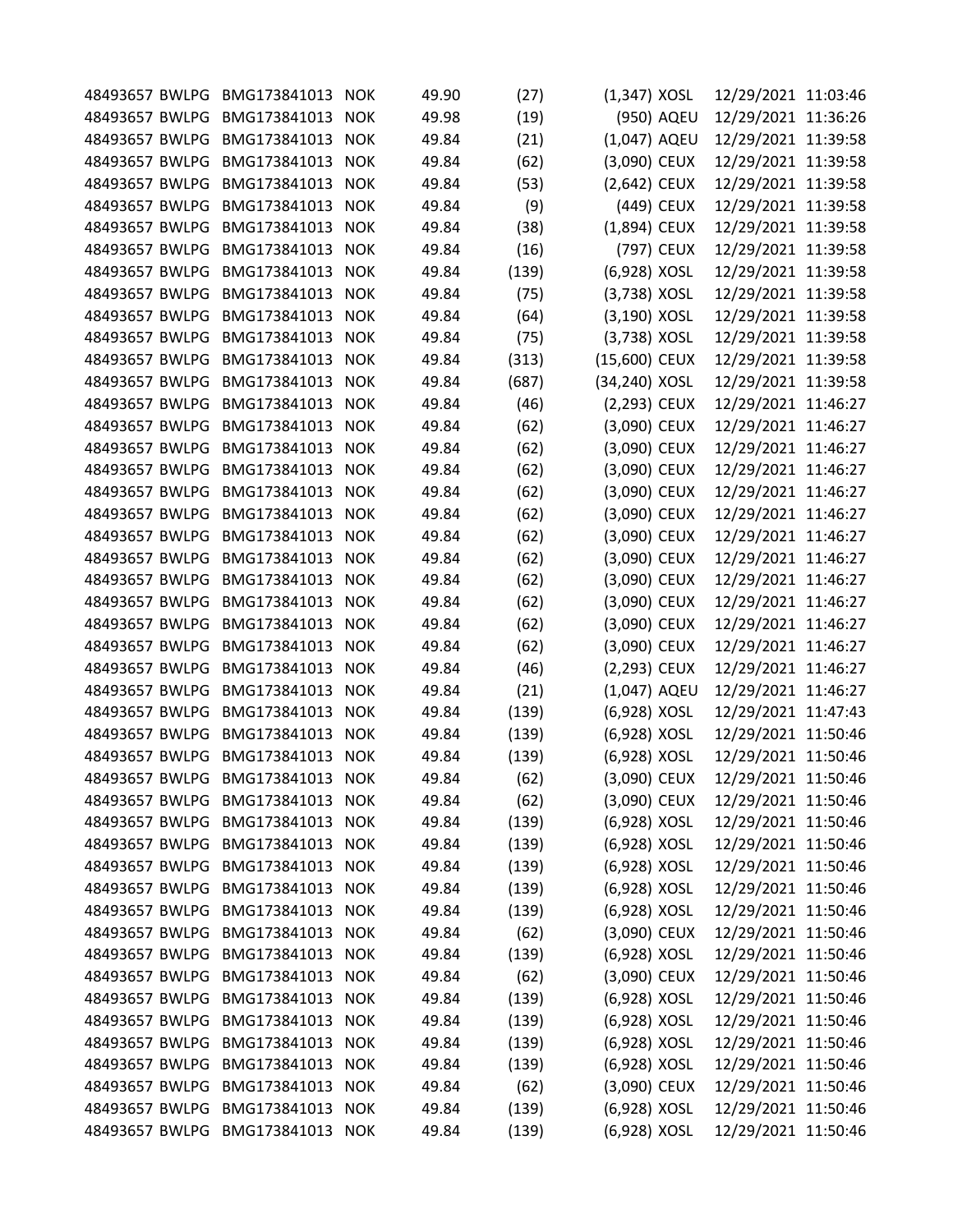|                | 48493657 BWLPG BMG173841013     | <b>NOK</b> | 49.90 | (27)  | $(1,347)$ XOSL |            | 12/29/2021 11:03:46 |  |
|----------------|---------------------------------|------------|-------|-------|----------------|------------|---------------------|--|
| 48493657 BWLPG | BMG173841013                    | <b>NOK</b> | 49.98 | (19)  |                | (950) AQEU | 12/29/2021 11:36:26 |  |
| 48493657 BWLPG | BMG173841013                    | <b>NOK</b> | 49.84 | (21)  | (1,047) AQEU   |            | 12/29/2021 11:39:58 |  |
| 48493657 BWLPG | BMG173841013                    | <b>NOK</b> | 49.84 | (62)  | (3,090) CEUX   |            | 12/29/2021 11:39:58 |  |
| 48493657 BWLPG | BMG173841013                    | <b>NOK</b> | 49.84 | (53)  | (2,642) CEUX   |            | 12/29/2021 11:39:58 |  |
| 48493657 BWLPG | BMG173841013                    | <b>NOK</b> | 49.84 | (9)   |                | (449) CEUX | 12/29/2021 11:39:58 |  |
| 48493657 BWLPG | BMG173841013                    | <b>NOK</b> | 49.84 | (38)  | (1,894) CEUX   |            | 12/29/2021 11:39:58 |  |
| 48493657 BWLPG | BMG173841013                    | <b>NOK</b> | 49.84 | (16)  |                | (797) CEUX | 12/29/2021 11:39:58 |  |
| 48493657 BWLPG | BMG173841013                    | <b>NOK</b> | 49.84 | (139) | (6,928) XOSL   |            | 12/29/2021 11:39:58 |  |
| 48493657 BWLPG | BMG173841013                    | <b>NOK</b> | 49.84 | (75)  | (3,738) XOSL   |            | 12/29/2021 11:39:58 |  |
| 48493657 BWLPG | BMG173841013                    | <b>NOK</b> | 49.84 | (64)  | (3,190) XOSL   |            | 12/29/2021 11:39:58 |  |
| 48493657 BWLPG | BMG173841013                    | <b>NOK</b> | 49.84 | (75)  | (3,738) XOSL   |            | 12/29/2021 11:39:58 |  |
| 48493657 BWLPG | BMG173841013                    | <b>NOK</b> | 49.84 | (313) | (15,600) CEUX  |            | 12/29/2021 11:39:58 |  |
| 48493657 BWLPG | BMG173841013                    | <b>NOK</b> | 49.84 | (687) | (34,240) XOSL  |            | 12/29/2021 11:39:58 |  |
| 48493657 BWLPG | BMG173841013                    | <b>NOK</b> | 49.84 | (46)  | (2,293) CEUX   |            | 12/29/2021 11:46:27 |  |
| 48493657 BWLPG | BMG173841013                    | <b>NOK</b> | 49.84 | (62)  | (3,090) CEUX   |            | 12/29/2021 11:46:27 |  |
| 48493657 BWLPG | BMG173841013                    | <b>NOK</b> | 49.84 | (62)  | (3,090) CEUX   |            | 12/29/2021 11:46:27 |  |
| 48493657 BWLPG | BMG173841013                    | <b>NOK</b> | 49.84 | (62)  | (3,090) CEUX   |            | 12/29/2021 11:46:27 |  |
| 48493657 BWLPG | BMG173841013                    | <b>NOK</b> | 49.84 | (62)  | (3,090) CEUX   |            | 12/29/2021 11:46:27 |  |
| 48493657 BWLPG | BMG173841013                    | <b>NOK</b> | 49.84 | (62)  | (3,090) CEUX   |            | 12/29/2021 11:46:27 |  |
| 48493657 BWLPG | BMG173841013                    | <b>NOK</b> | 49.84 | (62)  | (3,090) CEUX   |            | 12/29/2021 11:46:27 |  |
| 48493657 BWLPG | BMG173841013                    | <b>NOK</b> | 49.84 | (62)  | (3,090) CEUX   |            | 12/29/2021 11:46:27 |  |
| 48493657 BWLPG | BMG173841013                    | <b>NOK</b> | 49.84 | (62)  | (3,090) CEUX   |            | 12/29/2021 11:46:27 |  |
| 48493657 BWLPG | BMG173841013                    | <b>NOK</b> | 49.84 | (62)  | (3,090) CEUX   |            | 12/29/2021 11:46:27 |  |
| 48493657 BWLPG | BMG173841013                    | <b>NOK</b> | 49.84 | (62)  | (3,090) CEUX   |            | 12/29/2021 11:46:27 |  |
| 48493657 BWLPG | BMG173841013                    | <b>NOK</b> | 49.84 | (62)  | (3,090) CEUX   |            | 12/29/2021 11:46:27 |  |
| 48493657 BWLPG | BMG173841013                    | <b>NOK</b> | 49.84 | (46)  | (2,293) CEUX   |            | 12/29/2021 11:46:27 |  |
| 48493657 BWLPG | BMG173841013                    | <b>NOK</b> | 49.84 | (21)  | (1,047) AQEU   |            | 12/29/2021 11:46:27 |  |
| 48493657 BWLPG | BMG173841013                    | <b>NOK</b> | 49.84 |       |                |            |                     |  |
|                | BMG173841013                    |            |       | (139) | (6,928) XOSL   |            | 12/29/2021 11:47:43 |  |
| 48493657 BWLPG |                                 | <b>NOK</b> | 49.84 | (139) | (6,928) XOSL   |            | 12/29/2021 11:50:46 |  |
| 48493657 BWLPG | BMG173841013                    | <b>NOK</b> | 49.84 | (139) | (6,928) XOSL   |            | 12/29/2021 11:50:46 |  |
|                | 48493657 BWLPG BMG173841013     | <b>NOK</b> | 49.84 | (62)  | (3,090) CEUX   |            | 12/29/2021 11:50:46 |  |
| 48493657 BWLPG | BMG173841013                    | <b>NOK</b> | 49.84 | (62)  | (3,090) CEUX   |            | 12/29/2021 11:50:46 |  |
| 48493657 BWLPG | BMG173841013                    | <b>NOK</b> | 49.84 | (139) | (6,928) XOSL   |            | 12/29/2021 11:50:46 |  |
| 48493657 BWLPG | BMG173841013                    | <b>NOK</b> | 49.84 | (139) | (6,928) XOSL   |            | 12/29/2021 11:50:46 |  |
| 48493657 BWLPG | BMG173841013                    | <b>NOK</b> | 49.84 | (139) | (6,928) XOSL   |            | 12/29/2021 11:50:46 |  |
|                | 48493657 BWLPG BMG173841013     | <b>NOK</b> | 49.84 | (139) | (6,928) XOSL   |            | 12/29/2021 11:50:46 |  |
| 48493657 BWLPG | BMG173841013                    | <b>NOK</b> | 49.84 | (139) | (6,928) XOSL   |            | 12/29/2021 11:50:46 |  |
| 48493657 BWLPG | BMG173841013                    | <b>NOK</b> | 49.84 | (62)  | (3,090) CEUX   |            | 12/29/2021 11:50:46 |  |
| 48493657 BWLPG | BMG173841013                    | <b>NOK</b> | 49.84 | (139) | (6,928) XOSL   |            | 12/29/2021 11:50:46 |  |
| 48493657 BWLPG | BMG173841013                    | <b>NOK</b> | 49.84 | (62)  | (3,090) CEUX   |            | 12/29/2021 11:50:46 |  |
| 48493657 BWLPG | BMG173841013                    | <b>NOK</b> | 49.84 | (139) | (6,928) XOSL   |            | 12/29/2021 11:50:46 |  |
| 48493657 BWLPG | BMG173841013                    | <b>NOK</b> | 49.84 | (139) | (6,928) XOSL   |            | 12/29/2021 11:50:46 |  |
| 48493657 BWLPG | BMG173841013                    | <b>NOK</b> | 49.84 | (139) | (6,928) XOSL   |            | 12/29/2021 11:50:46 |  |
| 48493657 BWLPG | BMG173841013                    | <b>NOK</b> | 49.84 | (139) | (6,928) XOSL   |            | 12/29/2021 11:50:46 |  |
| 48493657 BWLPG | BMG173841013                    | <b>NOK</b> | 49.84 | (62)  | (3,090) CEUX   |            | 12/29/2021 11:50:46 |  |
|                | 48493657 BWLPG BMG173841013     | <b>NOK</b> | 49.84 | (139) | (6,928) XOSL   |            | 12/29/2021 11:50:46 |  |
|                | 48493657 BWLPG BMG173841013 NOK |            | 49.84 | (139) | (6,928) XOSL   |            | 12/29/2021 11:50:46 |  |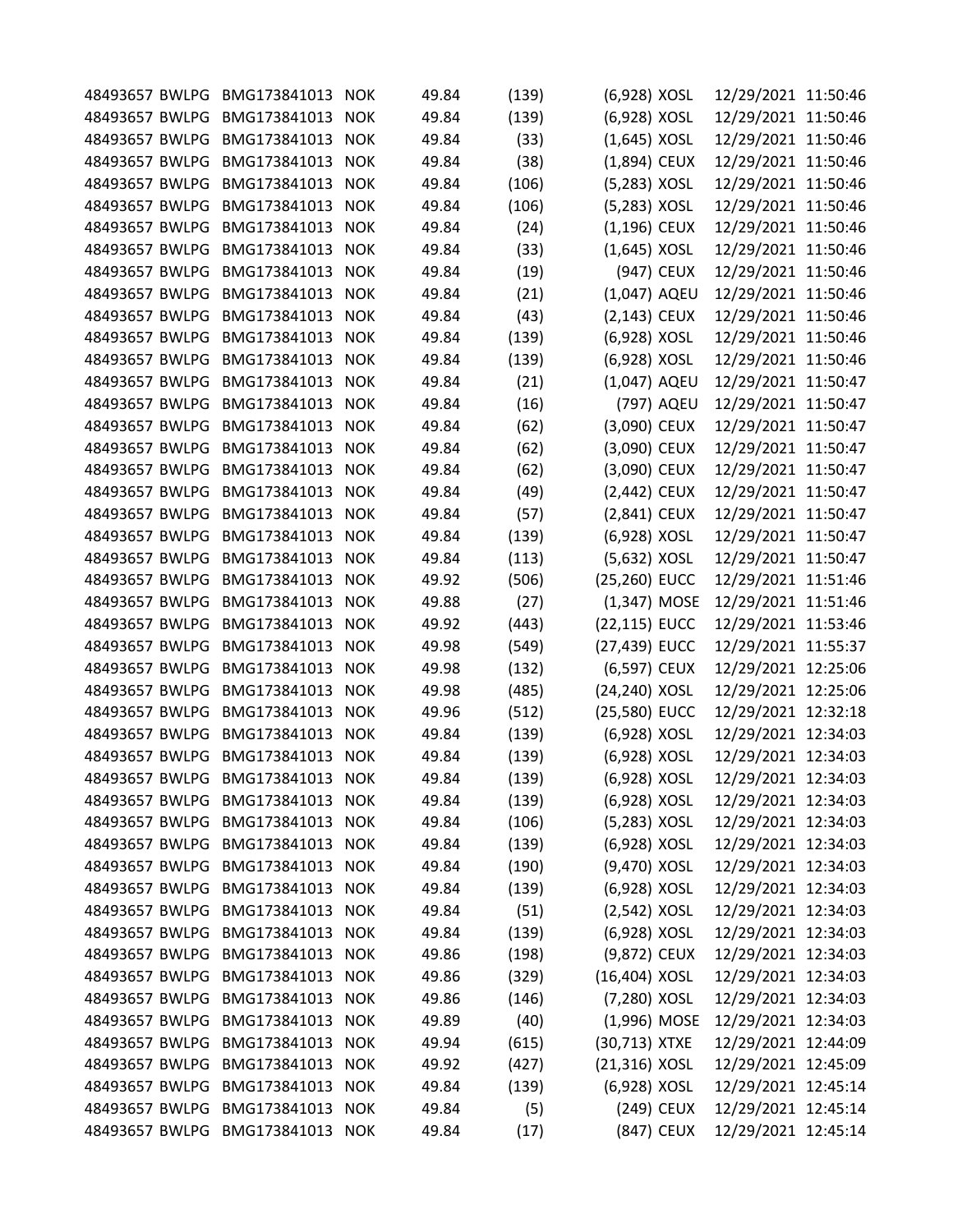| 48493657 BWLPG | BMG173841013                    | <b>NOK</b> | 49.84 | (139) | (6,928) XOSL    |            | 12/29/2021 11:50:46 |  |
|----------------|---------------------------------|------------|-------|-------|-----------------|------------|---------------------|--|
| 48493657 BWLPG | BMG173841013                    | <b>NOK</b> | 49.84 | (139) | (6,928) XOSL    |            | 12/29/2021 11:50:46 |  |
| 48493657 BWLPG | BMG173841013                    | <b>NOK</b> | 49.84 | (33)  | $(1,645)$ XOSL  |            | 12/29/2021 11:50:46 |  |
| 48493657 BWLPG | BMG173841013                    | <b>NOK</b> | 49.84 | (38)  | (1,894) CEUX    |            | 12/29/2021 11:50:46 |  |
| 48493657 BWLPG | BMG173841013                    | <b>NOK</b> | 49.84 | (106) | (5,283) XOSL    |            | 12/29/2021 11:50:46 |  |
| 48493657 BWLPG | BMG173841013                    | <b>NOK</b> | 49.84 | (106) | (5,283) XOSL    |            | 12/29/2021 11:50:46 |  |
| 48493657 BWLPG | BMG173841013                    | <b>NOK</b> | 49.84 | (24)  | (1,196) CEUX    |            | 12/29/2021 11:50:46 |  |
| 48493657 BWLPG | BMG173841013                    | <b>NOK</b> | 49.84 | (33)  | $(1,645)$ XOSL  |            | 12/29/2021 11:50:46 |  |
| 48493657 BWLPG | BMG173841013                    | <b>NOK</b> | 49.84 | (19)  |                 | (947) CEUX | 12/29/2021 11:50:46 |  |
| 48493657 BWLPG | BMG173841013                    | <b>NOK</b> | 49.84 | (21)  | (1,047) AQEU    |            | 12/29/2021 11:50:46 |  |
| 48493657 BWLPG | BMG173841013                    | <b>NOK</b> | 49.84 | (43)  | $(2, 143)$ CEUX |            | 12/29/2021 11:50:46 |  |
| 48493657 BWLPG | BMG173841013                    | <b>NOK</b> | 49.84 | (139) | (6,928) XOSL    |            | 12/29/2021 11:50:46 |  |
| 48493657 BWLPG | BMG173841013                    | <b>NOK</b> | 49.84 | (139) | (6,928) XOSL    |            | 12/29/2021 11:50:46 |  |
| 48493657 BWLPG | BMG173841013                    | <b>NOK</b> | 49.84 | (21)  | (1,047) AQEU    |            | 12/29/2021 11:50:47 |  |
| 48493657 BWLPG | BMG173841013                    | <b>NOK</b> | 49.84 | (16)  |                 | (797) AQEU | 12/29/2021 11:50:47 |  |
| 48493657 BWLPG | BMG173841013                    | <b>NOK</b> | 49.84 | (62)  | (3,090) CEUX    |            | 12/29/2021 11:50:47 |  |
| 48493657 BWLPG | BMG173841013                    | <b>NOK</b> | 49.84 | (62)  | (3,090) CEUX    |            | 12/29/2021 11:50:47 |  |
| 48493657 BWLPG | BMG173841013                    | <b>NOK</b> | 49.84 | (62)  | (3,090) CEUX    |            | 12/29/2021 11:50:47 |  |
| 48493657 BWLPG | BMG173841013                    | <b>NOK</b> | 49.84 | (49)  | (2,442) CEUX    |            | 12/29/2021 11:50:47 |  |
| 48493657 BWLPG | BMG173841013                    | <b>NOK</b> | 49.84 | (57)  | (2,841) CEUX    |            | 12/29/2021 11:50:47 |  |
| 48493657 BWLPG | BMG173841013                    | <b>NOK</b> | 49.84 | (139) | (6,928) XOSL    |            | 12/29/2021 11:50:47 |  |
| 48493657 BWLPG | BMG173841013                    | <b>NOK</b> | 49.84 | (113) | (5,632) XOSL    |            | 12/29/2021 11:50:47 |  |
|                |                                 |            |       |       |                 |            |                     |  |
| 48493657 BWLPG | BMG173841013                    | <b>NOK</b> | 49.92 | (506) | (25,260) EUCC   |            | 12/29/2021 11:51:46 |  |
| 48493657 BWLPG | BMG173841013                    | <b>NOK</b> | 49.88 | (27)  | (1,347) MOSE    |            | 12/29/2021 11:51:46 |  |
| 48493657 BWLPG | BMG173841013                    | <b>NOK</b> | 49.92 | (443) | (22,115) EUCC   |            | 12/29/2021 11:53:46 |  |
| 48493657 BWLPG | BMG173841013                    | <b>NOK</b> | 49.98 | (549) | (27,439) EUCC   |            | 12/29/2021 11:55:37 |  |
| 48493657 BWLPG | BMG173841013                    | <b>NOK</b> | 49.98 | (132) | (6,597) CEUX    |            | 12/29/2021 12:25:06 |  |
| 48493657 BWLPG | BMG173841013                    | <b>NOK</b> | 49.98 | (485) | (24,240) XOSL   |            | 12/29/2021 12:25:06 |  |
| 48493657 BWLPG | BMG173841013                    | <b>NOK</b> | 49.96 | (512) | (25,580) EUCC   |            | 12/29/2021 12:32:18 |  |
| 48493657 BWLPG | BMG173841013                    | <b>NOK</b> | 49.84 | (139) | (6,928) XOSL    |            | 12/29/2021 12:34:03 |  |
| 48493657 BWLPG | BMG173841013                    | <b>NOK</b> | 49.84 | (139) | (6,928) XOSL    |            | 12/29/2021 12:34:03 |  |
|                | 48493657 BWLPG BMG173841013     | <b>NOK</b> | 49.84 | (139) | (6,928) XOSL    |            | 12/29/2021 12:34:03 |  |
| 48493657 BWLPG | BMG173841013                    | <b>NOK</b> | 49.84 | (139) | (6,928) XOSL    |            | 12/29/2021 12:34:03 |  |
| 48493657 BWLPG | BMG173841013                    | <b>NOK</b> | 49.84 | (106) | (5,283) XOSL    |            | 12/29/2021 12:34:03 |  |
| 48493657 BWLPG | BMG173841013                    | <b>NOK</b> | 49.84 | (139) | (6,928) XOSL    |            | 12/29/2021 12:34:03 |  |
| 48493657 BWLPG | BMG173841013                    | <b>NOK</b> | 49.84 | (190) | (9,470) XOSL    |            | 12/29/2021 12:34:03 |  |
|                | 48493657 BWLPG BMG173841013     | <b>NOK</b> | 49.84 | (139) | (6,928) XOSL    |            | 12/29/2021 12:34:03 |  |
| 48493657 BWLPG | BMG173841013                    | <b>NOK</b> | 49.84 | (51)  | $(2,542)$ XOSL  |            | 12/29/2021 12:34:03 |  |
| 48493657 BWLPG | BMG173841013                    | <b>NOK</b> | 49.84 | (139) | (6,928) XOSL    |            | 12/29/2021 12:34:03 |  |
| 48493657 BWLPG | BMG173841013                    | <b>NOK</b> | 49.86 | (198) | (9,872) CEUX    |            | 12/29/2021 12:34:03 |  |
| 48493657 BWLPG | BMG173841013                    | <b>NOK</b> | 49.86 | (329) | (16,404) XOSL   |            | 12/29/2021 12:34:03 |  |
| 48493657 BWLPG | BMG173841013                    | <b>NOK</b> | 49.86 | (146) | (7,280) XOSL    |            | 12/29/2021 12:34:03 |  |
| 48493657 BWLPG | BMG173841013                    | <b>NOK</b> | 49.89 | (40)  | (1,996) MOSE    |            | 12/29/2021 12:34:03 |  |
| 48493657 BWLPG | BMG173841013                    | <b>NOK</b> | 49.94 | (615) | (30,713) XTXE   |            | 12/29/2021 12:44:09 |  |
| 48493657 BWLPG | BMG173841013                    | <b>NOK</b> | 49.92 | (427) | (21,316) XOSL   |            | 12/29/2021 12:45:09 |  |
| 48493657 BWLPG | BMG173841013                    | <b>NOK</b> | 49.84 | (139) | (6,928) XOSL    |            | 12/29/2021 12:45:14 |  |
|                | 48493657 BWLPG BMG173841013     | <b>NOK</b> | 49.84 | (5)   |                 | (249) CEUX | 12/29/2021 12:45:14 |  |
|                | 48493657 BWLPG BMG173841013 NOK |            | 49.84 | (17)  |                 | (847) CEUX | 12/29/2021 12:45:14 |  |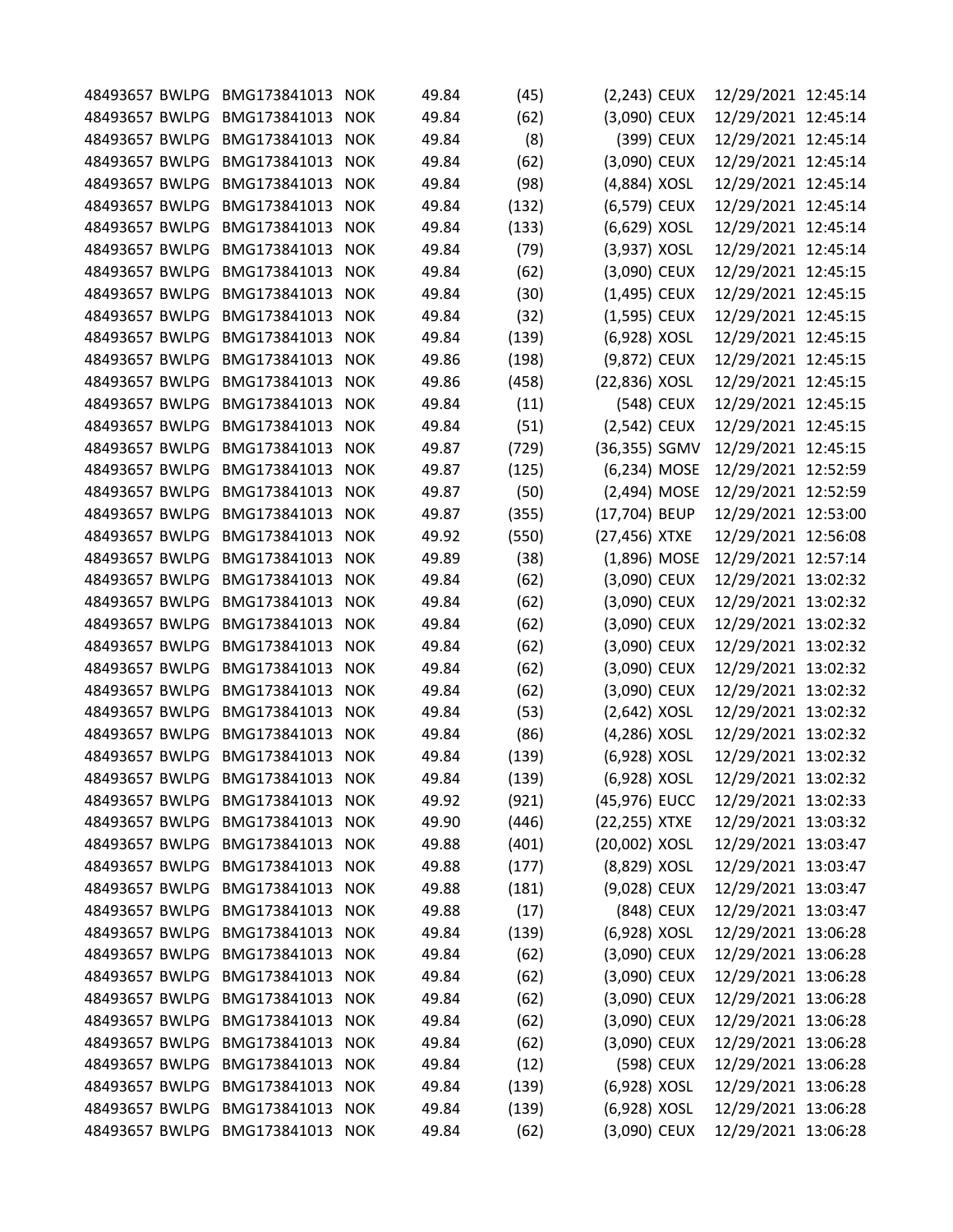| 48493657 BWLPG | BMG173841013                    | <b>NOK</b> | 49.84 | (45)  | (2,243) CEUX  |            | 12/29/2021 12:45:14 |  |
|----------------|---------------------------------|------------|-------|-------|---------------|------------|---------------------|--|
| 48493657 BWLPG | BMG173841013                    | <b>NOK</b> | 49.84 | (62)  | (3,090) CEUX  |            | 12/29/2021 12:45:14 |  |
| 48493657 BWLPG | BMG173841013                    | <b>NOK</b> | 49.84 | (8)   |               | (399) CEUX | 12/29/2021 12:45:14 |  |
| 48493657 BWLPG | BMG173841013                    | <b>NOK</b> | 49.84 | (62)  | (3,090) CEUX  |            | 12/29/2021 12:45:14 |  |
| 48493657 BWLPG | BMG173841013                    | <b>NOK</b> | 49.84 | (98)  | (4,884) XOSL  |            | 12/29/2021 12:45:14 |  |
| 48493657 BWLPG | BMG173841013                    | <b>NOK</b> | 49.84 | (132) | (6,579) CEUX  |            | 12/29/2021 12:45:14 |  |
| 48493657 BWLPG | BMG173841013                    | <b>NOK</b> | 49.84 | (133) | (6,629) XOSL  |            | 12/29/2021 12:45:14 |  |
| 48493657 BWLPG | BMG173841013                    | <b>NOK</b> | 49.84 | (79)  | (3,937) XOSL  |            | 12/29/2021 12:45:14 |  |
| 48493657 BWLPG | BMG173841013                    | <b>NOK</b> | 49.84 | (62)  | (3,090) CEUX  |            | 12/29/2021 12:45:15 |  |
| 48493657 BWLPG | BMG173841013                    | <b>NOK</b> | 49.84 | (30)  | (1,495) CEUX  |            | 12/29/2021 12:45:15 |  |
| 48493657 BWLPG | BMG173841013                    | <b>NOK</b> | 49.84 | (32)  | (1,595) CEUX  |            | 12/29/2021 12:45:15 |  |
| 48493657 BWLPG | BMG173841013                    | <b>NOK</b> | 49.84 | (139) | (6,928) XOSL  |            | 12/29/2021 12:45:15 |  |
| 48493657 BWLPG | BMG173841013                    | <b>NOK</b> | 49.86 | (198) | (9,872) CEUX  |            | 12/29/2021 12:45:15 |  |
| 48493657 BWLPG | BMG173841013                    | <b>NOK</b> | 49.86 | (458) | (22,836) XOSL |            | 12/29/2021 12:45:15 |  |
| 48493657 BWLPG | BMG173841013                    | <b>NOK</b> | 49.84 | (11)  |               | (548) CEUX | 12/29/2021 12:45:15 |  |
| 48493657 BWLPG | BMG173841013                    | <b>NOK</b> | 49.84 | (51)  | (2,542) CEUX  |            | 12/29/2021 12:45:15 |  |
| 48493657 BWLPG | BMG173841013                    | <b>NOK</b> | 49.87 | (729) | (36,355) SGMV |            | 12/29/2021 12:45:15 |  |
| 48493657 BWLPG | BMG173841013                    | <b>NOK</b> | 49.87 | (125) | (6,234) MOSE  |            | 12/29/2021 12:52:59 |  |
| 48493657 BWLPG | BMG173841013                    | <b>NOK</b> | 49.87 | (50)  | (2,494) MOSE  |            | 12/29/2021 12:52:59 |  |
| 48493657 BWLPG | BMG173841013                    | <b>NOK</b> | 49.87 | (355) | (17,704) BEUP |            | 12/29/2021 12:53:00 |  |
| 48493657 BWLPG | BMG173841013                    | <b>NOK</b> | 49.92 | (550) | (27,456) XTXE |            | 12/29/2021 12:56:08 |  |
| 48493657 BWLPG | BMG173841013                    | <b>NOK</b> | 49.89 | (38)  | (1,896) MOSE  |            | 12/29/2021 12:57:14 |  |
| 48493657 BWLPG | BMG173841013                    | <b>NOK</b> | 49.84 | (62)  | (3,090) CEUX  |            | 12/29/2021 13:02:32 |  |
| 48493657 BWLPG | BMG173841013                    | <b>NOK</b> | 49.84 | (62)  | (3,090) CEUX  |            | 12/29/2021 13:02:32 |  |
| 48493657 BWLPG | BMG173841013                    | <b>NOK</b> | 49.84 | (62)  | (3,090) CEUX  |            | 12/29/2021 13:02:32 |  |
| 48493657 BWLPG | BMG173841013                    | <b>NOK</b> | 49.84 | (62)  | (3,090) CEUX  |            | 12/29/2021 13:02:32 |  |
| 48493657 BWLPG | BMG173841013                    | <b>NOK</b> | 49.84 | (62)  | (3,090) CEUX  |            | 12/29/2021 13:02:32 |  |
| 48493657 BWLPG | BMG173841013                    | <b>NOK</b> | 49.84 | (62)  | (3,090) CEUX  |            | 12/29/2021 13:02:32 |  |
| 48493657 BWLPG | BMG173841013                    | <b>NOK</b> | 49.84 | (53)  | (2,642) XOSL  |            | 12/29/2021 13:02:32 |  |
| 48493657 BWLPG | BMG173841013                    | <b>NOK</b> | 49.84 | (86)  | (4,286) XOSL  |            | 12/29/2021 13:02:32 |  |
| 48493657 BWLPG | BMG173841013                    | <b>NOK</b> | 49.84 | (139) | (6,928) XOSL  |            | 12/29/2021 13:02:32 |  |
|                | 48493657 BWLPG BMG173841013     | <b>NOK</b> | 49.84 | (139) | (6,928) XOSL  |            | 12/29/2021 13:02:32 |  |
| 48493657 BWLPG | BMG173841013                    | <b>NOK</b> | 49.92 | (921) | (45,976) EUCC |            | 12/29/2021 13:02:33 |  |
| 48493657 BWLPG | BMG173841013                    | <b>NOK</b> | 49.90 | (446) | (22,255) XTXE |            | 12/29/2021 13:03:32 |  |
| 48493657 BWLPG | BMG173841013                    | <b>NOK</b> | 49.88 | (401) | (20,002) XOSL |            | 12/29/2021 13:03:47 |  |
| 48493657 BWLPG | BMG173841013                    | <b>NOK</b> | 49.88 |       | (8,829) XOSL  |            | 12/29/2021 13:03:47 |  |
|                | 48493657 BWLPG BMG173841013     | <b>NOK</b> |       | (177) | (9,028) CEUX  |            | 12/29/2021 13:03:47 |  |
| 48493657 BWLPG | BMG173841013                    |            | 49.88 | (181) |               |            |                     |  |
|                |                                 | <b>NOK</b> | 49.88 | (17)  |               | (848) CEUX | 12/29/2021 13:03:47 |  |
| 48493657 BWLPG | BMG173841013                    | <b>NOK</b> | 49.84 | (139) | (6,928) XOSL  |            | 12/29/2021 13:06:28 |  |
| 48493657 BWLPG | BMG173841013                    | <b>NOK</b> | 49.84 | (62)  | (3,090) CEUX  |            | 12/29/2021 13:06:28 |  |
| 48493657 BWLPG | BMG173841013                    | <b>NOK</b> | 49.84 | (62)  | (3,090) CEUX  |            | 12/29/2021 13:06:28 |  |
| 48493657 BWLPG | BMG173841013                    | <b>NOK</b> | 49.84 | (62)  | (3,090) CEUX  |            | 12/29/2021 13:06:28 |  |
| 48493657 BWLPG | BMG173841013                    | <b>NOK</b> | 49.84 | (62)  | (3,090) CEUX  |            | 12/29/2021 13:06:28 |  |
| 48493657 BWLPG | BMG173841013                    | <b>NOK</b> | 49.84 | (62)  | (3,090) CEUX  |            | 12/29/2021 13:06:28 |  |
| 48493657 BWLPG | BMG173841013                    | <b>NOK</b> | 49.84 | (12)  |               | (598) CEUX | 12/29/2021 13:06:28 |  |
| 48493657 BWLPG | BMG173841013                    | <b>NOK</b> | 49.84 | (139) | (6,928) XOSL  |            | 12/29/2021 13:06:28 |  |
|                | 48493657 BWLPG BMG173841013     | <b>NOK</b> | 49.84 | (139) | (6,928) XOSL  |            | 12/29/2021 13:06:28 |  |
|                | 48493657 BWLPG BMG173841013 NOK |            | 49.84 | (62)  | (3,090) CEUX  |            | 12/29/2021 13:06:28 |  |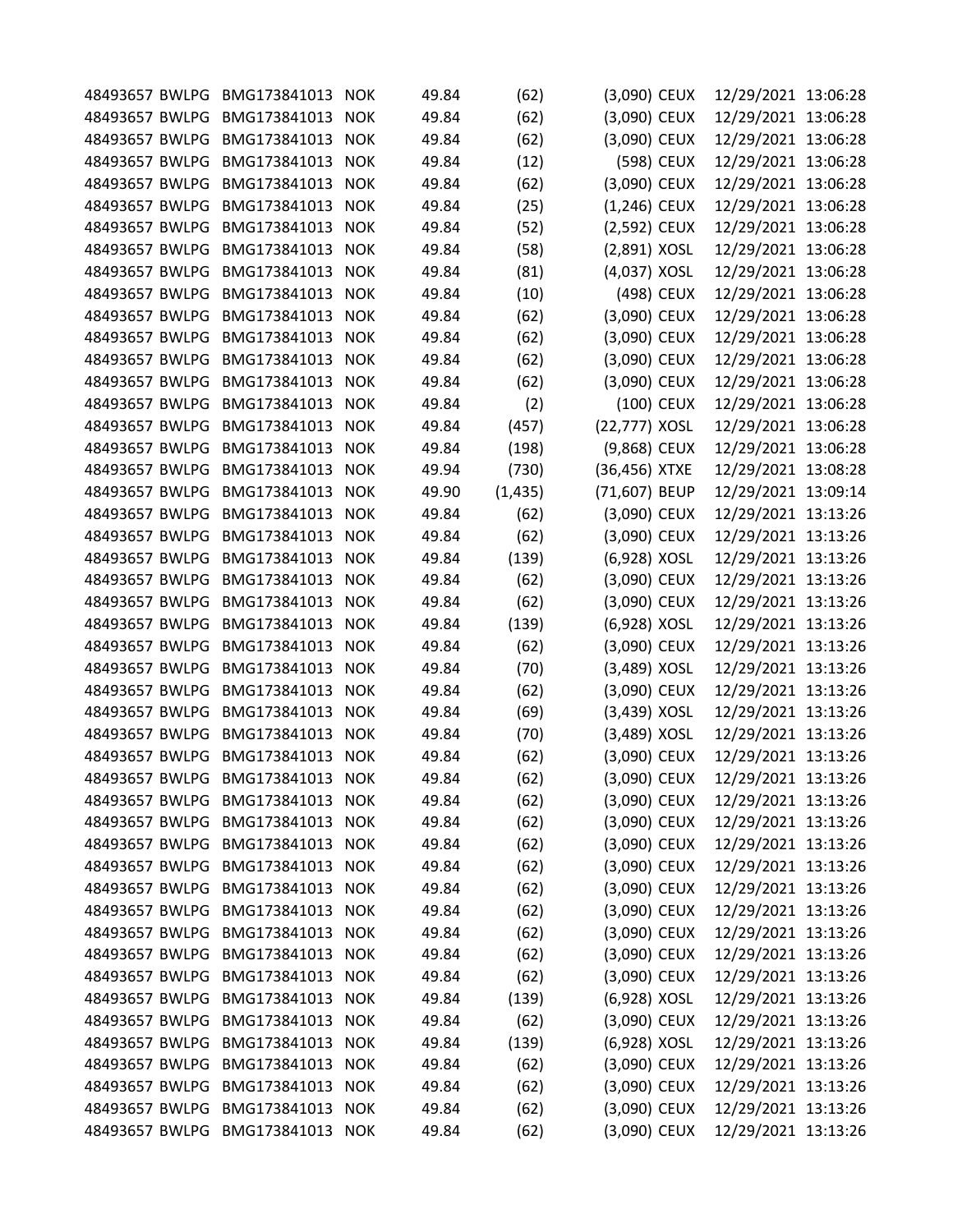| 48493657 BWLPG | BMG173841013                    | <b>NOK</b> | 49.84 | (62)     | (3,090) CEUX   |            | 12/29/2021 13:06:28 |  |
|----------------|---------------------------------|------------|-------|----------|----------------|------------|---------------------|--|
| 48493657 BWLPG | BMG173841013                    | <b>NOK</b> | 49.84 | (62)     | (3,090) CEUX   |            | 12/29/2021 13:06:28 |  |
| 48493657 BWLPG | BMG173841013                    | <b>NOK</b> | 49.84 | (62)     | (3,090) CEUX   |            | 12/29/2021 13:06:28 |  |
| 48493657 BWLPG | BMG173841013                    | <b>NOK</b> | 49.84 | (12)     |                | (598) CEUX | 12/29/2021 13:06:28 |  |
| 48493657 BWLPG | BMG173841013                    | <b>NOK</b> | 49.84 | (62)     | (3,090) CEUX   |            | 12/29/2021 13:06:28 |  |
| 48493657 BWLPG | BMG173841013                    | <b>NOK</b> | 49.84 | (25)     | $(1,246)$ CEUX |            | 12/29/2021 13:06:28 |  |
| 48493657 BWLPG | BMG173841013                    | <b>NOK</b> | 49.84 | (52)     | (2,592) CEUX   |            | 12/29/2021 13:06:28 |  |
| 48493657 BWLPG | BMG173841013                    | <b>NOK</b> | 49.84 | (58)     | (2,891) XOSL   |            | 12/29/2021 13:06:28 |  |
| 48493657 BWLPG | BMG173841013                    | <b>NOK</b> | 49.84 | (81)     | (4,037) XOSL   |            | 12/29/2021 13:06:28 |  |
| 48493657 BWLPG | BMG173841013                    | <b>NOK</b> | 49.84 | (10)     |                | (498) CEUX | 12/29/2021 13:06:28 |  |
| 48493657 BWLPG | BMG173841013                    | <b>NOK</b> | 49.84 | (62)     | (3,090) CEUX   |            | 12/29/2021 13:06:28 |  |
| 48493657 BWLPG | BMG173841013                    | <b>NOK</b> | 49.84 | (62)     | (3,090) CEUX   |            | 12/29/2021 13:06:28 |  |
| 48493657 BWLPG | BMG173841013                    | <b>NOK</b> | 49.84 | (62)     | (3,090) CEUX   |            | 12/29/2021 13:06:28 |  |
| 48493657 BWLPG | BMG173841013                    | <b>NOK</b> | 49.84 | (62)     | (3,090) CEUX   |            | 12/29/2021 13:06:28 |  |
| 48493657 BWLPG | BMG173841013                    | <b>NOK</b> | 49.84 | (2)      |                | (100) CEUX | 12/29/2021 13:06:28 |  |
| 48493657 BWLPG | BMG173841013                    | <b>NOK</b> | 49.84 | (457)    | (22,777) XOSL  |            | 12/29/2021 13:06:28 |  |
| 48493657 BWLPG | BMG173841013                    | <b>NOK</b> | 49.84 | (198)    | (9,868) CEUX   |            | 12/29/2021 13:06:28 |  |
| 48493657 BWLPG | BMG173841013                    | <b>NOK</b> | 49.94 | (730)    | (36,456) XTXE  |            | 12/29/2021 13:08:28 |  |
| 48493657 BWLPG | BMG173841013                    | <b>NOK</b> | 49.90 | (1, 435) | (71,607) BEUP  |            | 12/29/2021 13:09:14 |  |
| 48493657 BWLPG | BMG173841013                    | <b>NOK</b> | 49.84 | (62)     | (3,090) CEUX   |            | 12/29/2021 13:13:26 |  |
| 48493657 BWLPG | BMG173841013                    |            | 49.84 |          |                |            |                     |  |
|                |                                 | <b>NOK</b> |       | (62)     | (3,090) CEUX   |            | 12/29/2021 13:13:26 |  |
| 48493657 BWLPG | BMG173841013                    | <b>NOK</b> | 49.84 | (139)    | (6,928) XOSL   |            | 12/29/2021 13:13:26 |  |
| 48493657 BWLPG | BMG173841013                    | <b>NOK</b> | 49.84 | (62)     | (3,090) CEUX   |            | 12/29/2021 13:13:26 |  |
| 48493657 BWLPG | BMG173841013                    | <b>NOK</b> | 49.84 | (62)     | (3,090) CEUX   |            | 12/29/2021 13:13:26 |  |
| 48493657 BWLPG | BMG173841013                    | <b>NOK</b> | 49.84 | (139)    | (6,928) XOSL   |            | 12/29/2021 13:13:26 |  |
| 48493657 BWLPG | BMG173841013                    | <b>NOK</b> | 49.84 | (62)     | (3,090) CEUX   |            | 12/29/2021 13:13:26 |  |
| 48493657 BWLPG | BMG173841013                    | <b>NOK</b> | 49.84 | (70)     | (3,489) XOSL   |            | 12/29/2021 13:13:26 |  |
| 48493657 BWLPG | BMG173841013                    | <b>NOK</b> | 49.84 | (62)     | (3,090) CEUX   |            | 12/29/2021 13:13:26 |  |
| 48493657 BWLPG | BMG173841013                    | <b>NOK</b> | 49.84 | (69)     | (3,439) XOSL   |            | 12/29/2021 13:13:26 |  |
| 48493657 BWLPG | BMG173841013                    | <b>NOK</b> | 49.84 | (70)     | (3,489) XOSL   |            | 12/29/2021 13:13:26 |  |
| 48493657 BWLPG | BMG173841013                    | <b>NOK</b> | 49.84 | (62)     | (3,090) CEUX   |            | 12/29/2021 13:13:26 |  |
|                | 48493657 BWLPG BMG173841013     | <b>NOK</b> | 49.84 | (62)     | (3,090) CEUX   |            | 12/29/2021 13:13:26 |  |
| 48493657 BWLPG | BMG173841013                    | <b>NOK</b> | 49.84 | (62)     | (3,090) CEUX   |            | 12/29/2021 13:13:26 |  |
| 48493657 BWLPG | BMG173841013                    | <b>NOK</b> | 49.84 | (62)     | (3,090) CEUX   |            | 12/29/2021 13:13:26 |  |
|                | 48493657 BWLPG BMG173841013 NOK |            | 49.84 | (62)     | (3,090) CEUX   |            | 12/29/2021 13:13:26 |  |
| 48493657 BWLPG | BMG173841013                    | <b>NOK</b> | 49.84 | (62)     | (3,090) CEUX   |            | 12/29/2021 13:13:26 |  |
|                | 48493657 BWLPG BMG173841013 NOK |            | 49.84 | (62)     | (3,090) CEUX   |            | 12/29/2021 13:13:26 |  |
| 48493657 BWLPG | BMG173841013                    | <b>NOK</b> | 49.84 | (62)     | (3,090) CEUX   |            | 12/29/2021 13:13:26 |  |
| 48493657 BWLPG | BMG173841013                    | <b>NOK</b> | 49.84 | (62)     | (3,090) CEUX   |            | 12/29/2021 13:13:26 |  |
| 48493657 BWLPG | BMG173841013 NOK                |            | 49.84 | (62)     | (3,090) CEUX   |            | 12/29/2021 13:13:26 |  |
| 48493657 BWLPG | BMG173841013                    | <b>NOK</b> | 49.84 | (62)     | (3,090) CEUX   |            | 12/29/2021 13:13:26 |  |
|                | 48493657 BWLPG BMG173841013 NOK |            | 49.84 | (139)    | (6,928) XOSL   |            | 12/29/2021 13:13:26 |  |
| 48493657 BWLPG | BMG173841013                    | <b>NOK</b> | 49.84 | (62)     | (3,090) CEUX   |            | 12/29/2021 13:13:26 |  |
| 48493657 BWLPG | BMG173841013                    | <b>NOK</b> | 49.84 | (139)    | (6,928) XOSL   |            | 12/29/2021 13:13:26 |  |
| 48493657 BWLPG | BMG173841013                    | <b>NOK</b> | 49.84 | (62)     | (3,090) CEUX   |            | 12/29/2021 13:13:26 |  |
| 48493657 BWLPG | BMG173841013                    |            |       |          |                |            |                     |  |
|                |                                 | <b>NOK</b> | 49.84 | (62)     | (3,090) CEUX   |            | 12/29/2021 13:13:26 |  |
|                | 48493657 BWLPG BMG173841013 NOK |            | 49.84 | (62)     | (3,090) CEUX   |            | 12/29/2021 13:13:26 |  |
|                | 48493657 BWLPG BMG173841013 NOK |            | 49.84 | (62)     | (3,090) CEUX   |            | 12/29/2021 13:13:26 |  |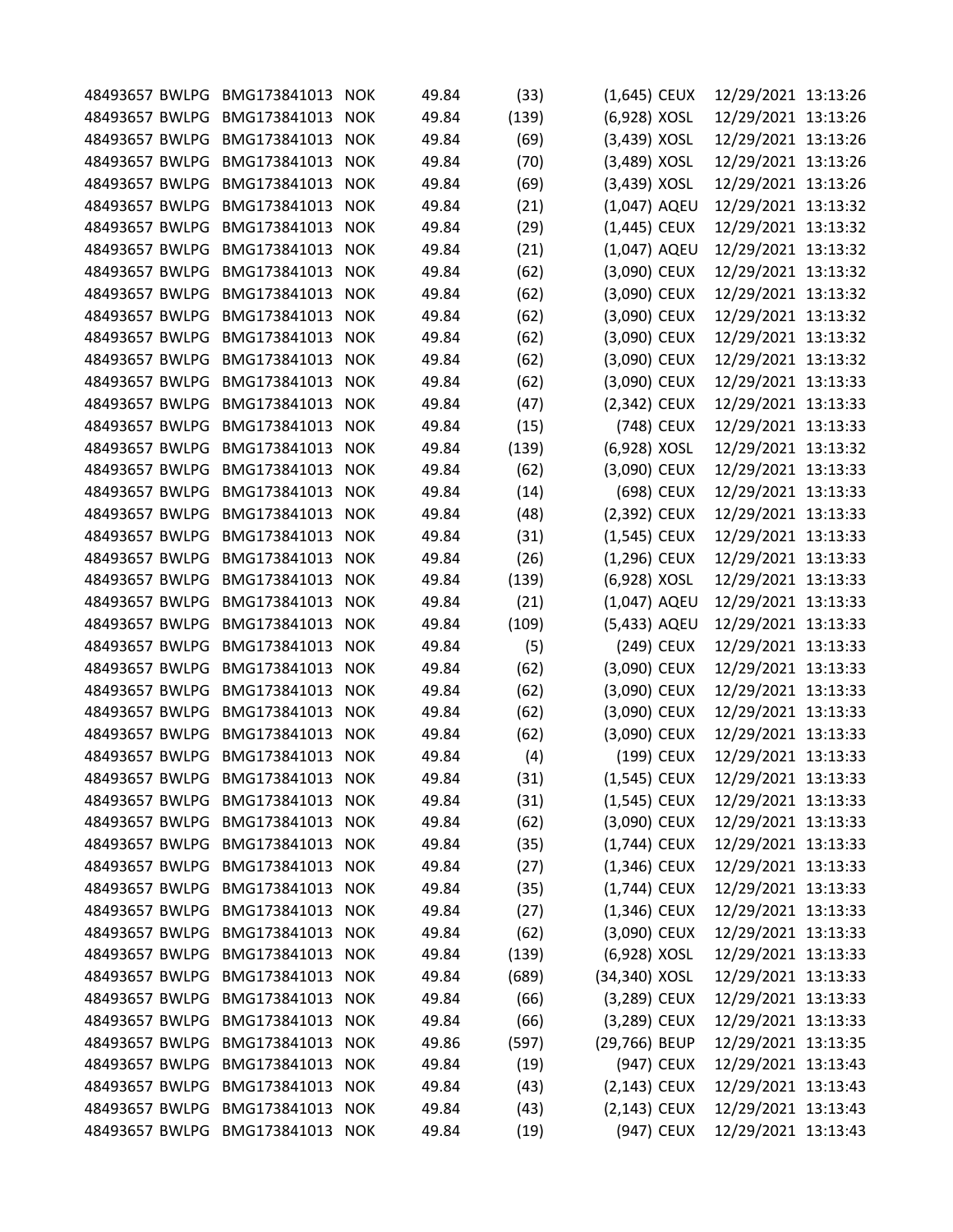|                |                                                                                                                                                                                                                                                                                                                                                                                                                                                                                                    | <b>NOK</b>                                                                                                                                                                                                                                                                                                                                                                                                                                                                                                                           |                                                                                                                                                                                                                                                                                                                                                                                                                                                                                                                                                                                                                                              |                                                                                                                                                                                                                                                                   |                                                                                                                                                                                                                                                                                                                          |                                                                                                                                                                                                                                                                                                                                                                                                                                                                                                                                                                                                                                                                                                                                                                                                       |                                                                                                                                                                                                                                                                                                                                                                                                                                                                                                                                                                                                                                                                                                                                                                                                                                   |
|----------------|----------------------------------------------------------------------------------------------------------------------------------------------------------------------------------------------------------------------------------------------------------------------------------------------------------------------------------------------------------------------------------------------------------------------------------------------------------------------------------------------------|--------------------------------------------------------------------------------------------------------------------------------------------------------------------------------------------------------------------------------------------------------------------------------------------------------------------------------------------------------------------------------------------------------------------------------------------------------------------------------------------------------------------------------------|----------------------------------------------------------------------------------------------------------------------------------------------------------------------------------------------------------------------------------------------------------------------------------------------------------------------------------------------------------------------------------------------------------------------------------------------------------------------------------------------------------------------------------------------------------------------------------------------------------------------------------------------|-------------------------------------------------------------------------------------------------------------------------------------------------------------------------------------------------------------------------------------------------------------------|--------------------------------------------------------------------------------------------------------------------------------------------------------------------------------------------------------------------------------------------------------------------------------------------------------------------------|-------------------------------------------------------------------------------------------------------------------------------------------------------------------------------------------------------------------------------------------------------------------------------------------------------------------------------------------------------------------------------------------------------------------------------------------------------------------------------------------------------------------------------------------------------------------------------------------------------------------------------------------------------------------------------------------------------------------------------------------------------------------------------------------------------|-----------------------------------------------------------------------------------------------------------------------------------------------------------------------------------------------------------------------------------------------------------------------------------------------------------------------------------------------------------------------------------------------------------------------------------------------------------------------------------------------------------------------------------------------------------------------------------------------------------------------------------------------------------------------------------------------------------------------------------------------------------------------------------------------------------------------------------|
|                |                                                                                                                                                                                                                                                                                                                                                                                                                                                                                                    |                                                                                                                                                                                                                                                                                                                                                                                                                                                                                                                                      |                                                                                                                                                                                                                                                                                                                                                                                                                                                                                                                                                                                                                                              |                                                                                                                                                                                                                                                                   |                                                                                                                                                                                                                                                                                                                          |                                                                                                                                                                                                                                                                                                                                                                                                                                                                                                                                                                                                                                                                                                                                                                                                       |                                                                                                                                                                                                                                                                                                                                                                                                                                                                                                                                                                                                                                                                                                                                                                                                                                   |
|                |                                                                                                                                                                                                                                                                                                                                                                                                                                                                                                    |                                                                                                                                                                                                                                                                                                                                                                                                                                                                                                                                      |                                                                                                                                                                                                                                                                                                                                                                                                                                                                                                                                                                                                                                              |                                                                                                                                                                                                                                                                   |                                                                                                                                                                                                                                                                                                                          |                                                                                                                                                                                                                                                                                                                                                                                                                                                                                                                                                                                                                                                                                                                                                                                                       |                                                                                                                                                                                                                                                                                                                                                                                                                                                                                                                                                                                                                                                                                                                                                                                                                                   |
|                |                                                                                                                                                                                                                                                                                                                                                                                                                                                                                                    |                                                                                                                                                                                                                                                                                                                                                                                                                                                                                                                                      |                                                                                                                                                                                                                                                                                                                                                                                                                                                                                                                                                                                                                                              |                                                                                                                                                                                                                                                                   |                                                                                                                                                                                                                                                                                                                          |                                                                                                                                                                                                                                                                                                                                                                                                                                                                                                                                                                                                                                                                                                                                                                                                       |                                                                                                                                                                                                                                                                                                                                                                                                                                                                                                                                                                                                                                                                                                                                                                                                                                   |
|                |                                                                                                                                                                                                                                                                                                                                                                                                                                                                                                    |                                                                                                                                                                                                                                                                                                                                                                                                                                                                                                                                      |                                                                                                                                                                                                                                                                                                                                                                                                                                                                                                                                                                                                                                              |                                                                                                                                                                                                                                                                   |                                                                                                                                                                                                                                                                                                                          |                                                                                                                                                                                                                                                                                                                                                                                                                                                                                                                                                                                                                                                                                                                                                                                                       |                                                                                                                                                                                                                                                                                                                                                                                                                                                                                                                                                                                                                                                                                                                                                                                                                                   |
|                |                                                                                                                                                                                                                                                                                                                                                                                                                                                                                                    |                                                                                                                                                                                                                                                                                                                                                                                                                                                                                                                                      |                                                                                                                                                                                                                                                                                                                                                                                                                                                                                                                                                                                                                                              |                                                                                                                                                                                                                                                                   |                                                                                                                                                                                                                                                                                                                          |                                                                                                                                                                                                                                                                                                                                                                                                                                                                                                                                                                                                                                                                                                                                                                                                       |                                                                                                                                                                                                                                                                                                                                                                                                                                                                                                                                                                                                                                                                                                                                                                                                                                   |
|                |                                                                                                                                                                                                                                                                                                                                                                                                                                                                                                    |                                                                                                                                                                                                                                                                                                                                                                                                                                                                                                                                      |                                                                                                                                                                                                                                                                                                                                                                                                                                                                                                                                                                                                                                              |                                                                                                                                                                                                                                                                   |                                                                                                                                                                                                                                                                                                                          |                                                                                                                                                                                                                                                                                                                                                                                                                                                                                                                                                                                                                                                                                                                                                                                                       |                                                                                                                                                                                                                                                                                                                                                                                                                                                                                                                                                                                                                                                                                                                                                                                                                                   |
|                |                                                                                                                                                                                                                                                                                                                                                                                                                                                                                                    |                                                                                                                                                                                                                                                                                                                                                                                                                                                                                                                                      |                                                                                                                                                                                                                                                                                                                                                                                                                                                                                                                                                                                                                                              |                                                                                                                                                                                                                                                                   |                                                                                                                                                                                                                                                                                                                          |                                                                                                                                                                                                                                                                                                                                                                                                                                                                                                                                                                                                                                                                                                                                                                                                       |                                                                                                                                                                                                                                                                                                                                                                                                                                                                                                                                                                                                                                                                                                                                                                                                                                   |
|                |                                                                                                                                                                                                                                                                                                                                                                                                                                                                                                    |                                                                                                                                                                                                                                                                                                                                                                                                                                                                                                                                      |                                                                                                                                                                                                                                                                                                                                                                                                                                                                                                                                                                                                                                              |                                                                                                                                                                                                                                                                   |                                                                                                                                                                                                                                                                                                                          |                                                                                                                                                                                                                                                                                                                                                                                                                                                                                                                                                                                                                                                                                                                                                                                                       |                                                                                                                                                                                                                                                                                                                                                                                                                                                                                                                                                                                                                                                                                                                                                                                                                                   |
|                |                                                                                                                                                                                                                                                                                                                                                                                                                                                                                                    |                                                                                                                                                                                                                                                                                                                                                                                                                                                                                                                                      |                                                                                                                                                                                                                                                                                                                                                                                                                                                                                                                                                                                                                                              |                                                                                                                                                                                                                                                                   |                                                                                                                                                                                                                                                                                                                          |                                                                                                                                                                                                                                                                                                                                                                                                                                                                                                                                                                                                                                                                                                                                                                                                       |                                                                                                                                                                                                                                                                                                                                                                                                                                                                                                                                                                                                                                                                                                                                                                                                                                   |
|                |                                                                                                                                                                                                                                                                                                                                                                                                                                                                                                    |                                                                                                                                                                                                                                                                                                                                                                                                                                                                                                                                      |                                                                                                                                                                                                                                                                                                                                                                                                                                                                                                                                                                                                                                              |                                                                                                                                                                                                                                                                   |                                                                                                                                                                                                                                                                                                                          |                                                                                                                                                                                                                                                                                                                                                                                                                                                                                                                                                                                                                                                                                                                                                                                                       |                                                                                                                                                                                                                                                                                                                                                                                                                                                                                                                                                                                                                                                                                                                                                                                                                                   |
|                |                                                                                                                                                                                                                                                                                                                                                                                                                                                                                                    |                                                                                                                                                                                                                                                                                                                                                                                                                                                                                                                                      |                                                                                                                                                                                                                                                                                                                                                                                                                                                                                                                                                                                                                                              |                                                                                                                                                                                                                                                                   |                                                                                                                                                                                                                                                                                                                          |                                                                                                                                                                                                                                                                                                                                                                                                                                                                                                                                                                                                                                                                                                                                                                                                       |                                                                                                                                                                                                                                                                                                                                                                                                                                                                                                                                                                                                                                                                                                                                                                                                                                   |
|                |                                                                                                                                                                                                                                                                                                                                                                                                                                                                                                    |                                                                                                                                                                                                                                                                                                                                                                                                                                                                                                                                      |                                                                                                                                                                                                                                                                                                                                                                                                                                                                                                                                                                                                                                              |                                                                                                                                                                                                                                                                   |                                                                                                                                                                                                                                                                                                                          |                                                                                                                                                                                                                                                                                                                                                                                                                                                                                                                                                                                                                                                                                                                                                                                                       |                                                                                                                                                                                                                                                                                                                                                                                                                                                                                                                                                                                                                                                                                                                                                                                                                                   |
|                |                                                                                                                                                                                                                                                                                                                                                                                                                                                                                                    |                                                                                                                                                                                                                                                                                                                                                                                                                                                                                                                                      |                                                                                                                                                                                                                                                                                                                                                                                                                                                                                                                                                                                                                                              |                                                                                                                                                                                                                                                                   |                                                                                                                                                                                                                                                                                                                          |                                                                                                                                                                                                                                                                                                                                                                                                                                                                                                                                                                                                                                                                                                                                                                                                       |                                                                                                                                                                                                                                                                                                                                                                                                                                                                                                                                                                                                                                                                                                                                                                                                                                   |
|                |                                                                                                                                                                                                                                                                                                                                                                                                                                                                                                    |                                                                                                                                                                                                                                                                                                                                                                                                                                                                                                                                      |                                                                                                                                                                                                                                                                                                                                                                                                                                                                                                                                                                                                                                              |                                                                                                                                                                                                                                                                   |                                                                                                                                                                                                                                                                                                                          |                                                                                                                                                                                                                                                                                                                                                                                                                                                                                                                                                                                                                                                                                                                                                                                                       |                                                                                                                                                                                                                                                                                                                                                                                                                                                                                                                                                                                                                                                                                                                                                                                                                                   |
|                |                                                                                                                                                                                                                                                                                                                                                                                                                                                                                                    |                                                                                                                                                                                                                                                                                                                                                                                                                                                                                                                                      |                                                                                                                                                                                                                                                                                                                                                                                                                                                                                                                                                                                                                                              |                                                                                                                                                                                                                                                                   |                                                                                                                                                                                                                                                                                                                          |                                                                                                                                                                                                                                                                                                                                                                                                                                                                                                                                                                                                                                                                                                                                                                                                       |                                                                                                                                                                                                                                                                                                                                                                                                                                                                                                                                                                                                                                                                                                                                                                                                                                   |
|                |                                                                                                                                                                                                                                                                                                                                                                                                                                                                                                    |                                                                                                                                                                                                                                                                                                                                                                                                                                                                                                                                      |                                                                                                                                                                                                                                                                                                                                                                                                                                                                                                                                                                                                                                              |                                                                                                                                                                                                                                                                   |                                                                                                                                                                                                                                                                                                                          |                                                                                                                                                                                                                                                                                                                                                                                                                                                                                                                                                                                                                                                                                                                                                                                                       |                                                                                                                                                                                                                                                                                                                                                                                                                                                                                                                                                                                                                                                                                                                                                                                                                                   |
|                |                                                                                                                                                                                                                                                                                                                                                                                                                                                                                                    |                                                                                                                                                                                                                                                                                                                                                                                                                                                                                                                                      |                                                                                                                                                                                                                                                                                                                                                                                                                                                                                                                                                                                                                                              |                                                                                                                                                                                                                                                                   |                                                                                                                                                                                                                                                                                                                          |                                                                                                                                                                                                                                                                                                                                                                                                                                                                                                                                                                                                                                                                                                                                                                                                       |                                                                                                                                                                                                                                                                                                                                                                                                                                                                                                                                                                                                                                                                                                                                                                                                                                   |
|                |                                                                                                                                                                                                                                                                                                                                                                                                                                                                                                    |                                                                                                                                                                                                                                                                                                                                                                                                                                                                                                                                      |                                                                                                                                                                                                                                                                                                                                                                                                                                                                                                                                                                                                                                              |                                                                                                                                                                                                                                                                   |                                                                                                                                                                                                                                                                                                                          |                                                                                                                                                                                                                                                                                                                                                                                                                                                                                                                                                                                                                                                                                                                                                                                                       |                                                                                                                                                                                                                                                                                                                                                                                                                                                                                                                                                                                                                                                                                                                                                                                                                                   |
|                |                                                                                                                                                                                                                                                                                                                                                                                                                                                                                                    |                                                                                                                                                                                                                                                                                                                                                                                                                                                                                                                                      |                                                                                                                                                                                                                                                                                                                                                                                                                                                                                                                                                                                                                                              |                                                                                                                                                                                                                                                                   |                                                                                                                                                                                                                                                                                                                          |                                                                                                                                                                                                                                                                                                                                                                                                                                                                                                                                                                                                                                                                                                                                                                                                       |                                                                                                                                                                                                                                                                                                                                                                                                                                                                                                                                                                                                                                                                                                                                                                                                                                   |
|                |                                                                                                                                                                                                                                                                                                                                                                                                                                                                                                    |                                                                                                                                                                                                                                                                                                                                                                                                                                                                                                                                      |                                                                                                                                                                                                                                                                                                                                                                                                                                                                                                                                                                                                                                              |                                                                                                                                                                                                                                                                   |                                                                                                                                                                                                                                                                                                                          |                                                                                                                                                                                                                                                                                                                                                                                                                                                                                                                                                                                                                                                                                                                                                                                                       |                                                                                                                                                                                                                                                                                                                                                                                                                                                                                                                                                                                                                                                                                                                                                                                                                                   |
|                |                                                                                                                                                                                                                                                                                                                                                                                                                                                                                                    |                                                                                                                                                                                                                                                                                                                                                                                                                                                                                                                                      |                                                                                                                                                                                                                                                                                                                                                                                                                                                                                                                                                                                                                                              |                                                                                                                                                                                                                                                                   |                                                                                                                                                                                                                                                                                                                          |                                                                                                                                                                                                                                                                                                                                                                                                                                                                                                                                                                                                                                                                                                                                                                                                       |                                                                                                                                                                                                                                                                                                                                                                                                                                                                                                                                                                                                                                                                                                                                                                                                                                   |
|                |                                                                                                                                                                                                                                                                                                                                                                                                                                                                                                    |                                                                                                                                                                                                                                                                                                                                                                                                                                                                                                                                      |                                                                                                                                                                                                                                                                                                                                                                                                                                                                                                                                                                                                                                              |                                                                                                                                                                                                                                                                   |                                                                                                                                                                                                                                                                                                                          |                                                                                                                                                                                                                                                                                                                                                                                                                                                                                                                                                                                                                                                                                                                                                                                                       |                                                                                                                                                                                                                                                                                                                                                                                                                                                                                                                                                                                                                                                                                                                                                                                                                                   |
|                |                                                                                                                                                                                                                                                                                                                                                                                                                                                                                                    |                                                                                                                                                                                                                                                                                                                                                                                                                                                                                                                                      |                                                                                                                                                                                                                                                                                                                                                                                                                                                                                                                                                                                                                                              |                                                                                                                                                                                                                                                                   |                                                                                                                                                                                                                                                                                                                          |                                                                                                                                                                                                                                                                                                                                                                                                                                                                                                                                                                                                                                                                                                                                                                                                       |                                                                                                                                                                                                                                                                                                                                                                                                                                                                                                                                                                                                                                                                                                                                                                                                                                   |
|                |                                                                                                                                                                                                                                                                                                                                                                                                                                                                                                    |                                                                                                                                                                                                                                                                                                                                                                                                                                                                                                                                      |                                                                                                                                                                                                                                                                                                                                                                                                                                                                                                                                                                                                                                              |                                                                                                                                                                                                                                                                   |                                                                                                                                                                                                                                                                                                                          |                                                                                                                                                                                                                                                                                                                                                                                                                                                                                                                                                                                                                                                                                                                                                                                                       |                                                                                                                                                                                                                                                                                                                                                                                                                                                                                                                                                                                                                                                                                                                                                                                                                                   |
|                |                                                                                                                                                                                                                                                                                                                                                                                                                                                                                                    |                                                                                                                                                                                                                                                                                                                                                                                                                                                                                                                                      |                                                                                                                                                                                                                                                                                                                                                                                                                                                                                                                                                                                                                                              |                                                                                                                                                                                                                                                                   |                                                                                                                                                                                                                                                                                                                          |                                                                                                                                                                                                                                                                                                                                                                                                                                                                                                                                                                                                                                                                                                                                                                                                       |                                                                                                                                                                                                                                                                                                                                                                                                                                                                                                                                                                                                                                                                                                                                                                                                                                   |
| 48493657 BWLPG | BMG173841013                                                                                                                                                                                                                                                                                                                                                                                                                                                                                       | <b>NOK</b>                                                                                                                                                                                                                                                                                                                                                                                                                                                                                                                           | 49.84                                                                                                                                                                                                                                                                                                                                                                                                                                                                                                                                                                                                                                        |                                                                                                                                                                                                                                                                   |                                                                                                                                                                                                                                                                                                                          |                                                                                                                                                                                                                                                                                                                                                                                                                                                                                                                                                                                                                                                                                                                                                                                                       |                                                                                                                                                                                                                                                                                                                                                                                                                                                                                                                                                                                                                                                                                                                                                                                                                                   |
| 48493657 BWLPG |                                                                                                                                                                                                                                                                                                                                                                                                                                                                                                    |                                                                                                                                                                                                                                                                                                                                                                                                                                                                                                                                      |                                                                                                                                                                                                                                                                                                                                                                                                                                                                                                                                                                                                                                              |                                                                                                                                                                                                                                                                   |                                                                                                                                                                                                                                                                                                                          |                                                                                                                                                                                                                                                                                                                                                                                                                                                                                                                                                                                                                                                                                                                                                                                                       |                                                                                                                                                                                                                                                                                                                                                                                                                                                                                                                                                                                                                                                                                                                                                                                                                                   |
| 48493657 BWLPG | BMG173841013                                                                                                                                                                                                                                                                                                                                                                                                                                                                                       | <b>NOK</b>                                                                                                                                                                                                                                                                                                                                                                                                                                                                                                                           |                                                                                                                                                                                                                                                                                                                                                                                                                                                                                                                                                                                                                                              |                                                                                                                                                                                                                                                                   |                                                                                                                                                                                                                                                                                                                          |                                                                                                                                                                                                                                                                                                                                                                                                                                                                                                                                                                                                                                                                                                                                                                                                       |                                                                                                                                                                                                                                                                                                                                                                                                                                                                                                                                                                                                                                                                                                                                                                                                                                   |
| 48493657 BWLPG | BMG173841013                                                                                                                                                                                                                                                                                                                                                                                                                                                                                       | <b>NOK</b>                                                                                                                                                                                                                                                                                                                                                                                                                                                                                                                           | 49.84                                                                                                                                                                                                                                                                                                                                                                                                                                                                                                                                                                                                                                        |                                                                                                                                                                                                                                                                   |                                                                                                                                                                                                                                                                                                                          | 12/29/2021 13:13:33                                                                                                                                                                                                                                                                                                                                                                                                                                                                                                                                                                                                                                                                                                                                                                                   |                                                                                                                                                                                                                                                                                                                                                                                                                                                                                                                                                                                                                                                                                                                                                                                                                                   |
|                |                                                                                                                                                                                                                                                                                                                                                                                                                                                                                                    |                                                                                                                                                                                                                                                                                                                                                                                                                                                                                                                                      | 49.84                                                                                                                                                                                                                                                                                                                                                                                                                                                                                                                                                                                                                                        |                                                                                                                                                                                                                                                                   |                                                                                                                                                                                                                                                                                                                          |                                                                                                                                                                                                                                                                                                                                                                                                                                                                                                                                                                                                                                                                                                                                                                                                       |                                                                                                                                                                                                                                                                                                                                                                                                                                                                                                                                                                                                                                                                                                                                                                                                                                   |
|                | BMG173841013                                                                                                                                                                                                                                                                                                                                                                                                                                                                                       | <b>NOK</b>                                                                                                                                                                                                                                                                                                                                                                                                                                                                                                                           | 49.84                                                                                                                                                                                                                                                                                                                                                                                                                                                                                                                                                                                                                                        |                                                                                                                                                                                                                                                                   |                                                                                                                                                                                                                                                                                                                          |                                                                                                                                                                                                                                                                                                                                                                                                                                                                                                                                                                                                                                                                                                                                                                                                       |                                                                                                                                                                                                                                                                                                                                                                                                                                                                                                                                                                                                                                                                                                                                                                                                                                   |
|                | BMG173841013                                                                                                                                                                                                                                                                                                                                                                                                                                                                                       | <b>NOK</b>                                                                                                                                                                                                                                                                                                                                                                                                                                                                                                                           | 49.84                                                                                                                                                                                                                                                                                                                                                                                                                                                                                                                                                                                                                                        |                                                                                                                                                                                                                                                                   |                                                                                                                                                                                                                                                                                                                          |                                                                                                                                                                                                                                                                                                                                                                                                                                                                                                                                                                                                                                                                                                                                                                                                       |                                                                                                                                                                                                                                                                                                                                                                                                                                                                                                                                                                                                                                                                                                                                                                                                                                   |
|                |                                                                                                                                                                                                                                                                                                                                                                                                                                                                                                    |                                                                                                                                                                                                                                                                                                                                                                                                                                                                                                                                      | 49.84                                                                                                                                                                                                                                                                                                                                                                                                                                                                                                                                                                                                                                        |                                                                                                                                                                                                                                                                   |                                                                                                                                                                                                                                                                                                                          | 12/29/2021 13:13:33                                                                                                                                                                                                                                                                                                                                                                                                                                                                                                                                                                                                                                                                                                                                                                                   |                                                                                                                                                                                                                                                                                                                                                                                                                                                                                                                                                                                                                                                                                                                                                                                                                                   |
|                | BMG173841013                                                                                                                                                                                                                                                                                                                                                                                                                                                                                       | <b>NOK</b>                                                                                                                                                                                                                                                                                                                                                                                                                                                                                                                           | 49.84                                                                                                                                                                                                                                                                                                                                                                                                                                                                                                                                                                                                                                        |                                                                                                                                                                                                                                                                   |                                                                                                                                                                                                                                                                                                                          |                                                                                                                                                                                                                                                                                                                                                                                                                                                                                                                                                                                                                                                                                                                                                                                                       |                                                                                                                                                                                                                                                                                                                                                                                                                                                                                                                                                                                                                                                                                                                                                                                                                                   |
|                |                                                                                                                                                                                                                                                                                                                                                                                                                                                                                                    |                                                                                                                                                                                                                                                                                                                                                                                                                                                                                                                                      | 49.84                                                                                                                                                                                                                                                                                                                                                                                                                                                                                                                                                                                                                                        |                                                                                                                                                                                                                                                                   |                                                                                                                                                                                                                                                                                                                          | 12/29/2021 13:13:33                                                                                                                                                                                                                                                                                                                                                                                                                                                                                                                                                                                                                                                                                                                                                                                   |                                                                                                                                                                                                                                                                                                                                                                                                                                                                                                                                                                                                                                                                                                                                                                                                                                   |
| 48493657 BWLPG | BMG173841013                                                                                                                                                                                                                                                                                                                                                                                                                                                                                       | <b>NOK</b>                                                                                                                                                                                                                                                                                                                                                                                                                                                                                                                           | 49.84                                                                                                                                                                                                                                                                                                                                                                                                                                                                                                                                                                                                                                        | (27)                                                                                                                                                                                                                                                              |                                                                                                                                                                                                                                                                                                                          | 12/29/2021 13:13:33                                                                                                                                                                                                                                                                                                                                                                                                                                                                                                                                                                                                                                                                                                                                                                                   |                                                                                                                                                                                                                                                                                                                                                                                                                                                                                                                                                                                                                                                                                                                                                                                                                                   |
| 48493657 BWLPG | BMG173841013                                                                                                                                                                                                                                                                                                                                                                                                                                                                                       | <b>NOK</b>                                                                                                                                                                                                                                                                                                                                                                                                                                                                                                                           | 49.84                                                                                                                                                                                                                                                                                                                                                                                                                                                                                                                                                                                                                                        | (62)                                                                                                                                                                                                                                                              |                                                                                                                                                                                                                                                                                                                          | 12/29/2021 13:13:33                                                                                                                                                                                                                                                                                                                                                                                                                                                                                                                                                                                                                                                                                                                                                                                   |                                                                                                                                                                                                                                                                                                                                                                                                                                                                                                                                                                                                                                                                                                                                                                                                                                   |
| 48493657 BWLPG |                                                                                                                                                                                                                                                                                                                                                                                                                                                                                                    |                                                                                                                                                                                                                                                                                                                                                                                                                                                                                                                                      | 49.84                                                                                                                                                                                                                                                                                                                                                                                                                                                                                                                                                                                                                                        |                                                                                                                                                                                                                                                                   |                                                                                                                                                                                                                                                                                                                          | 12/29/2021 13:13:33                                                                                                                                                                                                                                                                                                                                                                                                                                                                                                                                                                                                                                                                                                                                                                                   |                                                                                                                                                                                                                                                                                                                                                                                                                                                                                                                                                                                                                                                                                                                                                                                                                                   |
| 48493657 BWLPG | BMG173841013                                                                                                                                                                                                                                                                                                                                                                                                                                                                                       | <b>NOK</b>                                                                                                                                                                                                                                                                                                                                                                                                                                                                                                                           | 49.84                                                                                                                                                                                                                                                                                                                                                                                                                                                                                                                                                                                                                                        |                                                                                                                                                                                                                                                                   |                                                                                                                                                                                                                                                                                                                          |                                                                                                                                                                                                                                                                                                                                                                                                                                                                                                                                                                                                                                                                                                                                                                                                       |                                                                                                                                                                                                                                                                                                                                                                                                                                                                                                                                                                                                                                                                                                                                                                                                                                   |
|                |                                                                                                                                                                                                                                                                                                                                                                                                                                                                                                    |                                                                                                                                                                                                                                                                                                                                                                                                                                                                                                                                      | 49.84                                                                                                                                                                                                                                                                                                                                                                                                                                                                                                                                                                                                                                        | (66)                                                                                                                                                                                                                                                              |                                                                                                                                                                                                                                                                                                                          | 12/29/2021 13:13:33                                                                                                                                                                                                                                                                                                                                                                                                                                                                                                                                                                                                                                                                                                                                                                                   |                                                                                                                                                                                                                                                                                                                                                                                                                                                                                                                                                                                                                                                                                                                                                                                                                                   |
| 48493657 BWLPG |                                                                                                                                                                                                                                                                                                                                                                                                                                                                                                    | <b>NOK</b>                                                                                                                                                                                                                                                                                                                                                                                                                                                                                                                           | 49.84                                                                                                                                                                                                                                                                                                                                                                                                                                                                                                                                                                                                                                        | (66)                                                                                                                                                                                                                                                              |                                                                                                                                                                                                                                                                                                                          | 12/29/2021 13:13:33                                                                                                                                                                                                                                                                                                                                                                                                                                                                                                                                                                                                                                                                                                                                                                                   |                                                                                                                                                                                                                                                                                                                                                                                                                                                                                                                                                                                                                                                                                                                                                                                                                                   |
| 48493657 BWLPG | BMG173841013                                                                                                                                                                                                                                                                                                                                                                                                                                                                                       | <b>NOK</b>                                                                                                                                                                                                                                                                                                                                                                                                                                                                                                                           | 49.86                                                                                                                                                                                                                                                                                                                                                                                                                                                                                                                                                                                                                                        | (597)                                                                                                                                                                                                                                                             |                                                                                                                                                                                                                                                                                                                          | 12/29/2021 13:13:35                                                                                                                                                                                                                                                                                                                                                                                                                                                                                                                                                                                                                                                                                                                                                                                   |                                                                                                                                                                                                                                                                                                                                                                                                                                                                                                                                                                                                                                                                                                                                                                                                                                   |
| 48493657 BWLPG | BMG173841013                                                                                                                                                                                                                                                                                                                                                                                                                                                                                       | <b>NOK</b>                                                                                                                                                                                                                                                                                                                                                                                                                                                                                                                           | 49.84                                                                                                                                                                                                                                                                                                                                                                                                                                                                                                                                                                                                                                        | (19)                                                                                                                                                                                                                                                              |                                                                                                                                                                                                                                                                                                                          | 12/29/2021 13:13:43                                                                                                                                                                                                                                                                                                                                                                                                                                                                                                                                                                                                                                                                                                                                                                                   |                                                                                                                                                                                                                                                                                                                                                                                                                                                                                                                                                                                                                                                                                                                                                                                                                                   |
|                | BMG173841013                                                                                                                                                                                                                                                                                                                                                                                                                                                                                       | <b>NOK</b>                                                                                                                                                                                                                                                                                                                                                                                                                                                                                                                           | 49.84                                                                                                                                                                                                                                                                                                                                                                                                                                                                                                                                                                                                                                        | (43)                                                                                                                                                                                                                                                              |                                                                                                                                                                                                                                                                                                                          | 12/29/2021 13:13:43                                                                                                                                                                                                                                                                                                                                                                                                                                                                                                                                                                                                                                                                                                                                                                                   |                                                                                                                                                                                                                                                                                                                                                                                                                                                                                                                                                                                                                                                                                                                                                                                                                                   |
|                |                                                                                                                                                                                                                                                                                                                                                                                                                                                                                                    |                                                                                                                                                                                                                                                                                                                                                                                                                                                                                                                                      | 49.84                                                                                                                                                                                                                                                                                                                                                                                                                                                                                                                                                                                                                                        | (43)                                                                                                                                                                                                                                                              |                                                                                                                                                                                                                                                                                                                          | 12/29/2021 13:13:43                                                                                                                                                                                                                                                                                                                                                                                                                                                                                                                                                                                                                                                                                                                                                                                   |                                                                                                                                                                                                                                                                                                                                                                                                                                                                                                                                                                                                                                                                                                                                                                                                                                   |
|                |                                                                                                                                                                                                                                                                                                                                                                                                                                                                                                    |                                                                                                                                                                                                                                                                                                                                                                                                                                                                                                                                      | 49.84                                                                                                                                                                                                                                                                                                                                                                                                                                                                                                                                                                                                                                        | (19)                                                                                                                                                                                                                                                              |                                                                                                                                                                                                                                                                                                                          | 12/29/2021 13:13:43                                                                                                                                                                                                                                                                                                                                                                                                                                                                                                                                                                                                                                                                                                                                                                                   |                                                                                                                                                                                                                                                                                                                                                                                                                                                                                                                                                                                                                                                                                                                                                                                                                                   |
|                | 48493657 BWLPG<br>48493657 BWLPG<br>48493657 BWLPG<br>48493657 BWLPG<br>48493657 BWLPG<br>48493657 BWLPG<br>48493657 BWLPG<br>48493657 BWLPG<br>48493657 BWLPG<br>48493657 BWLPG<br>48493657 BWLPG<br>48493657 BWLPG<br>48493657 BWLPG<br>48493657 BWLPG<br>48493657 BWLPG<br>48493657 BWLPG<br>48493657 BWLPG<br>48493657 BWLPG<br>48493657 BWLPG<br>48493657 BWLPG<br>48493657 BWLPG<br>48493657 BWLPG<br>48493657 BWLPG<br>48493657 BWLPG<br>48493657 BWLPG<br>48493657 BWLPG<br>48493657 BWLPG | BMG173841013<br>BMG173841013<br>BMG173841013<br>BMG173841013<br>BMG173841013<br>BMG173841013<br>BMG173841013<br>BMG173841013<br>BMG173841013<br>BMG173841013<br>BMG173841013<br>BMG173841013<br>BMG173841013<br>BMG173841013<br>BMG173841013<br>BMG173841013<br>BMG173841013<br>BMG173841013<br>BMG173841013<br>BMG173841013<br>BMG173841013<br>BMG173841013<br>BMG173841013<br>BMG173841013<br>BMG173841013<br>BMG173841013<br>BMG173841013<br>BMG173841013<br>48493657 BWLPG<br>48493657 BWLPG<br>48493657 BWLPG<br>48493657 BWLPG | <b>NOK</b><br><b>NOK</b><br><b>NOK</b><br><b>NOK</b><br><b>NOK</b><br><b>NOK</b><br><b>NOK</b><br><b>NOK</b><br><b>NOK</b><br><b>NOK</b><br><b>NOK</b><br><b>NOK</b><br><b>NOK</b><br><b>NOK</b><br><b>NOK</b><br><b>NOK</b><br><b>NOK</b><br><b>NOK</b><br><b>NOK</b><br><b>NOK</b><br><b>NOK</b><br><b>NOK</b><br><b>NOK</b><br><b>NOK</b><br><b>NOK</b><br><b>NOK</b><br><b>NOK</b><br>48493657 BWLPG BMG173841013 NOK<br>48493657 BWLPG BMG173841013 NOK<br>48493657 BWLPG BMG173841013 NOK<br>BMG173841013 NOK<br>48493657 BWLPG BMG173841013 NOK<br>BMG173841013<br>48493657 BWLPG BMG173841013 NOK<br>48493657 BWLPG BMG173841013 NOK | 49.84<br>49.84<br>49.84<br>49.84<br>49.84<br>49.84<br>49.84<br>49.84<br>49.84<br>49.84<br>49.84<br>49.84<br>49.84<br>49.84<br>49.84<br>49.84<br>49.84<br>49.84<br>49.84<br>49.84<br>49.84<br>49.84<br>49.84<br>49.84<br>49.84<br>49.84<br>49.84<br>49.84<br>49.84 | (33)<br>(139)<br>(69)<br>(70)<br>(69)<br>(21)<br>(29)<br>(21)<br>(62)<br>(62)<br>(62)<br>(62)<br>(62)<br>(62)<br>(47)<br>(15)<br>(139)<br>(62)<br>(14)<br>(48)<br>(31)<br>(26)<br>(139)<br>(21)<br>(109)<br>(5)<br>(62)<br>(62)<br>(62)<br>(62)<br>(4)<br>(31)<br>(31)<br>(62)<br>(35)<br>(27)<br>(35)<br>(139)<br>(689) | $(1,645)$ CEUX<br>(6,928) XOSL<br>(3,439) XOSL<br>(3,489) XOSL<br>(3,439) XOSL<br>(1,047) AQEU<br>(1,445) CEUX<br>(1,047) AQEU<br>(3,090) CEUX<br>(3,090) CEUX<br>(3,090) CEUX<br>(3,090) CEUX<br>(3,090) CEUX<br>(3,090) CEUX<br>(2,342) CEUX<br>(748) CEUX<br>(6,928) XOSL<br>(3,090) CEUX<br>(698) CEUX<br>(2,392) CEUX<br>(1,545) CEUX<br>(1,296) CEUX<br>(6,928) XOSL<br>(1,047) AQEU<br>(5,433) AQEU<br>(249) CEUX<br>(3,090) CEUX<br>(3,090) CEUX<br>(3,090) CEUX<br>(3,090) CEUX<br>(199) CEUX<br>$(1,545)$ CEUX<br>$(1,545)$ CEUX<br>(3,090) CEUX<br>$(1,744)$ CEUX<br>$(1,346)$ CEUX<br>$(1,744)$ CEUX<br>$(1,346)$ CEUX<br>(3,090) CEUX<br>(6,928) XOSL<br>(34,340) XOSL<br>(3,289) CEUX<br>(3,289) CEUX<br>(29,766) BEUP<br>(947) CEUX<br>$(2,143)$ CEUX<br>$(2, 143)$ CEUX<br>(947) CEUX | 12/29/2021 13:13:26<br>12/29/2021 13:13:26<br>12/29/2021 13:13:26<br>12/29/2021 13:13:26<br>12/29/2021 13:13:26<br>12/29/2021 13:13:32<br>12/29/2021 13:13:32<br>12/29/2021 13:13:32<br>12/29/2021 13:13:32<br>12/29/2021 13:13:32<br>12/29/2021 13:13:32<br>12/29/2021 13:13:32<br>12/29/2021 13:13:32<br>12/29/2021 13:13:33<br>12/29/2021 13:13:33<br>12/29/2021 13:13:33<br>12/29/2021 13:13:32<br>12/29/2021 13:13:33<br>12/29/2021 13:13:33<br>12/29/2021 13:13:33<br>12/29/2021 13:13:33<br>12/29/2021 13:13:33<br>12/29/2021 13:13:33<br>12/29/2021 13:13:33<br>12/29/2021 13:13:33<br>12/29/2021 13:13:33<br>12/29/2021 13:13:33<br>12/29/2021 13:13:33<br>12/29/2021 13:13:33<br>12/29/2021 13:13:33<br>12/29/2021 13:13:33<br>12/29/2021 13:13:33<br>12/29/2021 13:13:33<br>12/29/2021 13:13:33<br>12/29/2021 13:13:33 |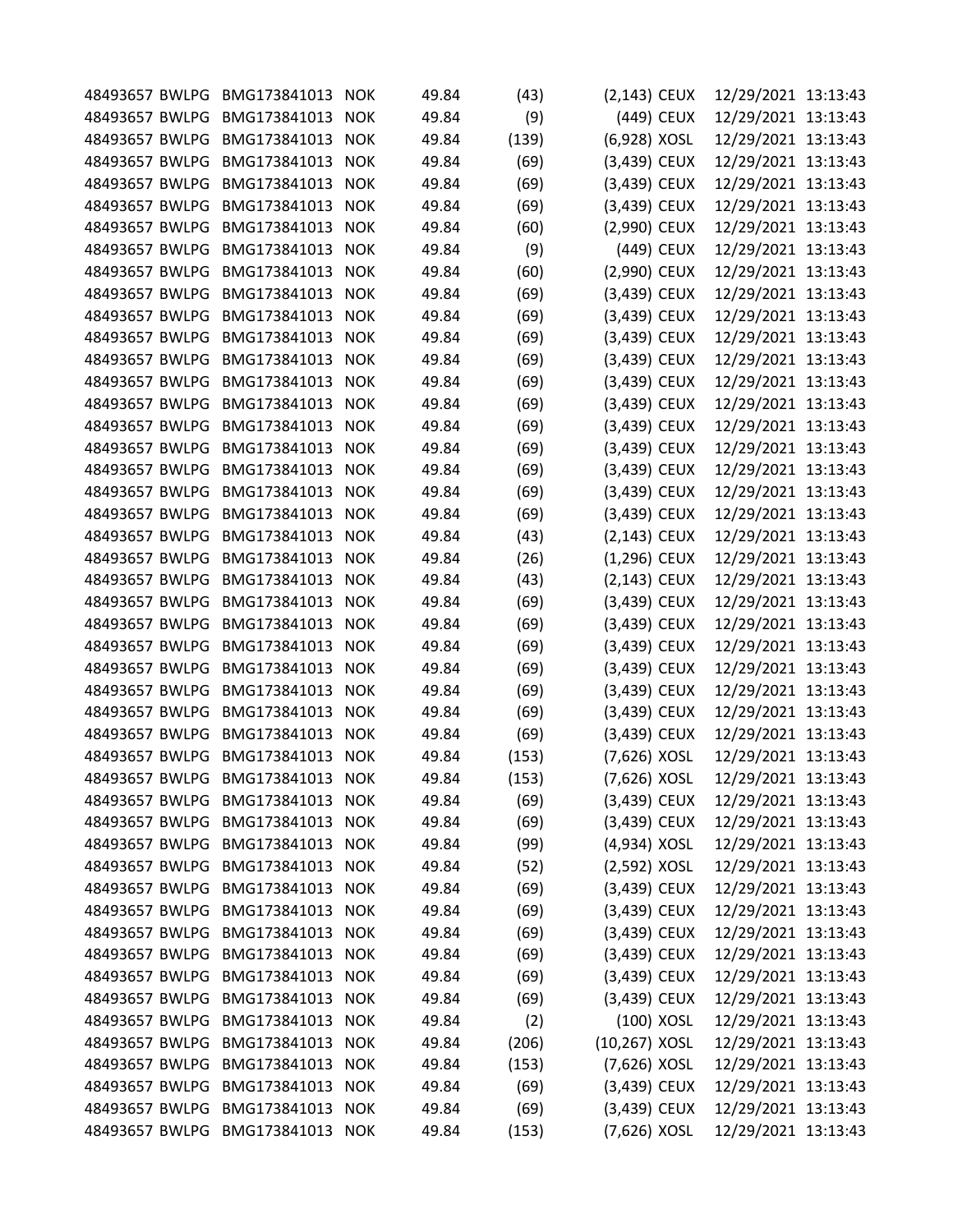| 48493657 BWLPG | BMG173841013                    | <b>NOK</b> | 49.84 | (43)  | (2,143) CEUX     |            | 12/29/2021 13:13:43 |  |
|----------------|---------------------------------|------------|-------|-------|------------------|------------|---------------------|--|
| 48493657 BWLPG | BMG173841013                    | <b>NOK</b> | 49.84 | (9)   |                  | (449) CEUX | 12/29/2021 13:13:43 |  |
| 48493657 BWLPG | BMG173841013                    | <b>NOK</b> | 49.84 | (139) | (6,928) XOSL     |            | 12/29/2021 13:13:43 |  |
| 48493657 BWLPG | BMG173841013                    | <b>NOK</b> | 49.84 | (69)  | (3,439) CEUX     |            | 12/29/2021 13:13:43 |  |
| 48493657 BWLPG | BMG173841013                    | <b>NOK</b> | 49.84 | (69)  | (3,439) CEUX     |            | 12/29/2021 13:13:43 |  |
| 48493657 BWLPG | BMG173841013                    | <b>NOK</b> | 49.84 | (69)  | (3,439) CEUX     |            | 12/29/2021 13:13:43 |  |
| 48493657 BWLPG | BMG173841013                    | <b>NOK</b> | 49.84 | (60)  | (2,990) CEUX     |            | 12/29/2021 13:13:43 |  |
| 48493657 BWLPG | BMG173841013                    | <b>NOK</b> | 49.84 | (9)   |                  | (449) CEUX | 12/29/2021 13:13:43 |  |
| 48493657 BWLPG | BMG173841013                    | <b>NOK</b> | 49.84 | (60)  | (2,990) CEUX     |            | 12/29/2021 13:13:43 |  |
| 48493657 BWLPG | BMG173841013                    | <b>NOK</b> | 49.84 | (69)  | (3,439) CEUX     |            | 12/29/2021 13:13:43 |  |
| 48493657 BWLPG | BMG173841013                    | <b>NOK</b> | 49.84 | (69)  | (3,439) CEUX     |            | 12/29/2021 13:13:43 |  |
| 48493657 BWLPG | BMG173841013                    | <b>NOK</b> | 49.84 | (69)  | (3,439) CEUX     |            | 12/29/2021 13:13:43 |  |
| 48493657 BWLPG | BMG173841013                    | <b>NOK</b> | 49.84 | (69)  | (3,439) CEUX     |            | 12/29/2021 13:13:43 |  |
| 48493657 BWLPG | BMG173841013                    | <b>NOK</b> | 49.84 | (69)  | (3,439) CEUX     |            | 12/29/2021 13:13:43 |  |
| 48493657 BWLPG | BMG173841013                    | <b>NOK</b> | 49.84 | (69)  | (3,439) CEUX     |            | 12/29/2021 13:13:43 |  |
| 48493657 BWLPG | BMG173841013                    | <b>NOK</b> | 49.84 | (69)  | (3,439) CEUX     |            | 12/29/2021 13:13:43 |  |
| 48493657 BWLPG | BMG173841013                    | <b>NOK</b> | 49.84 | (69)  | (3,439) CEUX     |            | 12/29/2021 13:13:43 |  |
| 48493657 BWLPG | BMG173841013                    | <b>NOK</b> | 49.84 | (69)  | (3,439) CEUX     |            | 12/29/2021 13:13:43 |  |
| 48493657 BWLPG | BMG173841013                    | <b>NOK</b> | 49.84 | (69)  | (3,439) CEUX     |            | 12/29/2021 13:13:43 |  |
| 48493657 BWLPG | BMG173841013                    | <b>NOK</b> | 49.84 |       |                  |            | 12/29/2021 13:13:43 |  |
|                |                                 |            |       | (69)  | (3,439) CEUX     |            |                     |  |
| 48493657 BWLPG | BMG173841013                    | <b>NOK</b> | 49.84 | (43)  | (2,143) CEUX     |            | 12/29/2021 13:13:43 |  |
| 48493657 BWLPG | BMG173841013                    | <b>NOK</b> | 49.84 | (26)  | $(1,296)$ CEUX   |            | 12/29/2021 13:13:43 |  |
| 48493657 BWLPG | BMG173841013                    | <b>NOK</b> | 49.84 | (43)  | (2,143) CEUX     |            | 12/29/2021 13:13:43 |  |
| 48493657 BWLPG | BMG173841013                    | <b>NOK</b> | 49.84 | (69)  | (3,439) CEUX     |            | 12/29/2021 13:13:43 |  |
| 48493657 BWLPG | BMG173841013                    | <b>NOK</b> | 49.84 | (69)  | (3,439) CEUX     |            | 12/29/2021 13:13:43 |  |
| 48493657 BWLPG | BMG173841013                    | <b>NOK</b> | 49.84 | (69)  | (3,439) CEUX     |            | 12/29/2021 13:13:43 |  |
| 48493657 BWLPG | BMG173841013                    | <b>NOK</b> | 49.84 | (69)  | (3,439) CEUX     |            | 12/29/2021 13:13:43 |  |
| 48493657 BWLPG | BMG173841013                    | <b>NOK</b> | 49.84 | (69)  | (3,439) CEUX     |            | 12/29/2021 13:13:43 |  |
| 48493657 BWLPG | BMG173841013                    | <b>NOK</b> | 49.84 | (69)  | (3,439) CEUX     |            | 12/29/2021 13:13:43 |  |
| 48493657 BWLPG | BMG173841013                    | <b>NOK</b> | 49.84 | (69)  | (3,439) CEUX     |            | 12/29/2021 13:13:43 |  |
| 48493657 BWLPG | BMG173841013                    | <b>NOK</b> | 49.84 | (153) | (7,626) XOSL     |            | 12/29/2021 13:13:43 |  |
|                | 48493657 BWLPG BMG173841013 NOK |            | 49.84 | (153) | (7,626) XOSL     |            | 12/29/2021 13:13:43 |  |
| 48493657 BWLPG | BMG173841013                    | <b>NOK</b> | 49.84 | (69)  | (3,439) CEUX     |            | 12/29/2021 13:13:43 |  |
| 48493657 BWLPG | BMG173841013                    | <b>NOK</b> | 49.84 | (69)  | (3,439) CEUX     |            | 12/29/2021 13:13:43 |  |
|                | 48493657 BWLPG BMG173841013 NOK |            | 49.84 | (99)  | (4,934) XOSL     |            | 12/29/2021 13:13:43 |  |
| 48493657 BWLPG | BMG173841013                    | <b>NOK</b> | 49.84 | (52)  | (2,592) XOSL     |            | 12/29/2021 13:13:43 |  |
|                | 48493657 BWLPG BMG173841013 NOK |            | 49.84 | (69)  | (3,439) CEUX     |            | 12/29/2021 13:13:43 |  |
| 48493657 BWLPG | BMG173841013                    | <b>NOK</b> | 49.84 | (69)  | (3,439) CEUX     |            | 12/29/2021 13:13:43 |  |
| 48493657 BWLPG | BMG173841013                    | <b>NOK</b> | 49.84 | (69)  | $(3,439)$ CEUX   |            | 12/29/2021 13:13:43 |  |
| 48493657 BWLPG | BMG173841013 NOK                |            | 49.84 | (69)  | (3,439) CEUX     |            | 12/29/2021 13:13:43 |  |
| 48493657 BWLPG | BMG173841013                    | <b>NOK</b> | 49.84 | (69)  | (3,439) CEUX     |            | 12/29/2021 13:13:43 |  |
|                | 48493657 BWLPG BMG173841013 NOK |            | 49.84 | (69)  | (3,439) CEUX     |            | 12/29/2021 13:13:43 |  |
| 48493657 BWLPG | BMG173841013                    | <b>NOK</b> | 49.84 | (2)   |                  | (100) XOSL | 12/29/2021 13:13:43 |  |
| 48493657 BWLPG | BMG173841013                    | <b>NOK</b> | 49.84 | (206) | $(10, 267)$ XOSL |            | 12/29/2021 13:13:43 |  |
| 48493657 BWLPG | BMG173841013                    | <b>NOK</b> | 49.84 | (153) | (7,626) XOSL     |            | 12/29/2021 13:13:43 |  |
| 48493657 BWLPG | BMG173841013                    | <b>NOK</b> | 49.84 | (69)  | (3,439) CEUX     |            | 12/29/2021 13:13:43 |  |
|                | 48493657 BWLPG BMG173841013 NOK |            | 49.84 | (69)  | (3,439) CEUX     |            | 12/29/2021 13:13:43 |  |
|                | 48493657 BWLPG BMG173841013 NOK |            | 49.84 | (153) | (7,626) XOSL     |            | 12/29/2021 13:13:43 |  |
|                |                                 |            |       |       |                  |            |                     |  |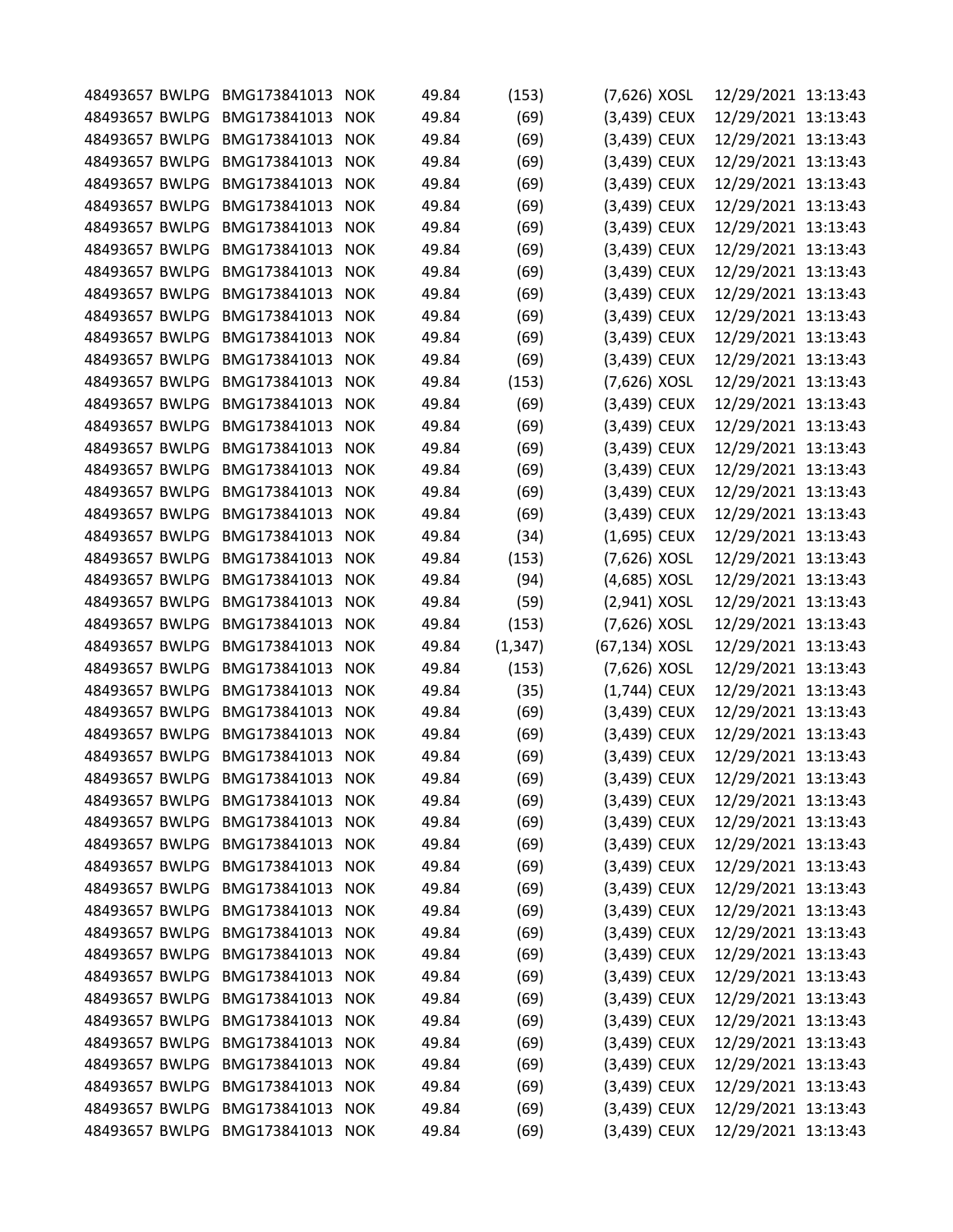| 48493657 BWLPG | BMG173841013                    | <b>NOK</b> | 49.84 | (153)    | (7,626) XOSL   | 12/29/2021 13:13:43 |  |
|----------------|---------------------------------|------------|-------|----------|----------------|---------------------|--|
| 48493657 BWLPG | BMG173841013                    | <b>NOK</b> | 49.84 | (69)     | (3,439) CEUX   | 12/29/2021 13:13:43 |  |
| 48493657 BWLPG | BMG173841013                    | <b>NOK</b> | 49.84 | (69)     | (3,439) CEUX   | 12/29/2021 13:13:43 |  |
| 48493657 BWLPG | BMG173841013                    | <b>NOK</b> | 49.84 | (69)     | (3,439) CEUX   | 12/29/2021 13:13:43 |  |
| 48493657 BWLPG | BMG173841013                    | <b>NOK</b> | 49.84 | (69)     | (3,439) CEUX   | 12/29/2021 13:13:43 |  |
| 48493657 BWLPG | BMG173841013                    | <b>NOK</b> | 49.84 | (69)     | (3,439) CEUX   | 12/29/2021 13:13:43 |  |
| 48493657 BWLPG | BMG173841013                    |            |       |          |                |                     |  |
|                |                                 | <b>NOK</b> | 49.84 | (69)     | (3,439) CEUX   | 12/29/2021 13:13:43 |  |
| 48493657 BWLPG | BMG173841013                    | <b>NOK</b> | 49.84 | (69)     | (3,439) CEUX   | 12/29/2021 13:13:43 |  |
| 48493657 BWLPG | BMG173841013                    | <b>NOK</b> | 49.84 | (69)     | (3,439) CEUX   | 12/29/2021 13:13:43 |  |
| 48493657 BWLPG | BMG173841013                    | <b>NOK</b> | 49.84 | (69)     | (3,439) CEUX   | 12/29/2021 13:13:43 |  |
| 48493657 BWLPG | BMG173841013                    | <b>NOK</b> | 49.84 | (69)     | (3,439) CEUX   | 12/29/2021 13:13:43 |  |
| 48493657 BWLPG | BMG173841013                    | <b>NOK</b> | 49.84 | (69)     | (3,439) CEUX   | 12/29/2021 13:13:43 |  |
| 48493657 BWLPG | BMG173841013                    | <b>NOK</b> | 49.84 | (69)     | (3,439) CEUX   | 12/29/2021 13:13:43 |  |
| 48493657 BWLPG | BMG173841013                    | <b>NOK</b> | 49.84 | (153)    | (7,626) XOSL   | 12/29/2021 13:13:43 |  |
| 48493657 BWLPG | BMG173841013                    | <b>NOK</b> | 49.84 | (69)     | (3,439) CEUX   | 12/29/2021 13:13:43 |  |
| 48493657 BWLPG | BMG173841013                    | <b>NOK</b> | 49.84 | (69)     | (3,439) CEUX   | 12/29/2021 13:13:43 |  |
| 48493657 BWLPG | BMG173841013                    | <b>NOK</b> | 49.84 | (69)     | (3,439) CEUX   | 12/29/2021 13:13:43 |  |
| 48493657 BWLPG | BMG173841013                    | <b>NOK</b> | 49.84 | (69)     | (3,439) CEUX   | 12/29/2021 13:13:43 |  |
| 48493657 BWLPG | BMG173841013                    | <b>NOK</b> | 49.84 | (69)     | (3,439) CEUX   | 12/29/2021 13:13:43 |  |
| 48493657 BWLPG | BMG173841013                    | <b>NOK</b> | 49.84 | (69)     | (3,439) CEUX   | 12/29/2021 13:13:43 |  |
| 48493657 BWLPG | BMG173841013                    | <b>NOK</b> | 49.84 | (34)     | (1,695) CEUX   | 12/29/2021 13:13:43 |  |
| 48493657 BWLPG | BMG173841013                    | <b>NOK</b> | 49.84 | (153)    | (7,626) XOSL   | 12/29/2021 13:13:43 |  |
| 48493657 BWLPG | BMG173841013                    | <b>NOK</b> | 49.84 | (94)     | (4,685) XOSL   | 12/29/2021 13:13:43 |  |
| 48493657 BWLPG | BMG173841013                    | <b>NOK</b> | 49.84 | (59)     | (2,941) XOSL   | 12/29/2021 13:13:43 |  |
| 48493657 BWLPG | BMG173841013                    | <b>NOK</b> | 49.84 | (153)    | (7,626) XOSL   | 12/29/2021 13:13:43 |  |
| 48493657 BWLPG | BMG173841013                    | <b>NOK</b> | 49.84 | (1, 347) | (67,134) XOSL  | 12/29/2021 13:13:43 |  |
| 48493657 BWLPG | BMG173841013                    | <b>NOK</b> | 49.84 | (153)    | (7,626) XOSL   | 12/29/2021 13:13:43 |  |
| 48493657 BWLPG | BMG173841013                    | <b>NOK</b> | 49.84 | (35)     | (1,744) CEUX   | 12/29/2021 13:13:43 |  |
| 48493657 BWLPG | BMG173841013                    | <b>NOK</b> | 49.84 | (69)     | (3,439) CEUX   | 12/29/2021 13:13:43 |  |
| 48493657 BWLPG | BMG173841013                    | <b>NOK</b> | 49.84 | (69)     | (3,439) CEUX   | 12/29/2021 13:13:43 |  |
| 48493657 BWLPG | BMG173841013                    | <b>NOK</b> | 49.84 | (69)     | (3,439) CEUX   | 12/29/2021 13:13:43 |  |
|                | 48493657 BWLPG BMG173841013     | <b>NOK</b> | 49.84 | (69)     | (3,439) CEUX   | 12/29/2021 13:13:43 |  |
| 48493657 BWLPG | BMG173841013                    | <b>NOK</b> | 49.84 | (69)     | (3,439) CEUX   | 12/29/2021 13:13:43 |  |
| 48493657 BWLPG | BMG173841013                    | <b>NOK</b> | 49.84 | (69)     | (3,439) CEUX   | 12/29/2021 13:13:43 |  |
| 48493657 BWLPG | BMG173841013 NOK                |            | 49.84 | (69)     | $(3,439)$ CEUX | 12/29/2021 13:13:43 |  |
| 48493657 BWLPG | BMG173841013                    | <b>NOK</b> | 49.84 | (69)     | (3,439) CEUX   | 12/29/2021 13:13:43 |  |
|                | 48493657 BWLPG BMG173841013     | <b>NOK</b> | 49.84 | (69)     | (3,439) CEUX   | 12/29/2021 13:13:43 |  |
| 48493657 BWLPG | BMG173841013                    | <b>NOK</b> | 49.84 | (69)     | (3,439) CEUX   | 12/29/2021 13:13:43 |  |
| 48493657 BWLPG | BMG173841013                    | <b>NOK</b> | 49.84 | (69)     | $(3,439)$ CEUX | 12/29/2021 13:13:43 |  |
| 48493657 BWLPG | BMG173841013                    | <b>NOK</b> | 49.84 |          |                | 12/29/2021 13:13:43 |  |
|                |                                 |            |       | (69)     | (3,439) CEUX   |                     |  |
| 48493657 BWLPG | BMG173841013                    | <b>NOK</b> | 49.84 | (69)     | (3,439) CEUX   | 12/29/2021 13:13:43 |  |
|                | 48493657 BWLPG BMG173841013 NOK |            | 49.84 | (69)     | (3,439) CEUX   | 12/29/2021 13:13:43 |  |
| 48493657 BWLPG | BMG173841013                    | <b>NOK</b> | 49.84 | (69)     | (3,439) CEUX   | 12/29/2021 13:13:43 |  |
| 48493657 BWLPG | BMG173841013                    | <b>NOK</b> | 49.84 | (69)     | (3,439) CEUX   | 12/29/2021 13:13:43 |  |
| 48493657 BWLPG | BMG173841013 NOK                |            | 49.84 | (69)     | (3,439) CEUX   | 12/29/2021 13:13:43 |  |
| 48493657 BWLPG | BMG173841013                    | <b>NOK</b> | 49.84 | (69)     | $(3,439)$ CEUX | 12/29/2021 13:13:43 |  |
|                | 48493657 BWLPG BMG173841013 NOK |            | 49.84 | (69)     | (3,439) CEUX   | 12/29/2021 13:13:43 |  |
|                | 48493657 BWLPG BMG173841013 NOK |            | 49.84 | (69)     | (3,439) CEUX   | 12/29/2021 13:13:43 |  |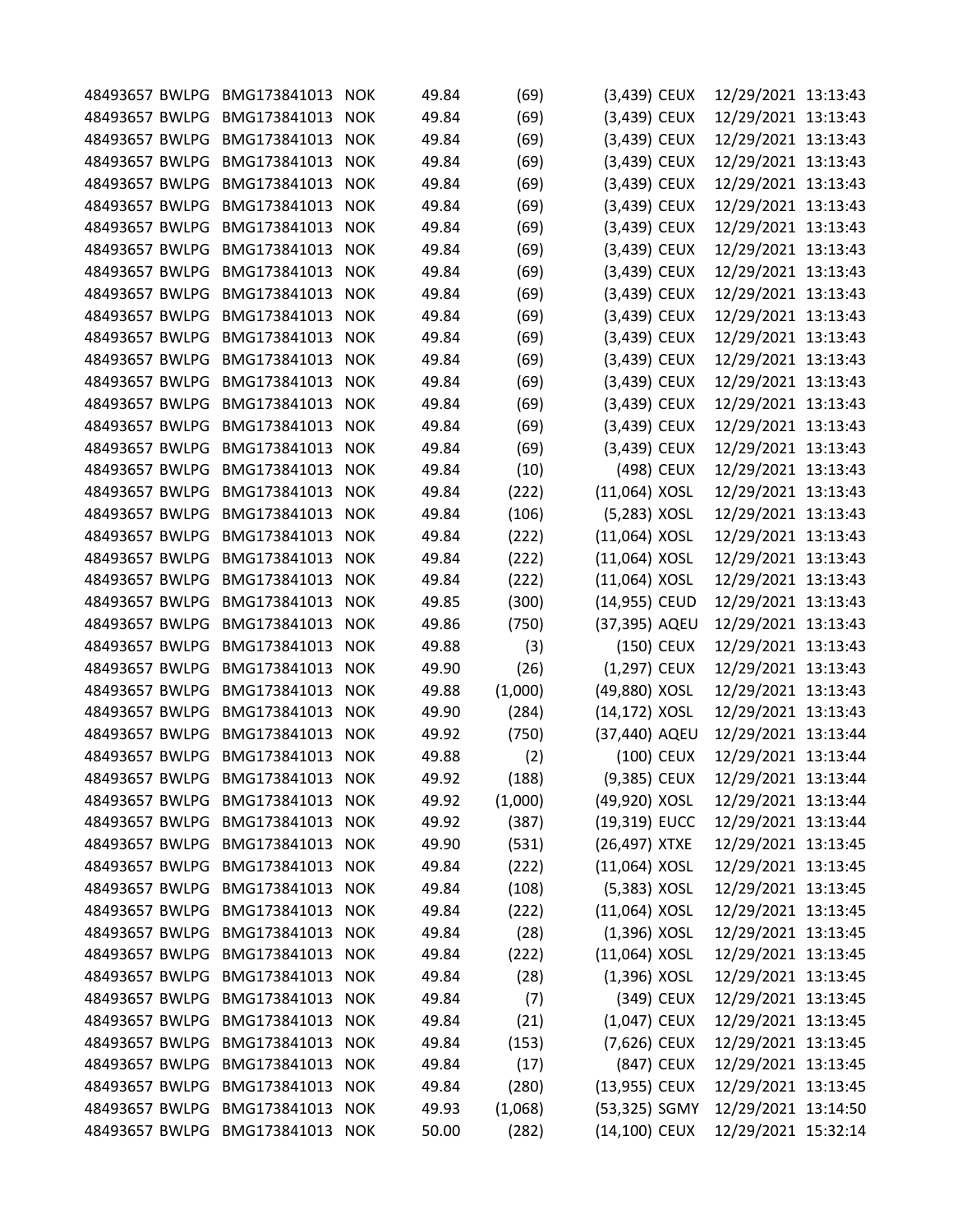| 48493657 BWLPG | BMG173841013                    | <b>NOK</b> | 49.84 | (69)    | (3,439) CEUX    |            | 12/29/2021 13:13:43 |  |
|----------------|---------------------------------|------------|-------|---------|-----------------|------------|---------------------|--|
| 48493657 BWLPG | BMG173841013                    | <b>NOK</b> | 49.84 | (69)    | (3,439) CEUX    |            | 12/29/2021 13:13:43 |  |
| 48493657 BWLPG | BMG173841013                    | <b>NOK</b> | 49.84 | (69)    | (3,439) CEUX    |            | 12/29/2021 13:13:43 |  |
| 48493657 BWLPG | BMG173841013                    | <b>NOK</b> | 49.84 | (69)    | (3,439) CEUX    |            | 12/29/2021 13:13:43 |  |
| 48493657 BWLPG | BMG173841013                    | <b>NOK</b> | 49.84 | (69)    | (3,439) CEUX    |            | 12/29/2021 13:13:43 |  |
| 48493657 BWLPG | BMG173841013                    | <b>NOK</b> | 49.84 | (69)    | (3,439) CEUX    |            | 12/29/2021 13:13:43 |  |
| 48493657 BWLPG | BMG173841013                    | <b>NOK</b> | 49.84 | (69)    | (3,439) CEUX    |            | 12/29/2021 13:13:43 |  |
| 48493657 BWLPG | BMG173841013                    | <b>NOK</b> | 49.84 | (69)    | (3,439) CEUX    |            | 12/29/2021 13:13:43 |  |
| 48493657 BWLPG | BMG173841013                    | <b>NOK</b> | 49.84 | (69)    | (3,439) CEUX    |            | 12/29/2021 13:13:43 |  |
| 48493657 BWLPG | BMG173841013                    | <b>NOK</b> | 49.84 | (69)    | (3,439) CEUX    |            | 12/29/2021 13:13:43 |  |
| 48493657 BWLPG | BMG173841013                    | <b>NOK</b> | 49.84 | (69)    | (3,439) CEUX    |            | 12/29/2021 13:13:43 |  |
| 48493657 BWLPG | BMG173841013                    | <b>NOK</b> | 49.84 | (69)    | (3,439) CEUX    |            | 12/29/2021 13:13:43 |  |
| 48493657 BWLPG | BMG173841013                    | <b>NOK</b> | 49.84 | (69)    | (3,439) CEUX    |            | 12/29/2021 13:13:43 |  |
| 48493657 BWLPG | BMG173841013                    | <b>NOK</b> | 49.84 | (69)    | (3,439) CEUX    |            | 12/29/2021 13:13:43 |  |
| 48493657 BWLPG | BMG173841013                    | <b>NOK</b> | 49.84 | (69)    | (3,439) CEUX    |            | 12/29/2021 13:13:43 |  |
| 48493657 BWLPG | BMG173841013                    | <b>NOK</b> | 49.84 | (69)    | (3,439) CEUX    |            | 12/29/2021 13:13:43 |  |
| 48493657 BWLPG | BMG173841013                    | <b>NOK</b> | 49.84 | (69)    | (3,439) CEUX    |            | 12/29/2021 13:13:43 |  |
| 48493657 BWLPG | BMG173841013                    | <b>NOK</b> | 49.84 | (10)    |                 | (498) CEUX | 12/29/2021 13:13:43 |  |
| 48493657 BWLPG | BMG173841013                    | <b>NOK</b> | 49.84 | (222)   | $(11,064)$ XOSL |            | 12/29/2021 13:13:43 |  |
| 48493657 BWLPG | BMG173841013                    | <b>NOK</b> | 49.84 | (106)   | (5,283) XOSL    |            | 12/29/2021 13:13:43 |  |
| 48493657 BWLPG | BMG173841013                    | <b>NOK</b> | 49.84 | (222)   | (11,064) XOSL   |            | 12/29/2021 13:13:43 |  |
| 48493657 BWLPG | BMG173841013                    | <b>NOK</b> | 49.84 | (222)   | (11,064) XOSL   |            | 12/29/2021 13:13:43 |  |
| 48493657 BWLPG | BMG173841013                    | <b>NOK</b> | 49.84 | (222)   | (11,064) XOSL   |            | 12/29/2021 13:13:43 |  |
| 48493657 BWLPG | BMG173841013                    | <b>NOK</b> | 49.85 | (300)   | (14,955) CEUD   |            | 12/29/2021 13:13:43 |  |
| 48493657 BWLPG | BMG173841013                    | <b>NOK</b> | 49.86 | (750)   | (37,395) AQEU   |            | 12/29/2021 13:13:43 |  |
| 48493657 BWLPG | BMG173841013                    | <b>NOK</b> | 49.88 | (3)     |                 | (150) CEUX | 12/29/2021 13:13:43 |  |
| 48493657 BWLPG | BMG173841013                    | <b>NOK</b> | 49.90 | (26)    | (1,297) CEUX    |            | 12/29/2021 13:13:43 |  |
| 48493657 BWLPG | BMG173841013                    | <b>NOK</b> | 49.88 | (1,000) | (49,880) XOSL   |            | 12/29/2021 13:13:43 |  |
| 48493657 BWLPG | BMG173841013                    | <b>NOK</b> | 49.90 | (284)   | (14,172) XOSL   |            | 12/29/2021 13:13:43 |  |
| 48493657 BWLPG | BMG173841013                    | <b>NOK</b> | 49.92 | (750)   | (37,440) AQEU   |            | 12/29/2021 13:13:44 |  |
| 48493657 BWLPG | BMG173841013                    | <b>NOK</b> | 49.88 | (2)     |                 | (100) CEUX | 12/29/2021 13:13:44 |  |
|                | 48493657 BWLPG BMG173841013     | <b>NOK</b> | 49.92 | (188)   | (9,385) CEUX    |            | 12/29/2021 13:13:44 |  |
| 48493657 BWLPG | BMG173841013                    | <b>NOK</b> | 49.92 | (1,000) | (49,920) XOSL   |            | 12/29/2021 13:13:44 |  |
| 48493657 BWLPG | BMG173841013                    | <b>NOK</b> | 49.92 | (387)   | (19,319) EUCC   |            | 12/29/2021 13:13:44 |  |
| 48493657 BWLPG | BMG173841013                    | <b>NOK</b> | 49.90 | (531)   | (26,497) XTXE   |            | 12/29/2021 13:13:45 |  |
| 48493657 BWLPG | BMG173841013                    | <b>NOK</b> | 49.84 | (222)   | (11,064) XOSL   |            | 12/29/2021 13:13:45 |  |
|                | 48493657 BWLPG BMG173841013     | <b>NOK</b> | 49.84 | (108)   | $(5,383)$ XOSL  |            | 12/29/2021 13:13:45 |  |
| 48493657 BWLPG | BMG173841013                    | <b>NOK</b> | 49.84 | (222)   | (11,064) XOSL   |            | 12/29/2021 13:13:45 |  |
| 48493657 BWLPG | BMG173841013                    | <b>NOK</b> | 49.84 | (28)    | $(1,396)$ XOSL  |            | 12/29/2021 13:13:45 |  |
| 48493657 BWLPG | BMG173841013                    | <b>NOK</b> | 49.84 |         | $(11,064)$ XOSL |            | 12/29/2021 13:13:45 |  |
|                |                                 |            |       | (222)   |                 |            |                     |  |
| 48493657 BWLPG | BMG173841013                    | <b>NOK</b> | 49.84 | (28)    | $(1,396)$ XOSL  |            | 12/29/2021 13:13:45 |  |
| 48493657 BWLPG | BMG173841013                    | <b>NOK</b> | 49.84 | (7)     |                 | (349) CEUX | 12/29/2021 13:13:45 |  |
| 48493657 BWLPG | BMG173841013                    | <b>NOK</b> | 49.84 | (21)    | (1,047) CEUX    |            | 12/29/2021 13:13:45 |  |
| 48493657 BWLPG | BMG173841013                    | <b>NOK</b> | 49.84 | (153)   | (7,626) CEUX    |            | 12/29/2021 13:13:45 |  |
| 48493657 BWLPG | BMG173841013                    | <b>NOK</b> | 49.84 | (17)    |                 | (847) CEUX | 12/29/2021 13:13:45 |  |
| 48493657 BWLPG | BMG173841013                    | <b>NOK</b> | 49.84 | (280)   | (13,955) CEUX   |            | 12/29/2021 13:13:45 |  |
|                | 48493657 BWLPG BMG173841013     | <b>NOK</b> | 49.93 | (1,068) | (53,325) SGMY   |            | 12/29/2021 13:14:50 |  |
|                | 48493657 BWLPG BMG173841013 NOK |            | 50.00 | (282)   | (14,100) CEUX   |            | 12/29/2021 15:32:14 |  |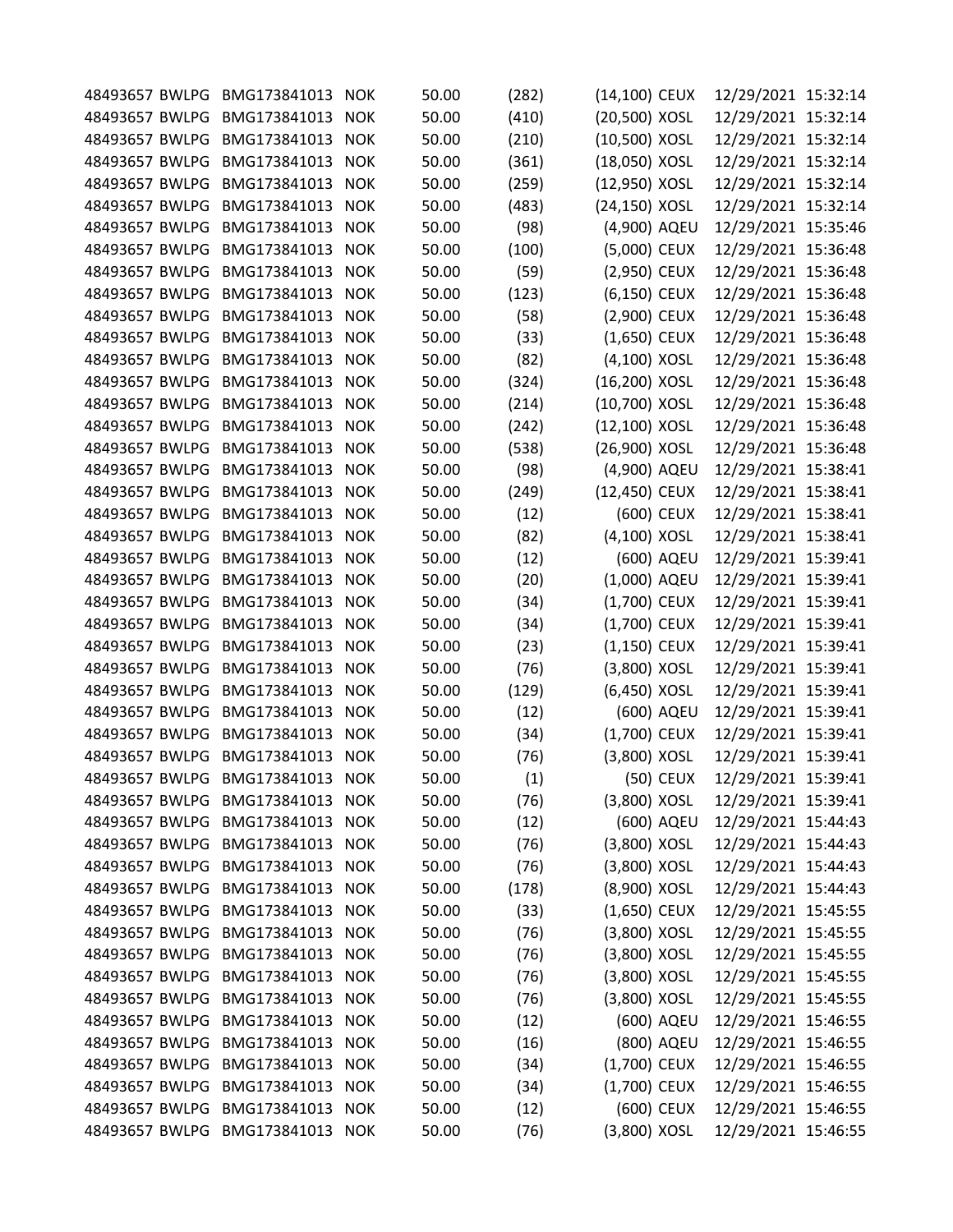|                | 48493657 BWLPG BMG173841013     | <b>NOK</b> | 50.00 | (282) | (14,100) CEUX  |            | 12/29/2021 15:32:14 |  |
|----------------|---------------------------------|------------|-------|-------|----------------|------------|---------------------|--|
| 48493657 BWLPG | BMG173841013                    | <b>NOK</b> | 50.00 | (410) | (20,500) XOSL  |            | 12/29/2021 15:32:14 |  |
| 48493657 BWLPG | BMG173841013                    | <b>NOK</b> | 50.00 | (210) | (10,500) XOSL  |            | 12/29/2021 15:32:14 |  |
| 48493657 BWLPG | BMG173841013                    | <b>NOK</b> | 50.00 | (361) | (18,050) XOSL  |            | 12/29/2021 15:32:14 |  |
| 48493657 BWLPG | BMG173841013                    | <b>NOK</b> | 50.00 | (259) | (12,950) XOSL  |            | 12/29/2021 15:32:14 |  |
| 48493657 BWLPG | BMG173841013                    | <b>NOK</b> | 50.00 | (483) | (24,150) XOSL  |            | 12/29/2021 15:32:14 |  |
| 48493657 BWLPG | BMG173841013                    | <b>NOK</b> | 50.00 | (98)  | (4,900) AQEU   |            | 12/29/2021 15:35:46 |  |
| 48493657 BWLPG | BMG173841013                    | <b>NOK</b> | 50.00 | (100) | (5,000) CEUX   |            | 12/29/2021 15:36:48 |  |
| 48493657 BWLPG | BMG173841013                    | <b>NOK</b> | 50.00 | (59)  | (2,950) CEUX   |            | 12/29/2021 15:36:48 |  |
| 48493657 BWLPG | BMG173841013                    | <b>NOK</b> | 50.00 | (123) | (6,150) CEUX   |            | 12/29/2021 15:36:48 |  |
| 48493657 BWLPG | BMG173841013                    | <b>NOK</b> | 50.00 | (58)  | (2,900) CEUX   |            | 12/29/2021 15:36:48 |  |
| 48493657 BWLPG | BMG173841013                    | <b>NOK</b> | 50.00 | (33)  | $(1,650)$ CEUX |            | 12/29/2021 15:36:48 |  |
| 48493657 BWLPG | BMG173841013                    | <b>NOK</b> | 50.00 | (82)  | (4,100) XOSL   |            | 12/29/2021 15:36:48 |  |
| 48493657 BWLPG | BMG173841013                    | <b>NOK</b> | 50.00 | (324) | (16,200) XOSL  |            | 12/29/2021 15:36:48 |  |
| 48493657 BWLPG | BMG173841013                    | <b>NOK</b> | 50.00 | (214) | (10,700) XOSL  |            | 12/29/2021 15:36:48 |  |
| 48493657 BWLPG | BMG173841013                    | <b>NOK</b> | 50.00 | (242) | (12,100) XOSL  |            | 12/29/2021 15:36:48 |  |
| 48493657 BWLPG | BMG173841013                    | <b>NOK</b> | 50.00 | (538) | (26,900) XOSL  |            | 12/29/2021 15:36:48 |  |
| 48493657 BWLPG | BMG173841013                    | <b>NOK</b> | 50.00 | (98)  | (4,900) AQEU   |            | 12/29/2021 15:38:41 |  |
| 48493657 BWLPG | BMG173841013                    | <b>NOK</b> | 50.00 | (249) | (12,450) CEUX  |            | 12/29/2021 15:38:41 |  |
| 48493657 BWLPG | BMG173841013                    | <b>NOK</b> | 50.00 | (12)  |                | (600) CEUX | 12/29/2021 15:38:41 |  |
| 48493657 BWLPG | BMG173841013                    | <b>NOK</b> | 50.00 | (82)  | (4,100) XOSL   |            | 12/29/2021 15:38:41 |  |
| 48493657 BWLPG | BMG173841013                    | <b>NOK</b> | 50.00 | (12)  |                | (600) AQEU | 12/29/2021 15:39:41 |  |
|                |                                 |            |       |       |                |            |                     |  |
| 48493657 BWLPG | BMG173841013                    | <b>NOK</b> | 50.00 | (20)  | (1,000) AQEU   |            | 12/29/2021 15:39:41 |  |
| 48493657 BWLPG | BMG173841013                    | <b>NOK</b> | 50.00 | (34)  | (1,700) CEUX   |            | 12/29/2021 15:39:41 |  |
| 48493657 BWLPG | BMG173841013                    | <b>NOK</b> | 50.00 | (34)  | (1,700) CEUX   |            | 12/29/2021 15:39:41 |  |
| 48493657 BWLPG | BMG173841013                    | <b>NOK</b> | 50.00 | (23)  | (1,150) CEUX   |            | 12/29/2021 15:39:41 |  |
| 48493657 BWLPG | BMG173841013                    | <b>NOK</b> | 50.00 | (76)  | (3,800) XOSL   |            | 12/29/2021 15:39:41 |  |
| 48493657 BWLPG | BMG173841013                    | <b>NOK</b> | 50.00 | (129) | (6,450) XOSL   |            | 12/29/2021 15:39:41 |  |
| 48493657 BWLPG | BMG173841013                    | <b>NOK</b> | 50.00 | (12)  |                | (600) AQEU | 12/29/2021 15:39:41 |  |
| 48493657 BWLPG | BMG173841013                    | <b>NOK</b> | 50.00 | (34)  | (1,700) CEUX   |            | 12/29/2021 15:39:41 |  |
| 48493657 BWLPG | BMG173841013                    | <b>NOK</b> | 50.00 | (76)  | (3,800) XOSL   |            | 12/29/2021 15:39:41 |  |
|                | 48493657 BWLPG BMG173841013     | <b>NOK</b> | 50.00 | (1)   |                | (50) CEUX  | 12/29/2021 15:39:41 |  |
| 48493657 BWLPG | BMG173841013                    | <b>NOK</b> | 50.00 | (76)  | (3,800) XOSL   |            | 12/29/2021 15:39:41 |  |
| 48493657 BWLPG | BMG173841013                    | <b>NOK</b> | 50.00 | (12)  |                | (600) AQEU | 12/29/2021 15:44:43 |  |
| 48493657 BWLPG | BMG173841013                    | <b>NOK</b> | 50.00 | (76)  | (3,800) XOSL   |            | 12/29/2021 15:44:43 |  |
| 48493657 BWLPG | BMG173841013                    | <b>NOK</b> | 50.00 | (76)  | (3,800) XOSL   |            | 12/29/2021 15:44:43 |  |
|                | 48493657 BWLPG BMG173841013     | <b>NOK</b> | 50.00 | (178) | (8,900) XOSL   |            | 12/29/2021 15:44:43 |  |
| 48493657 BWLPG | BMG173841013                    | <b>NOK</b> | 50.00 | (33)  | (1,650) CEUX   |            | 12/29/2021 15:45:55 |  |
| 48493657 BWLPG | BMG173841013                    | <b>NOK</b> | 50.00 | (76)  | (3,800) XOSL   |            | 12/29/2021 15:45:55 |  |
| 48493657 BWLPG | BMG173841013                    | <b>NOK</b> | 50.00 | (76)  | (3,800) XOSL   |            | 12/29/2021 15:45:55 |  |
| 48493657 BWLPG | BMG173841013                    | <b>NOK</b> | 50.00 | (76)  | (3,800) XOSL   |            | 12/29/2021 15:45:55 |  |
| 48493657 BWLPG | BMG173841013                    | <b>NOK</b> | 50.00 | (76)  | (3,800) XOSL   |            | 12/29/2021 15:45:55 |  |
| 48493657 BWLPG | BMG173841013                    | <b>NOK</b> | 50.00 | (12)  |                | (600) AQEU | 12/29/2021 15:46:55 |  |
| 48493657 BWLPG | BMG173841013                    | <b>NOK</b> | 50.00 | (16)  |                | (800) AQEU | 12/29/2021 15:46:55 |  |
| 48493657 BWLPG | BMG173841013                    | <b>NOK</b> | 50.00 |       | (1,700) CEUX   |            | 12/29/2021 15:46:55 |  |
| 48493657 BWLPG | BMG173841013                    |            |       | (34)  |                |            |                     |  |
|                |                                 | <b>NOK</b> | 50.00 | (34)  | (1,700) CEUX   |            | 12/29/2021 15:46:55 |  |
|                | 48493657 BWLPG BMG173841013     | <b>NOK</b> | 50.00 | (12)  |                | (600) CEUX | 12/29/2021 15:46:55 |  |
|                | 48493657 BWLPG BMG173841013 NOK |            | 50.00 | (76)  | (3,800) XOSL   |            | 12/29/2021 15:46:55 |  |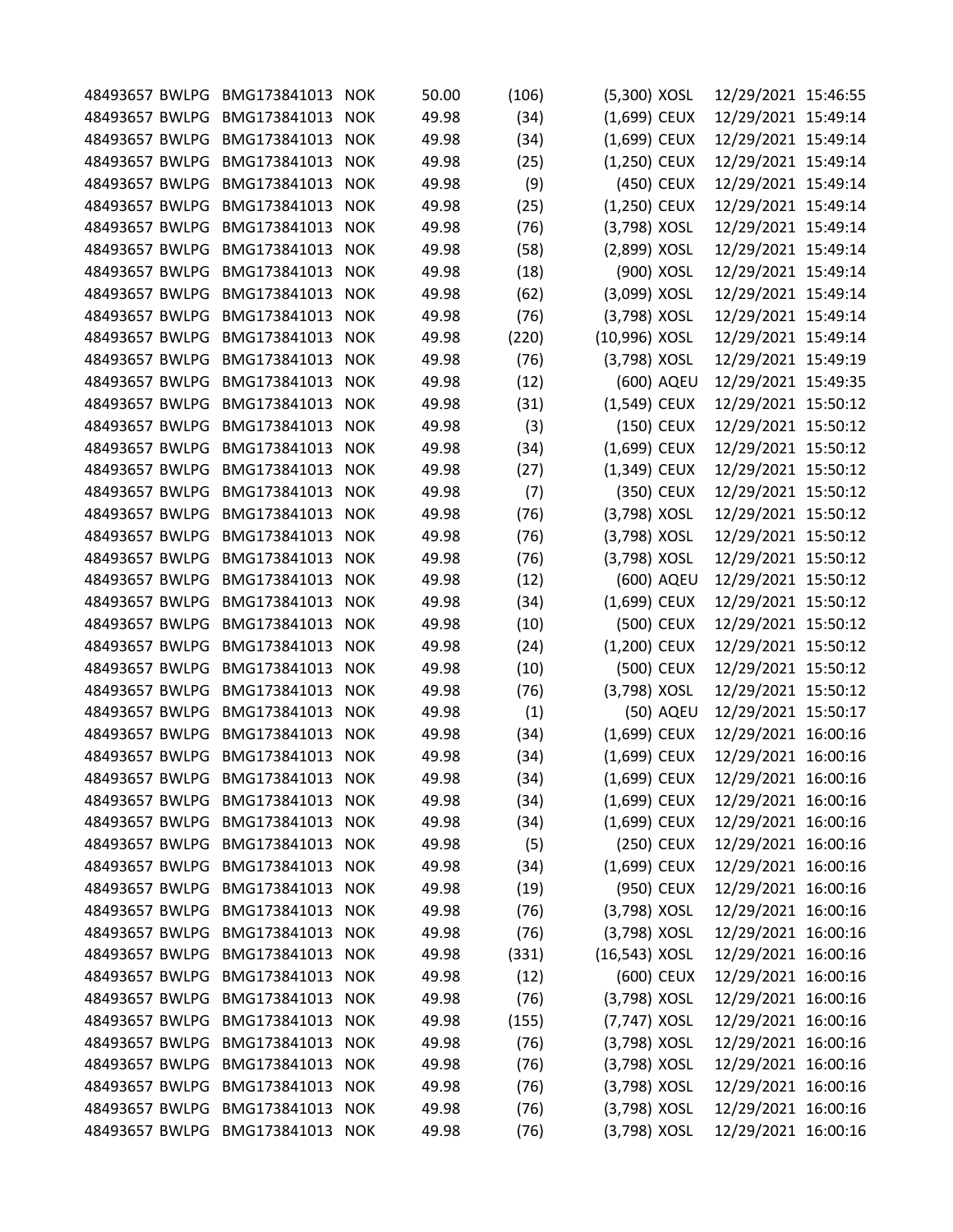| 48493657 BWLPG | BMG173841013                    | <b>NOK</b> | 50.00 | (106) | (5,300) XOSL    |            | 12/29/2021 15:46:55 |  |
|----------------|---------------------------------|------------|-------|-------|-----------------|------------|---------------------|--|
| 48493657 BWLPG | BMG173841013                    | <b>NOK</b> | 49.98 | (34)  | (1,699) CEUX    |            | 12/29/2021 15:49:14 |  |
| 48493657 BWLPG | BMG173841013                    | <b>NOK</b> | 49.98 | (34)  | (1,699) CEUX    |            | 12/29/2021 15:49:14 |  |
| 48493657 BWLPG | BMG173841013                    | <b>NOK</b> | 49.98 | (25)  | (1,250) CEUX    |            | 12/29/2021 15:49:14 |  |
| 48493657 BWLPG | BMG173841013                    | <b>NOK</b> | 49.98 | (9)   |                 | (450) CEUX | 12/29/2021 15:49:14 |  |
| 48493657 BWLPG | BMG173841013                    | <b>NOK</b> | 49.98 | (25)  | (1,250) CEUX    |            | 12/29/2021 15:49:14 |  |
| 48493657 BWLPG | BMG173841013                    | <b>NOK</b> | 49.98 | (76)  | (3,798) XOSL    |            | 12/29/2021 15:49:14 |  |
| 48493657 BWLPG | BMG173841013                    | <b>NOK</b> | 49.98 | (58)  | (2,899) XOSL    |            | 12/29/2021 15:49:14 |  |
| 48493657 BWLPG | BMG173841013                    | <b>NOK</b> | 49.98 | (18)  |                 | (900) XOSL | 12/29/2021 15:49:14 |  |
| 48493657 BWLPG | BMG173841013                    | <b>NOK</b> | 49.98 | (62)  | (3,099) XOSL    |            | 12/29/2021 15:49:14 |  |
| 48493657 BWLPG | BMG173841013                    | <b>NOK</b> | 49.98 | (76)  | (3,798) XOSL    |            | 12/29/2021 15:49:14 |  |
| 48493657 BWLPG | BMG173841013                    | <b>NOK</b> | 49.98 | (220) | (10,996) XOSL   |            | 12/29/2021 15:49:14 |  |
| 48493657 BWLPG | BMG173841013                    | <b>NOK</b> | 49.98 | (76)  | (3,798) XOSL    |            | 12/29/2021 15:49:19 |  |
| 48493657 BWLPG | BMG173841013                    | <b>NOK</b> | 49.98 | (12)  |                 | (600) AQEU | 12/29/2021 15:49:35 |  |
| 48493657 BWLPG | BMG173841013                    | <b>NOK</b> | 49.98 | (31)  | (1,549) CEUX    |            | 12/29/2021 15:50:12 |  |
| 48493657 BWLPG | BMG173841013                    | <b>NOK</b> | 49.98 | (3)   |                 | (150) CEUX | 12/29/2021 15:50:12 |  |
| 48493657 BWLPG | BMG173841013                    | <b>NOK</b> | 49.98 | (34)  | (1,699) CEUX    |            | 12/29/2021 15:50:12 |  |
| 48493657 BWLPG | BMG173841013                    | <b>NOK</b> | 49.98 | (27)  | (1,349) CEUX    |            | 12/29/2021 15:50:12 |  |
| 48493657 BWLPG | BMG173841013                    | <b>NOK</b> | 49.98 | (7)   |                 | (350) CEUX | 12/29/2021 15:50:12 |  |
| 48493657 BWLPG | BMG173841013                    | <b>NOK</b> | 49.98 | (76)  | (3,798) XOSL    |            | 12/29/2021 15:50:12 |  |
| 48493657 BWLPG | BMG173841013                    | <b>NOK</b> | 49.98 | (76)  | (3,798) XOSL    |            | 12/29/2021 15:50:12 |  |
| 48493657 BWLPG | BMG173841013                    | <b>NOK</b> | 49.98 | (76)  | (3,798) XOSL    |            | 12/29/2021 15:50:12 |  |
| 48493657 BWLPG | BMG173841013                    | <b>NOK</b> | 49.98 | (12)  |                 | (600) AQEU | 12/29/2021 15:50:12 |  |
| 48493657 BWLPG | BMG173841013                    | <b>NOK</b> | 49.98 | (34)  | (1,699) CEUX    |            | 12/29/2021 15:50:12 |  |
| 48493657 BWLPG | BMG173841013                    | <b>NOK</b> | 49.98 | (10)  |                 | (500) CEUX | 12/29/2021 15:50:12 |  |
| 48493657 BWLPG | BMG173841013                    | <b>NOK</b> | 49.98 | (24)  | (1,200) CEUX    |            | 12/29/2021 15:50:12 |  |
| 48493657 BWLPG | BMG173841013                    | <b>NOK</b> | 49.98 | (10)  |                 | (500) CEUX | 12/29/2021 15:50:12 |  |
| 48493657 BWLPG | BMG173841013                    | <b>NOK</b> | 49.98 | (76)  | (3,798) XOSL    |            | 12/29/2021 15:50:12 |  |
|                | BMG173841013                    | <b>NOK</b> | 49.98 |       |                 |            |                     |  |
| 48493657 BWLPG | BMG173841013                    |            |       | (1)   |                 | (50) AQEU  | 12/29/2021 15:50:17 |  |
| 48493657 BWLPG |                                 | <b>NOK</b> | 49.98 | (34)  | (1,699) CEUX    |            | 12/29/2021 16:00:16 |  |
| 48493657 BWLPG | BMG173841013                    | <b>NOK</b> | 49.98 | (34)  | (1,699) CEUX    |            | 12/29/2021 16:00:16 |  |
|                | 48493657 BWLPG BMG173841013     | <b>NOK</b> | 49.98 | (34)  | (1,699) CEUX    |            | 12/29/2021 16:00:16 |  |
| 48493657 BWLPG | BMG173841013                    | <b>NOK</b> | 49.98 | (34)  | (1,699) CEUX    |            | 12/29/2021 16:00:16 |  |
| 48493657 BWLPG | BMG173841013                    | <b>NOK</b> | 49.98 | (34)  | $(1,699)$ CEUX  |            | 12/29/2021 16:00:16 |  |
| 48493657 BWLPG | BMG173841013                    | <b>NOK</b> | 49.98 | (5)   |                 | (250) CEUX | 12/29/2021 16:00:16 |  |
| 48493657 BWLPG | BMG173841013                    | <b>NOK</b> | 49.98 | (34)  | (1,699) CEUX    |            | 12/29/2021 16:00:16 |  |
|                | 48493657 BWLPG BMG173841013     | <b>NOK</b> | 49.98 | (19)  |                 | (950) CEUX | 12/29/2021 16:00:16 |  |
| 48493657 BWLPG | BMG173841013                    | <b>NOK</b> | 49.98 | (76)  | (3,798) XOSL    |            | 12/29/2021 16:00:16 |  |
| 48493657 BWLPG | BMG173841013                    | <b>NOK</b> | 49.98 | (76)  | (3,798) XOSL    |            | 12/29/2021 16:00:16 |  |
| 48493657 BWLPG | BMG173841013                    | <b>NOK</b> | 49.98 | (331) | $(16,543)$ XOSL |            | 12/29/2021 16:00:16 |  |
| 48493657 BWLPG | BMG173841013                    | <b>NOK</b> | 49.98 | (12)  |                 | (600) CEUX | 12/29/2021 16:00:16 |  |
| 48493657 BWLPG | BMG173841013                    | <b>NOK</b> | 49.98 | (76)  | (3,798) XOSL    |            | 12/29/2021 16:00:16 |  |
| 48493657 BWLPG | BMG173841013                    | <b>NOK</b> | 49.98 | (155) | (7,747) XOSL    |            | 12/29/2021 16:00:16 |  |
| 48493657 BWLPG | BMG173841013                    | <b>NOK</b> | 49.98 | (76)  | (3,798) XOSL    |            | 12/29/2021 16:00:16 |  |
| 48493657 BWLPG | BMG173841013                    | <b>NOK</b> | 49.98 | (76)  | (3,798) XOSL    |            | 12/29/2021 16:00:16 |  |
| 48493657 BWLPG | BMG173841013                    | <b>NOK</b> | 49.98 | (76)  | (3,798) XOSL    |            | 12/29/2021 16:00:16 |  |
|                | 48493657 BWLPG BMG173841013     | <b>NOK</b> | 49.98 | (76)  | (3,798) XOSL    |            | 12/29/2021 16:00:16 |  |
|                | 48493657 BWLPG BMG173841013 NOK |            | 49.98 | (76)  | (3,798) XOSL    |            | 12/29/2021 16:00:16 |  |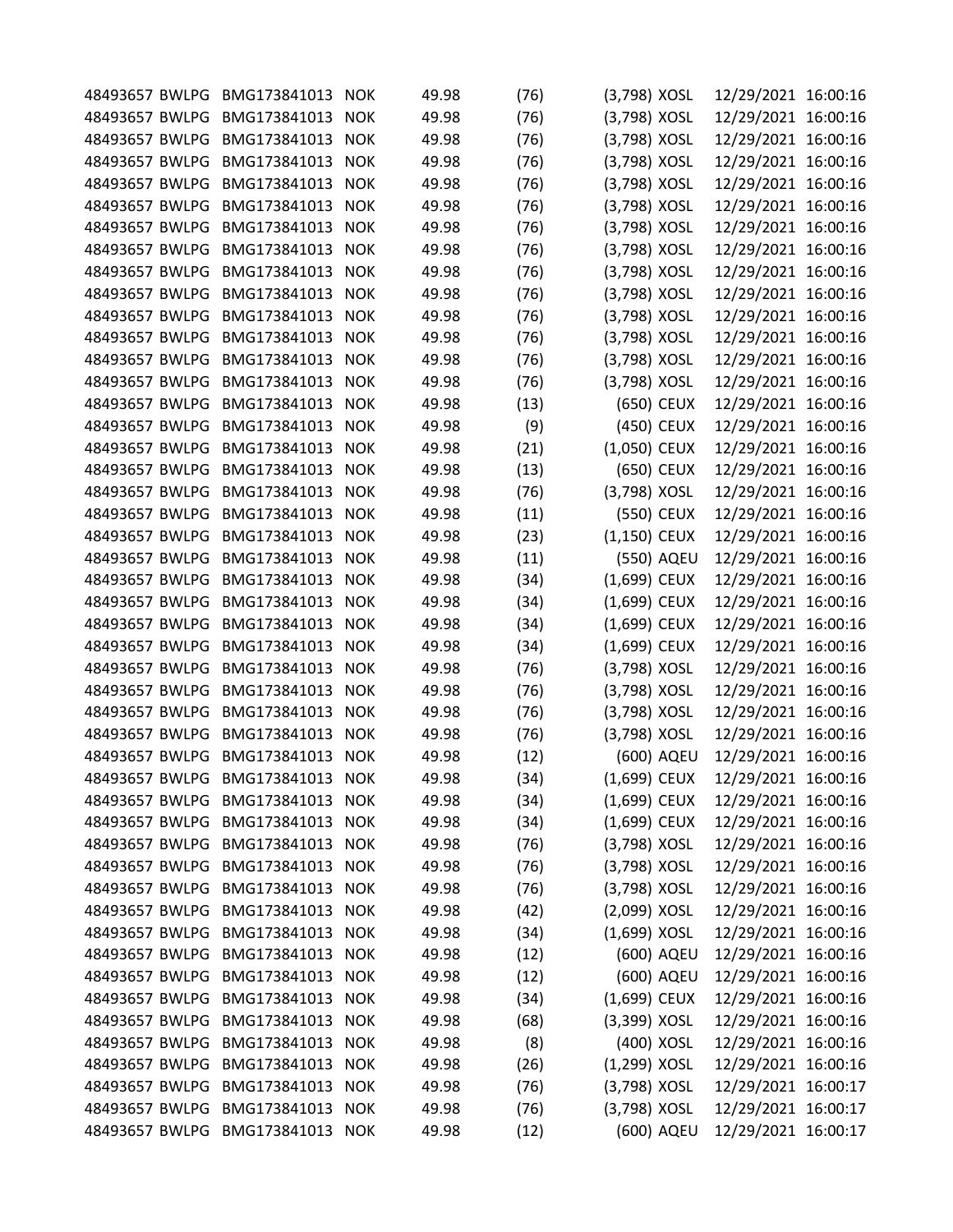|                | 48493657 BWLPG BMG173841013     | <b>NOK</b> | 49.98 | (76) | (3,798) XOSL   |            | 12/29/2021 16:00:16 |  |
|----------------|---------------------------------|------------|-------|------|----------------|------------|---------------------|--|
| 48493657 BWLPG | BMG173841013                    | <b>NOK</b> | 49.98 | (76) | (3,798) XOSL   |            | 12/29/2021 16:00:16 |  |
| 48493657 BWLPG | BMG173841013                    | <b>NOK</b> | 49.98 | (76) | (3,798) XOSL   |            | 12/29/2021 16:00:16 |  |
| 48493657 BWLPG | BMG173841013                    | <b>NOK</b> | 49.98 | (76) | (3,798) XOSL   |            | 12/29/2021 16:00:16 |  |
|                | BMG173841013                    | <b>NOK</b> | 49.98 |      |                |            |                     |  |
| 48493657 BWLPG |                                 |            |       | (76) | (3,798) XOSL   |            | 12/29/2021 16:00:16 |  |
| 48493657 BWLPG | BMG173841013                    | <b>NOK</b> | 49.98 | (76) | (3,798) XOSL   |            | 12/29/2021 16:00:16 |  |
| 48493657 BWLPG | BMG173841013                    | <b>NOK</b> | 49.98 | (76) | (3,798) XOSL   |            | 12/29/2021 16:00:16 |  |
| 48493657 BWLPG | BMG173841013                    | <b>NOK</b> | 49.98 | (76) | (3,798) XOSL   |            | 12/29/2021 16:00:16 |  |
| 48493657 BWLPG | BMG173841013                    | <b>NOK</b> | 49.98 | (76) | (3,798) XOSL   |            | 12/29/2021 16:00:16 |  |
| 48493657 BWLPG | BMG173841013                    | <b>NOK</b> | 49.98 | (76) | (3,798) XOSL   |            | 12/29/2021 16:00:16 |  |
| 48493657 BWLPG | BMG173841013                    | <b>NOK</b> | 49.98 | (76) | (3,798) XOSL   |            | 12/29/2021 16:00:16 |  |
| 48493657 BWLPG | BMG173841013                    | <b>NOK</b> | 49.98 | (76) | (3,798) XOSL   |            | 12/29/2021 16:00:16 |  |
| 48493657 BWLPG | BMG173841013                    | <b>NOK</b> | 49.98 | (76) | (3,798) XOSL   |            | 12/29/2021 16:00:16 |  |
| 48493657 BWLPG | BMG173841013                    | <b>NOK</b> | 49.98 | (76) | (3,798) XOSL   |            | 12/29/2021 16:00:16 |  |
| 48493657 BWLPG | BMG173841013                    | <b>NOK</b> | 49.98 | (13) |                | (650) CEUX | 12/29/2021 16:00:16 |  |
| 48493657 BWLPG | BMG173841013                    | <b>NOK</b> | 49.98 | (9)  |                | (450) CEUX | 12/29/2021 16:00:16 |  |
| 48493657 BWLPG | BMG173841013                    | <b>NOK</b> | 49.98 | (21) | (1,050) CEUX   |            | 12/29/2021 16:00:16 |  |
| 48493657 BWLPG | BMG173841013                    | <b>NOK</b> | 49.98 | (13) |                | (650) CEUX | 12/29/2021 16:00:16 |  |
| 48493657 BWLPG | BMG173841013                    | <b>NOK</b> | 49.98 | (76) | (3,798) XOSL   |            | 12/29/2021 16:00:16 |  |
| 48493657 BWLPG | BMG173841013                    | <b>NOK</b> | 49.98 | (11) |                | (550) CEUX | 12/29/2021 16:00:16 |  |
| 48493657 BWLPG | BMG173841013                    | <b>NOK</b> | 49.98 | (23) | (1,150) CEUX   |            | 12/29/2021 16:00:16 |  |
| 48493657 BWLPG | BMG173841013                    | <b>NOK</b> | 49.98 | (11) |                | (550) AQEU | 12/29/2021 16:00:16 |  |
| 48493657 BWLPG | BMG173841013                    | <b>NOK</b> | 49.98 | (34) | (1,699) CEUX   |            | 12/29/2021 16:00:16 |  |
| 48493657 BWLPG | BMG173841013                    | <b>NOK</b> | 49.98 | (34) | (1,699) CEUX   |            | 12/29/2021 16:00:16 |  |
| 48493657 BWLPG | BMG173841013                    | <b>NOK</b> | 49.98 | (34) | (1,699) CEUX   |            | 12/29/2021 16:00:16 |  |
| 48493657 BWLPG | BMG173841013                    | <b>NOK</b> | 49.98 | (34) | (1,699) CEUX   |            | 12/29/2021 16:00:16 |  |
| 48493657 BWLPG | BMG173841013                    | <b>NOK</b> | 49.98 | (76) | (3,798) XOSL   |            | 12/29/2021 16:00:16 |  |
| 48493657 BWLPG | BMG173841013                    | <b>NOK</b> | 49.98 | (76) | (3,798) XOSL   |            | 12/29/2021 16:00:16 |  |
| 48493657 BWLPG | BMG173841013                    | <b>NOK</b> | 49.98 | (76) | (3,798) XOSL   |            | 12/29/2021 16:00:16 |  |
| 48493657 BWLPG | BMG173841013                    | <b>NOK</b> | 49.98 |      | (3,798) XOSL   |            | 12/29/2021 16:00:16 |  |
| 48493657 BWLPG |                                 |            |       | (76) |                |            |                     |  |
|                | BMG173841013                    | <b>NOK</b> | 49.98 | (12) |                | (600) AQEU | 12/29/2021 16:00:16 |  |
|                | 48493657 BWLPG BMG173841013     | <b>NOK</b> | 49.98 | (34) | (1,699) CEUX   |            | 12/29/2021 16:00:16 |  |
| 48493657 BWLPG | BMG173841013                    | <b>NOK</b> | 49.98 | (34) | (1,699) CEUX   |            | 12/29/2021 16:00:16 |  |
| 48493657 BWLPG | BMG173841013                    | <b>NOK</b> | 49.98 | (34) | $(1,699)$ CEUX |            | 12/29/2021 16:00:16 |  |
| 48493657 BWLPG | BMG173841013                    | <b>NOK</b> | 49.98 | (76) | (3,798) XOSL   |            | 12/29/2021 16:00:16 |  |
| 48493657 BWLPG | BMG173841013                    | <b>NOK</b> | 49.98 | (76) | (3,798) XOSL   |            | 12/29/2021 16:00:16 |  |
|                | 48493657 BWLPG BMG173841013     | <b>NOK</b> | 49.98 | (76) | (3,798) XOSL   |            | 12/29/2021 16:00:16 |  |
| 48493657 BWLPG | BMG173841013                    | <b>NOK</b> | 49.98 | (42) | (2,099) XOSL   |            | 12/29/2021 16:00:16 |  |
| 48493657 BWLPG | BMG173841013                    | <b>NOK</b> | 49.98 | (34) | $(1,699)$ XOSL |            | 12/29/2021 16:00:16 |  |
| 48493657 BWLPG | BMG173841013                    | <b>NOK</b> | 49.98 | (12) |                | (600) AQEU | 12/29/2021 16:00:16 |  |
| 48493657 BWLPG | BMG173841013                    | <b>NOK</b> | 49.98 | (12) |                | (600) AQEU | 12/29/2021 16:00:16 |  |
| 48493657 BWLPG | BMG173841013                    | <b>NOK</b> | 49.98 | (34) | $(1,699)$ CEUX |            | 12/29/2021 16:00:16 |  |
| 48493657 BWLPG | BMG173841013                    | <b>NOK</b> | 49.98 | (68) | (3,399) XOSL   |            | 12/29/2021 16:00:16 |  |
| 48493657 BWLPG | BMG173841013                    | <b>NOK</b> | 49.98 | (8)  |                | (400) XOSL | 12/29/2021 16:00:16 |  |
| 48493657 BWLPG | BMG173841013                    | <b>NOK</b> | 49.98 | (26) | (1,299) XOSL   |            | 12/29/2021 16:00:16 |  |
| 48493657 BWLPG | BMG173841013                    | <b>NOK</b> | 49.98 | (76) | (3,798) XOSL   |            | 12/29/2021 16:00:17 |  |
|                | 48493657 BWLPG BMG173841013     | <b>NOK</b> | 49.98 | (76) | (3,798) XOSL   |            | 12/29/2021 16:00:17 |  |
|                | 48493657 BWLPG BMG173841013 NOK |            | 49.98 | (12) |                | (600) AQEU | 12/29/2021 16:00:17 |  |
|                |                                 |            |       |      |                |            |                     |  |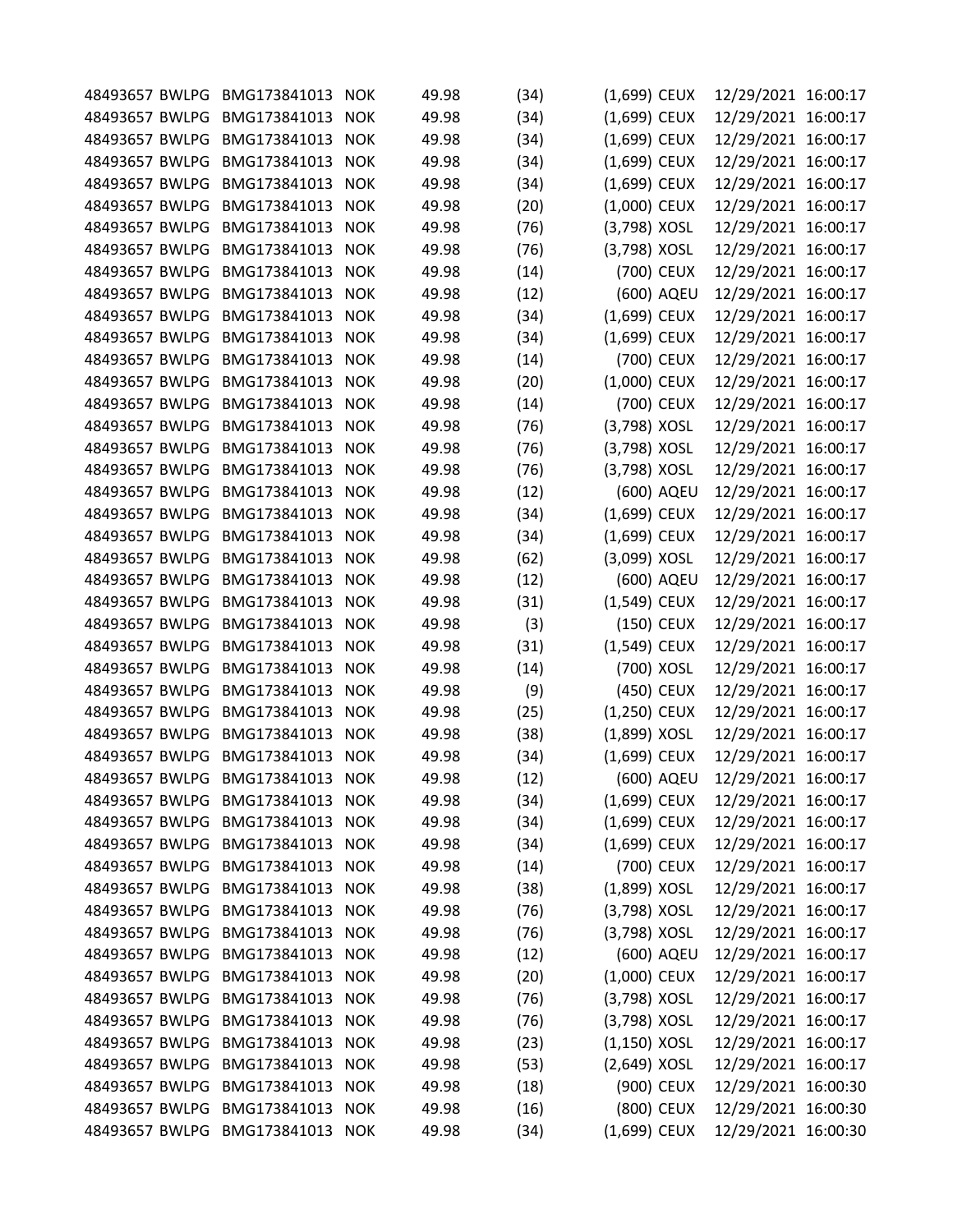|                | 48493657 BWLPG BMG173841013     | <b>NOK</b> | 49.98 | (34) | (1,699) CEUX   |            | 12/29/2021 16:00:17 |  |
|----------------|---------------------------------|------------|-------|------|----------------|------------|---------------------|--|
| 48493657 BWLPG | BMG173841013                    | <b>NOK</b> | 49.98 | (34) | (1,699) CEUX   |            | 12/29/2021 16:00:17 |  |
| 48493657 BWLPG | BMG173841013                    | <b>NOK</b> | 49.98 | (34) | (1,699) CEUX   |            | 12/29/2021 16:00:17 |  |
| 48493657 BWLPG | BMG173841013                    | <b>NOK</b> | 49.98 | (34) | (1,699) CEUX   |            | 12/29/2021 16:00:17 |  |
| 48493657 BWLPG | BMG173841013                    | <b>NOK</b> | 49.98 | (34) | (1,699) CEUX   |            | 12/29/2021 16:00:17 |  |
| 48493657 BWLPG | BMG173841013                    | <b>NOK</b> | 49.98 | (20) | (1,000) CEUX   |            | 12/29/2021 16:00:17 |  |
| 48493657 BWLPG | BMG173841013                    | <b>NOK</b> | 49.98 | (76) | (3,798) XOSL   |            | 12/29/2021 16:00:17 |  |
| 48493657 BWLPG | BMG173841013                    | <b>NOK</b> | 49.98 | (76) | (3,798) XOSL   |            | 12/29/2021 16:00:17 |  |
| 48493657 BWLPG | BMG173841013                    | <b>NOK</b> | 49.98 | (14) |                | (700) CEUX | 12/29/2021 16:00:17 |  |
| 48493657 BWLPG | BMG173841013                    | <b>NOK</b> | 49.98 | (12) |                | (600) AQEU | 12/29/2021 16:00:17 |  |
| 48493657 BWLPG | BMG173841013                    | <b>NOK</b> | 49.98 | (34) | (1,699) CEUX   |            | 12/29/2021 16:00:17 |  |
| 48493657 BWLPG | BMG173841013                    | <b>NOK</b> | 49.98 | (34) | (1,699) CEUX   |            | 12/29/2021 16:00:17 |  |
| 48493657 BWLPG | BMG173841013                    | <b>NOK</b> | 49.98 | (14) |                | (700) CEUX | 12/29/2021 16:00:17 |  |
| 48493657 BWLPG | BMG173841013                    | <b>NOK</b> | 49.98 | (20) | (1,000) CEUX   |            | 12/29/2021 16:00:17 |  |
| 48493657 BWLPG | BMG173841013                    | <b>NOK</b> | 49.98 | (14) |                | (700) CEUX | 12/29/2021 16:00:17 |  |
| 48493657 BWLPG | BMG173841013                    | <b>NOK</b> | 49.98 | (76) | (3,798) XOSL   |            | 12/29/2021 16:00:17 |  |
| 48493657 BWLPG | BMG173841013                    | <b>NOK</b> | 49.98 | (76) | (3,798) XOSL   |            | 12/29/2021 16:00:17 |  |
| 48493657 BWLPG | BMG173841013                    | <b>NOK</b> | 49.98 | (76) | (3,798) XOSL   |            | 12/29/2021 16:00:17 |  |
| 48493657 BWLPG | BMG173841013                    | <b>NOK</b> | 49.98 | (12) |                | (600) AQEU | 12/29/2021 16:00:17 |  |
| 48493657 BWLPG | BMG173841013                    | <b>NOK</b> | 49.98 | (34) | (1,699) CEUX   |            | 12/29/2021 16:00:17 |  |
| 48493657 BWLPG | BMG173841013                    | <b>NOK</b> | 49.98 | (34) | (1,699) CEUX   |            | 12/29/2021 16:00:17 |  |
| 48493657 BWLPG | BMG173841013                    | <b>NOK</b> | 49.98 | (62) | (3,099) XOSL   |            |                     |  |
|                |                                 |            |       |      |                |            | 12/29/2021 16:00:17 |  |
| 48493657 BWLPG | BMG173841013                    | <b>NOK</b> | 49.98 | (12) |                | (600) AQEU | 12/29/2021 16:00:17 |  |
| 48493657 BWLPG | BMG173841013                    | <b>NOK</b> | 49.98 | (31) | (1,549) CEUX   |            | 12/29/2021 16:00:17 |  |
| 48493657 BWLPG | BMG173841013                    | <b>NOK</b> | 49.98 | (3)  |                | (150) CEUX | 12/29/2021 16:00:17 |  |
| 48493657 BWLPG | BMG173841013                    | <b>NOK</b> | 49.98 | (31) | (1,549) CEUX   |            | 12/29/2021 16:00:17 |  |
| 48493657 BWLPG | BMG173841013                    | <b>NOK</b> | 49.98 | (14) |                | (700) XOSL | 12/29/2021 16:00:17 |  |
| 48493657 BWLPG | BMG173841013                    | <b>NOK</b> | 49.98 | (9)  |                | (450) CEUX | 12/29/2021 16:00:17 |  |
| 48493657 BWLPG | BMG173841013                    | <b>NOK</b> | 49.98 | (25) | (1,250) CEUX   |            | 12/29/2021 16:00:17 |  |
| 48493657 BWLPG | BMG173841013                    | <b>NOK</b> | 49.98 | (38) | (1,899) XOSL   |            | 12/29/2021 16:00:17 |  |
| 48493657 BWLPG | BMG173841013                    | <b>NOK</b> | 49.98 | (34) | (1,699) CEUX   |            | 12/29/2021 16:00:17 |  |
|                | 48493657 BWLPG BMG173841013     | <b>NOK</b> | 49.98 | (12) |                | (600) AQEU | 12/29/2021 16:00:17 |  |
| 48493657 BWLPG | BMG173841013                    | <b>NOK</b> | 49.98 | (34) | (1,699) CEUX   |            | 12/29/2021 16:00:17 |  |
| 48493657 BWLPG | BMG173841013                    | <b>NOK</b> | 49.98 | (34) | $(1,699)$ CEUX |            | 12/29/2021 16:00:17 |  |
| 48493657 BWLPG | BMG173841013                    | <b>NOK</b> | 49.98 | (34) | (1,699) CEUX   |            | 12/29/2021 16:00:17 |  |
| 48493657 BWLPG | BMG173841013                    | <b>NOK</b> | 49.98 | (14) |                | (700) CEUX | 12/29/2021 16:00:17 |  |
|                | 48493657 BWLPG BMG173841013     | <b>NOK</b> | 49.98 | (38) | (1,899) XOSL   |            | 12/29/2021 16:00:17 |  |
| 48493657 BWLPG | BMG173841013                    | <b>NOK</b> | 49.98 | (76) | (3,798) XOSL   |            | 12/29/2021 16:00:17 |  |
| 48493657 BWLPG | BMG173841013                    | <b>NOK</b> | 49.98 | (76) | (3,798) XOSL   |            | 12/29/2021 16:00:17 |  |
| 48493657 BWLPG | BMG173841013                    | <b>NOK</b> | 49.98 | (12) |                | (600) AQEU | 12/29/2021 16:00:17 |  |
| 48493657 BWLPG | BMG173841013                    | <b>NOK</b> | 49.98 | (20) | (1,000) CEUX   |            | 12/29/2021 16:00:17 |  |
| 48493657 BWLPG | BMG173841013                    | <b>NOK</b> | 49.98 | (76) | (3,798) XOSL   |            | 12/29/2021 16:00:17 |  |
| 48493657 BWLPG | BMG173841013                    | <b>NOK</b> | 49.98 | (76) | (3,798) XOSL   |            | 12/29/2021 16:00:17 |  |
| 48493657 BWLPG | BMG173841013                    | <b>NOK</b> | 49.98 | (23) | $(1,150)$ XOSL |            | 12/29/2021 16:00:17 |  |
| 48493657 BWLPG | BMG173841013                    | <b>NOK</b> | 49.98 | (53) | (2,649) XOSL   |            | 12/29/2021 16:00:17 |  |
| 48493657 BWLPG | BMG173841013                    | <b>NOK</b> | 49.98 | (18) |                | (900) CEUX | 12/29/2021 16:00:30 |  |
|                | 48493657 BWLPG BMG173841013     | <b>NOK</b> | 49.98 | (16) |                | (800) CEUX | 12/29/2021 16:00:30 |  |
|                | 48493657 BWLPG BMG173841013 NOK |            | 49.98 | (34) | (1,699) CEUX   |            | 12/29/2021 16:00:30 |  |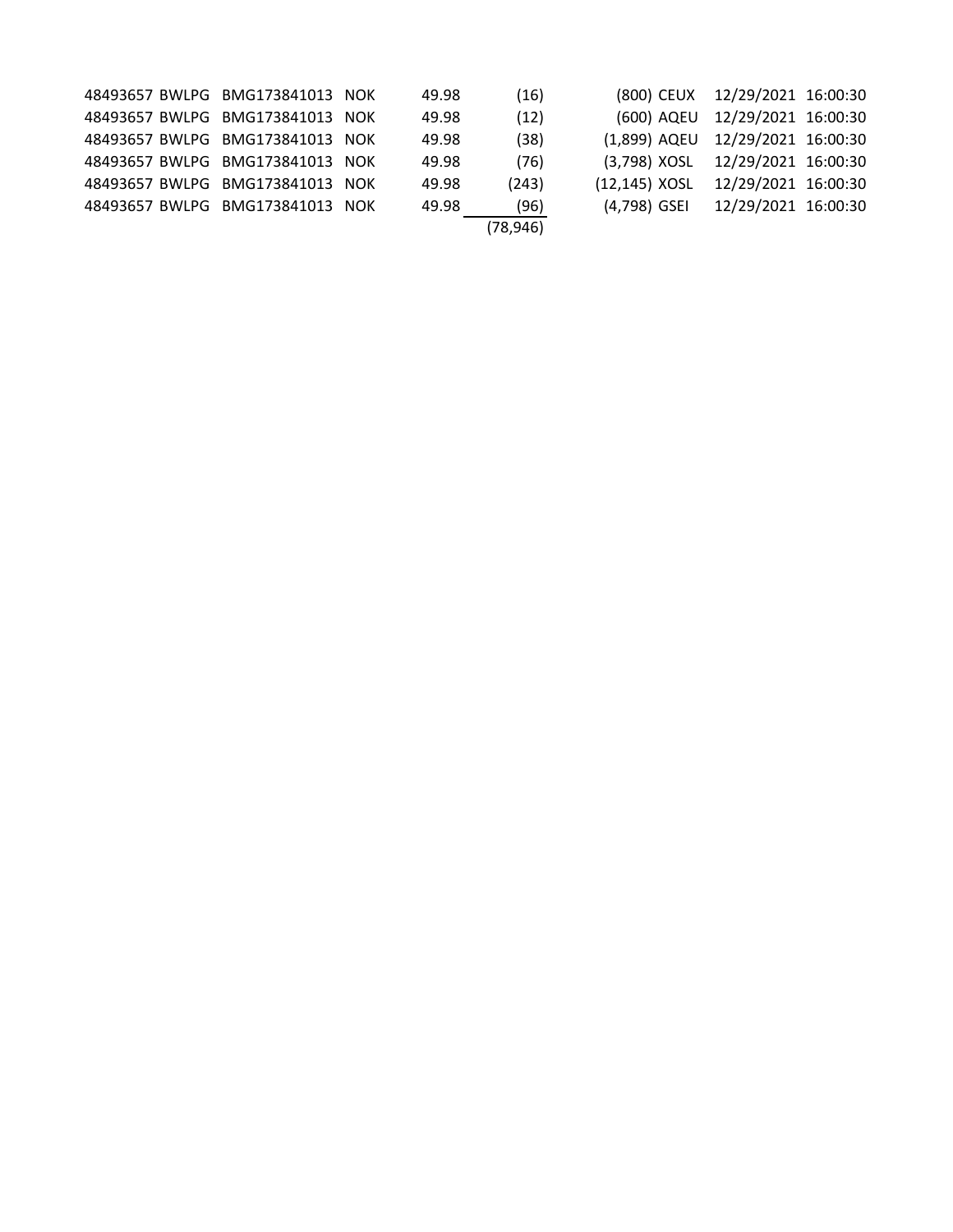|  | 48493657 BWLPG BMG173841013 NOK | 49.98 | (16)      |                                     | (800) CEUX 12/29/2021 16:00:30 |  |
|--|---------------------------------|-------|-----------|-------------------------------------|--------------------------------|--|
|  | 48493657 BWLPG BMG173841013 NOK | 49.98 | (12)      |                                     | (600) AQEU 12/29/2021 16:00:30 |  |
|  | 48493657 BWLPG BMG173841013 NOK | 49.98 | (38)      | (1,899) AQEU 12/29/2021 16:00:30    |                                |  |
|  | 48493657 BWLPG BMG173841013 NOK | 49.98 | (76)      | (3,798) XOSL 12/29/2021 16:00:30    |                                |  |
|  | 48493657 BWLPG BMG173841013 NOK | 49.98 | (243)     | (12,145) XOSL  12/29/2021  16:00:30 |                                |  |
|  | 48493657 BWLPG BMG173841013 NOK | 49.98 | (96)      | (4,798) GSEI 12/29/2021 16:00:30    |                                |  |
|  |                                 |       | (78, 946) |                                     |                                |  |